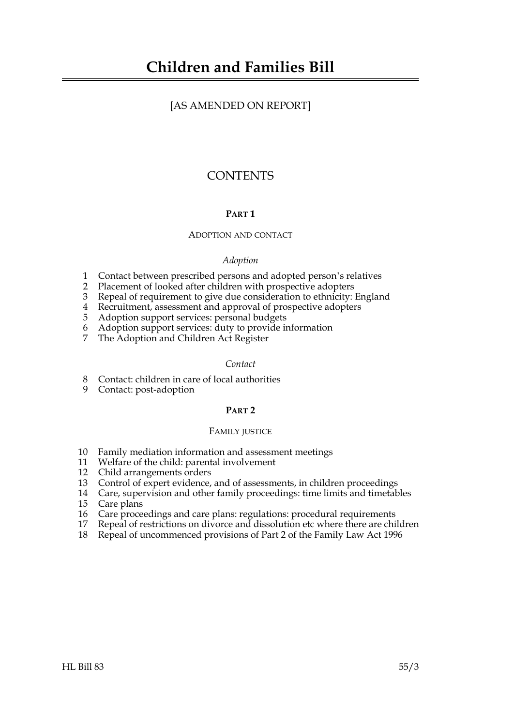# [AS AMENDED ON REPORT]

# **CONTENTS**

# **PART 1**

# ADOPTION AND CONTACT

# *Adoption*

- 1 Contact between prescribed persons and adopted person's relatives
- 2 Placement of looked after children with prospective adopters
- 3 Repeal of requirement to give due consideration to ethnicity: England
- 4 Recruitment, assessment and approval of prospective adopters
- 5 Adoption support services: personal budgets
- 6 Adoption support services: duty to provide information
- 7 The Adoption and Children Act Register

# *Contact*

- 8 Contact: children in care of local authorities
- 9 Contact: post-adoption

# **PART 2**

# FAMILY JUSTICE

- 10 Family mediation information and assessment meetings
- 11 Welfare of the child: parental involvement
- 12 Child arrangements orders
- 13 Control of expert evidence, and of assessments, in children proceedings
- 14 Care, supervision and other family proceedings: time limits and timetables 15 Care plans
- 16 Care proceedings and care plans: regulations: procedural requirements
- 17 Repeal of restrictions on divorce and dissolution etc where there are children
- 18 Repeal of uncommenced provisions of Part 2 of the Family Law Act 1996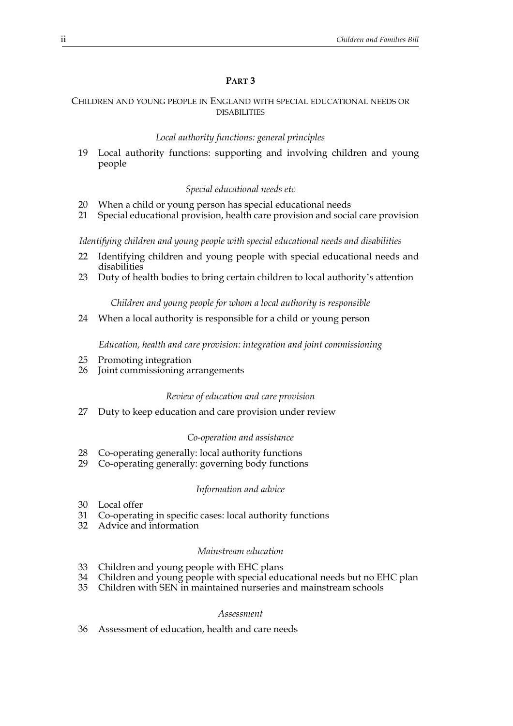# **PART 3**

# CHILDREN AND YOUNG PEOPLE IN ENGLAND WITH SPECIAL EDUCATIONAL NEEDS OR **DISABILITIES**

#### *Local authority functions: general principles*

19 Local authority functions: supporting and involving children and young people

#### *Special educational needs etc*

- 20 When a child or young person has special educational needs
- 21 Special educational provision, health care provision and social care provision

*Identifying children and young people with special educational needs and disabilities*

- 22 Identifying children and young people with special educational needs and disabilities
- 23 Duty of health bodies to bring certain children to local authority's attention

#### *Children and young people for whom a local authority is responsible*

24 When a local authority is responsible for a child or young person

*Education, health and care provision: integration and joint commissioning*

- 25 Promoting integration
- 26 Joint commissioning arrangements

#### *Review of education and care provision*

27 Duty to keep education and care provision under review

#### *Co-operation and assistance*

- 28 Co-operating generally: local authority functions
- 29 Co-operating generally: governing body functions

#### *Information and advice*

- 30 Local offer
- 31 Co-operating in specific cases: local authority functions
- 32 Advice and information

#### *Mainstream education*

- 33 Children and young people with EHC plans
- 34 Children and young people with special educational needs but no EHC plan
- 35 Children with SEN in maintained nurseries and mainstream schools

#### *Assessment*

36 Assessment of education, health and care needs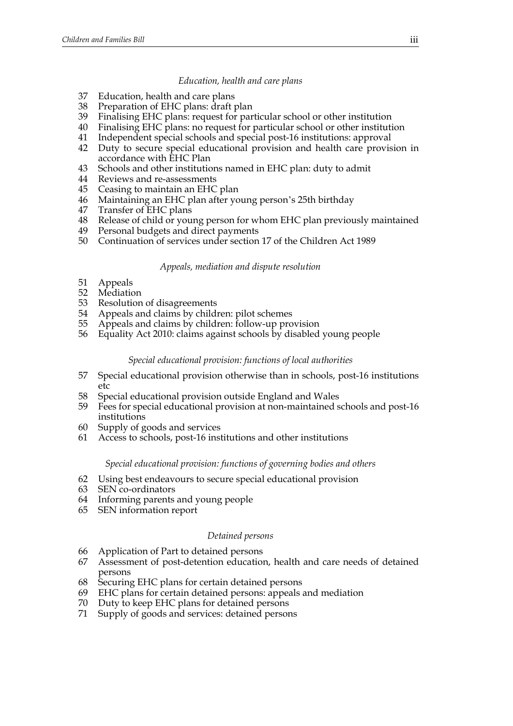# *Education, health and care plans*

- 37 Education, health and care plans
- 38 Preparation of EHC plans: draft plan
- 39 Finalising EHC plans: request for particular school or other institution
- 40 Finalising EHC plans: no request for particular school or other institution
- 41 Independent special schools and special post-16 institutions: approval
- 42 Duty to secure special educational provision and health care provision in accordance with EHC Plan
- 43 Schools and other institutions named in EHC plan: duty to admit
- 44 Reviews and re-assessments
- 45 Ceasing to maintain an EHC plan
- 46 Maintaining an EHC plan after young person's 25th birthday
- 47 Transfer of EHC plans
- 48 Release of child or young person for whom EHC plan previously maintained
- 49 Personal budgets and direct payments
- 50 Continuation of services under section 17 of the Children Act 1989

# *Appeals, mediation and dispute resolution*

- 51 Appeals
- 52 Mediation
- 53 Resolution of disagreements
- 54 Appeals and claims by children: pilot schemes
- 55 Appeals and claims by children: follow-up provision
- 56 Equality Act 2010: claims against schools by disabled young people

# *Special educational provision: functions of local authorities*

- 57 Special educational provision otherwise than in schools, post-16 institutions etc
- 58 Special educational provision outside England and Wales
- 59 Fees for special educational provision at non-maintained schools and post-16 institutions
- 60 Supply of goods and services
- 61 Access to schools, post-16 institutions and other institutions

# *Special educational provision: functions of governing bodies and others*

- 62 Using best endeavours to secure special educational provision
- 63 SEN co-ordinators
- 64 Informing parents and young people
- 65 SEN information report

# *Detained persons*

- 
- 66 Application of Part to detained persons<br>67 Assessment of post-detention education Assessment of post-detention education, health and care needs of detained persons
- 68 Securing EHC plans for certain detained persons
- 69 EHC plans for certain detained persons: appeals and mediation
- 70 Duty to keep EHC plans for detained persons
- 71 Supply of goods and services: detained persons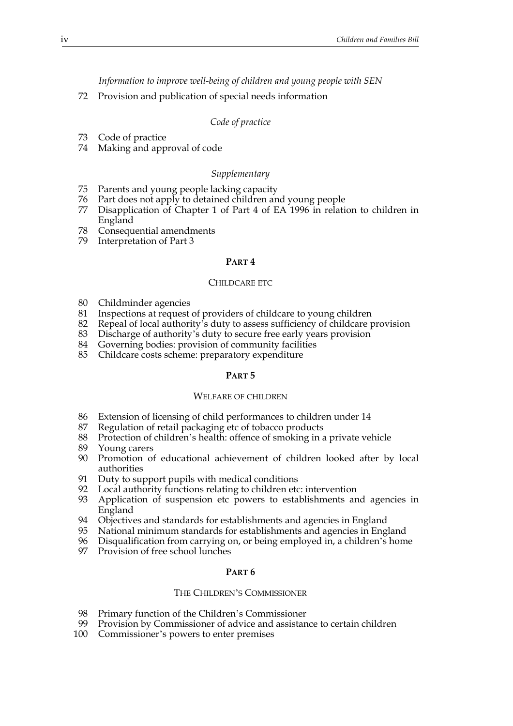*Information to improve well-being of children and young people with SEN*

72 Provision and publication of special needs information

#### *Code of practice*

- 73 Code of practice
- 74 Making and approval of code

#### *Supplementary*

- 75 Parents and young people lacking capacity
- 76 Part does not apply to detained children and young people
- 77 Disapplication of Chapter 1 of Part 4 of EA 1996 in relation to children in England
- 78 Consequential amendments
- 79 Interpretation of Part 3

#### **PART 4**

#### CHILDCARE ETC

- 80 Childminder agencies<br>81 Inspections at request
- Inspections at request of providers of childcare to young children
- 82 Repeal of local authority's duty to assess sufficiency of childcare provision
- 83 Discharge of authority's duty to secure free early years provision
- 84 Governing bodies: provision of community facilities
- 85 Childcare costs scheme: preparatory expenditure

# **PART 5**

#### WELFARE OF CHILDREN

- 86 Extension of licensing of child performances to children under 14
- 87 Regulation of retail packaging etc of tobacco products
- 88 Protection of children's health: offence of smoking in a private vehicle
- 89 Young carers
- 90 Promotion of educational achievement of children looked after by local authorities
- 91 Duty to support pupils with medical conditions<br>92 Local authority functions relating to children etc
- 92 Local authority functions relating to children etc: intervention<br>93 Application of suspension etc powers to establishments and
- Application of suspension etc powers to establishments and agencies in England
- 94 Objectives and standards for establishments and agencies in England<br>95 National minimum standards for establishments and agencies in Engl
- National minimum standards for establishments and agencies in England
- 96 Disqualification from carrying on, or being employed in, a children's home
- 97 Provision of free school lunches

#### **PART 6**

#### THE CHILDREN'S COMMISSIONER

- 98 Primary function of the Children's Commissioner
- 99 Provision by Commissioner of advice and assistance to certain children
- 100 Commissioner's powers to enter premises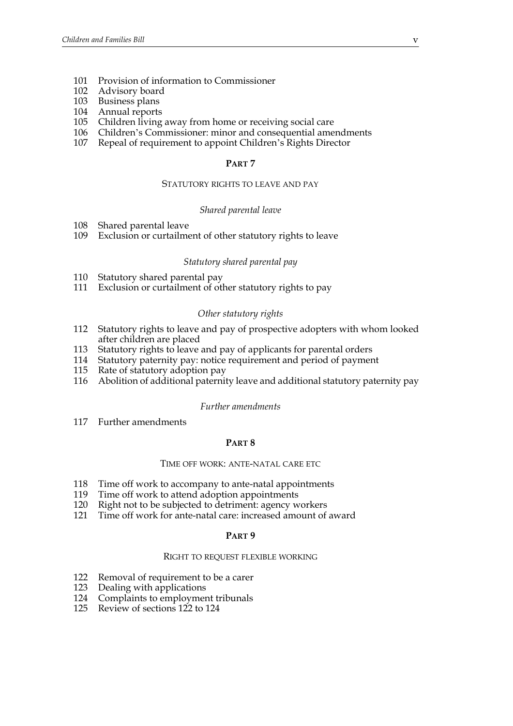- 101 Provision of information to Commissioner
- 102 Advisory board
- 103 Business plans
- 104 Annual reports
- 105 Children living away from home or receiving social care
- 106 Children's Commissioner: minor and consequential amendments
- 107 Repeal of requirement to appoint Children's Rights Director

#### **PART 7**

#### STATUTORY RIGHTS TO LEAVE AND PAY

#### *Shared parental leave*

- 108 Shared parental leave
- 109 Exclusion or curtailment of other statutory rights to leave

#### *Statutory shared parental pay*

- 110 Statutory shared parental pay
- 111 Exclusion or curtailment of other statutory rights to pay

#### *Other statutory rights*

- 112 Statutory rights to leave and pay of prospective adopters with whom looked after children are placed
- 113 Statutory rights to leave and pay of applicants for parental orders
- 114 Statutory paternity pay: notice requirement and period of payment
- 115 Rate of statutory adoption pay
- 116 Abolition of additional paternity leave and additional statutory paternity pay

#### *Further amendments*

117 Further amendments

#### **PART 8**

#### TIME OFF WORK: ANTE-NATAL CARE ETC

- 118 Time off work to accompany to ante-natal appointments<br>119 Time off work to attend adoption appointments
- Time off work to attend adoption appointments
- 120 Right not to be subjected to detriment: agency workers
- 121 Time off work for ante-natal care: increased amount of award

## **PART 9**

#### RIGHT TO REQUEST FLEXIBLE WORKING

- 122 Removal of requirement to be a carer
- 123 Dealing with applications
- 124 Complaints to employment tribunals<br>125 Review of sections 122 to 124
- Review of sections 122 to 124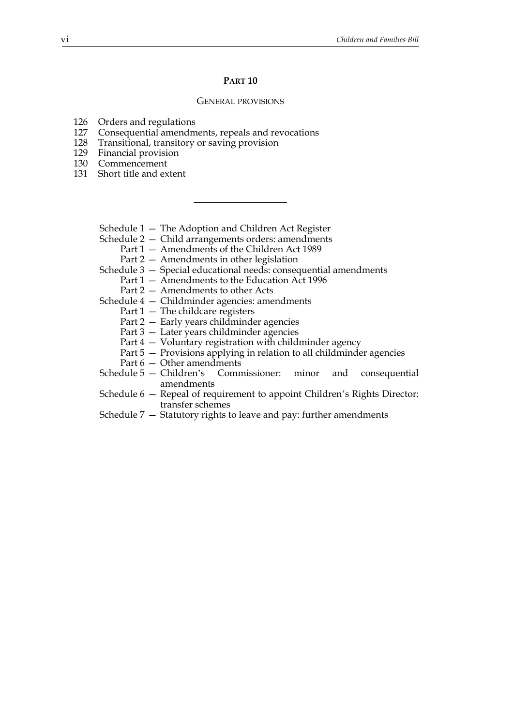# **PART 10**

#### GENERAL PROVISIONS

- 126 Orders and regulations
- 127 Consequential amendments, repeals and revocations
- 128 Transitional, transitory or saving provision
- 129 Financial provision
- 130 Commencement
- 131 Short title and extent

Schedule 1 — The Adoption and Children Act Register

- Schedule 2 Child arrangements orders: amendments
	- Part 1 Amendments of the Children Act 1989
	- Part 2 Amendments in other legislation
- Schedule 3 Special educational needs: consequential amendments
	- Part 1 Amendments to the Education Act 1996
	- Part 2 Amendments to other Acts
- Schedule 4 Childminder agencies: amendments
	- Part 1 The childcare registers
	- Part 2 Early years childminder agencies
	- Part 3 Later years childminder agencies
	- Part 4 Voluntary registration with childminder agency
	- Part 5 Provisions applying in relation to all childminder agencies
	-
- Part 6 Other amendments<br>dule 5 Children's Commissioner: Schedule 5 — Children's Commissioner: minor and consequential amendments
- Schedule 6 Repeal of requirement to appoint Children's Rights Director: transfer schemes
- Schedule 7 Statutory rights to leave and pay: further amendments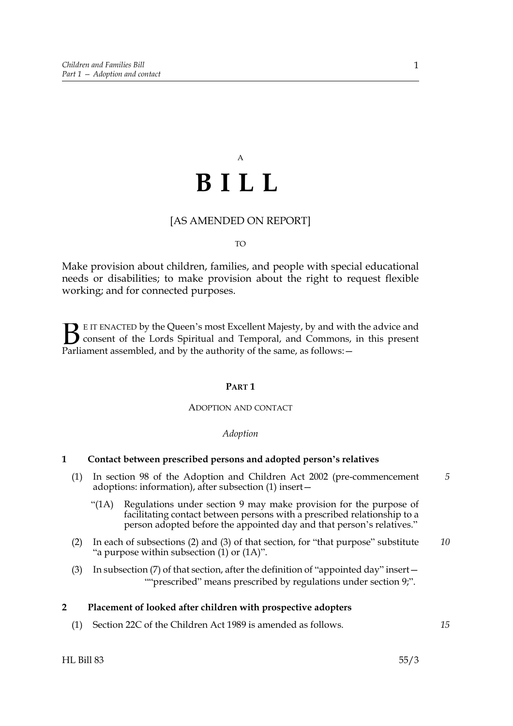# A **BILL**

# [AS AMENDED ON REPORT]

#### TO

Make provision about children, families, and people with special educational needs or disabilities; to make provision about the right to request flexible working; and for connected purposes.

E IT ENACTED by the Queen's most Excellent Majesty, by and with the advice and consent of the Lords Spiritual and Temporal, and Commons, in this present **B** E IT ENACTED by the Queen's most Excellent Majesty, by and with consent of the Lords Spiritual and Temporal, and Commons, Parliament assembled, and by the authority of the same, as follows:  $-$ 

#### **PART 1**

#### ADOPTION AND CONTACT

## *Adoption*

#### **1 Contact between prescribed persons and adopted person's relatives**

- (1) In section 98 of the Adoption and Children Act 2002 (pre-commencement adoptions: information), after subsection (1) insert— *5*
	- "(1A) Regulations under section 9 may make provision for the purpose of facilitating contact between persons with a prescribed relationship to a person adopted before the appointed day and that person's relatives."
- (2) In each of subsections (2) and (3) of that section, for "that purpose" substitute "a purpose within subsection (1) or (1A)". *10*
- (3) In subsection (7) of that section, after the definition of "appointed day" insert— ""prescribed" means prescribed by regulations under section 9;".

#### **2 Placement of looked after children with prospective adopters**

(1) Section 22C of the Children Act 1989 is amended as follows.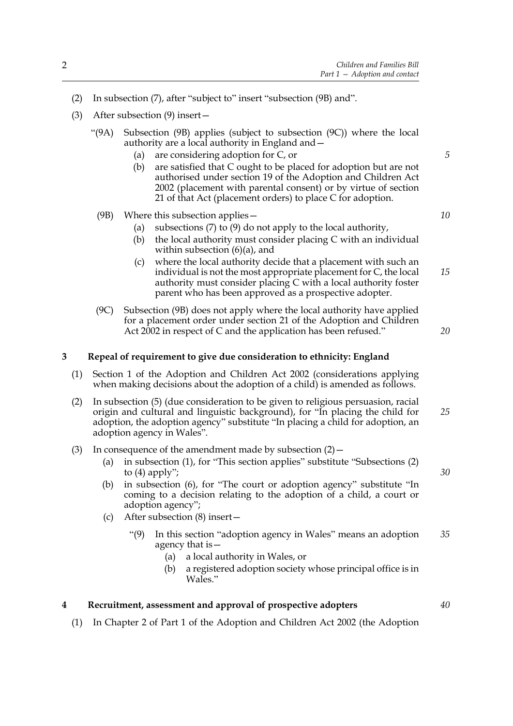- (2) In subsection (7), after "subject to" insert "subsection (9B) and".
- (3) After subsection (9) insert—
	- "(9A) Subsection (9B) applies (subject to subsection (9C)) where the local authority are a local authority in England and—
		- (a) are considering adoption for C, or
		- (b) are satisfied that C ought to be placed for adoption but are not authorised under section 19 of the Adoption and Children Act 2002 (placement with parental consent) or by virtue of section 21 of that Act (placement orders) to place C for adoption.

# (9B) Where this subsection applies—

- (a) subsections (7) to (9) do not apply to the local authority,
- (b) the local authority must consider placing C with an individual within subsection (6)(a), and
- (c) where the local authority decide that a placement with such an individual is not the most appropriate placement for C, the local authority must consider placing C with a local authority foster parent who has been approved as a prospective adopter. *15*
- (9C) Subsection (9B) does not apply where the local authority have applied for a placement order under section 21 of the Adoption and Children Act 2002 in respect of C and the application has been refused."

#### **3 Repeal of requirement to give due consideration to ethnicity: England**

- (1) Section 1 of the Adoption and Children Act 2002 (considerations applying when making decisions about the adoption of a child) is amended as follows.
- (2) In subsection (5) (due consideration to be given to religious persuasion, racial origin and cultural and linguistic background), for "In placing the child for adoption, the adoption agency" substitute "In placing a child for adoption, an adoption agency in Wales". *25*
- (3) In consequence of the amendment made by subsection  $(2)$  -
	- (a) in subsection (1), for "This section applies" substitute "Subsections (2) to (4) apply";
	- (b) in subsection (6), for "The court or adoption agency" substitute "In coming to a decision relating to the adoption of a child, a court or adoption agency";
	- (c) After subsection (8) insert—
		- "(9) In this section "adoption agency in Wales" means an adoption agency that is— *35*
			- (a) a local authority in Wales, or
			- (b) a registered adoption society whose principal office is in Wales."

## **4 Recruitment, assessment and approval of prospective adopters**

(1) In Chapter 2 of Part 1 of the Adoption and Children Act 2002 (the Adoption

*10*

*5*

*20*

*30*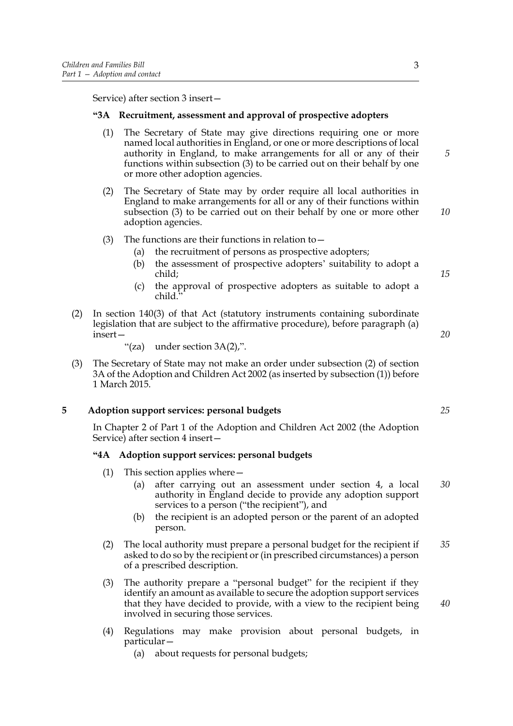Service) after section 3 insert—

### **"3A Recruitment, assessment and approval of prospective adopters**

- (1) The Secretary of State may give directions requiring one or more named local authorities in England, or one or more descriptions of local authority in England, to make arrangements for all or any of their functions within subsection (3) to be carried out on their behalf by one or more other adoption agencies.
- (2) The Secretary of State may by order require all local authorities in England to make arrangements for all or any of their functions within subsection (3) to be carried out on their behalf by one or more other adoption agencies.
- (3) The functions are their functions in relation to  $-$ 
	- (a) the recruitment of persons as prospective adopters;
	- (b) the assessment of prospective adopters' suitability to adopt a child;
	- (c) the approval of prospective adopters as suitable to adopt a child.
- (2) In section 140(3) of that Act (statutory instruments containing subordinate legislation that are subject to the affirmative procedure), before paragraph (a) insert—
	- "(za) under section 3A(2),".
- (3) The Secretary of State may not make an order under subsection (2) of section 3A of the Adoption and Children Act 2002 (as inserted by subsection (1)) before 1 March 2015.

#### **5 Adoption support services: personal budgets**

In Chapter 2 of Part 1 of the Adoption and Children Act 2002 (the Adoption Service) after section 4 insert—

## **"4A Adoption support services: personal budgets**

- (1) This section applies where—
	- (a) after carrying out an assessment under section 4, a local authority in England decide to provide any adoption support services to a person ("the recipient"), and *30*
	- (b) the recipient is an adopted person or the parent of an adopted person.
- (2) The local authority must prepare a personal budget for the recipient if asked to do so by the recipient or (in prescribed circumstances) a person of a prescribed description. *35*
- (3) The authority prepare a "personal budget" for the recipient if they identify an amount as available to secure the adoption support services that they have decided to provide, with a view to the recipient being involved in securing those services.
- (4) Regulations may make provision about personal budgets, in particular—
	- (a) about requests for personal budgets;

*5*

*10*

*15*

*20*

*25*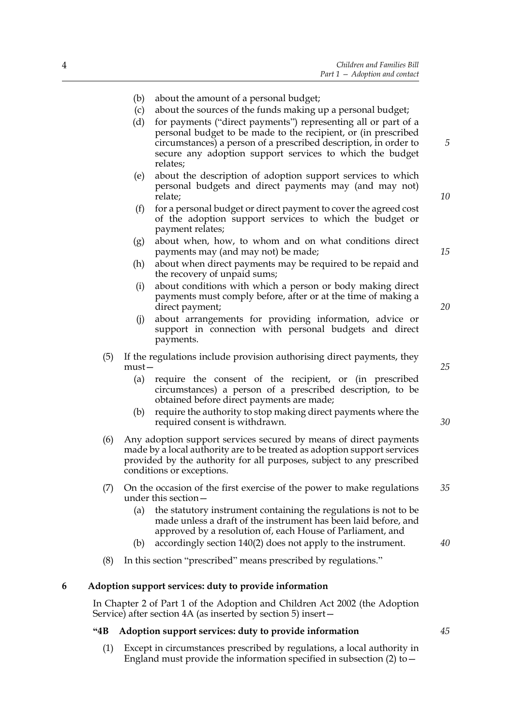- (b) about the amount of a personal budget;
- (c) about the sources of the funds making up a personal budget;
- (d) for payments ("direct payments") representing all or part of a personal budget to be made to the recipient, or (in prescribed circumstances) a person of a prescribed description, in order to secure any adoption support services to which the budget relates;
- (e) about the description of adoption support services to which personal budgets and direct payments may (and may not) relate;
- (f) for a personal budget or direct payment to cover the agreed cost of the adoption support services to which the budget or payment relates;
- (g) about when, how, to whom and on what conditions direct payments may (and may not) be made;
- (h) about when direct payments may be required to be repaid and the recovery of unpaid sums;
- (i) about conditions with which a person or body making direct payments must comply before, after or at the time of making a direct payment;
- (j) about arrangements for providing information, advice or support in connection with personal budgets and direct payments.
- (5) If the regulations include provision authorising direct payments, they must—
	- (a) require the consent of the recipient, or (in prescribed circumstances) a person of a prescribed description, to be obtained before direct payments are made;
	- (b) require the authority to stop making direct payments where the required consent is withdrawn.
- (6) Any adoption support services secured by means of direct payments made by a local authority are to be treated as adoption support services provided by the authority for all purposes, subject to any prescribed conditions or exceptions.
- (7) On the occasion of the first exercise of the power to make regulations under this section— *35*
	- (a) the statutory instrument containing the regulations is not to be made unless a draft of the instrument has been laid before, and approved by a resolution of, each House of Parliament, and
	- (b) accordingly section 140(2) does not apply to the instrument.
- (8) In this section "prescribed" means prescribed by regulations."

### **6 Adoption support services: duty to provide information**

In Chapter 2 of Part 1 of the Adoption and Children Act 2002 (the Adoption Service) after section 4A (as inserted by section 5) insert—

## **"4B Adoption support services: duty to provide information**

(1) Except in circumstances prescribed by regulations, a local authority in England must provide the information specified in subsection  $(2)$  to  $-$ 

*25*

*20*

*5*

*10*

*15*

*30*

*40*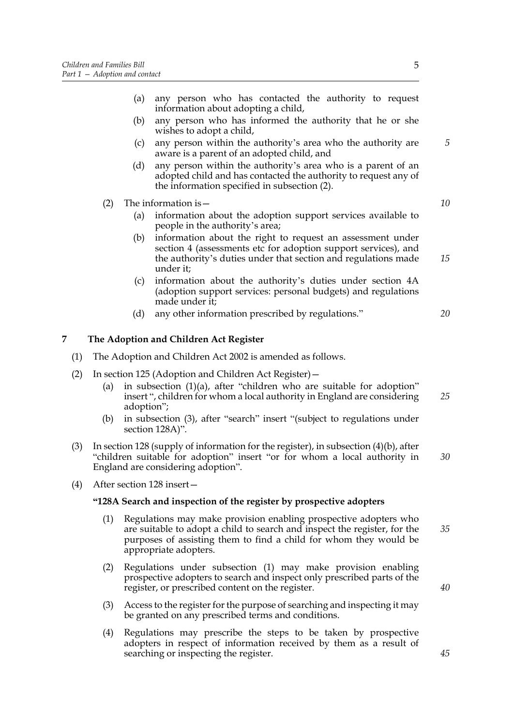$(2)$ 

| (a) | any person who has contacted the authority to request<br>information about adopting a child,                                                                                                                |    |
|-----|-------------------------------------------------------------------------------------------------------------------------------------------------------------------------------------------------------------|----|
| (b) | any person who has informed the authority that he or she<br>wishes to adopt a child,                                                                                                                        |    |
| (c) | any person within the authority's area who the authority are<br>aware is a parent of an adopted child, and                                                                                                  | 5  |
| (d) | any person within the authority's area who is a parent of an<br>adopted child and has contacted the authority to request any of<br>the information specified in subsection (2).                             |    |
|     | The information is $-$                                                                                                                                                                                      | 10 |
| (a) | information about the adoption support services available to<br>people in the authority's area;                                                                                                             |    |
| (b) | information about the right to request an assessment under<br>section 4 (assessments etc for adoption support services), and<br>the authority's duties under that section and regulations made<br>under it; | 15 |

- (c) information about the authority's duties under section 4A (adoption support services: personal budgets) and regulations made under it;
- (d) any other information prescribed by regulations."

# **7 The Adoption and Children Act Register**

- (1) The Adoption and Children Act 2002 is amended as follows.
- (2) In section 125 (Adoption and Children Act Register)—
	- (a) in subsection  $(1)(a)$ , after "children who are suitable for adoption" insert ", children for whom a local authority in England are considering adoption"; *25*
	- (b) in subsection (3), after "search" insert "(subject to regulations under section 128A)".
- (3) In section 128 (supply of information for the register), in subsection (4)(b), after "children suitable for adoption" insert "or for whom a local authority in England are considering adoption". *30*
- (4) After section 128 insert—

# **"128A Search and inspection of the register by prospective adopters**

- (1) Regulations may make provision enabling prospective adopters who are suitable to adopt a child to search and inspect the register, for the purposes of assisting them to find a child for whom they would be appropriate adopters.
- (2) Regulations under subsection (1) may make provision enabling prospective adopters to search and inspect only prescribed parts of the register, or prescribed content on the register.
- (3) Access to the register for the purpose of searching and inspecting it may be granted on any prescribed terms and conditions.
- (4) Regulations may prescribe the steps to be taken by prospective adopters in respect of information received by them as a result of searching or inspecting the register.

*10*

*20*

*35*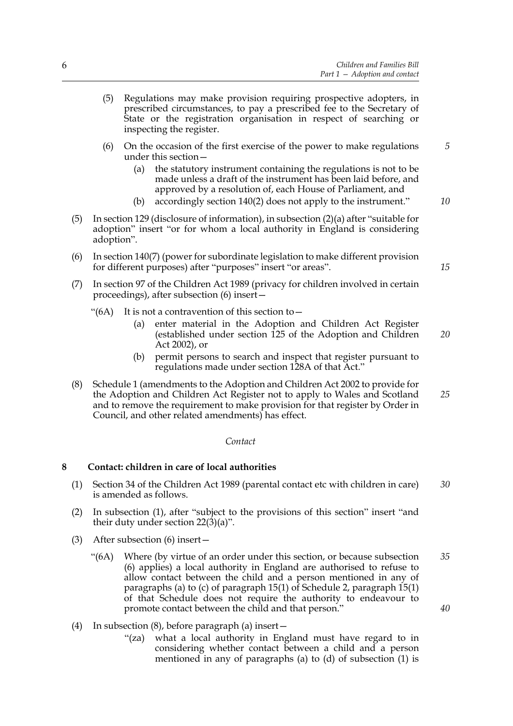- (5) Regulations may make provision requiring prospective adopters, in prescribed circumstances, to pay a prescribed fee to the Secretary of State or the registration organisation in respect of searching or inspecting the register.
- (6) On the occasion of the first exercise of the power to make regulations under this section— *5*
	- (a) the statutory instrument containing the regulations is not to be made unless a draft of the instrument has been laid before, and approved by a resolution of, each House of Parliament, and
	- (b) accordingly section 140(2) does not apply to the instrument." *10*
- (5) In section 129 (disclosure of information), in subsection (2)(a) after "suitable for adoption" insert "or for whom a local authority in England is considering adoption".
- (6) In section 140(7) (power for subordinate legislation to make different provision for different purposes) after "purposes" insert "or areas".
- (7) In section 97 of the Children Act 1989 (privacy for children involved in certain proceedings), after subsection (6) insert—
	- " $(6A)$  It is not a contravention of this section to  $-$ 
		- (a) enter material in the Adoption and Children Act Register (established under section 125 of the Adoption and Children Act 2002), or *20*
		- (b) permit persons to search and inspect that register pursuant to regulations made under section 128A of that Act."
- (8) Schedule 1 (amendments to the Adoption and Children Act 2002 to provide for the Adoption and Children Act Register not to apply to Wales and Scotland and to remove the requirement to make provision for that register by Order in Council, and other related amendments) has effect. *25*

#### *Contact*

# **8 Contact: children in care of local authorities**

- (1) Section 34 of the Children Act 1989 (parental contact etc with children in care) is amended as follows. *30*
- (2) In subsection (1), after "subject to the provisions of this section" insert "and their duty under section  $22(3)(a)$ ".
- (3) After subsection (6) insert—
	- "(6A) Where (by virtue of an order under this section, or because subsection (6) applies) a local authority in England are authorised to refuse to allow contact between the child and a person mentioned in any of paragraphs (a) to (c) of paragraph 15(1) of Schedule 2, paragraph 15(1) of that Schedule does not require the authority to endeavour to promote contact between the child and that person." *35 40*
- (4) In subsection (8), before paragraph (a) insert—
	- "(za) what a local authority in England must have regard to in considering whether contact between a child and a person mentioned in any of paragraphs (a) to (d) of subsection (1) is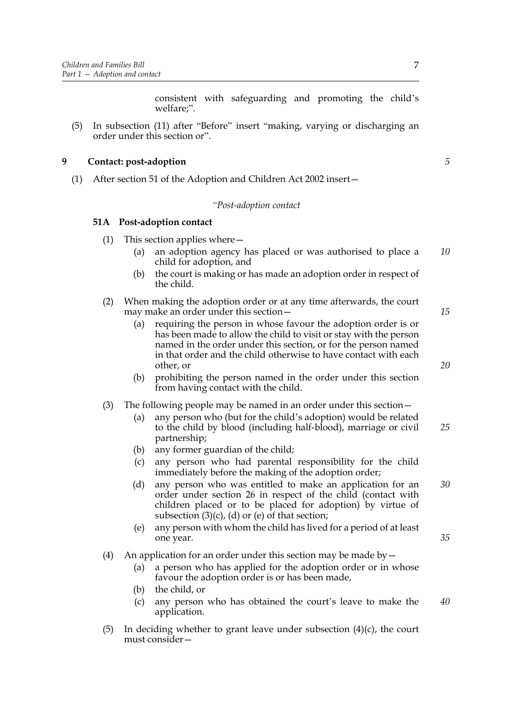consistent with safeguarding and promoting the child's welfare;".

(5) In subsection (11) after "Before" insert "making, varying or discharging an order under this section or".

# **9 Contact: post-adoption**

(1) After section 51 of the Adoption and Children Act 2002 insert—

#### *"Post-adoption contact*

# **51A Post-adoption contact**

- (1) This section applies where—
	- (a) an adoption agency has placed or was authorised to place a child for adoption, and *10*
	- (b) the court is making or has made an adoption order in respect of the child.
- (2) When making the adoption order or at any time afterwards, the court may make an order under this section—
	- (a) requiring the person in whose favour the adoption order is or has been made to allow the child to visit or stay with the person named in the order under this section, or for the person named in that order and the child otherwise to have contact with each other, or
	- (b) prohibiting the person named in the order under this section from having contact with the child.
- (3) The following people may be named in an order under this section—
	- (a) any person who (but for the child's adoption) would be related to the child by blood (including half-blood), marriage or civil partnership; *25*
	- (b) any former guardian of the child;
	- (c) any person who had parental responsibility for the child immediately before the making of the adoption order;
	- (d) any person who was entitled to make an application for an order under section 26 in respect of the child (contact with children placed or to be placed for adoption) by virtue of subsection  $(3)(c)$ ,  $(d)$  or  $(e)$  of that section; *30*
	- (e) any person with whom the child has lived for a period of at least one year.
- (4) An application for an order under this section may be made by  $-$ 
	- (a) a person who has applied for the adoption order or in whose favour the adoption order is or has been made,
	- (b) the child, or
	- (c) any person who has obtained the court's leave to make the application. *40*
- (5) In deciding whether to grant leave under subsection  $(4)(c)$ , the court must consider—

*15*

*5*

*20*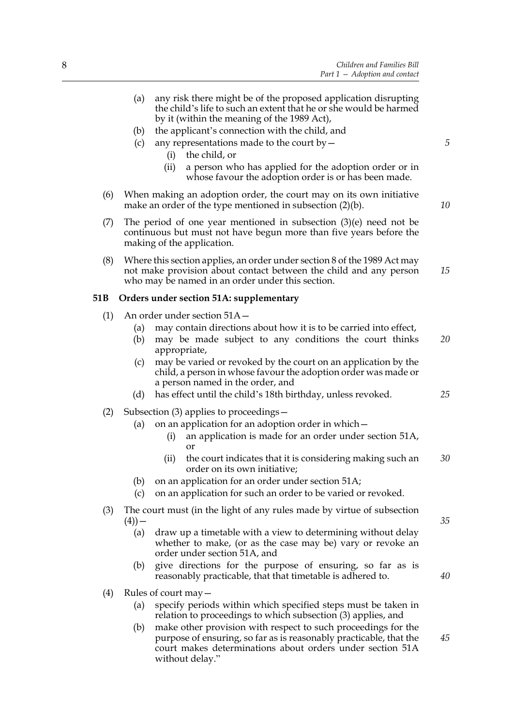|     | (a)      | any risk there might be of the proposed application disrupting<br>the child's life to such an extent that he or she would be harmed<br>by it (within the meaning of the 1989 Act),                |    |
|-----|----------|---------------------------------------------------------------------------------------------------------------------------------------------------------------------------------------------------|----|
|     | (b)      | the applicant's connection with the child, and                                                                                                                                                    |    |
|     | (c)      | any representations made to the court by $-$                                                                                                                                                      | 5  |
|     |          | the child, or<br>(i)                                                                                                                                                                              |    |
|     |          | a person who has applied for the adoption order or in<br>(ii)<br>whose favour the adoption order is or has been made.                                                                             |    |
| (6) |          | When making an adoption order, the court may on its own initiative<br>make an order of the type mentioned in subsection $(2)(b)$ .                                                                | 10 |
| (7) |          | The period of one year mentioned in subsection $(3)(e)$ need not be<br>continuous but must not have begun more than five years before the<br>making of the application.                           |    |
| (8) |          | Where this section applies, an order under section 8 of the 1989 Act may<br>not make provision about contact between the child and any person<br>who may be named in an order under this section. | 15 |
| 51B |          | Orders under section 51A: supplementary                                                                                                                                                           |    |
| (1) |          | An order under section 51A-                                                                                                                                                                       |    |
|     | (a)      | may contain directions about how it is to be carried into effect,                                                                                                                                 |    |
|     | (b)      | may be made subject to any conditions the court thinks<br>appropriate,                                                                                                                            | 20 |
|     | (c)      | may be varied or revoked by the court on an application by the<br>child, a person in whose favour the adoption order was made or<br>a person named in the order, and                              |    |
|     | (d)      | has effect until the child's 18th birthday, unless revoked.                                                                                                                                       | 25 |
| (2) |          | Subsection $(3)$ applies to proceedings $-$                                                                                                                                                       |    |
|     | (a)      | on an application for an adoption order in which –                                                                                                                                                |    |
|     |          | an application is made for an order under section 51A,<br>(i)<br><b>or</b>                                                                                                                        |    |
|     |          | the court indicates that it is considering making such an<br>(ii)<br>order on its own initiative;                                                                                                 | 30 |
|     | (b)      | on an application for an order under section 51A;                                                                                                                                                 |    |
|     | (c)      | on an application for such an order to be varied or revoked.                                                                                                                                      |    |
| (3) | $(4)) -$ | The court must (in the light of any rules made by virtue of subsection                                                                                                                            | 35 |
|     | (a)      | draw up a timetable with a view to determining without delay<br>whether to make, (or as the case may be) vary or revoke an<br>order under section 51A, and                                        |    |
|     | (b)      | give directions for the purpose of ensuring, so far as is<br>reasonably practicable, that that timetable is adhered to.                                                                           | 40 |
| (4) |          | Rules of court may -                                                                                                                                                                              |    |
|     | (a)      | specify periods within which specified steps must be taken in<br>relation to proceedings to which subsection (3) applies, and                                                                     |    |
|     | (b)      | make other provision with respect to such proceedings for the<br>purpose of ensuring, so far as is reasonably practicable, that the<br>court makes determinations about orders under section 51A  | 45 |

without delay."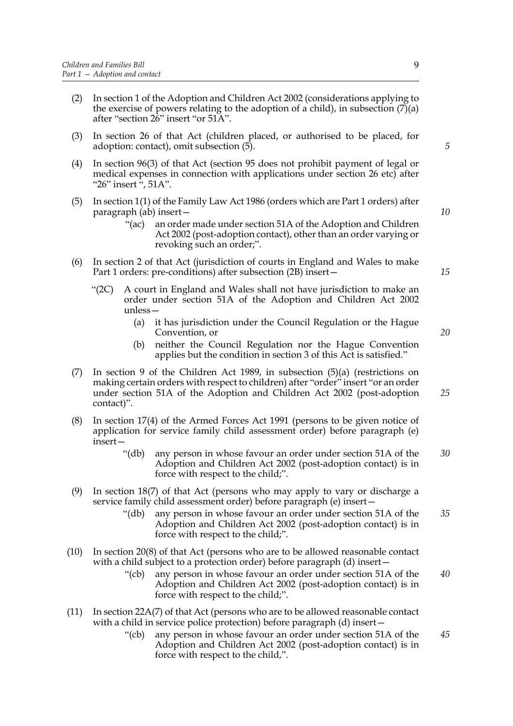- (2) In section 1 of the Adoption and Children Act 2002 (considerations applying to the exercise of powers relating to the adoption of a child), in subsection  $(7)(a)$ after "section 26" insert "or 51A".
- (3) In section 26 of that Act (children placed, or authorised to be placed, for adoption: contact), omit subsection (5).
- (4) In section 96(3) of that Act (section 95 does not prohibit payment of legal or medical expenses in connection with applications under section 26 etc) after "26" insert ", 51A".
- (5) In section 1(1) of the Family Law Act 1986 (orders which are Part 1 orders) after paragraph (ab) insert—
	- "(ac) an order made under section 51A of the Adoption and Children Act 2002 (post-adoption contact), other than an order varying or revoking such an order;".
- (6) In section 2 of that Act (jurisdiction of courts in England and Wales to make Part 1 orders: pre-conditions) after subsection (2B) insert—
	- "(2C) A court in England and Wales shall not have jurisdiction to make an order under section 51A of the Adoption and Children Act 2002 unless—
		- (a) it has jurisdiction under the Council Regulation or the Hague Convention, or
		- (b) neither the Council Regulation nor the Hague Convention applies but the condition in section 3 of this Act is satisfied."
- (7) In section 9 of the Children Act 1989, in subsection (5)(a) (restrictions on making certain orders with respect to children) after "order" insert "or an order under section 51A of the Adoption and Children Act 2002 (post-adoption contact)".
- (8) In section 17(4) of the Armed Forces Act 1991 (persons to be given notice of application for service family child assessment order) before paragraph (e) insert—
	- "(db) any person in whose favour an order under section 51A of the Adoption and Children Act 2002 (post-adoption contact) is in force with respect to the child;". *30*
- (9) In section 18(7) of that Act (persons who may apply to vary or discharge a service family child assessment order) before paragraph (e) insert—
	- "(db) any person in whose favour an order under section 51A of the Adoption and Children Act 2002 (post-adoption contact) is in force with respect to the child;". *35*
- (10) In section 20(8) of that Act (persons who are to be allowed reasonable contact with a child subject to a protection order) before paragraph (d) insert—
	- "(cb) any person in whose favour an order under section 51A of the Adoption and Children Act 2002 (post-adoption contact) is in force with respect to the child;". *40*
- (11) In section 22A(7) of that Act (persons who are to be allowed reasonable contact with a child in service police protection) before paragraph (d) insert—
	- "(cb) any person in whose favour an order under section 51A of the Adoption and Children Act 2002 (post-adoption contact) is in force with respect to the child,". *45*

*10*

*5*

*20*

*25*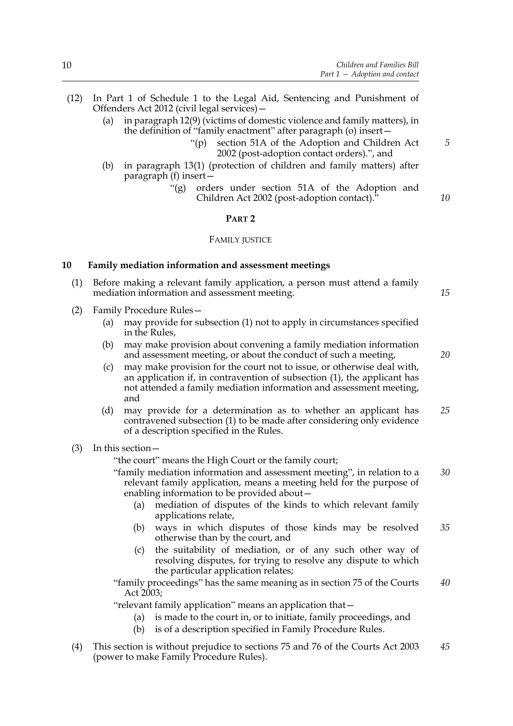# (12) In Part 1 of Schedule 1 to the Legal Aid, Sentencing and Punishment of Offenders Act 2012 (civil legal services)—

- (a) in paragraph 12(9) (victims of domestic violence and family matters), in the definition of "family enactment" after paragraph (o) insert—
	- "(p) section 51A of the Adoption and Children Act 2002 (post-adoption contact orders).", and
- (b) in paragraph 13(1) (protection of children and family matters) after paragraph (f) insert—
	- "(g) orders under section 51A of the Adoption and Children Act 2002 (post-adoption contact)."

#### **PART 2**

### FAMILY JUSTICE

#### **10 Family mediation information and assessment meetings**

- (1) Before making a relevant family application, a person must attend a family mediation information and assessment meeting.
- (2) Family Procedure Rules—
	- (a) may provide for subsection (1) not to apply in circumstances specified in the Rules,
	- (b) may make provision about convening a family mediation information and assessment meeting, or about the conduct of such a meeting,
	- (c) may make provision for the court not to issue, or otherwise deal with, an application if, in contravention of subsection (1), the applicant has not attended a family mediation information and assessment meeting, and
	- (d) may provide for a determination as to whether an applicant has contravened subsection (1) to be made after considering only evidence of a description specified in the Rules. *25*
- (3) In this section—

"the court" means the High Court or the family court;

- "family mediation information and assessment meeting", in relation to a relevant family application, means a meeting held for the purpose of enabling information to be provided about— *30*
	- (a) mediation of disputes of the kinds to which relevant family applications relate,
	- (b) ways in which disputes of those kinds may be resolved otherwise than by the court, and *35*
	- (c) the suitability of mediation, or of any such other way of resolving disputes, for trying to resolve any dispute to which the particular application relates;

"family proceedings" has the same meaning as in section 75 of the Courts Act 2003; *40*

"relevant family application" means an application that—

- (a) is made to the court in, or to initiate, family proceedings, and
- (b) is of a description specified in Family Procedure Rules.
- (4) This section is without prejudice to sections 75 and 76 of the Courts Act 2003 (power to make Family Procedure Rules). *45*

*5*

*10*

*20*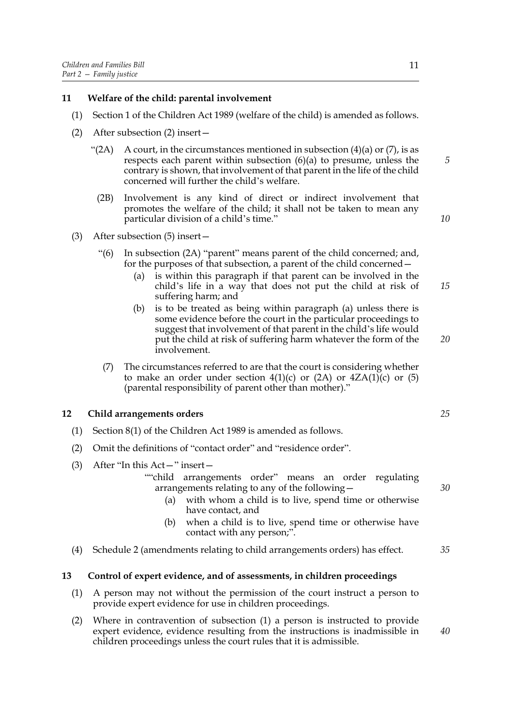# **11 Welfare of the child: parental involvement**

- (1) Section 1 of the Children Act 1989 (welfare of the child) is amended as follows.
- (2) After subsection (2) insert—
	- "(2A) A court, in the circumstances mentioned in subsection  $(4)(a)$  or  $(7)$ , is as respects each parent within subsection (6)(a) to presume, unless the contrary is shown, that involvement of that parent in the life of the child concerned will further the child's welfare.
	- (2B) Involvement is any kind of direct or indirect involvement that promotes the welfare of the child; it shall not be taken to mean any particular division of a child's time."
- *10*

*5*

- (3) After subsection (5) insert—
	- "(6) In subsection (2A) "parent" means parent of the child concerned; and, for the purposes of that subsection, a parent of the child concerned—
		- (a) is within this paragraph if that parent can be involved in the child's life in a way that does not put the child at risk of suffering harm; and *15*
		- (b) is to be treated as being within paragraph (a) unless there is some evidence before the court in the particular proceedings to suggest that involvement of that parent in the child's life would put the child at risk of suffering harm whatever the form of the involvement.
		- (7) The circumstances referred to are that the court is considering whether to make an order under section  $4(1)(c)$  or  $(2A)$  or  $4ZA(1)(c)$  or  $(5)$ (parental responsibility of parent other than mother)."

# **12 Child arrangements orders**

- (1) Section 8(1) of the Children Act 1989 is amended as follows.
- (2) Omit the definitions of "contact order" and "residence order".
- (3) After "In this Act—" insert—
	- ""child arrangements order" means an order regulating arrangements relating to any of the following—
		- (a) with whom a child is to live, spend time or otherwise have contact, and
		- (b) when a child is to live, spend time or otherwise have contact with any person;".
- (4) Schedule 2 (amendments relating to child arrangements orders) has effect.

# **13 Control of expert evidence, and of assessments, in children proceedings**

- (1) A person may not without the permission of the court instruct a person to provide expert evidence for use in children proceedings.
- (2) Where in contravention of subsection (1) a person is instructed to provide expert evidence, evidence resulting from the instructions is inadmissible in children proceedings unless the court rules that it is admissible.

*25*

*20*

*35*

*40*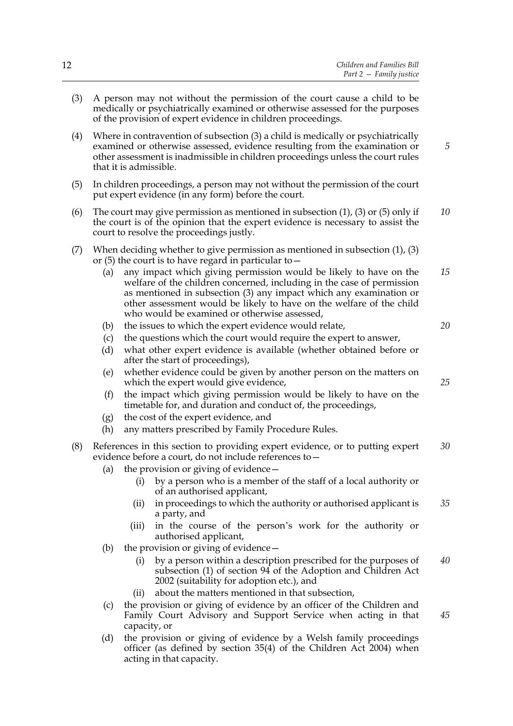*5*

*20*

*25*

- (3) A person may not without the permission of the court cause a child to be medically or psychiatrically examined or otherwise assessed for the purposes of the provision of expert evidence in children proceedings.
- (4) Where in contravention of subsection (3) a child is medically or psychiatrically examined or otherwise assessed, evidence resulting from the examination or other assessment is inadmissible in children proceedings unless the court rules that it is admissible.
- (5) In children proceedings, a person may not without the permission of the court put expert evidence (in any form) before the court.
- (6) The court may give permission as mentioned in subsection (1), (3) or (5) only if the court is of the opinion that the expert evidence is necessary to assist the court to resolve the proceedings justly. *10*
- (7) When deciding whether to give permission as mentioned in subsection  $(1)$ ,  $(3)$ or  $(5)$  the court is to have regard in particular to  $-$ 
	- (a) any impact which giving permission would be likely to have on the welfare of the children concerned, including in the case of permission as mentioned in subsection (3) any impact which any examination or other assessment would be likely to have on the welfare of the child who would be examined or otherwise assessed, *15*
	- (b) the issues to which the expert evidence would relate,
	- (c) the questions which the court would require the expert to answer,
	- (d) what other expert evidence is available (whether obtained before or after the start of proceedings),
	- (e) whether evidence could be given by another person on the matters on which the expert would give evidence,
	- (f) the impact which giving permission would be likely to have on the timetable for, and duration and conduct of, the proceedings,
	- (g) the cost of the expert evidence, and
	- (h) any matters prescribed by Family Procedure Rules.
- (8) References in this section to providing expert evidence, or to putting expert evidence before a court, do not include references to— *30*
	- (a) the provision or giving of evidence—
		- (i) by a person who is a member of the staff of a local authority or of an authorised applicant,
		- (ii) in proceedings to which the authority or authorised applicant is a party, and *35*
		- (iii) in the course of the person's work for the authority or authorised applicant,
	- (b) the provision or giving of evidence—
		- (i) by a person within a description prescribed for the purposes of subsection (1) of section 94 of the Adoption and Children Act 2002 (suitability for adoption etc.), and *40*
		- (ii) about the matters mentioned in that subsection,
	- (c) the provision or giving of evidence by an officer of the Children and Family Court Advisory and Support Service when acting in that capacity, or
	- (d) the provision or giving of evidence by a Welsh family proceedings officer (as defined by section 35(4) of the Children Act 2004) when acting in that capacity.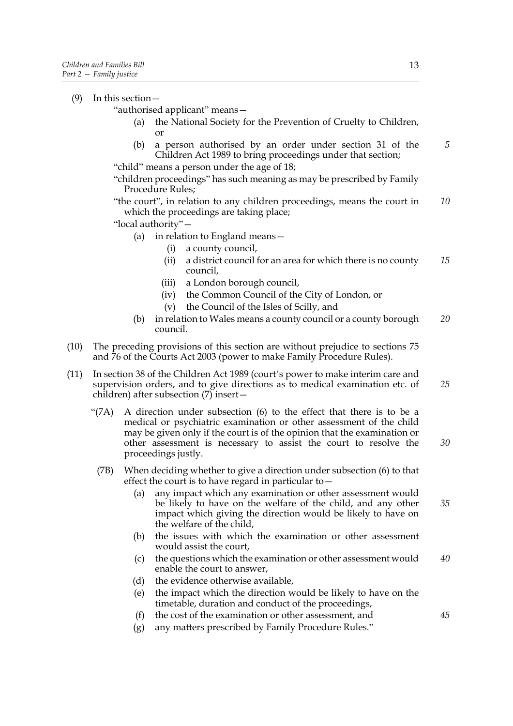# (9) In this section—

"authorised applicant" means—

- (a) the National Society for the Prevention of Cruelty to Children, or
- (b) a person authorised by an order under section 31 of the Children Act 1989 to bring proceedings under that section; *5*

"child" means a person under the age of 18;

- "children proceedings" has such meaning as may be prescribed by Family Procedure Rules;
- "the court", in relation to any children proceedings, means the court in which the proceedings are taking place; *10*

"local authority"—

- (a) in relation to England means—
	- (i) a county council,
	- (ii) a district council for an area for which there is no county council, *15*
	- (iii) a London borough council,
	- (iv) the Common Council of the City of London, or
	- (v) the Council of the Isles of Scilly, and
- (b) in relation to Wales means a county council or a county borough council. *20*
- (10) The preceding provisions of this section are without prejudice to sections 75 and 76 of the Courts Act 2003 (power to make Family Procedure Rules).
- (11) In section 38 of the Children Act 1989 (court's power to make interim care and supervision orders, and to give directions as to medical examination etc. of children) after subsection (7) insert— *25*
	- "(7A) A direction under subsection (6) to the effect that there is to be a medical or psychiatric examination or other assessment of the child may be given only if the court is of the opinion that the examination or other assessment is necessary to assist the court to resolve the proceedings justly. *30*
	- (7B) When deciding whether to give a direction under subsection (6) to that effect the court is to have regard in particular to—
		- (a) any impact which any examination or other assessment would be likely to have on the welfare of the child, and any other impact which giving the direction would be likely to have on the welfare of the child, *35*
		- (b) the issues with which the examination or other assessment would assist the court,
		- (c) the questions which the examination or other assessment would enable the court to answer, *40*
		- (d) the evidence otherwise available,
		- (e) the impact which the direction would be likely to have on the timetable, duration and conduct of the proceedings,
		- (f) the cost of the examination or other assessment, and
		- (g) any matters prescribed by Family Procedure Rules."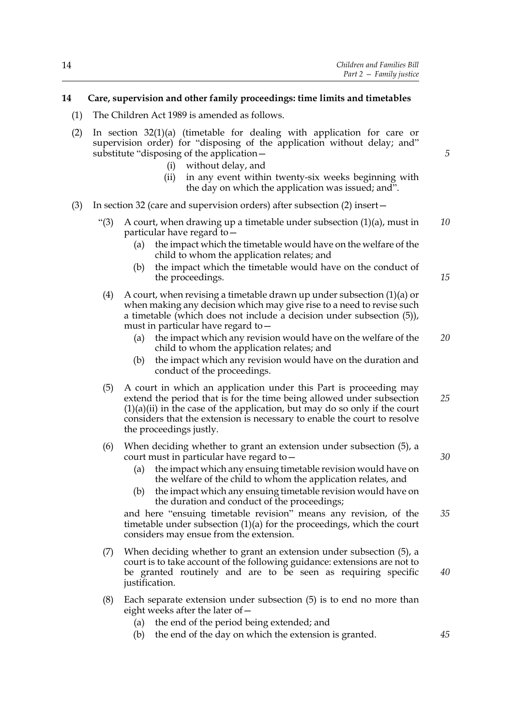# **14 Care, supervision and other family proceedings: time limits and timetables**

- (1) The Children Act 1989 is amended as follows.
- (2) In section 32(1)(a) (timetable for dealing with application for care or supervision order) for "disposing of the application without delay; and" substitute "disposing of the application—
	- (i) without delay, and
	- (ii) in any event within twenty-six weeks beginning with the day on which the application was issued; and".
- (3) In section 32 (care and supervision orders) after subsection (2) insert—
	- "(3) A court, when drawing up a timetable under subsection  $(1)(a)$ , must in particular have regard to— *10*
		- (a) the impact which the timetable would have on the welfare of the child to whom the application relates; and
		- (b) the impact which the timetable would have on the conduct of the proceedings.
	- (4) A court, when revising a timetable drawn up under subsection  $(1)(a)$  or when making any decision which may give rise to a need to revise such a timetable (which does not include a decision under subsection (5)), must in particular have regard to—
		- (a) the impact which any revision would have on the welfare of the child to whom the application relates; and *20*
		- (b) the impact which any revision would have on the duration and conduct of the proceedings.
	- (5) A court in which an application under this Part is proceeding may extend the period that is for the time being allowed under subsection  $(1)(a)(ii)$  in the case of the application, but may do so only if the court considers that the extension is necessary to enable the court to resolve the proceedings justly. *25*
	- (6) When deciding whether to grant an extension under subsection (5), a court must in particular have regard to—
		- (a) the impact which any ensuing timetable revision would have on the welfare of the child to whom the application relates, and
		- (b) the impact which any ensuing timetable revision would have on the duration and conduct of the proceedings;

and here "ensuing timetable revision" means any revision, of the timetable under subsection (1)(a) for the proceedings, which the court considers may ensue from the extension. *35*

- (7) When deciding whether to grant an extension under subsection (5), a court is to take account of the following guidance: extensions are not to be granted routinely and are to be seen as requiring specific justification.
- (8) Each separate extension under subsection (5) is to end no more than eight weeks after the later of—
	- (a) the end of the period being extended; and
	- (b) the end of the day on which the extension is granted.

*30*

*5*

*15*

*40*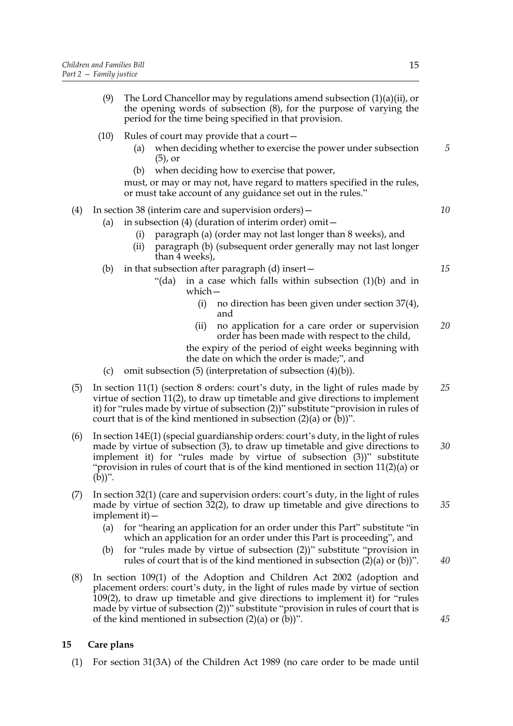- (9) The Lord Chancellor may by regulations amend subsection  $(1)(a)(ii)$ , or the opening words of subsection (8), for the purpose of varying the period for the time being specified in that provision.
- (10) Rules of court may provide that a court—
	- (a) when deciding whether to exercise the power under subsection (5), or
	- (b) when deciding how to exercise that power,

must, or may or may not, have regard to matters specified in the rules, or must take account of any guidance set out in the rules."

- (4) In section 38 (interim care and supervision orders)—
	- (a) in subsection (4) (duration of interim order) omit—
		- (i) paragraph (a) (order may not last longer than 8 weeks), and
		- (ii) paragraph (b) (subsequent order generally may not last longer than 4 weeks),
	- (b) in that subsection after paragraph (d) insert—
		- "(da) in a case which falls within subsection (1)(b) and in which—
			- (i) no direction has been given under section 37(4), and
			- (ii) no application for a care order or supervision order has been made with respect to the child, *20*

the expiry of the period of eight weeks beginning with the date on which the order is made;", and

- (c) omit subsection (5) (interpretation of subsection (4)(b)).
- (5) In section 11(1) (section 8 orders: court's duty, in the light of rules made by virtue of section 11(2), to draw up timetable and give directions to implement it) for "rules made by virtue of subsection (2))" substitute "provision in rules of court that is of the kind mentioned in subsection  $(2)(a)$  or  $(b)$ )". *25*
- (6) In section  $14E(1)$  (special guardianship orders: court's duty, in the light of rules made by virtue of subsection (3), to draw up timetable and give directions to implement it) for "rules made by virtue of subsection (3))" substitute "provision in rules of court that is of the kind mentioned in section  $11(2)(a)$  or  $(\bar{b})$ ". *30*
- (7) In section 32(1) (care and supervision orders: court's duty, in the light of rules made by virtue of section 32(2), to draw up timetable and give directions to implement it)—
	- (a) for "hearing an application for an order under this Part" substitute "in which an application for an order under this Part is proceeding", and
	- (b) for "rules made by virtue of subsection (2))" substitute "provision in rules of court that is of the kind mentioned in subsection  $(2)(a)$  or  $(b)$ ". *40*
- (8) In section 109(1) of the Adoption and Children Act 2002 (adoption and placement orders: court's duty, in the light of rules made by virtue of section 109(2), to draw up timetable and give directions to implement it) for "rules made by virtue of subsection (2))" substitute "provision in rules of court that is of the kind mentioned in subsection  $(2)(a)$  or  $(b)$ )".

# **15 Care plans**

(1) For section 31(3A) of the Children Act 1989 (no care order to be made until

*15*

*35*

*45*

*10*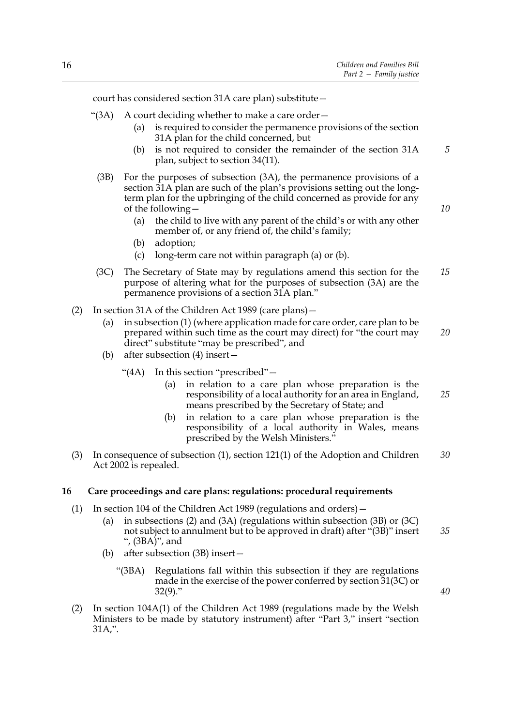*5*

*10*

court has considered section 31A care plan) substitute—

- "(3A) A court deciding whether to make a care order
	- is required to consider the permanence provisions of the section 31A plan for the child concerned, but
	- (b) is not required to consider the remainder of the section 31A plan, subject to section 34(11).
- (3B) For the purposes of subsection (3A), the permanence provisions of a section 31A plan are such of the plan's provisions setting out the longterm plan for the upbringing of the child concerned as provide for any of the following—
	- (a) the child to live with any parent of the child's or with any other member of, or any friend of, the child's family;
	- (b) adoption;
	- (c) long-term care not within paragraph (a) or (b).
- (3C) The Secretary of State may by regulations amend this section for the purpose of altering what for the purposes of subsection (3A) are the permanence provisions of a section 31A plan." *15*
- (2) In section 31A of the Children Act 1989 (care plans)—
	- (a) in subsection (1) (where application made for care order, care plan to be prepared within such time as the court may direct) for "the court may direct" substitute "may be prescribed", and *20*
	- (b) after subsection (4) insert—
		- "(4A) In this section "prescribed"—
			- (a) in relation to a care plan whose preparation is the responsibility of a local authority for an area in England, means prescribed by the Secretary of State; and *25*
			- (b) in relation to a care plan whose preparation is the responsibility of a local authority in Wales, means prescribed by the Welsh Ministers."
- (3) In consequence of subsection (1), section 121(1) of the Adoption and Children Act 2002 is repealed. *30*

#### **16 Care proceedings and care plans: regulations: procedural requirements**

- (1) In section 104 of the Children Act 1989 (regulations and orders)—
	- (a) in subsections (2) and (3A) (regulations within subsection (3B) or (3C) not subject to annulment but to be approved in draft) after "(3B)" insert ", (3BA)", and *35*
	- (b) after subsection (3B) insert—
		- "(3BA) Regulations fall within this subsection if they are regulations made in the exercise of the power conferred by section 31(3C) or  $32(9)$ ."
- (2) In section 104A(1) of the Children Act 1989 (regulations made by the Welsh Ministers to be made by statutory instrument) after "Part 3," insert "section 31A,".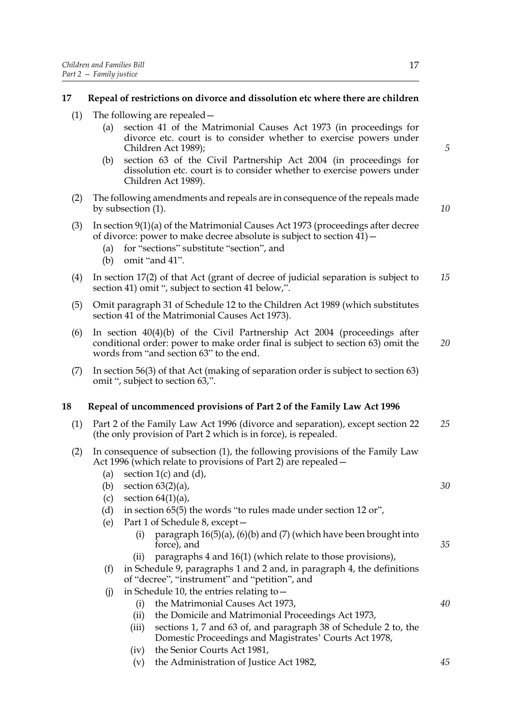# **17 Repeal of restrictions on divorce and dissolution etc where there are children**

- (1) The following are repealed—
	- (a) section 41 of the Matrimonial Causes Act 1973 (in proceedings for divorce etc. court is to consider whether to exercise powers under Children Act 1989);
	- (b) section 63 of the Civil Partnership Act 2004 (in proceedings for dissolution etc. court is to consider whether to exercise powers under Children Act 1989).
- (2) The following amendments and repeals are in consequence of the repeals made by subsection (1).
- (3) In section 9(1)(a) of the Matrimonial Causes Act 1973 (proceedings after decree of divorce: power to make decree absolute is subject to section  $4\tilde{1}$ ) –
	- (a) for "sections" substitute "section", and
	- (b) omit "and 41".
- (4) In section 17(2) of that Act (grant of decree of judicial separation is subject to section 41) omit ", subject to section 41 below,". *15*
- (5) Omit paragraph 31 of Schedule 12 to the Children Act 1989 (which substitutes section 41 of the Matrimonial Causes Act 1973).
- (6) In section 40(4)(b) of the Civil Partnership Act 2004 (proceedings after conditional order: power to make order final is subject to section 63) omit the words from "and section 63" to the end. *20*
- (7) In section 56(3) of that Act (making of separation order is subject to section 63) omit ", subject to section 63,".

# **18 Repeal of uncommenced provisions of Part 2 of the Family Law Act 1996**

- (1) Part 2 of the Family Law Act 1996 (divorce and separation), except section 22 (the only provision of Part 2 which is in force), is repealed. *25*
- (2) In consequence of subsection (1), the following provisions of the Family Law Act 1996 (which relate to provisions of Part 2) are repealed—
	- (a) section  $1(c)$  and  $(d)$ ,
	- (b) section  $63(2)(a)$ ,
	- (c) section  $64(1)(a)$ ,
	- (d) in section 65(5) the words "to rules made under section 12 or",
	- (e) Part 1 of Schedule 8, except—
		- (i) paragraph  $16(5)(a)$ ,  $(6)(b)$  and  $(7)$  (which have been brought into force), and
		- (ii) paragraphs 4 and 16(1) (which relate to those provisions),
	- (f) in Schedule 9, paragraphs 1 and 2 and, in paragraph 4, the definitions of "decree", "instrument" and "petition", and
	- (i) in Schedule 10, the entries relating to  $-$ 
		- (i) the Matrimonial Causes Act 1973,
		- (ii) the Domicile and Matrimonial Proceedings Act 1973,
		- (iii) sections 1, 7 and 63 of, and paragraph 38 of Schedule 2 to, the Domestic Proceedings and Magistrates' Courts Act 1978,
		- (iv) the Senior Courts Act 1981,
		- (v) the Administration of Justice Act 1982,

*5*

*10*

- 
- 
- *30*

*35*

*40*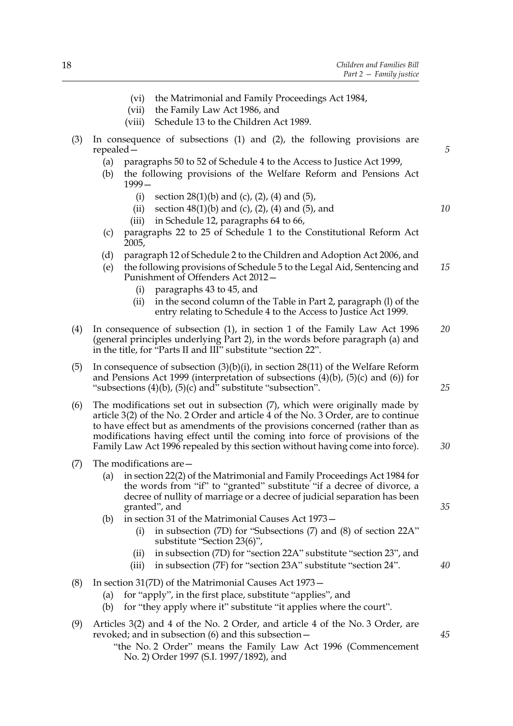- (vi) the Matrimonial and Family Proceedings Act 1984,
- (vii) the Family Law Act 1986, and
- (viii) Schedule 13 to the Children Act 1989.
- (3) In consequence of subsections (1) and (2), the following provisions are repealed—
	- (a) paragraphs 50 to 52 of Schedule 4 to the Access to Justice Act 1999,
	- (b) the following provisions of the Welfare Reform and Pensions Act 1999—
		- (i) section  $28(1)(b)$  and (c), (2), (4) and (5),
		- (ii) section  $48(1)(b)$  and (c), (2), (4) and (5), and
		- (iii) in Schedule 12, paragraphs 64 to 66,
	- (c) paragraphs 22 to 25 of Schedule 1 to the Constitutional Reform Act 2005,
	- (d) paragraph 12 of Schedule 2 to the Children and Adoption Act 2006, and
	- (e) the following provisions of Schedule 5 to the Legal Aid, Sentencing and Punishment of Offenders Act 2012— *15*
		- (i) paragraphs 43 to 45, and
		- (ii) in the second column of the Table in Part 2, paragraph (l) of the entry relating to Schedule 4 to the Access to Justice Act 1999.
- (4) In consequence of subsection (1), in section 1 of the Family Law Act 1996 (general principles underlying Part 2), in the words before paragraph (a) and in the title, for "Parts II and III" substitute "section 22". *20*
- (5) In consequence of subsection  $(3)(b)(i)$ , in section 28(11) of the Welfare Reform and Pensions Act 1999 (interpretation of subsections (4)(b), (5)(c) and (6)) for "subsections  $(4)(b)$ ,  $(5)(c)$  and<sup>"</sup> substitute "subsection".
- (6) The modifications set out in subsection (7), which were originally made by article 3(2) of the No. 2 Order and article 4 of the No. 3 Order, are to continue to have effect but as amendments of the provisions concerned (rather than as modifications having effect until the coming into force of provisions of the Family Law Act 1996 repealed by this section without having come into force).
- (7) The modifications are—
	- (a) in section 22(2) of the Matrimonial and Family Proceedings Act 1984 for the words from "if" to "granted" substitute "if a decree of divorce, a decree of nullity of marriage or a decree of judicial separation has been granted", and
	- (b) in section 31 of the Matrimonial Causes Act 1973—
		- (i) in subsection (7D) for "Subsections (7) and (8) of section 22A" substitute "Section 23(6)",
		- (ii) in subsection (7D) for "section 22A" substitute "section 23", and
		- (iii) in subsection (7F) for "section 23A" substitute "section 24".
- (8) In section 31(7D) of the Matrimonial Causes Act 1973—
	- (a) for "apply", in the first place, substitute "applies", and
	- (b) for "they apply where it" substitute "it applies where the court".
- (9) Articles 3(2) and 4 of the No. 2 Order, and article 4 of the No. 3 Order, are revoked; and in subsection (6) and this subsection—
	- "the No. 2 Order" means the Family Law Act 1996 (Commencement No. 2) Order 1997 (S.I. 1997/1892), and

*25*

*5*

*10*

*30*

*40*

*45*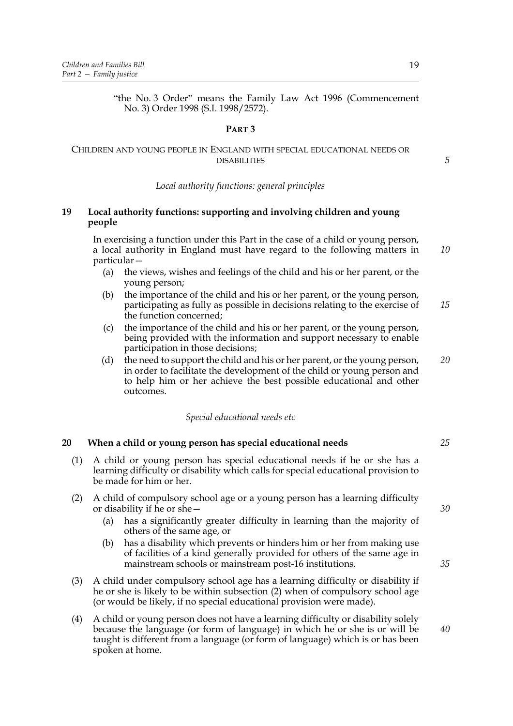"the No. 3 Order" means the Family Law Act 1996 (Commencement No. 3) Order 1998 (S.I. 1998/2572).

#### **PART 3**

# CHILDREN AND YOUNG PEOPLE IN ENGLAND WITH SPECIAL EDUCATIONAL NEEDS OR DISABILITIES

*Local authority functions: general principles*

# **19 Local authority functions: supporting and involving children and young people**

In exercising a function under this Part in the case of a child or young person, a local authority in England must have regard to the following matters in particular— *10*

- (a) the views, wishes and feelings of the child and his or her parent, or the young person;
- (b) the importance of the child and his or her parent, or the young person, participating as fully as possible in decisions relating to the exercise of the function concerned; *15*
- (c) the importance of the child and his or her parent, or the young person, being provided with the information and support necessary to enable participation in those decisions;
- (d) the need to support the child and his or her parent, or the young person, in order to facilitate the development of the child or young person and to help him or her achieve the best possible educational and other outcomes. *20*

### *Special educational needs etc*

#### **20 When a child or young person has special educational needs**

- (1) A child or young person has special educational needs if he or she has a learning difficulty or disability which calls for special educational provision to be made for him or her.
- (2) A child of compulsory school age or a young person has a learning difficulty or disability if he or she—
	- (a) has a significantly greater difficulty in learning than the majority of others of the same age, or
	- (b) has a disability which prevents or hinders him or her from making use of facilities of a kind generally provided for others of the same age in mainstream schools or mainstream post-16 institutions.
- (3) A child under compulsory school age has a learning difficulty or disability if he or she is likely to be within subsection (2) when of compulsory school age (or would be likely, if no special educational provision were made).
- (4) A child or young person does not have a learning difficulty or disability solely because the language (or form of language) in which he or she is or will be taught is different from a language (or form of language) which is or has been spoken at home.

*5*

*30*

*25*

*35*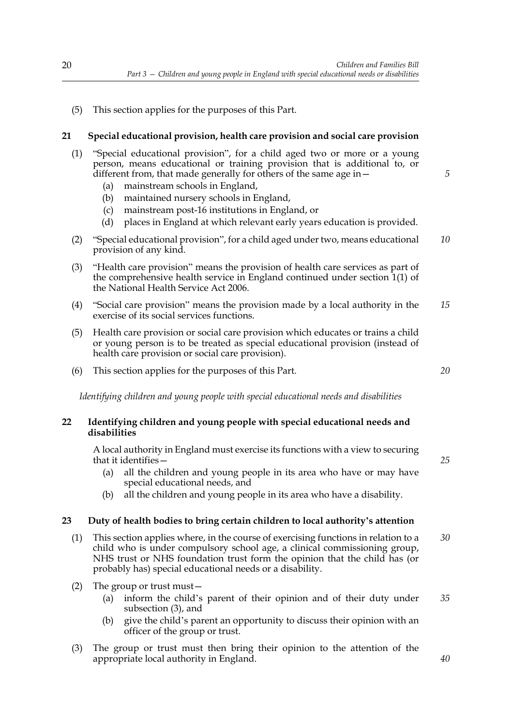(5) This section applies for the purposes of this Part.

# **21 Special educational provision, health care provision and social care provision**

- (1) "Special educational provision", for a child aged two or more or a young person, means educational or training provision that is additional to, or different from, that made generally for others of the same age in—
	- (a) mainstream schools in England,
	- (b) maintained nursery schools in England,
	- (c) mainstream post-16 institutions in England, or
	- (d) places in England at which relevant early years education is provided.
- (2) "Special educational provision", for a child aged under two, means educational provision of any kind. *10*
- (3) "Health care provision" means the provision of health care services as part of the comprehensive health service in England continued under section 1(1) of the National Health Service Act 2006.
- (4) "Social care provision" means the provision made by a local authority in the exercise of its social services functions. *15*
- (5) Health care provision or social care provision which educates or trains a child or young person is to be treated as special educational provision (instead of health care provision or social care provision).
- (6) This section applies for the purposes of this Part.

*Identifying children and young people with special educational needs and disabilities*

# **22 Identifying children and young people with special educational needs and disabilities**

A local authority in England must exercise its functions with a view to securing that it identifies—

- (a) all the children and young people in its area who have or may have special educational needs, and
- (b) all the children and young people in its area who have a disability.

# **23 Duty of health bodies to bring certain children to local authority's attention**

- (1) This section applies where, in the course of exercising functions in relation to a child who is under compulsory school age, a clinical commissioning group, NHS trust or NHS foundation trust form the opinion that the child has (or probably has) special educational needs or a disability. *30*
- (2) The group or trust must—
	- (a) inform the child's parent of their opinion and of their duty under subsection (3), and *35*
	- (b) give the child's parent an opportunity to discuss their opinion with an officer of the group or trust.
- (3) The group or trust must then bring their opinion to the attention of the appropriate local authority in England.

*20*

*5*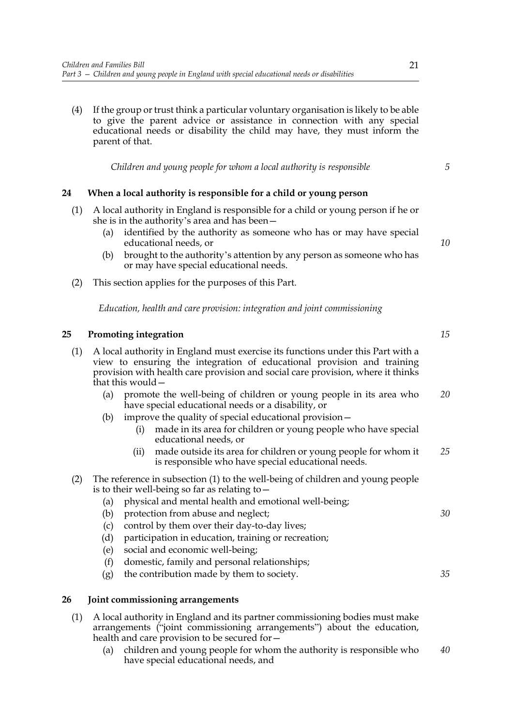(4) If the group or trust think a particular voluntary organisation is likely to be able to give the parent advice or assistance in connection with any special educational needs or disability the child may have, they must inform the parent of that.

*Children and young people for whom a local authority is responsible*

# **24 When a local authority is responsible for a child or young person**

- (1) A local authority in England is responsible for a child or young person if he or she is in the authority's area and has been—
	- (a) identified by the authority as someone who has or may have special educational needs, or
	- (b) brought to the authority's attention by any person as someone who has or may have special educational needs.
- (2) This section applies for the purposes of this Part.

*Education, health and care provision: integration and joint commissioning*

# **25 Promoting integration**

- (1) A local authority in England must exercise its functions under this Part with a view to ensuring the integration of educational provision and training provision with health care provision and social care provision, where it thinks that this would—
	- (a) promote the well-being of children or young people in its area who have special educational needs or a disability, or *20*
	- (b) improve the quality of special educational provision—
		- (i) made in its area for children or young people who have special educational needs, or
		- (ii) made outside its area for children or young people for whom it is responsible who have special educational needs. *25*
- (2) The reference in subsection (1) to the well-being of children and young people is to their well-being so far as relating to—
	- (a) physical and mental health and emotional well-being;
	- (b) protection from abuse and neglect;
	- (c) control by them over their day-to-day lives;
	- (d) participation in education, training or recreation;
	- (e) social and economic well-being;
	- (f) domestic, family and personal relationships;
	- (g) the contribution made by them to society.

# **26 Joint commissioning arrangements**

- (1) A local authority in England and its partner commissioning bodies must make arrangements ("joint commissioning arrangements") about the education, health and care provision to be secured for—
	- (a) children and young people for whom the authority is responsible who have special educational needs, and *40*

*5*

*10*

*15*

*30*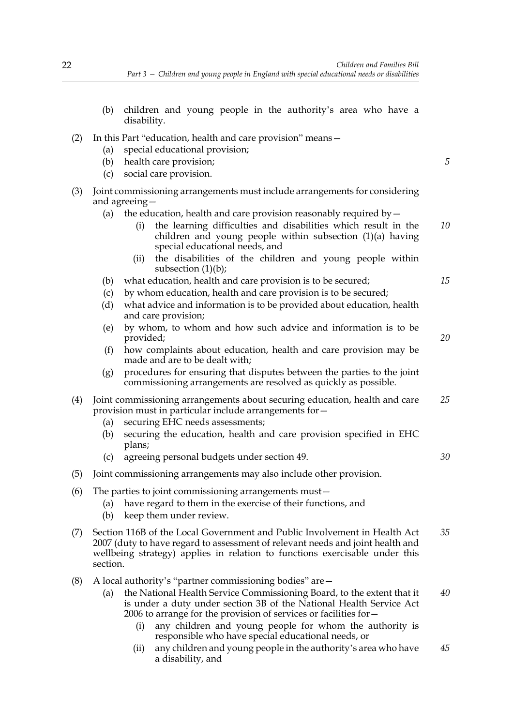(b) children and young people in the authority's area who have a disability.

# (2) In this Part "education, health and care provision" means—

- (a) special educational provision;
- (b) health care provision;
- (c) social care provision.
- (3) Joint commissioning arrangements must include arrangements for considering and agreeing—
	- (a) the education, health and care provision reasonably required by  $-$ 
		- (i) the learning difficulties and disabilities which result in the children and young people within subsection (1)(a) having special educational needs, and *10*
		- (ii) the disabilities of the children and young people within subsection (1)(b);
	- (b) what education, health and care provision is to be secured;
	- (c) by whom education, health and care provision is to be secured;
	- (d) what advice and information is to be provided about education, health and care provision;
	- (e) by whom, to whom and how such advice and information is to be provided;
	- (f) how complaints about education, health and care provision may be made and are to be dealt with;
	- (g) procedures for ensuring that disputes between the parties to the joint commissioning arrangements are resolved as quickly as possible.
- (4) Joint commissioning arrangements about securing education, health and care provision must in particular include arrangements for— *25*
	- (a) securing EHC needs assessments;
	- (b) securing the education, health and care provision specified in EHC plans;
	- (c) agreeing personal budgets under section 49.
- (5) Joint commissioning arrangements may also include other provision.
- (6) The parties to joint commissioning arrangements must—
	- (a) have regard to them in the exercise of their functions, and
	- (b) keep them under review.
- (7) Section 116B of the Local Government and Public Involvement in Health Act 2007 (duty to have regard to assessment of relevant needs and joint health and wellbeing strategy) applies in relation to functions exercisable under this section. *35*
- (8) A local authority's "partner commissioning bodies" are—
	- (a) the National Health Service Commissioning Board, to the extent that it is under a duty under section 3B of the National Health Service Act 2006 to arrange for the provision of services or facilities for— *40*
		- (i) any children and young people for whom the authority is responsible who have special educational needs, or
		- (ii) any children and young people in the authority's area who have a disability, and *45*

*5*

*15*

*20*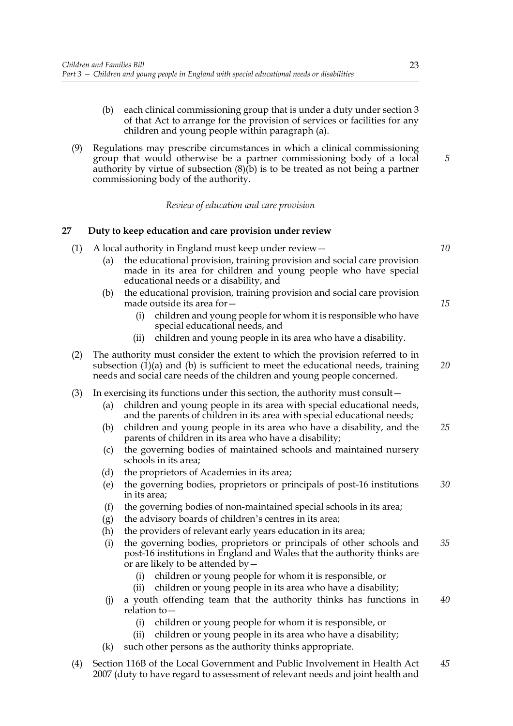- (b) each clinical commissioning group that is under a duty under section 3 of that Act to arrange for the provision of services or facilities for any children and young people within paragraph (a).
- (9) Regulations may prescribe circumstances in which a clinical commissioning group that would otherwise be a partner commissioning body of a local authority by virtue of subsection  $(8)(b)$  is to be treated as not being a partner commissioning body of the authority.

*Review of education and care provision*

# **27 Duty to keep education and care provision under review**

- (1) A local authority in England must keep under review—
	- (a) the educational provision, training provision and social care provision made in its area for children and young people who have special educational needs or a disability, and
	- (b) the educational provision, training provision and social care provision made outside its area for
		- children and young people for whom it is responsible who have special educational needs, and
		- (ii) children and young people in its area who have a disability.
- (2) The authority must consider the extent to which the provision referred to in subsection  $(1)(a)$  and  $(b)$  is sufficient to meet the educational needs, training needs and social care needs of the children and young people concerned. *20*
- (3) In exercising its functions under this section, the authority must consult—
	- (a) children and young people in its area with special educational needs, and the parents of children in its area with special educational needs;
	- (b) children and young people in its area who have a disability, and the parents of children in its area who have a disability; *25*
	- (c) the governing bodies of maintained schools and maintained nursery schools in its area;
	- (d) the proprietors of Academies in its area;
	- (e) the governing bodies, proprietors or principals of post-16 institutions in its area; *30*
	- (f) the governing bodies of non-maintained special schools in its area;
	- (g) the advisory boards of children's centres in its area;
	- (h) the providers of relevant early years education in its area;
	- (i) the governing bodies, proprietors or principals of other schools and post-16 institutions in England and Wales that the authority thinks are or are likely to be attended by— *35*
		- (i) children or young people for whom it is responsible, or
		- (ii) children or young people in its area who have a disability;
	- (j) a youth offending team that the authority thinks has functions in relation to— *40*
		- (i) children or young people for whom it is responsible, or
		- (ii) children or young people in its area who have a disability;
	- (k) such other persons as the authority thinks appropriate.
- (4) Section 116B of the Local Government and Public Involvement in Health Act 2007 (duty to have regard to assessment of relevant needs and joint health and *45*

*5*

*10*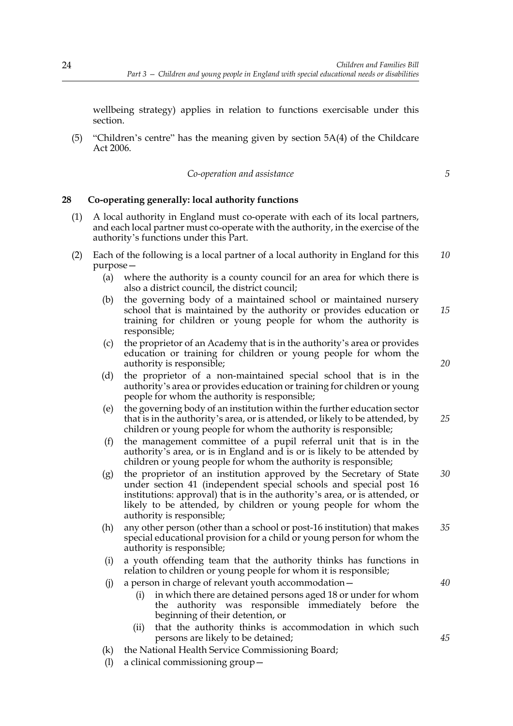wellbeing strategy) applies in relation to functions exercisable under this section.

(5) "Children's centre" has the meaning given by section 5A(4) of the Childcare Act 2006.

*Co-operation and assistance*

# **28 Co-operating generally: local authority functions**

- (1) A local authority in England must co-operate with each of its local partners, and each local partner must co-operate with the authority, in the exercise of the authority's functions under this Part.
- (2) Each of the following is a local partner of a local authority in England for this purpose— *10*
	- (a) where the authority is a county council for an area for which there is also a district council, the district council;
	- (b) the governing body of a maintained school or maintained nursery school that is maintained by the authority or provides education or training for children or young people for whom the authority is responsible; *15*
	- (c) the proprietor of an Academy that is in the authority's area or provides education or training for children or young people for whom the authority is responsible;
	- (d) the proprietor of a non-maintained special school that is in the authority's area or provides education or training for children or young people for whom the authority is responsible;
	- (e) the governing body of an institution within the further education sector that is in the authority's area, or is attended, or likely to be attended, by children or young people for whom the authority is responsible;
	- (f) the management committee of a pupil referral unit that is in the authority's area, or is in England and is or is likely to be attended by children or young people for whom the authority is responsible;
	- (g) the proprietor of an institution approved by the Secretary of State under section 41 (independent special schools and special post 16 institutions: approval) that is in the authority's area, or is attended, or likely to be attended, by children or young people for whom the authority is responsible; *30*
	- (h) any other person (other than a school or post-16 institution) that makes special educational provision for a child or young person for whom the authority is responsible; *35*
	- (i) a youth offending team that the authority thinks has functions in relation to children or young people for whom it is responsible;
	- (j) a person in charge of relevant youth accommodation—
		- (i) in which there are detained persons aged 18 or under for whom the authority was responsible immediately before the beginning of their detention, or
		- (ii) that the authority thinks is accommodation in which such persons are likely to be detained;
	- (k) the National Health Service Commissioning Board;
	- (l) a clinical commissioning group—

*20*

*25*

*40*

*45*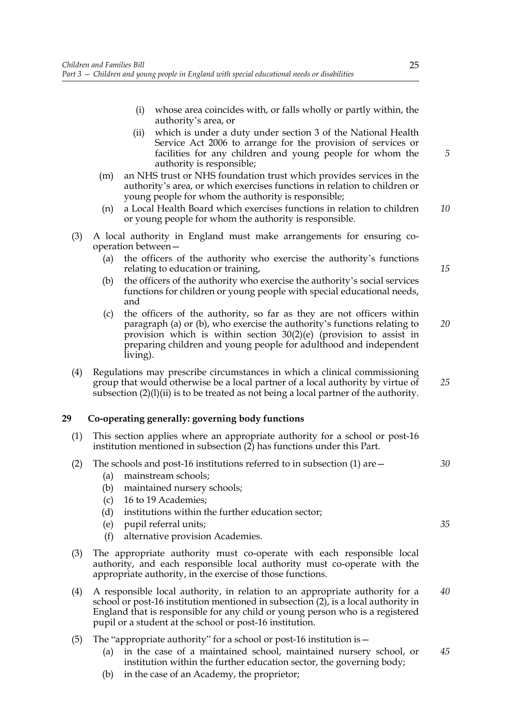- (i) whose area coincides with, or falls wholly or partly within, the authority's area, or
- (ii) which is under a duty under section 3 of the National Health Service Act 2006 to arrange for the provision of services or facilities for any children and young people for whom the authority is responsible;
- (m) an NHS trust or NHS foundation trust which provides services in the authority's area, or which exercises functions in relation to children or young people for whom the authority is responsible;
- (n) a Local Health Board which exercises functions in relation to children or young people for whom the authority is responsible. *10*
- (3) A local authority in England must make arrangements for ensuring cooperation between—
	- (a) the officers of the authority who exercise the authority's functions relating to education or training,
	- (b) the officers of the authority who exercise the authority's social services functions for children or young people with special educational needs, and
	- (c) the officers of the authority, so far as they are not officers within paragraph (a) or (b), who exercise the authority's functions relating to provision which is within section 30(2)(e) (provision to assist in preparing children and young people for adulthood and independent living). *20*
- (4) Regulations may prescribe circumstances in which a clinical commissioning group that would otherwise be a local partner of a local authority by virtue of subsection  $(2)(I)(ii)$  is to be treated as not being a local partner of the authority. *25*

# **29 Co-operating generally: governing body functions**

- (1) This section applies where an appropriate authority for a school or post-16 institution mentioned in subsection (2) has functions under this Part.
- (2) The schools and post-16 institutions referred to in subsection (1) are  $-$ 
	- (a) mainstream schools;
	- (b) maintained nursery schools;
	- (c) 16 to 19 Academies;
	- (d) institutions within the further education sector;
	- (e) pupil referral units;
	- (f) alternative provision Academies.
- (3) The appropriate authority must co-operate with each responsible local authority, and each responsible local authority must co-operate with the appropriate authority, in the exercise of those functions.
- (4) A responsible local authority, in relation to an appropriate authority for a school or post-16 institution mentioned in subsection (2), is a local authority in England that is responsible for any child or young person who is a registered pupil or a student at the school or post-16 institution. *40*
- (5) The "appropriate authority" for a school or post-16 institution is  $-$ 
	- (a) in the case of a maintained school, maintained nursery school, or institution within the further education sector, the governing body; *45*
	- (b) in the case of an Academy, the proprietor;

*5*

*15*

*30*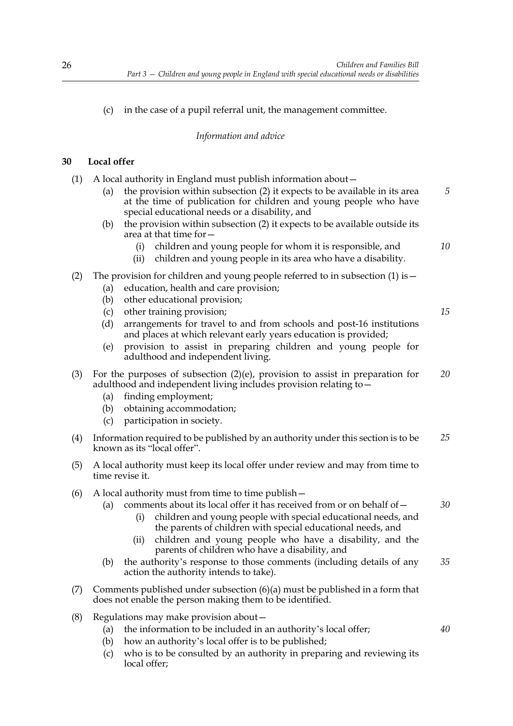# (c) in the case of a pupil referral unit, the management committee.

# *Information and advice*

# **30 Local offer**

- (1) A local authority in England must publish information about—
	- (a) the provision within subsection (2) it expects to be available in its area at the time of publication for children and young people who have special educational needs or a disability, and *5*
	- (b) the provision within subsection (2) it expects to be available outside its area at that time for—
		- (i) children and young people for whom it is responsible, and

*10*

*15*

- (ii) children and young people in its area who have a disability.
- (2) The provision for children and young people referred to in subsection  $(1)$  is  $-$ 
	- (a) education, health and care provision;
	- (b) other educational provision;
	- (c) other training provision;
	- (d) arrangements for travel to and from schools and post-16 institutions and places at which relevant early years education is provided;
	- (e) provision to assist in preparing children and young people for adulthood and independent living.
- (3) For the purposes of subsection  $(2)(e)$ , provision to assist in preparation for adulthood and independent living includes provision relating to— *20*
	- (a) finding employment;
	- (b) obtaining accommodation;
	- (c) participation in society.
- (4) Information required to be published by an authority under this section is to be known as its "local offer". *25*
- (5) A local authority must keep its local offer under review and may from time to time revise it.
- (6) A local authority must from time to time publish—
	- (a) comments about its local offer it has received from or on behalf of  $-$ *30*
		- (i) children and young people with special educational needs, and the parents of children with special educational needs, and
		- (ii) children and young people who have a disability, and the parents of children who have a disability, and
	- (b) the authority's response to those comments (including details of any action the authority intends to take). *35*
- (7) Comments published under subsection (6)(a) must be published in a form that does not enable the person making them to be identified.
- (8) Regulations may make provision about—
	- (a) the information to be included in an authority's local offer;
	- (b) how an authority's local offer is to be published;
	- (c) who is to be consulted by an authority in preparing and reviewing its local offer;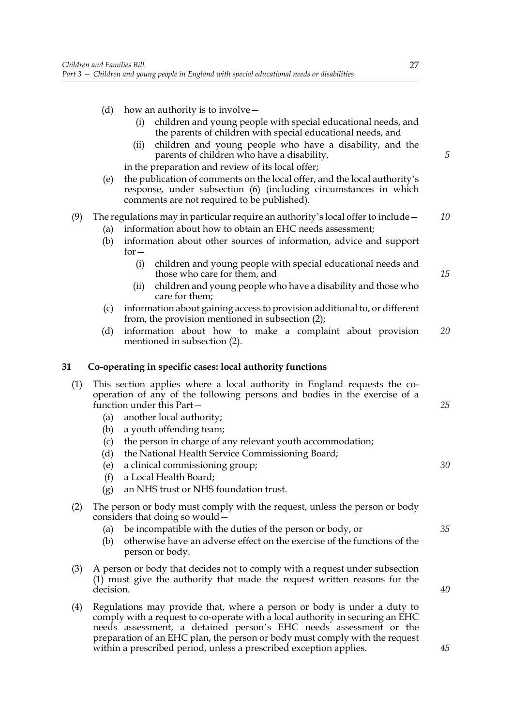(d) how an authority is to involve—

- (i) children and young people with special educational needs, and the parents of children with special educational needs, and (ii) children and young people who have a disability, and the parents of children who have a disability, in the preparation and review of its local offer; (e) the publication of comments on the local offer, and the local authority's response, under subsection (6) (including circumstances in which comments are not required to be published). (9) The regulations may in particular require an authority's local offer to include— (a) information about how to obtain an EHC needs assessment; (b) information about other sources of information, advice and support  $for -$ 
	- (i) children and young people with special educational needs and those who care for them, and
	- (ii) children and young people who have a disability and those who care for them;
	- (c) information about gaining access to provision additional to, or different from, the provision mentioned in subsection (2);
	- (d) information about how to make a complaint about provision mentioned in subsection (2). *20*

# **31 Co-operating in specific cases: local authority functions**

| (1) This section applies where a local authority in England requests the co-<br>operation of any of the following persons and bodies in the exercise of a |    |
|-----------------------------------------------------------------------------------------------------------------------------------------------------------|----|
| function under this Part-                                                                                                                                 | 25 |
| (a) another local authority;                                                                                                                              |    |
|                                                                                                                                                           |    |

- (b) a youth offending team;
- (c) the person in charge of any relevant youth accommodation;
- (d) the National Health Service Commissioning Board;
- (e) a clinical commissioning group;
- (f) a Local Health Board;
- (g) an NHS trust or NHS foundation trust.
- (2) The person or body must comply with the request, unless the person or body considers that doing so would—
	- (a) be incompatible with the duties of the person or body, or
	- (b) otherwise have an adverse effect on the exercise of the functions of the person or body.
- (3) A person or body that decides not to comply with a request under subsection (1) must give the authority that made the request written reasons for the decision.
- (4) Regulations may provide that, where a person or body is under a duty to comply with a request to co-operate with a local authority in securing an EHC needs assessment, a detained person's EHC needs assessment or the preparation of an EHC plan, the person or body must comply with the request within a prescribed period, unless a prescribed exception applies.

*5*

*10*

*15*

*40*

*45*

*30*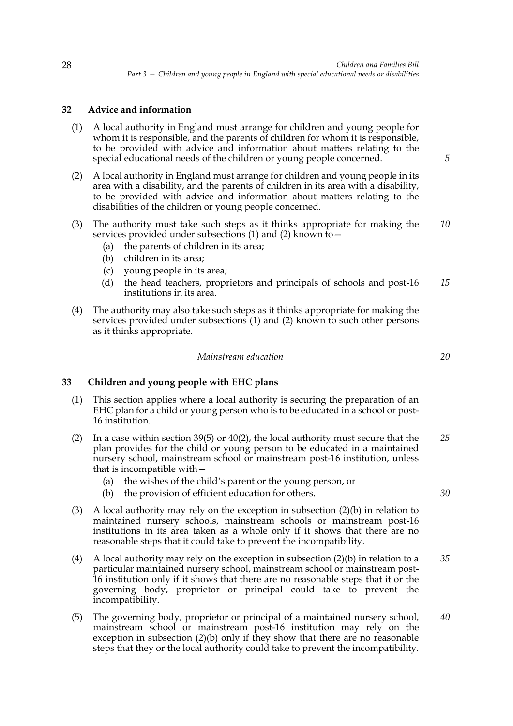# **32 Advice and information**

- (1) A local authority in England must arrange for children and young people for whom it is responsible, and the parents of children for whom it is responsible, to be provided with advice and information about matters relating to the special educational needs of the children or young people concerned.
- (2) A local authority in England must arrange for children and young people in its area with a disability, and the parents of children in its area with a disability, to be provided with advice and information about matters relating to the disabilities of the children or young people concerned.
- (3) The authority must take such steps as it thinks appropriate for making the services provided under subsections (1) and (2) known to -*10*
	- (a) the parents of children in its area;
	- (b) children in its area;
	- (c) young people in its area;
	- (d) the head teachers, proprietors and principals of schools and post-16 institutions in its area. *15*
- (4) The authority may also take such steps as it thinks appropriate for making the services provided under subsections (1) and (2) known to such other persons as it thinks appropriate.

#### *Mainstream education*

*20*

*5*

# **33 Children and young people with EHC plans**

- (1) This section applies where a local authority is securing the preparation of an EHC plan for a child or young person who is to be educated in a school or post-16 institution.
- (2) In a case within section 39(5) or  $40(2)$ , the local authority must secure that the plan provides for the child or young person to be educated in a maintained nursery school, mainstream school or mainstream post-16 institution, unless that is incompatible with— *25*
	- (a) the wishes of the child's parent or the young person, or
	- (b) the provision of efficient education for others.
- (3) A local authority may rely on the exception in subsection (2)(b) in relation to maintained nursery schools, mainstream schools or mainstream post-16 institutions in its area taken as a whole only if it shows that there are no reasonable steps that it could take to prevent the incompatibility.
- (4) A local authority may rely on the exception in subsection  $(2)(b)$  in relation to a particular maintained nursery school, mainstream school or mainstream post-16 institution only if it shows that there are no reasonable steps that it or the governing body, proprietor or principal could take to prevent the incompatibility. *35*
- (5) The governing body, proprietor or principal of a maintained nursery school, mainstream school or mainstream post-16 institution may rely on the exception in subsection (2)(b) only if they show that there are no reasonable steps that they or the local authority could take to prevent the incompatibility. *40*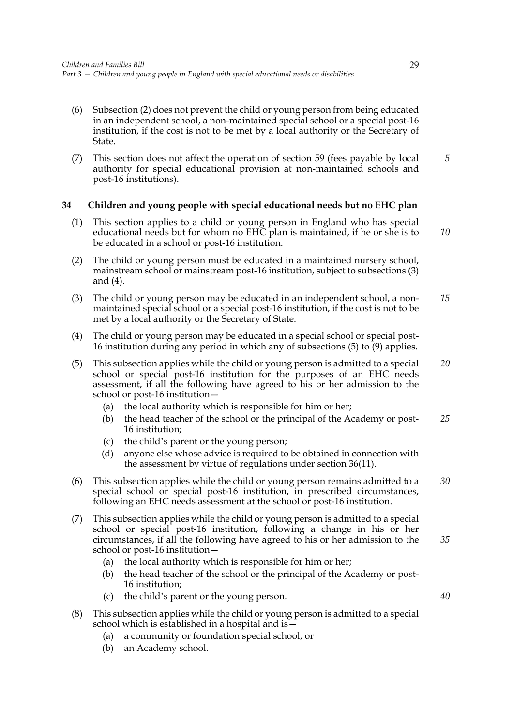- (6) Subsection (2) does not prevent the child or young person from being educated in an independent school, a non-maintained special school or a special post-16 institution, if the cost is not to be met by a local authority or the Secretary of State.
- (7) This section does not affect the operation of section 59 (fees payable by local authority for special educational provision at non-maintained schools and post-16 institutions). *5*

# **34 Children and young people with special educational needs but no EHC plan**

- (1) This section applies to a child or young person in England who has special educational needs but for whom no EHC plan is maintained, if he or she is to be educated in a school or post-16 institution.
- (2) The child or young person must be educated in a maintained nursery school, mainstream school or mainstream post-16 institution, subject to subsections (3) and (4).
- (3) The child or young person may be educated in an independent school, a nonmaintained special school or a special post-16 institution, if the cost is not to be met by a local authority or the Secretary of State. *15*
- (4) The child or young person may be educated in a special school or special post-16 institution during any period in which any of subsections (5) to (9) applies.
- (5) This subsection applies while the child or young person is admitted to a special school or special post-16 institution for the purposes of an EHC needs assessment, if all the following have agreed to his or her admission to the school or post-16 institution— *20*
	- (a) the local authority which is responsible for him or her;
	- (b) the head teacher of the school or the principal of the Academy or post-16 institution; *25*
	- (c) the child's parent or the young person;
	- (d) anyone else whose advice is required to be obtained in connection with the assessment by virtue of regulations under section 36(11).
- (6) This subsection applies while the child or young person remains admitted to a special school or special post-16 institution, in prescribed circumstances, following an EHC needs assessment at the school or post-16 institution. *30*
- (7) This subsection applies while the child or young person is admitted to a special school or special post-16 institution, following a change in his or her circumstances, if all the following have agreed to his or her admission to the school or post-16 institution— *35*
	- (a) the local authority which is responsible for him or her;
	- (b) the head teacher of the school or the principal of the Academy or post-16 institution;
	- (c) the child's parent or the young person.
- (8) This subsection applies while the child or young person is admitted to a special school which is established in a hospital and is—
	- (a) a community or foundation special school, or
	- (b) an Academy school.

*10*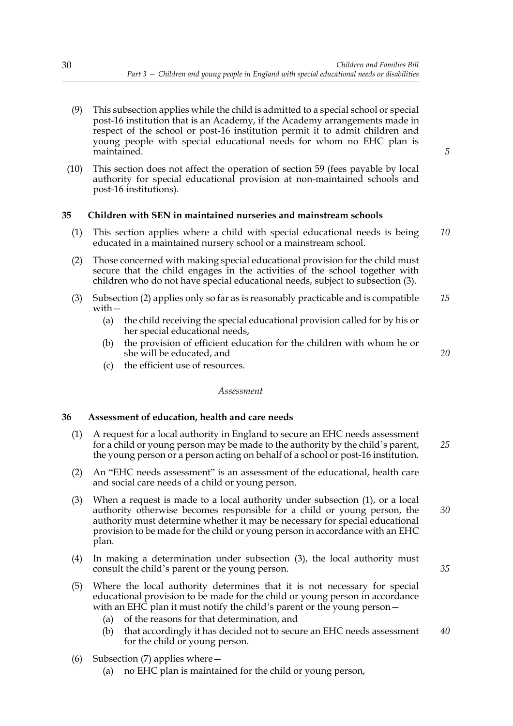(9) This subsection applies while the child is admitted to a special school or special post-16 institution that is an Academy, if the Academy arrangements made in respect of the school or post-16 institution permit it to admit children and young people with special educational needs for whom no EHC plan is maintained.

*5*

(10) This section does not affect the operation of section 59 (fees payable by local authority for special educational provision at non-maintained schools and post-16 institutions).

# **35 Children with SEN in maintained nurseries and mainstream schools**

- (1) This section applies where a child with special educational needs is being educated in a maintained nursery school or a mainstream school. *10*
- (2) Those concerned with making special educational provision for the child must secure that the child engages in the activities of the school together with children who do not have special educational needs, subject to subsection (3).
- (3) Subsection (2) applies only so far as is reasonably practicable and is compatible with— *15*
	- (a) the child receiving the special educational provision called for by his or her special educational needs,
	- (b) the provision of efficient education for the children with whom he or she will be educated, and
	- (c) the efficient use of resources.

#### *Assessment*

# **36 Assessment of education, health and care needs**

- (1) A request for a local authority in England to secure an EHC needs assessment for a child or young person may be made to the authority by the child's parent, the young person or a person acting on behalf of a school or post-16 institution. *25*
- (2) An "EHC needs assessment" is an assessment of the educational, health care and social care needs of a child or young person.
- (3) When a request is made to a local authority under subsection (1), or a local authority otherwise becomes responsible for a child or young person, the authority must determine whether it may be necessary for special educational provision to be made for the child or young person in accordance with an EHC plan. *30*
- (4) In making a determination under subsection (3), the local authority must consult the child's parent or the young person.
- (5) Where the local authority determines that it is not necessary for special educational provision to be made for the child or young person in accordance with an EHC plan it must notify the child's parent or the young person—
	- (a) of the reasons for that determination, and
	- (b) that accordingly it has decided not to secure an EHC needs assessment for the child or young person. *40*
- (6) Subsection (7) applies where—
	- (a) no EHC plan is maintained for the child or young person,

*20*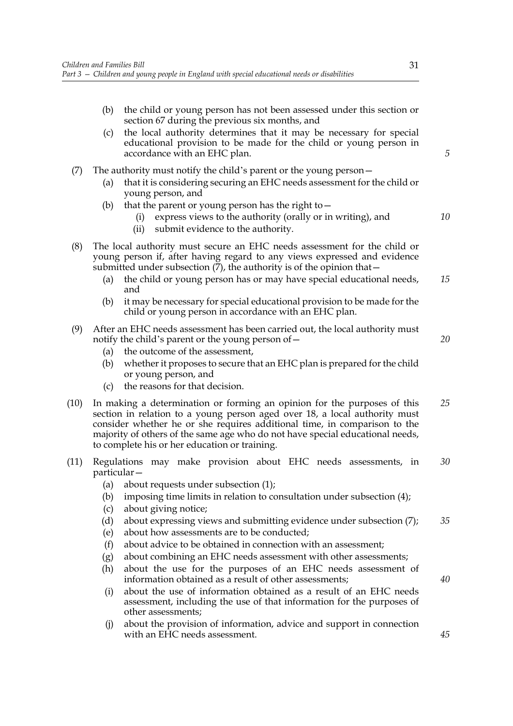- (b) the child or young person has not been assessed under this section or section 67 during the previous six months, and
- (c) the local authority determines that it may be necessary for special educational provision to be made for the child or young person in accordance with an EHC plan.
- (7) The authority must notify the child's parent or the young person—
	- (a) that it is considering securing an EHC needs assessment for the child or young person, and
	- (b) that the parent or young person has the right to  $-$ 
		- (i) express views to the authority (orally or in writing), and
		- (ii) submit evidence to the authority.
- (8) The local authority must secure an EHC needs assessment for the child or young person if, after having regard to any views expressed and evidence submitted under subsection (7), the authority is of the opinion that —
	- (a) the child or young person has or may have special educational needs, and *15*
	- (b) it may be necessary for special educational provision to be made for the child or young person in accordance with an EHC plan.
- (9) After an EHC needs assessment has been carried out, the local authority must notify the child's parent or the young person of—
	- (a) the outcome of the assessment,
	- (b) whether it proposes to secure that an EHC plan is prepared for the child or young person, and
	- (c) the reasons for that decision.
- (10) In making a determination or forming an opinion for the purposes of this section in relation to a young person aged over 18, a local authority must consider whether he or she requires additional time, in comparison to the majority of others of the same age who do not have special educational needs, to complete his or her education or training. *25*
- (11) Regulations may make provision about EHC needs assessments, in particular— *30*
	- (a) about requests under subsection (1);
	- (b) imposing time limits in relation to consultation under subsection (4);
	- (c) about giving notice;
	- (d) about expressing views and submitting evidence under subsection (7); *35*
	- (e) about how assessments are to be conducted;
	- (f) about advice to be obtained in connection with an assessment;
	- (g) about combining an EHC needs assessment with other assessments;
	- (h) about the use for the purposes of an EHC needs assessment of information obtained as a result of other assessments;
	- (i) about the use of information obtained as a result of an EHC needs assessment, including the use of that information for the purposes of other assessments;
	- (j) about the provision of information, advice and support in connection with an EHC needs assessment.

*5*

*10*

*20*

*45*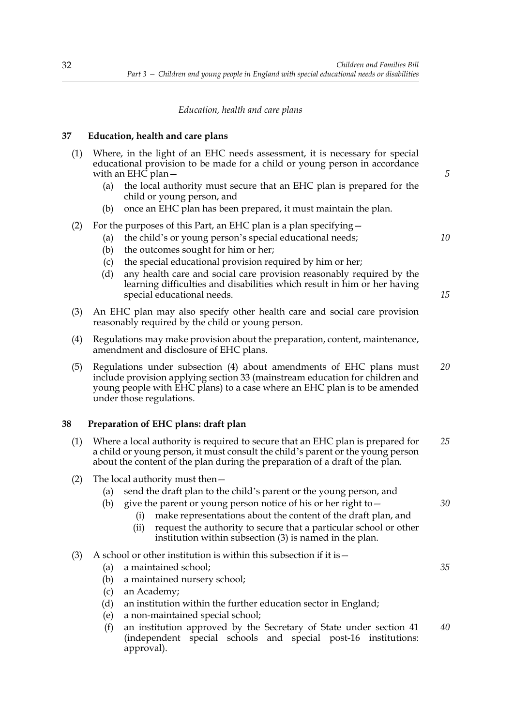#### *Education, health and care plans*

#### **37 Education, health and care plans**

- (1) Where, in the light of an EHC needs assessment, it is necessary for special educational provision to be made for a child or young person in accordance with an EHC plan—
	- (a) the local authority must secure that an EHC plan is prepared for the child or young person, and
	- (b) once an EHC plan has been prepared, it must maintain the plan.
- (2) For the purposes of this Part, an EHC plan is a plan specifying  $-$ 
	- (a) the child's or young person's special educational needs;
		- (b) the outcomes sought for him or her;
		- (c) the special educational provision required by him or her;
		- (d) any health care and social care provision reasonably required by the learning difficulties and disabilities which result in him or her having special educational needs.
- (3) An EHC plan may also specify other health care and social care provision reasonably required by the child or young person.
- (4) Regulations may make provision about the preparation, content, maintenance, amendment and disclosure of EHC plans.
- (5) Regulations under subsection (4) about amendments of EHC plans must include provision applying section 33 (mainstream education for children and young people with EHC plans) to a case where an EHC plan is to be amended under those regulations. *20*

### **38 Preparation of EHC plans: draft plan**

- (1) Where a local authority is required to secure that an EHC plan is prepared for a child or young person, it must consult the child's parent or the young person about the content of the plan during the preparation of a draft of the plan. *25*
- (2) The local authority must then—
	- (a) send the draft plan to the child's parent or the young person, and
	- (b) give the parent or young person notice of his or her right to  $-$ 
		- (i) make representations about the content of the draft plan, and
		- (ii) request the authority to secure that a particular school or other institution within subsection (3) is named in the plan.
- (3) A school or other institution is within this subsection if it is  $-$ 
	- (a) a maintained school;
	- (b) a maintained nursery school;
	- (c) an Academy;
	- (d) an institution within the further education sector in England;
	- (e) a non-maintained special school;
	- (f) an institution approved by the Secretary of State under section 41 (independent special schools and special post-16 institutions: approval). *40*

*5*

*10*

*15*

*30*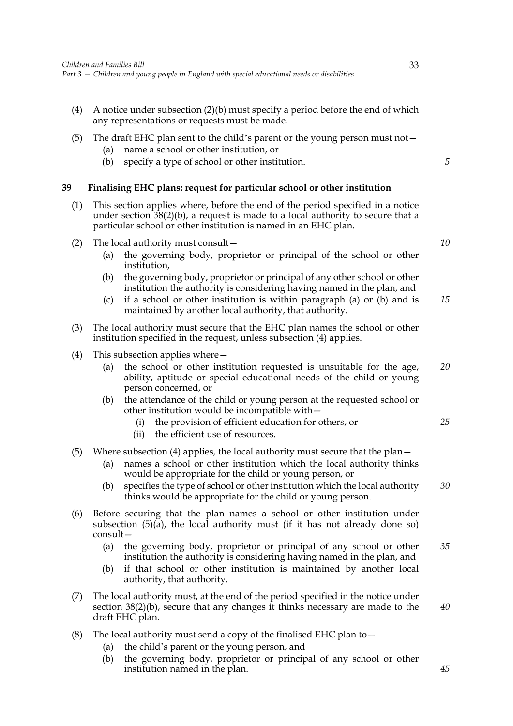(4) A notice under subsection (2)(b) must specify a period before the end of which any representations or requests must be made.

# (5) The draft EHC plan sent to the child's parent or the young person must not—

- (a) name a school or other institution, or
- (b) specify a type of school or other institution.

### **39 Finalising EHC plans: request for particular school or other institution**

- (1) This section applies where, before the end of the period specified in a notice under section  $38(2)(b)$ , a request is made to a local authority to secure that a particular school or other institution is named in an EHC plan.
- (2) The local authority must consult—
	- (a) the governing body, proprietor or principal of the school or other institution,
	- (b) the governing body, proprietor or principal of any other school or other institution the authority is considering having named in the plan, and
	- (c) if a school or other institution is within paragraph (a) or (b) and is maintained by another local authority, that authority. *15*
- (3) The local authority must secure that the EHC plan names the school or other institution specified in the request, unless subsection (4) applies.
- (4) This subsection applies where—
	- (a) the school or other institution requested is unsuitable for the age, ability, aptitude or special educational needs of the child or young person concerned, or *20*
	- (b) the attendance of the child or young person at the requested school or other institution would be incompatible with—
		- (i) the provision of efficient education for others, or
		- (ii) the efficient use of resources.
- (5) Where subsection (4) applies, the local authority must secure that the plan—
	- (a) names a school or other institution which the local authority thinks would be appropriate for the child or young person, or
	- (b) specifies the type of school or other institution which the local authority thinks would be appropriate for the child or young person. *30*
- (6) Before securing that the plan names a school or other institution under subsection  $(5)(a)$ , the local authority must (if it has not already done so) consult—
	- (a) the governing body, proprietor or principal of any school or other institution the authority is considering having named in the plan, and *35*
	- (b) if that school or other institution is maintained by another local authority, that authority.
- (7) The local authority must, at the end of the period specified in the notice under section 38(2)(b), secure that any changes it thinks necessary are made to the draft EHC plan. *40*
- (8) The local authority must send a copy of the finalised EHC plan to  $-$ 
	- (a) the child's parent or the young person, and
	- (b) the governing body, proprietor or principal of any school or other institution named in the plan.

*5*

*10*

*25*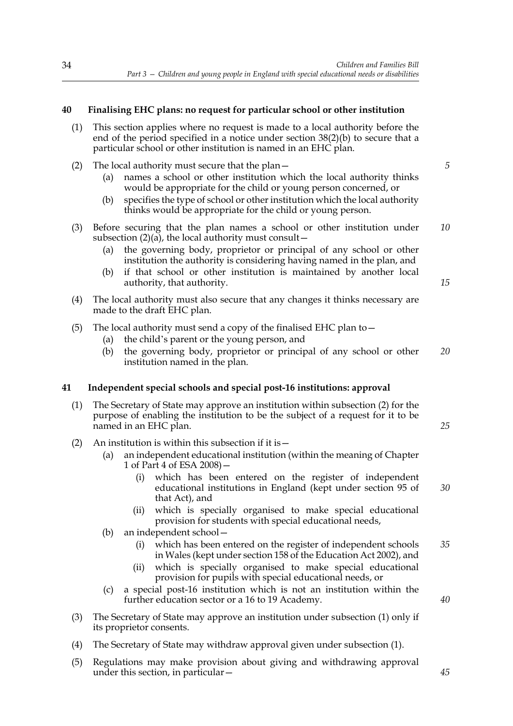# **40 Finalising EHC plans: no request for particular school or other institution**

- (1) This section applies where no request is made to a local authority before the end of the period specified in a notice under section 38(2)(b) to secure that a particular school or other institution is named in an EHC plan.
- (2) The local authority must secure that the plan—
	- (a) names a school or other institution which the local authority thinks would be appropriate for the child or young person concerned, or
	- (b) specifies the type of school or other institution which the local authority thinks would be appropriate for the child or young person.
- (3) Before securing that the plan names a school or other institution under subsection  $(2)(a)$ , the local authority must consult – *10*
	- (a) the governing body, proprietor or principal of any school or other institution the authority is considering having named in the plan, and
	- (b) if that school or other institution is maintained by another local authority, that authority.
- (4) The local authority must also secure that any changes it thinks necessary are made to the draft EHC plan.
- (5) The local authority must send a copy of the finalised EHC plan to  $-$ 
	- (a) the child's parent or the young person, and
	- (b) the governing body, proprietor or principal of any school or other institution named in the plan. *20*

#### **41 Independent special schools and special post-16 institutions: approval**

- (1) The Secretary of State may approve an institution within subsection (2) for the purpose of enabling the institution to be the subject of a request for it to be named in an EHC plan.
- (2) An institution is within this subsection if it is  $-$ 
	- (a) an independent educational institution (within the meaning of Chapter 1 of Part 4 of ESA 2008)—
		- (i) which has been entered on the register of independent educational institutions in England (kept under section 95 of that Act), and
		- (ii) which is specially organised to make special educational provision for students with special educational needs,
	- (b) an independent school—
		- (i) which has been entered on the register of independent schools in Wales (kept under section 158 of the Education Act 2002), and *35*
		- (ii) which is specially organised to make special educational provision for pupils with special educational needs, or
	- (c) a special post-16 institution which is not an institution within the further education sector or a 16 to 19 Academy.
- (3) The Secretary of State may approve an institution under subsection (1) only if its proprietor consents.
- (4) The Secretary of State may withdraw approval given under subsection (1).
- (5) Regulations may make provision about giving and withdrawing approval under this section, in particular—

*5*

*15*

*25*

*30*

*40*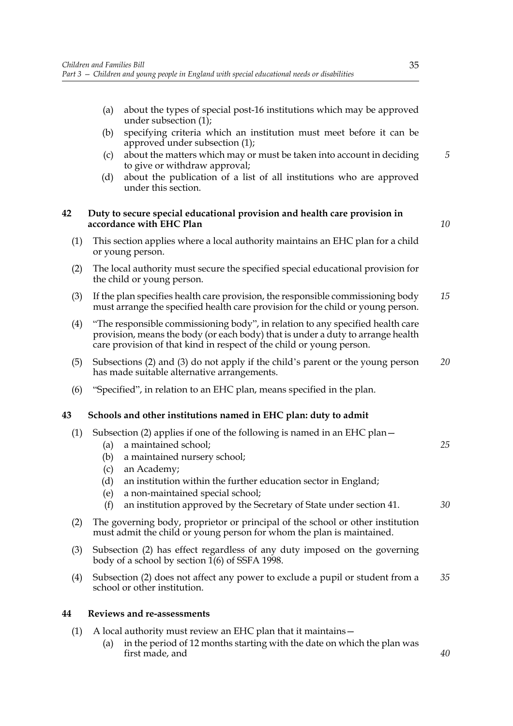- (a) about the types of special post-16 institutions which may be approved under subsection  $(1)$ ;
- (b) specifying criteria which an institution must meet before it can be approved under subsection (1);
- (c) about the matters which may or must be taken into account in deciding to give or withdraw approval;
- (d) about the publication of a list of all institutions who are approved under this section.

#### **42 Duty to secure special educational provision and health care provision in accordance with EHC Plan**

*5*

- (1) This section applies where a local authority maintains an EHC plan for a child or young person.
- (2) The local authority must secure the specified special educational provision for the child or young person.
- (3) If the plan specifies health care provision, the responsible commissioning body must arrange the specified health care provision for the child or young person. *15*
- (4) "The responsible commissioning body", in relation to any specified health care provision, means the body (or each body) that is under a duty to arrange health care provision of that kind in respect of the child or young person.
- (5) Subsections (2) and (3) do not apply if the child's parent or the young person has made suitable alternative arrangements. *20*
- (6) "Specified", in relation to an EHC plan, means specified in the plan.

### **43 Schools and other institutions named in EHC plan: duty to admit**

| (1) | Subsection (2) applies if one of the following is named in an EHC plan $-$                                                                              |    |
|-----|---------------------------------------------------------------------------------------------------------------------------------------------------------|----|
|     | a maintained school;<br>(a)                                                                                                                             | 25 |
|     | a maintained nursery school;<br>(b)                                                                                                                     |    |
|     | an Academy;<br>(c)                                                                                                                                      |    |
|     | (d)<br>an institution within the further education sector in England;                                                                                   |    |
|     | a non-maintained special school;<br>(e)                                                                                                                 |    |
|     | an institution approved by the Secretary of State under section 41.<br>(f)                                                                              | 30 |
| (2) | The governing body, proprietor or principal of the school or other institution<br>must admit the child or young person for whom the plan is maintained. |    |
| (3) | Subsection (2) has effect regardless of any duty imposed on the governing<br>body of a school by section 1(6) of SSFA 1998.                             |    |
| (4) | Subsection (2) does not affect any power to exclude a pupil or student from a<br>school or other institution.                                           | 35 |
| 44  | Reviews and re-assessments                                                                                                                              |    |
| (1) | A local authority must review an EHC plan that it maintains -<br>(a) in the period of 12 months starting with the date on which the plan was            |    |

in the period of 12 months starting with the date on which the plan was first made, and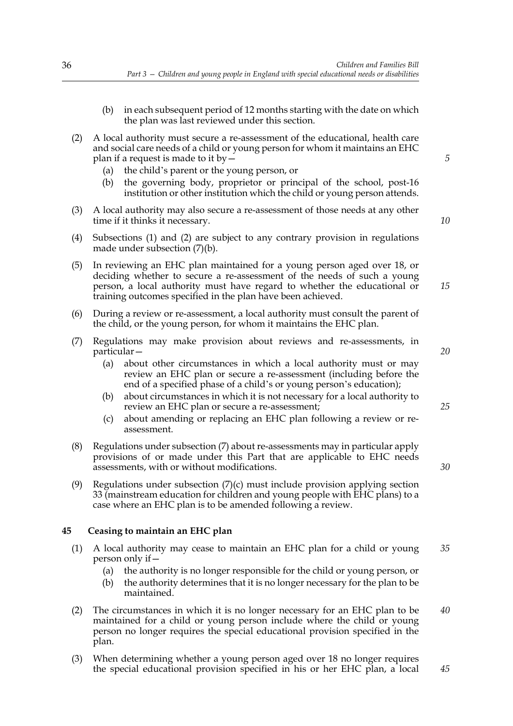- (b) in each subsequent period of 12 months starting with the date on which the plan was last reviewed under this section.
- (2) A local authority must secure a re-assessment of the educational, health care and social care needs of a child or young person for whom it maintains an EHC plan if a request is made to it by  $-$ 
	- (a) the child's parent or the young person, or
	- (b) the governing body, proprietor or principal of the school, post-16 institution or other institution which the child or young person attends.
- (3) A local authority may also secure a re-assessment of those needs at any other time if it thinks it necessary.
- *10*

*5*

- (4) Subsections (1) and (2) are subject to any contrary provision in regulations made under subsection (7)(b).
- (5) In reviewing an EHC plan maintained for a young person aged over 18, or deciding whether to secure a re-assessment of the needs of such a young person, a local authority must have regard to whether the educational or training outcomes specified in the plan have been achieved.
- (6) During a review or re-assessment, a local authority must consult the parent of the child, or the young person, for whom it maintains the EHC plan.
- (7) Regulations may make provision about reviews and re-assessments, in particular—
	- (a) about other circumstances in which a local authority must or may review an EHC plan or secure a re-assessment (including before the end of a specified phase of a child's or young person's education);
	- (b) about circumstances in which it is not necessary for a local authority to review an EHC plan or secure a re-assessment;
	- (c) about amending or replacing an EHC plan following a review or reassessment.
- (8) Regulations under subsection (7) about re-assessments may in particular apply provisions of or made under this Part that are applicable to EHC needs assessments, with or without modifications.
- (9) Regulations under subsection (7)(c) must include provision applying section 33 (mainstream education for children and young people with EHC plans) to a case where an EHC plan is to be amended following a review.

### **45 Ceasing to maintain an EHC plan**

- (1) A local authority may cease to maintain an EHC plan for a child or young person only if— *35*
	- (a) the authority is no longer responsible for the child or young person, or
	- (b) the authority determines that it is no longer necessary for the plan to be maintained.
- (2) The circumstances in which it is no longer necessary for an EHC plan to be maintained for a child or young person include where the child or young person no longer requires the special educational provision specified in the plan. *40*
- (3) When determining whether a young person aged over 18 no longer requires the special educational provision specified in his or her EHC plan, a local

36

*20*

*15*

*25*

*30*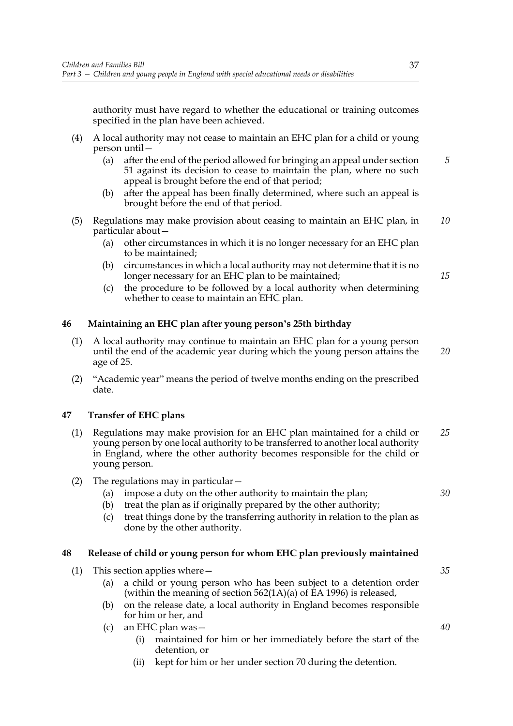authority must have regard to whether the educational or training outcomes specified in the plan have been achieved.

- (4) A local authority may not cease to maintain an EHC plan for a child or young person until—
	- (a) after the end of the period allowed for bringing an appeal under section 51 against its decision to cease to maintain the plan, where no such appeal is brought before the end of that period; *5*
	- (b) after the appeal has been finally determined, where such an appeal is brought before the end of that period.
- (5) Regulations may make provision about ceasing to maintain an EHC plan, in particular about— *10*
	- (a) other circumstances in which it is no longer necessary for an EHC plan to be maintained;
	- (b) circumstances in which a local authority may not determine that it is no longer necessary for an EHC plan to be maintained;
	- (c) the procedure to be followed by a local authority when determining whether to cease to maintain an EHC plan.

# **46 Maintaining an EHC plan after young person's 25th birthday**

- (1) A local authority may continue to maintain an EHC plan for a young person until the end of the academic year during which the young person attains the age of 25. *20*
- (2) "Academic year" means the period of twelve months ending on the prescribed date.

### **47 Transfer of EHC plans**

- (1) Regulations may make provision for an EHC plan maintained for a child or young person by one local authority to be transferred to another local authority in England, where the other authority becomes responsible for the child or young person. *25*
- (2) The regulations may in particular—
	- (a) impose a duty on the other authority to maintain the plan;
	- (b) treat the plan as if originally prepared by the other authority;
	- (c) treat things done by the transferring authority in relation to the plan as done by the other authority.

### **48 Release of child or young person for whom EHC plan previously maintained**

- (1) This section applies where—
	- (a) a child or young person who has been subject to a detention order (within the meaning of section 562(1A)(a) of EA 1996) is released,
	- (b) on the release date, a local authority in England becomes responsible for him or her, and
	- (c) an EHC plan was—
		- (i) maintained for him or her immediately before the start of the detention, or
		- (ii) kept for him or her under section 70 during the detention.

*30*

*15*

*35*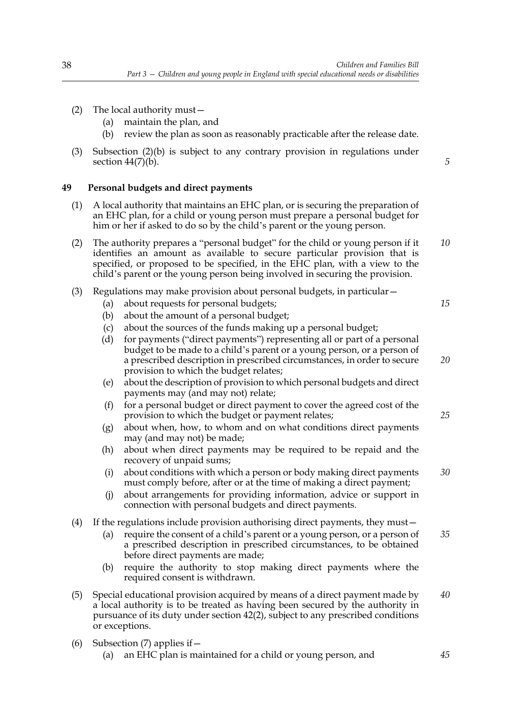- (2) The local authority must—
	- (a) maintain the plan, and
	- (b) review the plan as soon as reasonably practicable after the release date.
- (3) Subsection (2)(b) is subject to any contrary provision in regulations under section  $44(7)(b)$ .

# **49 Personal budgets and direct payments**

- (1) A local authority that maintains an EHC plan, or is securing the preparation of an EHC plan, for a child or young person must prepare a personal budget for him or her if asked to do so by the child's parent or the young person.
- (2) The authority prepares a "personal budget" for the child or young person if it identifies an amount as available to secure particular provision that is specified, or proposed to be specified, in the EHC plan, with a view to the child's parent or the young person being involved in securing the provision. *10*
- (3) Regulations may make provision about personal budgets, in particular—
	- (a) about requests for personal budgets;
	- (b) about the amount of a personal budget;
	- (c) about the sources of the funds making up a personal budget;
	- (d) for payments ("direct payments") representing all or part of a personal budget to be made to a child's parent or a young person, or a person of a prescribed description in prescribed circumstances, in order to secure provision to which the budget relates;
	- (e) about the description of provision to which personal budgets and direct payments may (and may not) relate;
	- (f) for a personal budget or direct payment to cover the agreed cost of the provision to which the budget or payment relates;
	- (g) about when, how, to whom and on what conditions direct payments may (and may not) be made;
	- (h) about when direct payments may be required to be repaid and the recovery of unpaid sums;
	- (i) about conditions with which a person or body making direct payments must comply before, after or at the time of making a direct payment; *30*
	- (j) about arrangements for providing information, advice or support in connection with personal budgets and direct payments.
- (4) If the regulations include provision authorising direct payments, they must—
	- (a) require the consent of a child's parent or a young person, or a person of a prescribed description in prescribed circumstances, to be obtained before direct payments are made; *35*
	- (b) require the authority to stop making direct payments where the required consent is withdrawn.
- (5) Special educational provision acquired by means of a direct payment made by a local authority is to be treated as having been secured by the authority in pursuance of its duty under section 42(2), subject to any prescribed conditions or exceptions. *40*
- (6) Subsection  $(7)$  applies if  $-$ 
	- (a) an EHC plan is maintained for a child or young person, and

*45*

*5*

*15*

*20*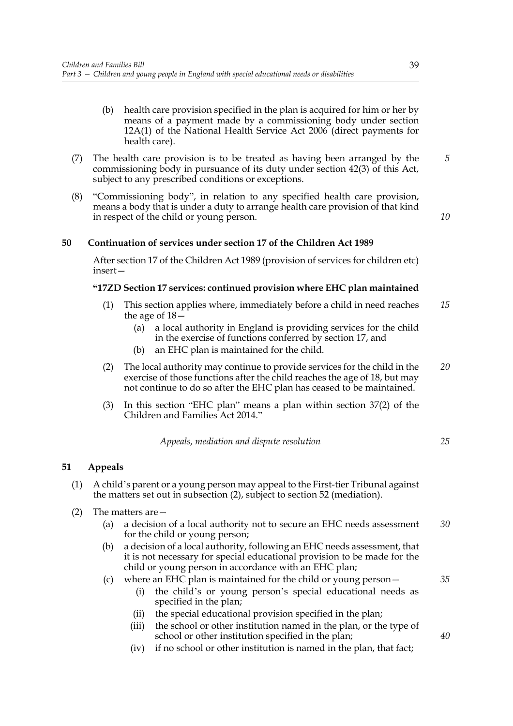- (b) health care provision specified in the plan is acquired for him or her by means of a payment made by a commissioning body under section 12A(1) of the National Health Service Act 2006 (direct payments for health care).
- (7) The health care provision is to be treated as having been arranged by the commissioning body in pursuance of its duty under section 42(3) of this Act, subject to any prescribed conditions or exceptions.
- (8) "Commissioning body", in relation to any specified health care provision, means a body that is under a duty to arrange health care provision of that kind in respect of the child or young person.

*10*

*5*

#### **50 Continuation of services under section 17 of the Children Act 1989**

After section 17 of the Children Act 1989 (provision of services for children etc) insert—

#### **"17ZD Section 17 services: continued provision where EHC plan maintained**

- (1) This section applies where, immediately before a child in need reaches the age of 18— *15*
	- (a) a local authority in England is providing services for the child in the exercise of functions conferred by section 17, and
	- (b) an EHC plan is maintained for the child.
- (2) The local authority may continue to provide services for the child in the exercise of those functions after the child reaches the age of 18, but may not continue to do so after the EHC plan has ceased to be maintained. *20*
- (3) In this section "EHC plan" means a plan within section 37(2) of the Children and Families Act 2014."

*Appeals, mediation and dispute resolution*

### **51 Appeals**

- (1) A child's parent or a young person may appeal to the First-tier Tribunal against the matters set out in subsection (2), subject to section 52 (mediation).
- (2) The matters are—
	- (a) a decision of a local authority not to secure an EHC needs assessment for the child or young person; *30*
	- (b) a decision of a local authority, following an EHC needs assessment, that it is not necessary for special educational provision to be made for the child or young person in accordance with an EHC plan;
	- (c) where an EHC plan is maintained for the child or young person—
		- (i) the child's or young person's special educational needs as specified in the plan;
		- (ii) the special educational provision specified in the plan;
		- (iii) the school or other institution named in the plan, or the type of school or other institution specified in the plan;
		- (iv) if no school or other institution is named in the plan, that fact;

*25*

*35*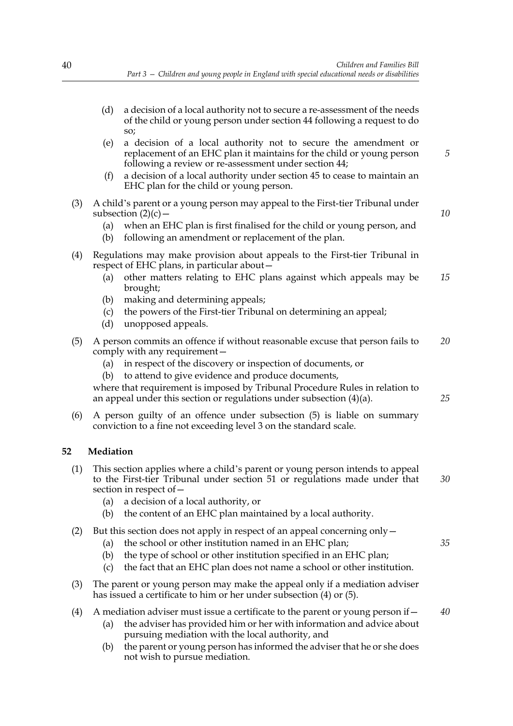- (d) a decision of a local authority not to secure a re-assessment of the needs of the child or young person under section 44 following a request to do so;
- (e) a decision of a local authority not to secure the amendment or replacement of an EHC plan it maintains for the child or young person following a review or re-assessment under section 44;
- (f) a decision of a local authority under section 45 to cease to maintain an EHC plan for the child or young person.
- (3) A child's parent or a young person may appeal to the First-tier Tribunal under subsection  $(2)(c)$  –
	- (a) when an EHC plan is first finalised for the child or young person, and
	- (b) following an amendment or replacement of the plan.
- (4) Regulations may make provision about appeals to the First-tier Tribunal in respect of EHC plans, in particular about—
	- (a) other matters relating to EHC plans against which appeals may be brought; *15*
	- (b) making and determining appeals;
	- (c) the powers of the First-tier Tribunal on determining an appeal;
	- (d) unopposed appeals.
- (5) A person commits an offence if without reasonable excuse that person fails to comply with any requirement— *20*
	- (a) in respect of the discovery or inspection of documents, or
	- (b) to attend to give evidence and produce documents,

where that requirement is imposed by Tribunal Procedure Rules in relation to an appeal under this section or regulations under subsection (4)(a).

(6) A person guilty of an offence under subsection (5) is liable on summary conviction to a fine not exceeding level 3 on the standard scale.

# **52 Mediation**

- (1) This section applies where a child's parent or young person intends to appeal to the First-tier Tribunal under section 51 or regulations made under that section in respect of—
	- (a) a decision of a local authority, or
	- (b) the content of an EHC plan maintained by a local authority.
- (2) But this section does not apply in respect of an appeal concerning only—
	- (a) the school or other institution named in an EHC plan;
	- (b) the type of school or other institution specified in an EHC plan;
	- (c) the fact that an EHC plan does not name a school or other institution.
- (3) The parent or young person may make the appeal only if a mediation adviser has issued a certificate to him or her under subsection (4) or (5).
- (4) A mediation adviser must issue a certificate to the parent or young person if  $-$ *40*
	- (a) the adviser has provided him or her with information and advice about pursuing mediation with the local authority, and
	- (b) the parent or young person has informed the adviser that he or she does not wish to pursue mediation.

*25*

*5*

*10*

*35*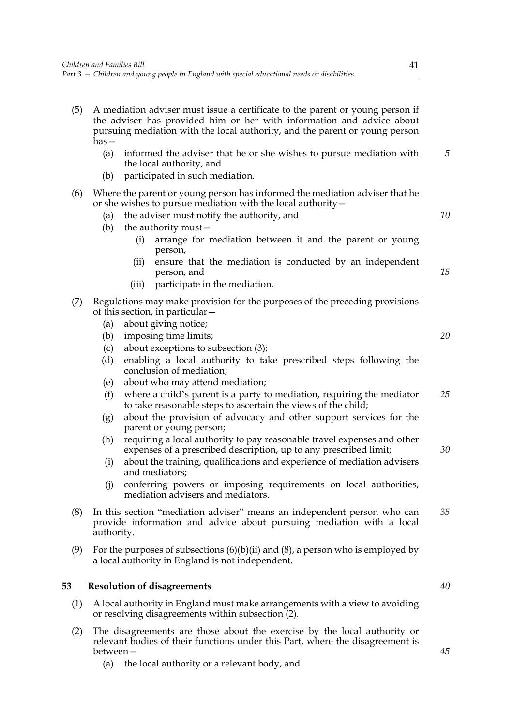- (5) A mediation adviser must issue a certificate to the parent or young person if the adviser has provided him or her with information and advice about pursuing mediation with the local authority, and the parent or young person has—
	- (a) informed the adviser that he or she wishes to pursue mediation with the local authority, and
	- (b) participated in such mediation.
- (6) Where the parent or young person has informed the mediation adviser that he or she wishes to pursue mediation with the local authority—
	- (a) the adviser must notify the authority, and
	- (b) the authority must—
		- (i) arrange for mediation between it and the parent or young person,
		- (ii) ensure that the mediation is conducted by an independent person, and
		- (iii) participate in the mediation.
- (7) Regulations may make provision for the purposes of the preceding provisions of this section, in particular—
	- (a) about giving notice;
	- (b) imposing time limits;
	- (c) about exceptions to subsection (3);
	- (d) enabling a local authority to take prescribed steps following the conclusion of mediation;
	- (e) about who may attend mediation;
	- (f) where a child's parent is a party to mediation, requiring the mediator to take reasonable steps to ascertain the views of the child; *25*
	- (g) about the provision of advocacy and other support services for the parent or young person;
	- (h) requiring a local authority to pay reasonable travel expenses and other expenses of a prescribed description, up to any prescribed limit;
	- (i) about the training, qualifications and experience of mediation advisers and mediators;
	- (j) conferring powers or imposing requirements on local authorities, mediation advisers and mediators.
- (8) In this section "mediation adviser" means an independent person who can provide information and advice about pursuing mediation with a local authority. *35*
- (9) For the purposes of subsections  $(6)(b)(ii)$  and  $(8)$ , a person who is employed by a local authority in England is not independent.

#### **53 Resolution of disagreements**

- (1) A local authority in England must make arrangements with a view to avoiding or resolving disagreements within subsection (2).
- (2) The disagreements are those about the exercise by the local authority or relevant bodies of their functions under this Part, where the disagreement is between—
	- (a) the local authority or a relevant body, and

*5*

*10*

*15*

*20*

*30*

*40*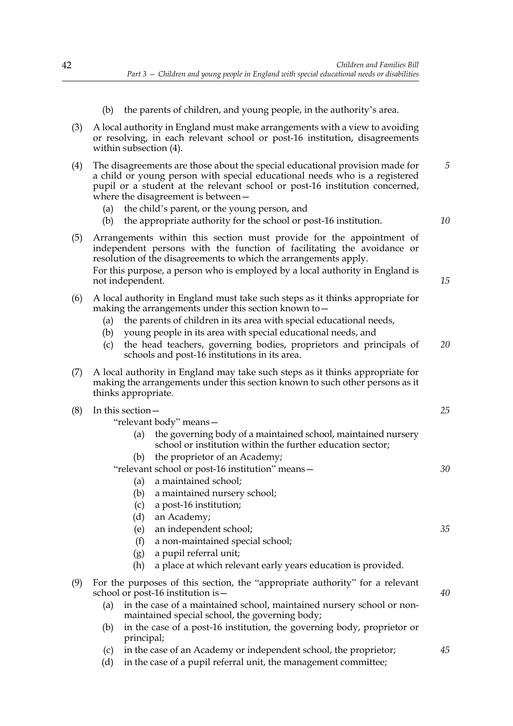- (b) the parents of children, and young people, in the authority's area.
- (3) A local authority in England must make arrangements with a view to avoiding or resolving, in each relevant school or post-16 institution, disagreements within subsection (4).
- (4) The disagreements are those about the special educational provision made for a child or young person with special educational needs who is a registered pupil or a student at the relevant school or post-16 institution concerned, where the disagreement is between— *5*
	- (a) the child's parent, or the young person, and
	- (b) the appropriate authority for the school or post-16 institution.

*10*

*15*

*25*

*30*

*35*

- (5) Arrangements within this section must provide for the appointment of independent persons with the function of facilitating the avoidance or resolution of the disagreements to which the arrangements apply. For this purpose, a person who is employed by a local authority in England is not independent.
- (6) A local authority in England must take such steps as it thinks appropriate for making the arrangements under this section known to—
	- (a) the parents of children in its area with special educational needs,
	- (b) young people in its area with special educational needs, and
	- (c) the head teachers, governing bodies, proprietors and principals of schools and post-16 institutions in its area. *20*
- (7) A local authority in England may take such steps as it thinks appropriate for making the arrangements under this section known to such other persons as it thinks appropriate.
- (8) In this section—

| "relevant body" means- |  |  |  |  |
|------------------------|--|--|--|--|
|                        |  |  |  |  |

- (a) the governing body of a maintained school, maintained nursery school or institution within the further education sector;
- (b) the proprietor of an Academy;
- "relevant school or post-16 institution" means—
	- (a) a maintained school;
	- (b) a maintained nursery school;
	- (c) a post-16 institution;
	- (d) an Academy;
	- (e) an independent school;
	- (f) a non-maintained special school;
	- (g) a pupil referral unit;
	- (h) a place at which relevant early years education is provided.
- (9) For the purposes of this section, the "appropriate authority" for a relevant school or post-16 institution is—
	- (a) in the case of a maintained school, maintained nursery school or nonmaintained special school, the governing body;
	- (b) in the case of a post-16 institution, the governing body, proprietor or principal;
	- (c) in the case of an Academy or independent school, the proprietor;
	- (d) in the case of a pupil referral unit, the management committee;

*45*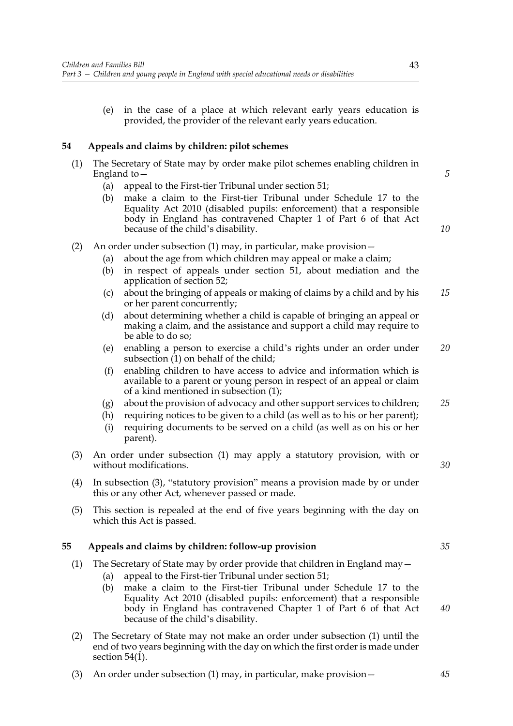(e) in the case of a place at which relevant early years education is provided, the provider of the relevant early years education.

# **54 Appeals and claims by children: pilot schemes**

- (1) The Secretary of State may by order make pilot schemes enabling children in England to—
	- (a) appeal to the First-tier Tribunal under section 51;
	- (b) make a claim to the First-tier Tribunal under Schedule 17 to the Equality Act 2010 (disabled pupils: enforcement) that a responsible body in England has contravened Chapter 1 of Part 6 of that Act because of the child's disability.
- (2) An order under subsection (1) may, in particular, make provision—
	- (a) about the age from which children may appeal or make a claim;
	- (b) in respect of appeals under section 51, about mediation and the application of section 52;
	- (c) about the bringing of appeals or making of claims by a child and by his or her parent concurrently; *15*
	- (d) about determining whether a child is capable of bringing an appeal or making a claim, and the assistance and support a child may require to be able to do so;
	- (e) enabling a person to exercise a child's rights under an order under subsection  $(1)$  on behalf of the child; *20*
	- (f) enabling children to have access to advice and information which is available to a parent or young person in respect of an appeal or claim of a kind mentioned in subsection (1);
	- (g) about the provision of advocacy and other support services to children; *25*
	- (h) requiring notices to be given to a child (as well as to his or her parent);
	- (i) requiring documents to be served on a child (as well as on his or her parent).
- (3) An order under subsection (1) may apply a statutory provision, with or without modifications.
- (4) In subsection (3), "statutory provision" means a provision made by or under this or any other Act, whenever passed or made.
- (5) This section is repealed at the end of five years beginning with the day on which this Act is passed.

### **55 Appeals and claims by children: follow-up provision**

- (1) The Secretary of State may by order provide that children in England may—
	- (a) appeal to the First-tier Tribunal under section 51;
	- (b) make a claim to the First-tier Tribunal under Schedule 17 to the Equality Act 2010 (disabled pupils: enforcement) that a responsible body in England has contravened Chapter 1 of Part 6 of that Act because of the child's disability.
- (2) The Secretary of State may not make an order under subsection (1) until the end of two years beginning with the day on which the first order is made under section  $54(1)$ .
- (3) An order under subsection (1) may, in particular, make provision—

*5*

*10*

*30*

*35*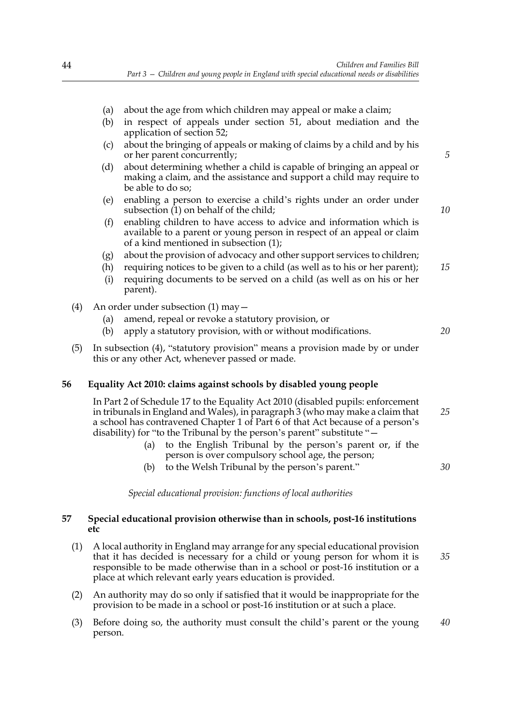- (a) about the age from which children may appeal or make a claim;
- (b) in respect of appeals under section 51, about mediation and the application of section 52;
- (c) about the bringing of appeals or making of claims by a child and by his or her parent concurrently;
- (d) about determining whether a child is capable of bringing an appeal or making a claim, and the assistance and support a child may require to be able to do so;
- (e) enabling a person to exercise a child's rights under an order under subsection (1) on behalf of the child;
- (f) enabling children to have access to advice and information which is available to a parent or young person in respect of an appeal or claim of a kind mentioned in subsection (1);
- (g) about the provision of advocacy and other support services to children;
- (h) requiring notices to be given to a child (as well as to his or her parent);
- (i) requiring documents to be served on a child (as well as on his or her parent).
- (4) An order under subsection (1) may—
	- (a) amend, repeal or revoke a statutory provision, or
	- (b) apply a statutory provision, with or without modifications.
- (5) In subsection (4), "statutory provision" means a provision made by or under this or any other Act, whenever passed or made.

### **56 Equality Act 2010: claims against schools by disabled young people**

In Part 2 of Schedule 17 to the Equality Act 2010 (disabled pupils: enforcement in tribunals in England and Wales), in paragraph 3 (who may make a claim that a school has contravened Chapter 1 of Part 6 of that Act because of a person's disability) for "to the Tribunal by the person's parent" substitute "— *25*

- (a) to the English Tribunal by the person's parent or, if the person is over compulsory school age, the person;
- (b) to the Welsh Tribunal by the person's parent."

*Special educational provision: functions of local authorities*

#### **57 Special educational provision otherwise than in schools, post-16 institutions etc**

- (1) A local authority in England may arrange for any special educational provision that it has decided is necessary for a child or young person for whom it is responsible to be made otherwise than in a school or post-16 institution or a place at which relevant early years education is provided.
- (2) An authority may do so only if satisfied that it would be inappropriate for the provision to be made in a school or post-16 institution or at such a place.
- (3) Before doing so, the authority must consult the child's parent or the young person. *40*

*5*

*10*

*15*

*20*

*35*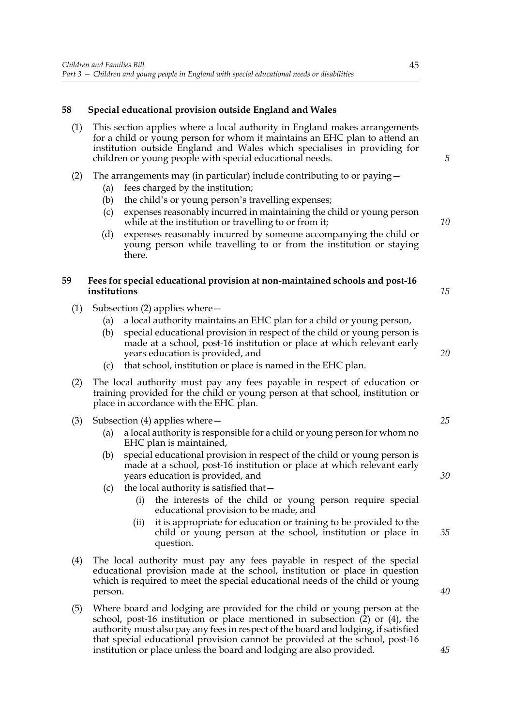### **58 Special educational provision outside England and Wales**

- (1) This section applies where a local authority in England makes arrangements for a child or young person for whom it maintains an EHC plan to attend an institution outside England and Wales which specialises in providing for children or young people with special educational needs.
- (2) The arrangements may (in particular) include contributing to or paying—
	- (a) fees charged by the institution;
	- (b) the child's or young person's travelling expenses;
	- (c) expenses reasonably incurred in maintaining the child or young person while at the institution or travelling to or from it;
	- (d) expenses reasonably incurred by someone accompanying the child or young person while travelling to or from the institution or staying there.

#### **59 Fees for special educational provision at non-maintained schools and post-16 institutions**

- (1) Subsection (2) applies where—
	- (a) a local authority maintains an EHC plan for a child or young person,
	- (b) special educational provision in respect of the child or young person is made at a school, post-16 institution or place at which relevant early years education is provided, and
	- (c) that school, institution or place is named in the EHC plan.
- (2) The local authority must pay any fees payable in respect of education or training provided for the child or young person at that school, institution or place in accordance with the EHC plan.
- (3) Subsection (4) applies where—
	- (a) a local authority is responsible for a child or young person for whom no EHC plan is maintained,
	- (b) special educational provision in respect of the child or young person is made at a school, post-16 institution or place at which relevant early years education is provided, and
	- (c) the local authority is satisfied that—
		- (i) the interests of the child or young person require special educational provision to be made, and
		- (ii) it is appropriate for education or training to be provided to the child or young person at the school, institution or place in question.
- (4) The local authority must pay any fees payable in respect of the special educational provision made at the school, institution or place in question which is required to meet the special educational needs of the child or young person.
- (5) Where board and lodging are provided for the child or young person at the school, post-16 institution or place mentioned in subsection (2) or (4), the authority must also pay any fees in respect of the board and lodging, if satisfied that special educational provision cannot be provided at the school, post-16 institution or place unless the board and lodging are also provided.

*5*

*10*

*15*

*20*

*25*

*30*

*40*

*35*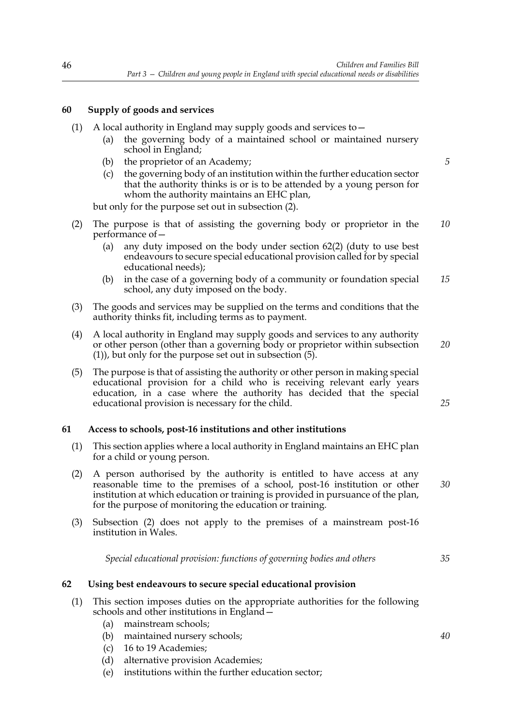# **60 Supply of goods and services**

- (1) A local authority in England may supply goods and services to—
	- (a) the governing body of a maintained school or maintained nursery school in England;
	- (b) the proprietor of an Academy;
	- (c) the governing body of an institution within the further education sector that the authority thinks is or is to be attended by a young person for whom the authority maintains an EHC plan,

but only for the purpose set out in subsection (2).

- (2) The purpose is that of assisting the governing body or proprietor in the performance of— *10*
	- (a) any duty imposed on the body under section 62(2) (duty to use best endeavours to secure special educational provision called for by special educational needs);
	- (b) in the case of a governing body of a community or foundation special school, any duty imposed on the body. *15*
- (3) The goods and services may be supplied on the terms and conditions that the authority thinks fit, including terms as to payment.
- (4) A local authority in England may supply goods and services to any authority or other person (other than a governing body or proprietor within subsection (1)), but only for the purpose set out in subsection (5).
- (5) The purpose is that of assisting the authority or other person in making special educational provision for a child who is receiving relevant early years education, in a case where the authority has decided that the special educational provision is necessary for the child.

**61 Access to schools, post-16 institutions and other institutions**

- (1) This section applies where a local authority in England maintains an EHC plan for a child or young person.
- (2) A person authorised by the authority is entitled to have access at any reasonable time to the premises of a school, post-16 institution or other institution at which education or training is provided in pursuance of the plan, for the purpose of monitoring the education or training.
- (3) Subsection (2) does not apply to the premises of a mainstream post-16 institution in Wales.

*Special educational provision: functions of governing bodies and others*

**62 Using best endeavours to secure special educational provision**

- (1) This section imposes duties on the appropriate authorities for the following schools and other institutions in England—
	- (a) mainstream schools;
	- (b) maintained nursery schools;
	- (c) 16 to 19 Academies;
	- (d) alternative provision Academies;
	- (e) institutions within the further education sector;

*30*

*20*

*25*

*5*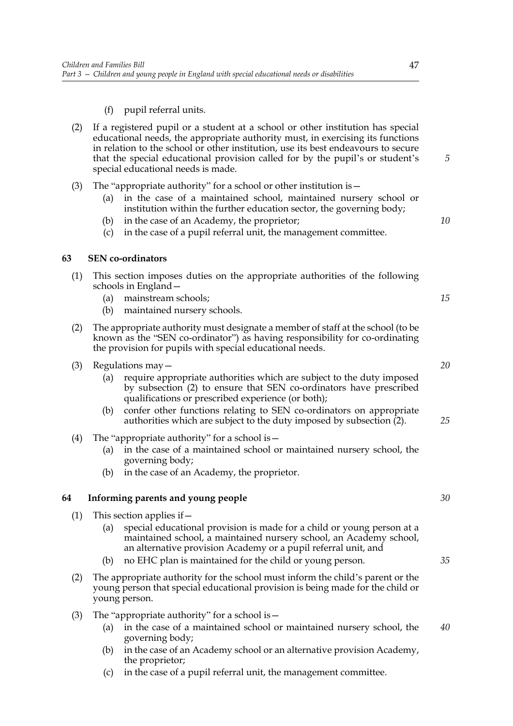- (f) pupil referral units.
- (2) If a registered pupil or a student at a school or other institution has special educational needs, the appropriate authority must, in exercising its functions in relation to the school or other institution, use its best endeavours to secure that the special educational provision called for by the pupil's or student's special educational needs is made.
- (3) The "appropriate authority" for a school or other institution is  $-$ 
	- (a) in the case of a maintained school, maintained nursery school or institution within the further education sector, the governing body;
	- (b) in the case of an Academy, the proprietor;
	- (c) in the case of a pupil referral unit, the management committee.

#### **63 SEN co-ordinators**

- (1) This section imposes duties on the appropriate authorities of the following schools in England—
	- (a) mainstream schools;
	- (b) maintained nursery schools.
- (2) The appropriate authority must designate a member of staff at the school (to be known as the "SEN co-ordinator") as having responsibility for co-ordinating the provision for pupils with special educational needs.
- (3) Regulations may—
	- (a) require appropriate authorities which are subject to the duty imposed by subsection (2) to ensure that SEN co-ordinators have prescribed qualifications or prescribed experience (or both);
	- (b) confer other functions relating to SEN co-ordinators on appropriate authorities which are subject to the duty imposed by subsection (2).
- (4) The "appropriate authority" for a school is—
	- (a) in the case of a maintained school or maintained nursery school, the governing body;
	- (b) in the case of an Academy, the proprietor.

#### **64 Informing parents and young people**

- (1) This section applies if  $-$ 
	- (a) special educational provision is made for a child or young person at a maintained school, a maintained nursery school, an Academy school, an alternative provision Academy or a pupil referral unit, and
	- (b) no EHC plan is maintained for the child or young person.
- (2) The appropriate authority for the school must inform the child's parent or the young person that special educational provision is being made for the child or young person.
- (3) The "appropriate authority" for a school is—
	- (a) in the case of a maintained school or maintained nursery school, the governing body; *40*
	- (b) in the case of an Academy school or an alternative provision Academy, the proprietor;
	- (c) in the case of a pupil referral unit, the management committee.

*5*

*10*

*15*

*20*

*25*

*30*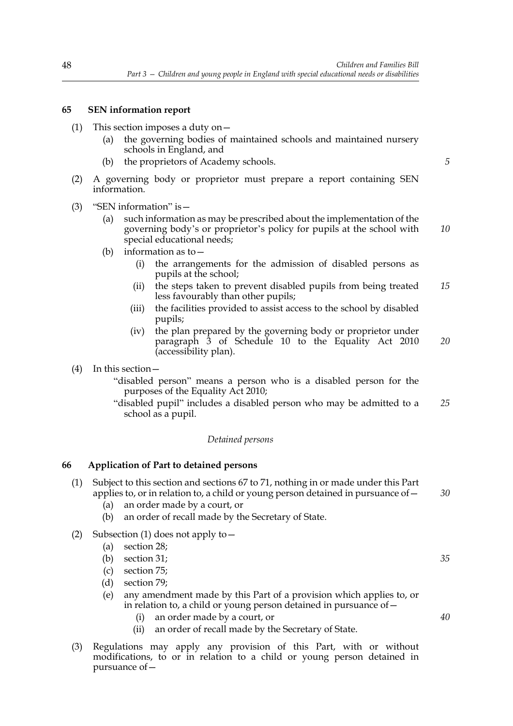# **65 SEN information report**

- (1) This section imposes a duty on  $-$ 
	- (a) the governing bodies of maintained schools and maintained nursery schools in England, and
	- (b) the proprietors of Academy schools.
- (2) A governing body or proprietor must prepare a report containing SEN information.
- (3) "SEN information" is  $-$ 
	- (a) such information as may be prescribed about the implementation of the governing body's or proprietor's policy for pupils at the school with special educational needs; *10*
	- (b) information as to—
		- (i) the arrangements for the admission of disabled persons as pupils at the school;
		- (ii) the steps taken to prevent disabled pupils from being treated less favourably than other pupils; *15*
		- (iii) the facilities provided to assist access to the school by disabled pupils;
		- (iv) the plan prepared by the governing body or proprietor under paragraph 3 of Schedule 10 to the Equality Act 2010 (accessibility plan). *20*
- (4) In this section—

"disabled person" means a person who is a disabled person for the purposes of the Equality Act 2010;

"disabled pupil" includes a disabled person who may be admitted to a school as a pupil. *25*

#### *Detained persons*

#### **66 Application of Part to detained persons**

- (1) Subject to this section and sections 67 to 71, nothing in or made under this Part applies to, or in relation to, a child or young person detained in pursuance of—
	- (a) an order made by a court, or
	- (b) an order of recall made by the Secretary of State.
- (2) Subsection (1) does not apply to—
	- (a) section 28;
	- (b) section 31;
	- (c) section 75;
	- (d) section 79;
	- (e) any amendment made by this Part of a provision which applies to, or in relation to, a child or young person detained in pursuance of—
		- (i) an order made by a court, or
		- (ii) an order of recall made by the Secretary of State.
- (3) Regulations may apply any provision of this Part, with or without modifications, to or in relation to a child or young person detained in pursuance of—

*30*

*35*

*40*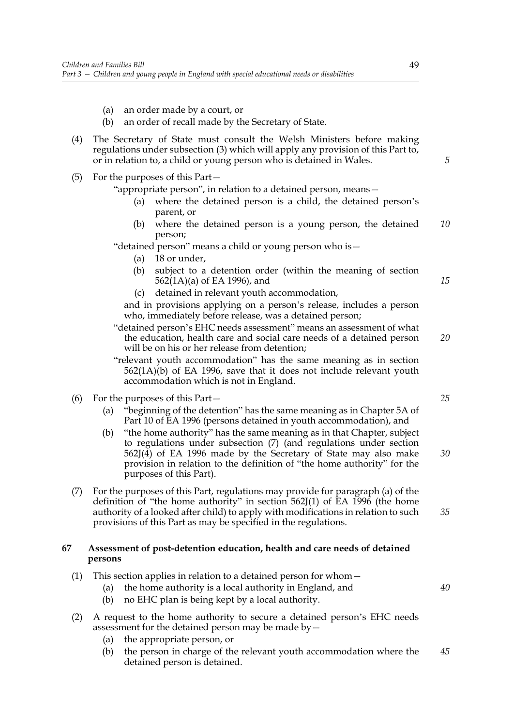- (a) an order made by a court, or
- (b) an order of recall made by the Secretary of State.
- (4) The Secretary of State must consult the Welsh Ministers before making regulations under subsection (3) which will apply any provision of this Part to, or in relation to, a child or young person who is detained in Wales.
- (5) For the purposes of this Part—

"appropriate person", in relation to a detained person, means—

- (a) where the detained person is a child, the detained person's parent, or
- (b) where the detained person is a young person, the detained person; *10*

"detained person" means a child or young person who is—

- (a) 18 or under,
- (b) subject to a detention order (within the meaning of section 562(1A)(a) of EA 1996), and
- (c) detained in relevant youth accommodation,

and in provisions applying on a person's release, includes a person who, immediately before release, was a detained person;

"detained person's EHC needs assessment" means an assessment of what the education, health care and social care needs of a detained person will be on his or her release from detention; *20*

"relevant youth accommodation" has the same meaning as in section 562(1A)(b) of EA 1996, save that it does not include relevant youth accommodation which is not in England.

- (6) For the purposes of this Part—
	- (a) "beginning of the detention" has the same meaning as in Chapter 5A of Part 10 of EA 1996 (persons detained in youth accommodation), and
	- (b) "the home authority" has the same meaning as in that Chapter, subject to regulations under subsection (7) (and regulations under section  $562$ J( $\check{4}$ ) of EA 1996 made by the Secretary of State may also make provision in relation to the definition of "the home authority" for the purposes of this Part).
- (7) For the purposes of this Part, regulations may provide for paragraph (a) of the definition of "the home authority" in section 562J(1) of EA 1996 (the home authority of a looked after child) to apply with modifications in relation to such provisions of this Part as may be specified in the regulations.

#### **67 Assessment of post-detention education, health and care needs of detained persons**

- (1) This section applies in relation to a detained person for whom—
	- (a) the home authority is a local authority in England, and
	- (b) no EHC plan is being kept by a local authority.
- (2) A request to the home authority to secure a detained person's EHC needs assessment for the detained person may be made by  $-$ 
	- (a) the appropriate person, or
	- (b) the person in charge of the relevant youth accommodation where the detained person is detained. *45*

*25*

*15*

*5*

*35*

*40*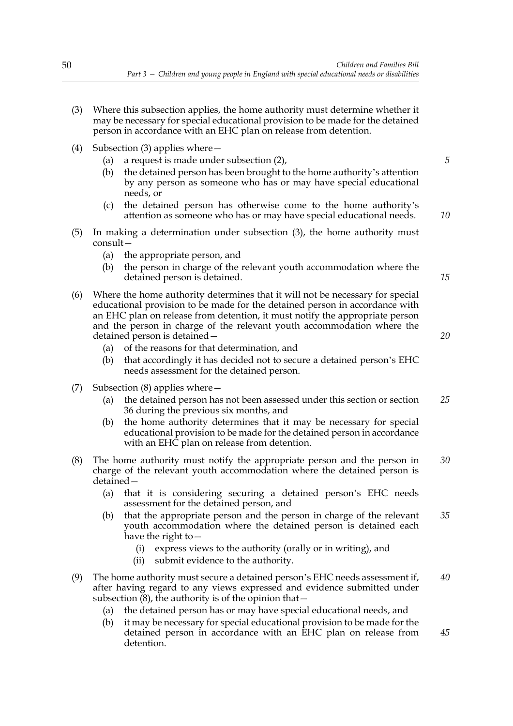- (3) Where this subsection applies, the home authority must determine whether it may be necessary for special educational provision to be made for the detained person in accordance with an EHC plan on release from detention.
- (4) Subsection (3) applies where—
	- (a) a request is made under subsection (2),
	- (b) the detained person has been brought to the home authority's attention by any person as someone who has or may have special educational needs, or
	- (c) the detained person has otherwise come to the home authority's attention as someone who has or may have special educational needs.
- (5) In making a determination under subsection (3), the home authority must consult—
	- (a) the appropriate person, and
	- (b) the person in charge of the relevant youth accommodation where the detained person is detained.
- (6) Where the home authority determines that it will not be necessary for special educational provision to be made for the detained person in accordance with an EHC plan on release from detention, it must notify the appropriate person and the person in charge of the relevant youth accommodation where the detained person is detained—
	- (a) of the reasons for that determination, and
	- (b) that accordingly it has decided not to secure a detained person's EHC needs assessment for the detained person.
- (7) Subsection (8) applies where—
	- (a) the detained person has not been assessed under this section or section 36 during the previous six months, and *25*
	- (b) the home authority determines that it may be necessary for special educational provision to be made for the detained person in accordance with an EHC plan on release from detention.
- (8) The home authority must notify the appropriate person and the person in charge of the relevant youth accommodation where the detained person is detained— *30*
	- (a) that it is considering securing a detained person's EHC needs assessment for the detained person, and
	- (b) that the appropriate person and the person in charge of the relevant youth accommodation where the detained person is detained each have the right to— *35*
		- (i) express views to the authority (orally or in writing), and
		- (ii) submit evidence to the authority.
- (9) The home authority must secure a detained person's EHC needs assessment if, after having regard to any views expressed and evidence submitted under subsection  $(8)$ , the authority is of the opinion that -*40*
	- (a) the detained person has or may have special educational needs, and
	- (b) it may be necessary for special educational provision to be made for the detained person in accordance with an EHC plan on release from detention.

*5*

*10*

*20*

*45*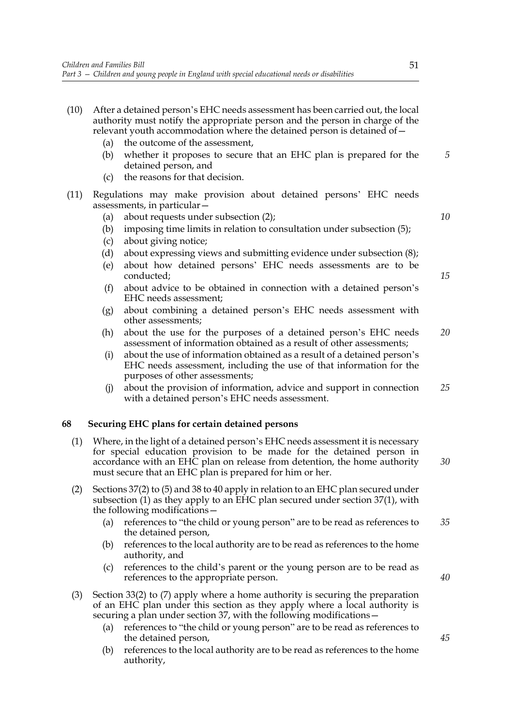- (10) After a detained person's EHC needs assessment has been carried out, the local authority must notify the appropriate person and the person in charge of the relevant youth accommodation where the detained person is detained of—
	- (a) the outcome of the assessment,
	- (b) whether it proposes to secure that an EHC plan is prepared for the detained person, and
	- (c) the reasons for that decision.
- (11) Regulations may make provision about detained persons' EHC needs assessments, in particular—
	- (a) about requests under subsection (2);
	- (b) imposing time limits in relation to consultation under subsection (5);
	- (c) about giving notice;
	- (d) about expressing views and submitting evidence under subsection (8);
	- (e) about how detained persons' EHC needs assessments are to be conducted;
	- (f) about advice to be obtained in connection with a detained person's EHC needs assessment;
	- (g) about combining a detained person's EHC needs assessment with other assessments;
	- (h) about the use for the purposes of a detained person's EHC needs assessment of information obtained as a result of other assessments; *20*
	- (i) about the use of information obtained as a result of a detained person's EHC needs assessment, including the use of that information for the purposes of other assessments;
	- (j) about the provision of information, advice and support in connection with a detained person's EHC needs assessment. *25*

### **68 Securing EHC plans for certain detained persons**

- (1) Where, in the light of a detained person's EHC needs assessment it is necessary for special education provision to be made for the detained person in accordance with an EHC plan on release from detention, the home authority must secure that an EHC plan is prepared for him or her. *30*
- (2) Sections 37(2) to (5) and 38 to 40 apply in relation to an EHC plan secured under subsection (1) as they apply to an EHC plan secured under section 37(1), with the following modifications—
	- (a) references to "the child or young person" are to be read as references to the detained person, *35*
	- (b) references to the local authority are to be read as references to the home authority, and
	- (c) references to the child's parent or the young person are to be read as references to the appropriate person.
- (3) Section 33(2) to (7) apply where a home authority is securing the preparation of an EHC plan under this section as they apply where a local authority is securing a plan under section 37, with the following modifications—
	- (a) references to "the child or young person" are to be read as references to the detained person,
	- (b) references to the local authority are to be read as references to the home authority,

*10*

*5*

*40*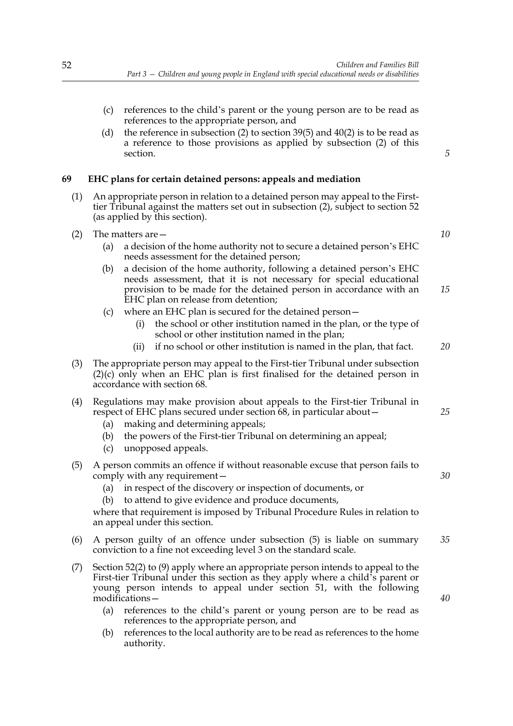- (c) references to the child's parent or the young person are to be read as references to the appropriate person, and
- (d) the reference in subsection (2) to section 39(5) and 40(2) is to be read as a reference to those provisions as applied by subsection (2) of this section.

# **69 EHC plans for certain detained persons: appeals and mediation**

- (1) An appropriate person in relation to a detained person may appeal to the Firsttier Tribunal against the matters set out in subsection (2), subject to section 52 (as applied by this section).
- (2) The matters are—
	- (a) a decision of the home authority not to secure a detained person's EHC needs assessment for the detained person;
	- (b) a decision of the home authority, following a detained person's EHC needs assessment, that it is not necessary for special educational provision to be made for the detained person in accordance with an EHC plan on release from detention; *15*
	- (c) where an EHC plan is secured for the detained person—
		- (i) the school or other institution named in the plan, or the type of school or other institution named in the plan;
		- (ii) if no school or other institution is named in the plan, that fact. *20*
- (3) The appropriate person may appeal to the First-tier Tribunal under subsection  $(2)(c)$  only when an EHC plan is first finalised for the detained person in accordance with section 68.
- (4) Regulations may make provision about appeals to the First-tier Tribunal in respect of EHC plans secured under section 68, in particular about—
	- (a) making and determining appeals;
	- (b) the powers of the First-tier Tribunal on determining an appeal;
	- (c) unopposed appeals.
- (5) A person commits an offence if without reasonable excuse that person fails to comply with any requirement—
	- (a) in respect of the discovery or inspection of documents, or
	- (b) to attend to give evidence and produce documents,

where that requirement is imposed by Tribunal Procedure Rules in relation to an appeal under this section.

- (6) A person guilty of an offence under subsection (5) is liable on summary conviction to a fine not exceeding level 3 on the standard scale. *35*
- (7) Section 52(2) to (9) apply where an appropriate person intends to appeal to the First-tier Tribunal under this section as they apply where a child's parent or young person intends to appeal under section 51, with the following modifications—
	- (a) references to the child's parent or young person are to be read as references to the appropriate person, and
	- (b) references to the local authority are to be read as references to the home authority.

*10*

*5*

*25*

*30*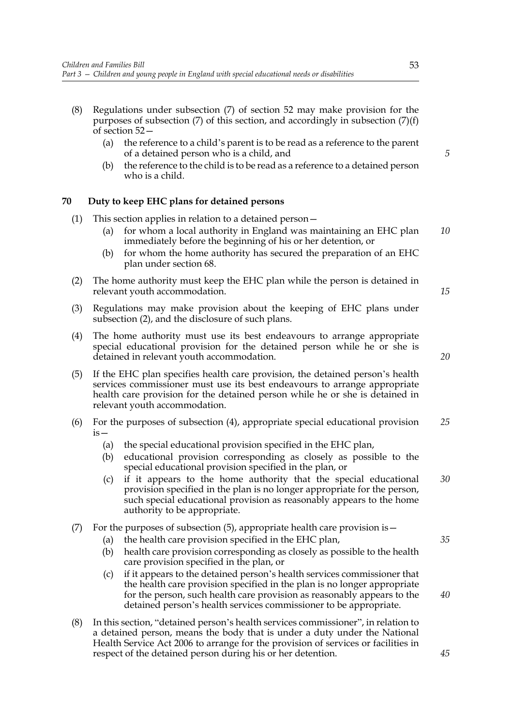- (8) Regulations under subsection (7) of section 52 may make provision for the purposes of subsection (7) of this section, and accordingly in subsection (7)(f) of section 52—
	- (a) the reference to a child's parent is to be read as a reference to the parent of a detained person who is a child, and
	- (b) the reference to the child is to be read as a reference to a detained person who is a child.

### **70 Duty to keep EHC plans for detained persons**

- (1) This section applies in relation to a detained person—
	- (a) for whom a local authority in England was maintaining an EHC plan immediately before the beginning of his or her detention, or *10*
	- (b) for whom the home authority has secured the preparation of an EHC plan under section 68.
- (2) The home authority must keep the EHC plan while the person is detained in relevant youth accommodation.
- (3) Regulations may make provision about the keeping of EHC plans under subsection (2), and the disclosure of such plans.
- (4) The home authority must use its best endeavours to arrange appropriate special educational provision for the detained person while he or she is detained in relevant youth accommodation.
- (5) If the EHC plan specifies health care provision, the detained person's health services commissioner must use its best endeavours to arrange appropriate health care provision for the detained person while he or she is detained in relevant youth accommodation.
- (6) For the purposes of subsection (4), appropriate special educational provision  $is -$ *25*
	- (a) the special educational provision specified in the EHC plan,
	- (b) educational provision corresponding as closely as possible to the special educational provision specified in the plan, or
	- (c) if it appears to the home authority that the special educational provision specified in the plan is no longer appropriate for the person, such special educational provision as reasonably appears to the home authority to be appropriate. *30*
- (7) For the purposes of subsection (5), appropriate health care provision is—
	- (a) the health care provision specified in the EHC plan,
	- (b) health care provision corresponding as closely as possible to the health care provision specified in the plan, or
	- (c) if it appears to the detained person's health services commissioner that the health care provision specified in the plan is no longer appropriate for the person, such health care provision as reasonably appears to the detained person's health services commissioner to be appropriate.
- (8) In this section, "detained person's health services commissioner", in relation to a detained person, means the body that is under a duty under the National Health Service Act 2006 to arrange for the provision of services or facilities in respect of the detained person during his or her detention.

*20*

*15*

*5*

*35*

*40*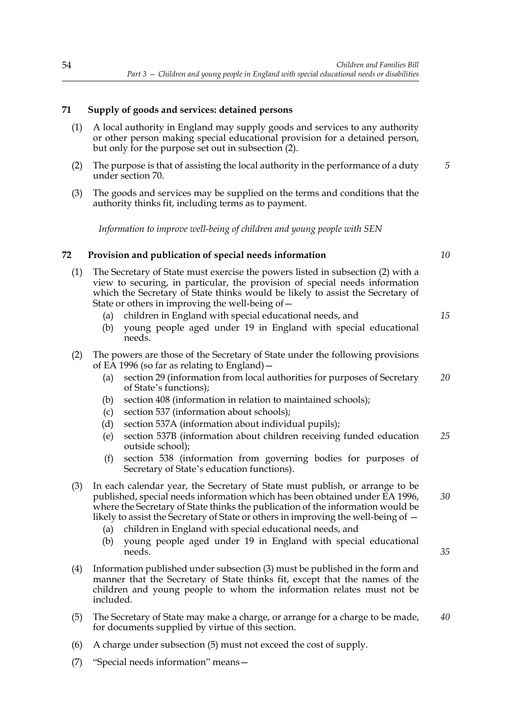# **71 Supply of goods and services: detained persons**

- (1) A local authority in England may supply goods and services to any authority or other person making special educational provision for a detained person, but only for the purpose set out in subsection (2).
- (2) The purpose is that of assisting the local authority in the performance of a duty under section 70. *5*
- (3) The goods and services may be supplied on the terms and conditions that the authority thinks fit, including terms as to payment.

*Information to improve well-being of children and young people with SEN*

#### **72 Provision and publication of special needs information**

- (1) The Secretary of State must exercise the powers listed in subsection (2) with a view to securing, in particular, the provision of special needs information which the Secretary of State thinks would be likely to assist the Secretary of State or others in improving the well-being of—
	- (a) children in England with special educational needs, and
	- (b) young people aged under 19 in England with special educational needs.
- (2) The powers are those of the Secretary of State under the following provisions of EA 1996 (so far as relating to England)  $-$ 
	- (a) section 29 (information from local authorities for purposes of Secretary of State's functions); *20*
	- (b) section 408 (information in relation to maintained schools);
	- (c) section 537 (information about schools);
	- (d) section 537A (information about individual pupils);
	- (e) section 537B (information about children receiving funded education outside school); *25*
	- (f) section 538 (information from governing bodies for purposes of Secretary of State's education functions).
- (3) In each calendar year, the Secretary of State must publish, or arrange to be published, special needs information which has been obtained under EA 1996, where the Secretary of State thinks the publication of the information would be likely to assist the Secretary of State or others in improving the well-being of —
	- (a) children in England with special educational needs, and
	- (b) young people aged under 19 in England with special educational needs.
- (4) Information published under subsection (3) must be published in the form and manner that the Secretary of State thinks fit, except that the names of the children and young people to whom the information relates must not be included.
- (5) The Secretary of State may make a charge, or arrange for a charge to be made, for documents supplied by virtue of this section. *40*
- (6) A charge under subsection (5) must not exceed the cost of supply.
- (7) "Special needs information" means—

*15*

*10*

*30*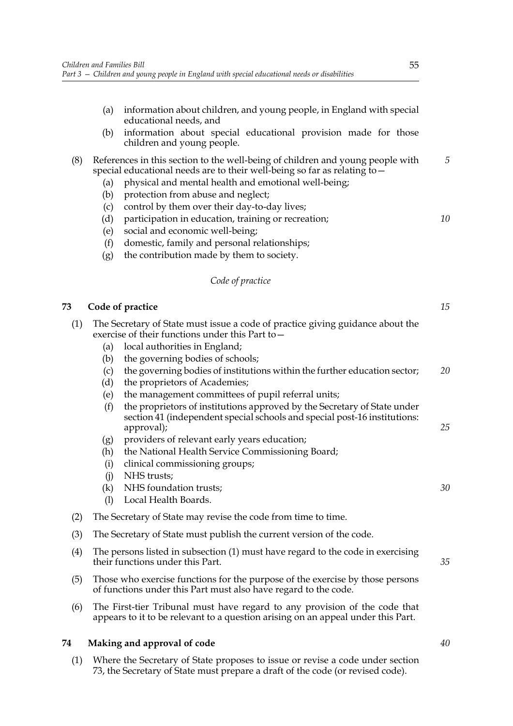- (a) information about children, and young people, in England with special educational needs, and
- (b) information about special educational provision made for those children and young people.
- (8) References in this section to the well-being of children and young people with special educational needs are to their well-being so far as relating to— *5*
	- (a) physical and mental health and emotional well-being;
	- (b) protection from abuse and neglect;
	- (c) control by them over their day-to-day lives;
	- (d) participation in education, training or recreation;
	- (e) social and economic well-being;
	- (f) domestic, family and personal relationships;
	- (g) the contribution made by them to society.

#### *Code of practice*

| 73  |                                                                                                                                                  | Code of practice                                                                                                                                                    | 15 |
|-----|--------------------------------------------------------------------------------------------------------------------------------------------------|---------------------------------------------------------------------------------------------------------------------------------------------------------------------|----|
| (1) |                                                                                                                                                  | The Secretary of State must issue a code of practice giving guidance about the<br>exercise of their functions under this Part to -                                  |    |
|     | (a)                                                                                                                                              | local authorities in England;                                                                                                                                       |    |
|     | (b)                                                                                                                                              | the governing bodies of schools;                                                                                                                                    |    |
|     | (c)                                                                                                                                              | the governing bodies of institutions within the further education sector;                                                                                           | 20 |
|     | (d)                                                                                                                                              | the proprietors of Academies;                                                                                                                                       |    |
|     | (e)                                                                                                                                              | the management committees of pupil referral units;                                                                                                                  |    |
|     | (f)                                                                                                                                              | the proprietors of institutions approved by the Secretary of State under<br>section 41 (independent special schools and special post-16 institutions:<br>approval); | 25 |
|     | (g)                                                                                                                                              | providers of relevant early years education;                                                                                                                        |    |
|     | (h)                                                                                                                                              | the National Health Service Commissioning Board;                                                                                                                    |    |
|     | (i)                                                                                                                                              | clinical commissioning groups;                                                                                                                                      |    |
|     | (j)                                                                                                                                              | NHS trusts;                                                                                                                                                         |    |
|     | (k)                                                                                                                                              | NHS foundation trusts;                                                                                                                                              | 30 |
|     | (1)                                                                                                                                              | Local Health Boards.                                                                                                                                                |    |
| (2) |                                                                                                                                                  | The Secretary of State may revise the code from time to time.                                                                                                       |    |
| (3) |                                                                                                                                                  | The Secretary of State must publish the current version of the code.                                                                                                |    |
| (4) | The persons listed in subsection (1) must have regard to the code in exercising<br>their functions under this Part.                              |                                                                                                                                                                     |    |
| (5) | Those who exercise functions for the purpose of the exercise by those persons<br>of functions under this Part must also have regard to the code. |                                                                                                                                                                     |    |
| (6) |                                                                                                                                                  | The First-tier Tribunal must have regard to any provision of the code that<br>appears to it to be relevant to a question arising on an appeal under this Part.      |    |

### **74 Making and approval of code**

(1) Where the Secretary of State proposes to issue or revise a code under section 73, the Secretary of State must prepare a draft of the code (or revised code).

*10*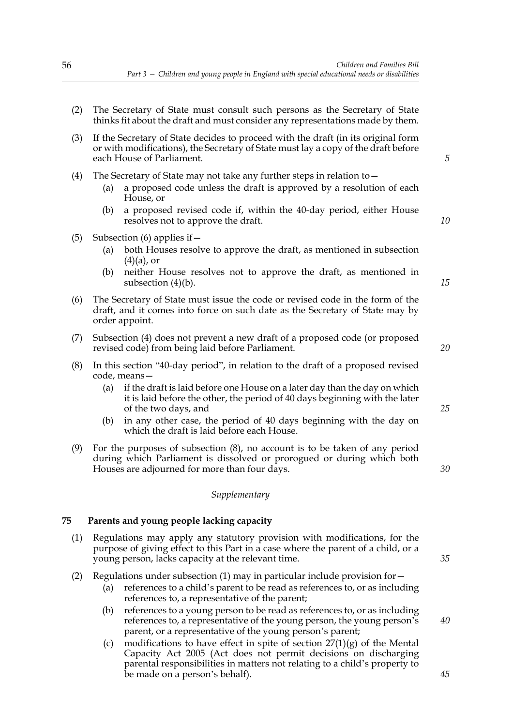- (2) The Secretary of State must consult such persons as the Secretary of State thinks fit about the draft and must consider any representations made by them.
- (3) If the Secretary of State decides to proceed with the draft (in its original form or with modifications), the Secretary of State must lay a copy of the draft before each House of Parliament.
- (4) The Secretary of State may not take any further steps in relation to—
	- (a) a proposed code unless the draft is approved by a resolution of each House, or
	- (b) a proposed revised code if, within the 40-day period, either House resolves not to approve the draft.
- (5) Subsection (6) applies if  $-$ 
	- (a) both Houses resolve to approve the draft, as mentioned in subsection  $(4)(a)$ , or
	- (b) neither House resolves not to approve the draft, as mentioned in subsection (4)(b).
- (6) The Secretary of State must issue the code or revised code in the form of the draft, and it comes into force on such date as the Secretary of State may by order appoint.
- (7) Subsection (4) does not prevent a new draft of a proposed code (or proposed revised code) from being laid before Parliament.
- (8) In this section "40-day period", in relation to the draft of a proposed revised code, means—
	- (a) if the draft is laid before one House on a later day than the day on which it is laid before the other, the period of 40 days beginning with the later of the two days, and
	- (b) in any other case, the period of 40 days beginning with the day on which the draft is laid before each House.
- (9) For the purposes of subsection (8), no account is to be taken of any period during which Parliament is dissolved or prorogued or during which both Houses are adjourned for more than four days.

#### *Supplementary*

#### **75 Parents and young people lacking capacity**

- (1) Regulations may apply any statutory provision with modifications, for the purpose of giving effect to this Part in a case where the parent of a child, or a young person, lacks capacity at the relevant time.
- (2) Regulations under subsection (1) may in particular include provision for  $-$ 
	- (a) references to a child's parent to be read as references to, or as including references to, a representative of the parent;
	- (b) references to a young person to be read as references to, or as including references to, a representative of the young person, the young person's parent, or a representative of the young person's parent;
	- (c) modifications to have effect in spite of section  $27(1)(g)$  of the Mental Capacity Act 2005 (Act does not permit decisions on discharging parental responsibilities in matters not relating to a child's property to be made on a person's behalf).

*15*

*5*

*10*

*25*

*30*

*35*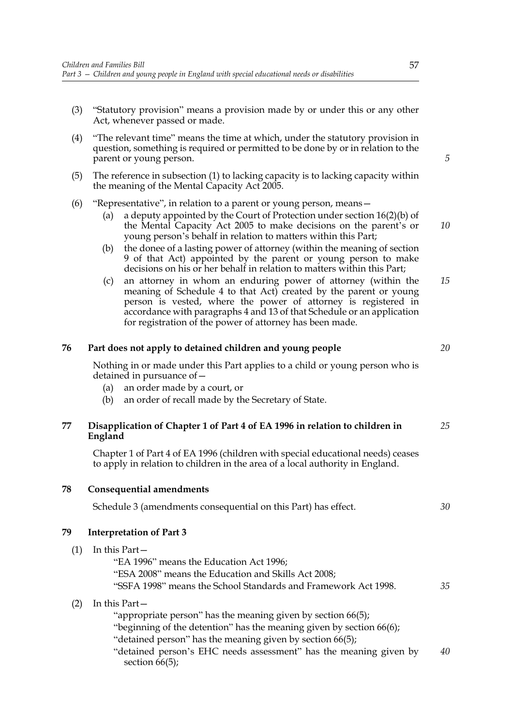- (3) "Statutory provision" means a provision made by or under this or any other Act, whenever passed or made.
- (4) "The relevant time" means the time at which, under the statutory provision in question, something is required or permitted to be done by or in relation to the parent or young person.
- (5) The reference in subsection (1) to lacking capacity is to lacking capacity within the meaning of the Mental Capacity Act 2005.
- (6) "Representative", in relation to a parent or young person, means—
	- (a) a deputy appointed by the Court of Protection under section 16(2)(b) of the Mental Capacity Act 2005 to make decisions on the parent's or young person's behalf in relation to matters within this Part;
	- (b) the donee of a lasting power of attorney (within the meaning of section 9 of that Act) appointed by the parent or young person to make decisions on his or her behalf in relation to matters within this Part;
	- (c) an attorney in whom an enduring power of attorney (within the meaning of Schedule 4 to that Act) created by the parent or young person is vested, where the power of attorney is registered in accordance with paragraphs 4 and 13 of that Schedule or an application for registration of the power of attorney has been made. *15*

| 76  | Part does not apply to detained children and young people                                                                                                                         | 20 |
|-----|-----------------------------------------------------------------------------------------------------------------------------------------------------------------------------------|----|
|     | Nothing in or made under this Part applies to a child or young person who is<br>detained in pursuance of -<br>an order made by a court, or<br>(a)                                 |    |
|     | an order of recall made by the Secretary of State.<br>(b)                                                                                                                         |    |
|     |                                                                                                                                                                                   |    |
| 77  | Disapplication of Chapter 1 of Part 4 of EA 1996 in relation to children in<br>England                                                                                            | 25 |
|     | Chapter 1 of Part 4 of EA 1996 (children with special educational needs) ceases<br>to apply in relation to children in the area of a local authority in England.                  |    |
| 78  | <b>Consequential amendments</b>                                                                                                                                                   |    |
|     | Schedule 3 (amendments consequential on this Part) has effect.                                                                                                                    | 30 |
| 79  | <b>Interpretation of Part 3</b>                                                                                                                                                   |    |
| (1) | In this Part-<br>"EA 1996" means the Education Act 1996;<br>"ESA 2008" means the Education and Skills Act 2008;<br>"SSFA 1998" means the School Standards and Framework Act 1998. | 35 |
| (2) | In this Part-<br>"appropriate person" has the meaning given by section 66(5);<br>"beginning of the detention" has the meaning given by section 66(6);                             |    |

"detained person" has the meaning given by section 66(5);

"detained person's EHC needs assessment" has the meaning given by section 66(5); *40*

*5*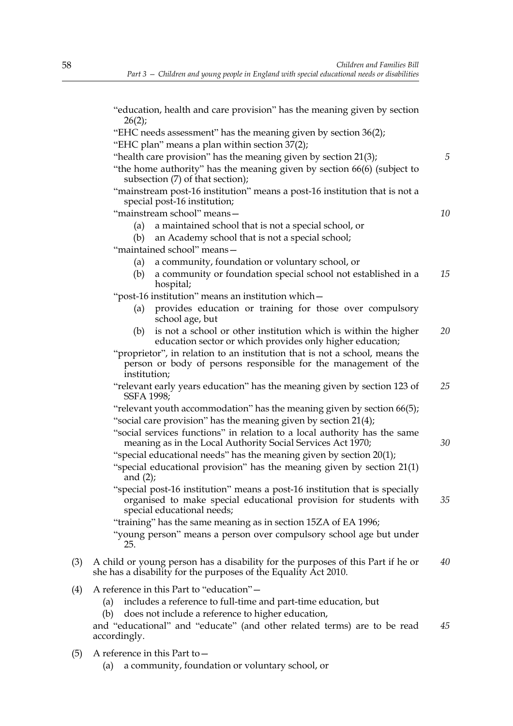|     | "education, health and care provision" has the meaning given by section<br>26(2);                                                                                                                                                                          |    |
|-----|------------------------------------------------------------------------------------------------------------------------------------------------------------------------------------------------------------------------------------------------------------|----|
|     | "EHC needs assessment" has the meaning given by section 36(2);                                                                                                                                                                                             |    |
|     | "EHC plan" means a plan within section 37(2);                                                                                                                                                                                                              | 5  |
|     | "health care provision" has the meaning given by section 21(3);<br>"the home authority" has the meaning given by section 66(6) (subject to<br>subsection (7) of that section);                                                                             |    |
|     | "mainstream post-16 institution" means a post-16 institution that is not a<br>special post-16 institution;                                                                                                                                                 |    |
|     | "mainstream school" means-                                                                                                                                                                                                                                 | 10 |
|     | a maintained school that is not a special school, or<br>(a)<br>an Academy school that is not a special school;<br>(b)                                                                                                                                      |    |
|     | "maintained school" means-                                                                                                                                                                                                                                 |    |
|     | a community, foundation or voluntary school, or<br>(a)                                                                                                                                                                                                     |    |
|     | a community or foundation special school not established in a<br>(b)<br>hospital;                                                                                                                                                                          | 15 |
|     | "post-16 institution" means an institution which-                                                                                                                                                                                                          |    |
|     | provides education or training for those over compulsory<br>(a)<br>school age, but                                                                                                                                                                         |    |
|     | is not a school or other institution which is within the higher<br>(b)<br>education sector or which provides only higher education;                                                                                                                        | 20 |
|     | "proprietor", in relation to an institution that is not a school, means the<br>person or body of persons responsible for the management of the<br>institution;                                                                                             |    |
|     | "relevant early years education" has the meaning given by section 123 of<br><b>SSFA 1998;</b>                                                                                                                                                              | 25 |
|     | "relevant youth accommodation" has the meaning given by section 66(5);                                                                                                                                                                                     |    |
|     | "social care provision" has the meaning given by section 21(4);                                                                                                                                                                                            |    |
|     | "social services functions" in relation to a local authority has the same<br>meaning as in the Local Authority Social Services Act 1970;                                                                                                                   | 30 |
|     | "special educational needs" has the meaning given by section 20(1);                                                                                                                                                                                        |    |
|     | "special educational provision" has the meaning given by section 21(1)<br>and $(2)$ ;                                                                                                                                                                      |    |
|     | "special post-16 institution" means a post-16 institution that is specially<br>organised to make special educational provision for students with<br>special educational needs;                                                                             | 35 |
|     | "training" has the same meaning as in section 15ZA of EA 1996;                                                                                                                                                                                             |    |
|     | "young person" means a person over compulsory school age but under<br>25.                                                                                                                                                                                  |    |
| (3) | A child or young person has a disability for the purposes of this Part if he or<br>she has a disability for the purposes of the Equality Act 2010.                                                                                                         | 40 |
| (4) | A reference in this Part to "education" -<br>includes a reference to full-time and part-time education, but<br>(a)<br>does not include a reference to higher education,<br>(b)<br>and "educational" and "educate" (and other related terms) are to be read | 45 |
|     | accordingly.                                                                                                                                                                                                                                               |    |

- (5) A reference in this Part to—
	- (a) a community, foundation or voluntary school, or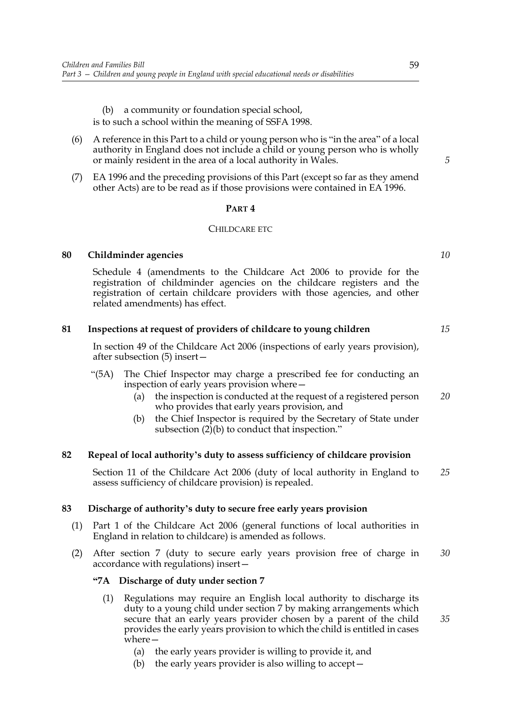(b) a community or foundation special school,

is to such a school within the meaning of SSFA 1998.

- (6) A reference in this Part to a child or young person who is "in the area" of a local authority in England does not include a child or young person who is wholly or mainly resident in the area of a local authority in Wales.
- (7) EA 1996 and the preceding provisions of this Part (except so far as they amend other Acts) are to be read as if those provisions were contained in EA 1996.

#### **PART 4**

#### CHILDCARE ETC

### **80 Childminder agencies**

Schedule 4 (amendments to the Childcare Act 2006 to provide for the registration of childminder agencies on the childcare registers and the registration of certain childcare providers with those agencies, and other related amendments) has effect.

#### **81 Inspections at request of providers of childcare to young children**

In section 49 of the Childcare Act 2006 (inspections of early years provision), after subsection (5) insert—

- "(5A) The Chief Inspector may charge a prescribed fee for conducting an inspection of early years provision where—
	- (a) the inspection is conducted at the request of a registered person who provides that early years provision, and *20*
	- (b) the Chief Inspector is required by the Secretary of State under subsection (2)(b) to conduct that inspection."

### **82 Repeal of local authority's duty to assess sufficiency of childcare provision**

Section 11 of the Childcare Act 2006 (duty of local authority in England to assess sufficiency of childcare provision) is repealed. *25*

### **83 Discharge of authority's duty to secure free early years provision**

- (1) Part 1 of the Childcare Act 2006 (general functions of local authorities in England in relation to childcare) is amended as follows.
- (2) After section 7 (duty to secure early years provision free of charge in accordance with regulations) insert— *30*

# **"7A Discharge of duty under section 7**

- (1) Regulations may require an English local authority to discharge its duty to a young child under section 7 by making arrangements which secure that an early years provider chosen by a parent of the child provides the early years provision to which the child is entitled in cases where—
	- (a) the early years provider is willing to provide it, and
	- (b) the early years provider is also willing to accept—

*10*

*5*

*15*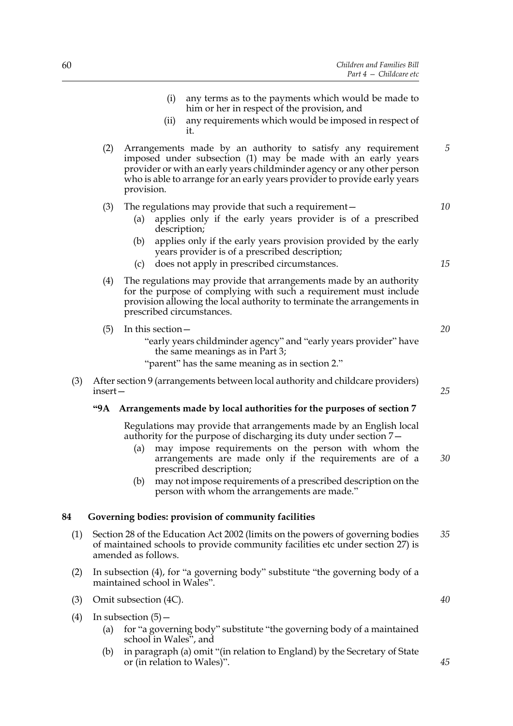- (i) any terms as to the payments which would be made to him or her in respect of the provision, and
- (ii) any requirements which would be imposed in respect of it.
- (2) Arrangements made by an authority to satisfy any requirement imposed under subsection (1) may be made with an early years provider or with an early years childminder agency or any other person who is able to arrange for an early years provider to provide early years provision. *5*

### (3) The regulations may provide that such a requirement—

- (a) applies only if the early years provider is of a prescribed description;
- (b) applies only if the early years provision provided by the early years provider is of a prescribed description;
- (c) does not apply in prescribed circumstances.
- (4) The regulations may provide that arrangements made by an authority for the purpose of complying with such a requirement must include provision allowing the local authority to terminate the arrangements in prescribed circumstances.
- (5) In this section— "early years childminder agency" and "early years provider" have the same meanings as in Part 3; "parent" has the same meaning as in section 2."

(3) After section 9 (arrangements between local authority and childcare providers) insert—

# **"9A Arrangements made by local authorities for the purposes of section 7**

Regulations may provide that arrangements made by an English local authority for the purpose of discharging its duty under section 7—

- (a) may impose requirements on the person with whom the arrangements are made only if the requirements are of a prescribed description;
- (b) may not impose requirements of a prescribed description on the person with whom the arrangements are made."

### **84 Governing bodies: provision of community facilities**

- (1) Section 28 of the Education Act 2002 (limits on the powers of governing bodies of maintained schools to provide community facilities etc under section 27) is amended as follows. *35*
- (2) In subsection (4), for "a governing body" substitute "the governing body of a maintained school in Wales".
- (3) Omit subsection (4C).
- (4) In subsection  $(5)$ 
	- (a) for "a governing body" substitute "the governing body of a maintained school in Wales", and
	- (b) in paragraph (a) omit "(in relation to England) by the Secretary of State or (in relation to Wales)".

*25*

*30*

*20*

*10*

*15*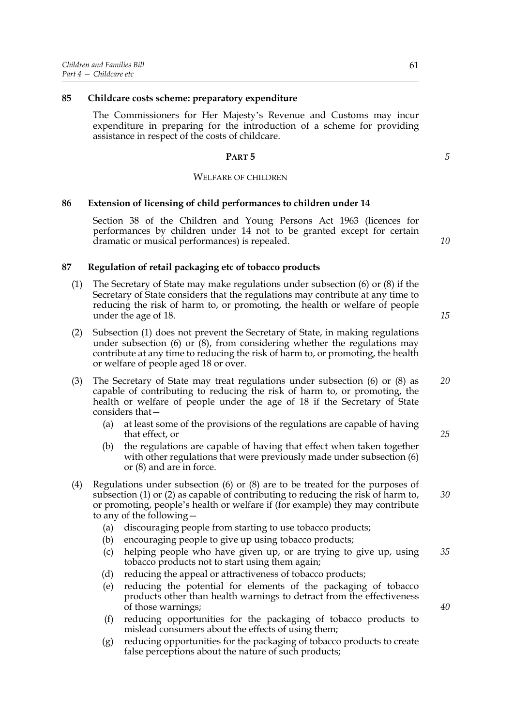#### **85 Childcare costs scheme: preparatory expenditure**

The Commissioners for Her Majesty's Revenue and Customs may incur expenditure in preparing for the introduction of a scheme for providing assistance in respect of the costs of childcare.

#### **PART 5**

#### WELFARE OF CHILDREN

#### **86 Extension of licensing of child performances to children under 14**

Section 38 of the Children and Young Persons Act 1963 (licences for performances by children under 14 not to be granted except for certain dramatic or musical performances) is repealed.

#### **87 Regulation of retail packaging etc of tobacco products**

- (1) The Secretary of State may make regulations under subsection (6) or (8) if the Secretary of State considers that the regulations may contribute at any time to reducing the risk of harm to, or promoting, the health or welfare of people under the age of 18.
- (2) Subsection (1) does not prevent the Secretary of State, in making regulations under subsection (6) or (8), from considering whether the regulations may contribute at any time to reducing the risk of harm to, or promoting, the health or welfare of people aged 18 or over.
- (3) The Secretary of State may treat regulations under subsection (6) or (8) as capable of contributing to reducing the risk of harm to, or promoting, the health or welfare of people under the age of 18 if the Secretary of State considers that—
	- (a) at least some of the provisions of the regulations are capable of having that effect, or
	- (b) the regulations are capable of having that effect when taken together with other regulations that were previously made under subsection  $(6)$ or (8) and are in force.
- (4) Regulations under subsection (6) or (8) are to be treated for the purposes of subsection (1) or (2) as capable of contributing to reducing the risk of harm to, or promoting, people's health or welfare if (for example) they may contribute to any of the following—
	- (a) discouraging people from starting to use tobacco products;
	- (b) encouraging people to give up using tobacco products;
	- (c) helping people who have given up, or are trying to give up, using tobacco products not to start using them again; *35*
	- (d) reducing the appeal or attractiveness of tobacco products;
	- (e) reducing the potential for elements of the packaging of tobacco products other than health warnings to detract from the effectiveness of those warnings;
	- (f) reducing opportunities for the packaging of tobacco products to mislead consumers about the effects of using them;
	- (g) reducing opportunities for the packaging of tobacco products to create false perceptions about the nature of such products;

*10*

*15*

*5*

*25*

*20*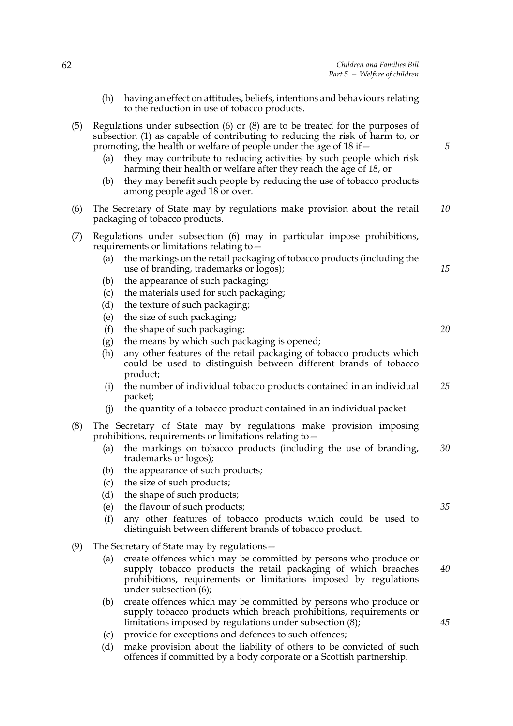|     | (h)                                    | having an effect on attitudes, beliefs, intentions and behaviours relating<br>to the reduction in use of tobacco products.                                                                                                                                                                                                                                                                                                                                                                           |          |
|-----|----------------------------------------|------------------------------------------------------------------------------------------------------------------------------------------------------------------------------------------------------------------------------------------------------------------------------------------------------------------------------------------------------------------------------------------------------------------------------------------------------------------------------------------------------|----------|
| (5) | (a)<br>(b)                             | Regulations under subsection $(6)$ or $(8)$ are to be treated for the purposes of<br>subsection (1) as capable of contributing to reducing the risk of harm to, or<br>promoting, the health or welfare of people under the age of $18$ if $-$<br>they may contribute to reducing activities by such people which risk<br>harming their health or welfare after they reach the age of 18, or<br>they may benefit such people by reducing the use of tobacco products<br>among people aged 18 or over. | 5        |
| (6) |                                        | The Secretary of State may by regulations make provision about the retail<br>packaging of tobacco products.                                                                                                                                                                                                                                                                                                                                                                                          | 10       |
| (7) | (a)<br>(b)<br>(c)<br>(d)               | Regulations under subsection (6) may in particular impose prohibitions,<br>requirements or limitations relating to -<br>the markings on the retail packaging of tobacco products (including the<br>use of branding, trademarks or logos);<br>the appearance of such packaging;<br>the materials used for such packaging;<br>the texture of such packaging;                                                                                                                                           | 15       |
|     | (e)<br>(f)<br>(g)                      | the size of such packaging;<br>the shape of such packaging;<br>the means by which such packaging is opened;                                                                                                                                                                                                                                                                                                                                                                                          | 20       |
|     | (h)                                    | any other features of the retail packaging of tobacco products which<br>could be used to distinguish between different brands of tobacco<br>product;                                                                                                                                                                                                                                                                                                                                                 | 25       |
|     | (i)<br>(i)                             | the number of individual tobacco products contained in an individual<br>packet;<br>the quantity of a tobacco product contained in an individual packet.                                                                                                                                                                                                                                                                                                                                              |          |
| (8) | (a)<br>(b)<br>(c)<br>(d)<br>(e)<br>(f) | The Secretary of State may by regulations make provision imposing<br>prohibitions, requirements or limitations relating to -<br>the markings on tobacco products (including the use of branding,<br>trademarks or logos);<br>the appearance of such products;<br>the size of such products;<br>the shape of such products;<br>the flavour of such products;<br>any other features of tobacco products which could be used to<br>distinguish between different brands of tobacco product.             | 30<br>35 |
| (9) | (a)                                    | The Secretary of State may by regulations -<br>create offences which may be committed by persons who produce or<br>supply tobacco products the retail packaging of which breaches<br>prohibitions, requirements or limitations imposed by regulations<br>under subsection (6);                                                                                                                                                                                                                       | 40       |
|     | (b)<br>(c)                             | create offences which may be committed by persons who produce or<br>supply tobacco products which breach prohibitions, requirements or<br>limitations imposed by regulations under subsection (8);<br>provide for exceptions and defences to such offences;                                                                                                                                                                                                                                          | 45       |

(d) make provision about the liability of others to be convicted of such offences if committed by a body corporate or a Scottish partnership.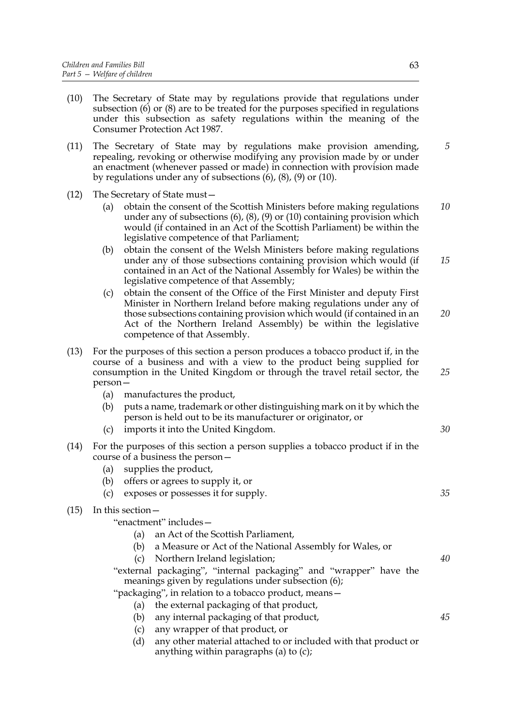- (10) The Secretary of State may by regulations provide that regulations under subsection (6) or (8) are to be treated for the purposes specified in regulations under this subsection as safety regulations within the meaning of the Consumer Protection Act 1987.
- (11) The Secretary of State may by regulations make provision amending, repealing, revoking or otherwise modifying any provision made by or under an enactment (whenever passed or made) in connection with provision made by regulations under any of subsections (6), (8), (9) or (10). *5*
- (12) The Secretary of State must—
	- (a) obtain the consent of the Scottish Ministers before making regulations under any of subsections  $(6)$ ,  $(8)$ ,  $(9)$  or  $(10)$  containing provision which would (if contained in an Act of the Scottish Parliament) be within the legislative competence of that Parliament; *10*
	- (b) obtain the consent of the Welsh Ministers before making regulations under any of those subsections containing provision which would (if contained in an Act of the National Assembly for Wales) be within the legislative competence of that Assembly; *15*
	- (c) obtain the consent of the Office of the First Minister and deputy First Minister in Northern Ireland before making regulations under any of those subsections containing provision which would (if contained in an Act of the Northern Ireland Assembly) be within the legislative competence of that Assembly. *20*
- (13) For the purposes of this section a person produces a tobacco product if, in the course of a business and with a view to the product being supplied for consumption in the United Kingdom or through the travel retail sector, the person—
	- (a) manufactures the product,
	- (b) puts a name, trademark or other distinguishing mark on it by which the person is held out to be its manufacturer or originator, or
	- (c) imports it into the United Kingdom.
- (14) For the purposes of this section a person supplies a tobacco product if in the course of a business the person—
	- (a) supplies the product,
	- (b) offers or agrees to supply it, or
	- (c) exposes or possesses it for supply.
- (15) In this section—

"enactment" includes—

- (a) an Act of the Scottish Parliament,
- (b) a Measure or Act of the National Assembly for Wales, or
- (c) Northern Ireland legislation;

"external packaging", "internal packaging" and "wrapper" have the meanings given by regulations under subsection (6);

"packaging", in relation to a tobacco product, means—

- (a) the external packaging of that product,
- (b) any internal packaging of that product,
- (c) any wrapper of that product, or
- (d) any other material attached to or included with that product or anything within paragraphs (a) to (c);

*35*

*25*

*30*

*40*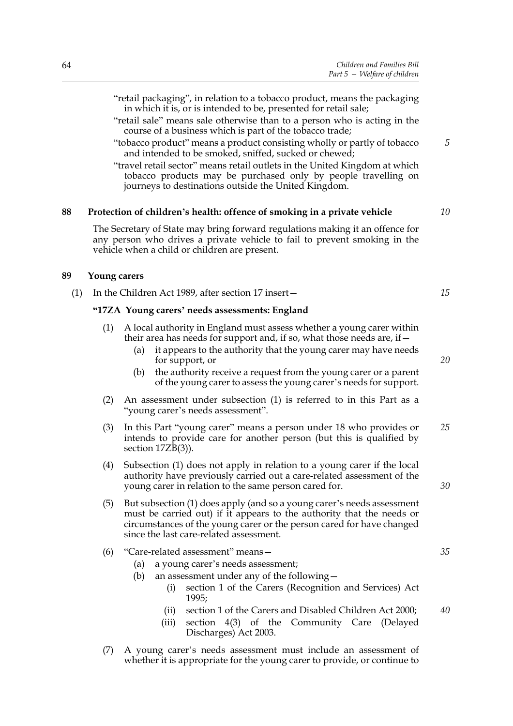|     |                     | "retail packaging", in relation to a tobacco product, means the packaging<br>in which it is, or is intended to be, presented for retail sale;<br>"retail sale" means sale otherwise than to a person who is acting in the<br>course of a business which is part of the tobacco trade;<br>"tobacco product" means a product consisting wholly or partly of tobacco<br>and intended to be smoked, sniffed, sucked or chewed; | 5  |
|-----|---------------------|----------------------------------------------------------------------------------------------------------------------------------------------------------------------------------------------------------------------------------------------------------------------------------------------------------------------------------------------------------------------------------------------------------------------------|----|
|     |                     | "travel retail sector" means retail outlets in the United Kingdom at which<br>tobacco products may be purchased only by people travelling on<br>journeys to destinations outside the United Kingdom.                                                                                                                                                                                                                       |    |
| 88  |                     | Protection of children's health: offence of smoking in a private vehicle                                                                                                                                                                                                                                                                                                                                                   | 10 |
|     |                     | The Secretary of State may bring forward regulations making it an offence for<br>any person who drives a private vehicle to fail to prevent smoking in the<br>vehicle when a child or children are present.                                                                                                                                                                                                                |    |
| 89  | <b>Young carers</b> |                                                                                                                                                                                                                                                                                                                                                                                                                            |    |
| (1) |                     | In the Children Act 1989, after section 17 insert-                                                                                                                                                                                                                                                                                                                                                                         | 15 |
|     |                     | "17ZA Young carers' needs assessments: England                                                                                                                                                                                                                                                                                                                                                                             |    |
|     | (1)                 | A local authority in England must assess whether a young carer within<br>their area has needs for support and, if so, what those needs are, if $-$<br>it appears to the authority that the young carer may have needs<br>(a)<br>for support, or                                                                                                                                                                            | 20 |
|     |                     | the authority receive a request from the young carer or a parent<br>(b)<br>of the young carer to assess the young carer's needs for support.                                                                                                                                                                                                                                                                               |    |
|     | (2)                 | An assessment under subsection (1) is referred to in this Part as a<br>"young carer's needs assessment".                                                                                                                                                                                                                                                                                                                   |    |
|     | (3)                 | In this Part "young carer" means a person under 18 who provides or<br>intends to provide care for another person (but this is qualified by<br>section $17ZB(3)$ ).                                                                                                                                                                                                                                                         | 25 |
|     | (4)                 | Subsection (1) does not apply in relation to a young carer if the local<br>authority have previously carried out a care-related assessment of the<br>young carer in relation to the same person cared for.                                                                                                                                                                                                                 | 30 |
|     | (5)                 | But subsection (1) does apply (and so a young carer's needs assessment<br>must be carried out) if it appears to the authority that the needs or                                                                                                                                                                                                                                                                            |    |

# (6) "Care-related assessment" means—

circumstances of the young carer or the person cared for have changed

(a) a young carer's needs assessment;

since the last care-related assessment.

- (b) an assessment under any of the following—
	- (i) section 1 of the Carers (Recognition and Services) Act 1995;
	- (ii) section 1 of the Carers and Disabled Children Act 2000; *40*
	- (iii) section 4(3) of the Community Care (Delayed Discharges) Act 2003.
- (7) A young carer's needs assessment must include an assessment of whether it is appropriate for the young carer to provide, or continue to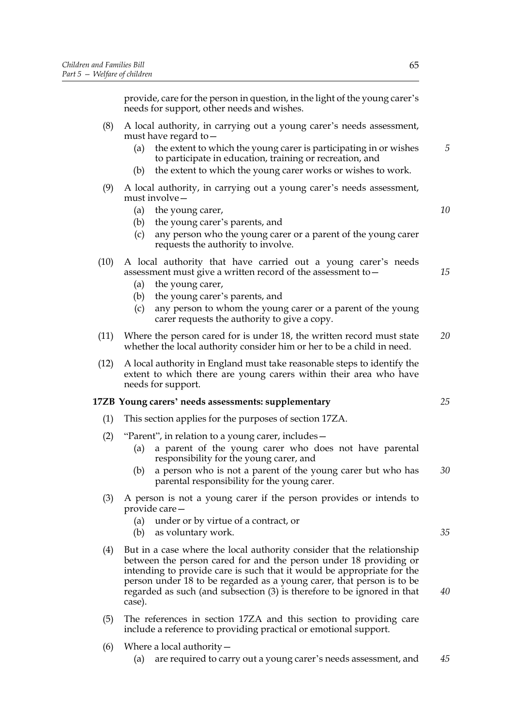provide, care for the person in question, in the light of the young carer's needs for support, other needs and wishes.

- (8) A local authority, in carrying out a young carer's needs assessment, must have regard to—
	- (a) the extent to which the young carer is participating in or wishes to participate in education, training or recreation, and *5*
	- (b) the extent to which the young carer works or wishes to work.
- (9) A local authority, in carrying out a young carer's needs assessment, must involve—
	- (a) the young carer,
	- (b) the young carer's parents, and
	- (c) any person who the young carer or a parent of the young carer requests the authority to involve.
- (10) A local authority that have carried out a young carer's needs assessment must give a written record of the assessment to—
	- (a) the young carer,
	- (b) the young carer's parents, and
	- (c) any person to whom the young carer or a parent of the young carer requests the authority to give a copy.
- (11) Where the person cared for is under 18, the written record must state whether the local authority consider him or her to be a child in need. *20*
- (12) A local authority in England must take reasonable steps to identify the extent to which there are young carers within their area who have needs for support.

### **17ZB Young carers' needs assessments: supplementary**

- (1) This section applies for the purposes of section 17ZA.
- (2) "Parent", in relation to a young carer, includes—
	- (a) a parent of the young carer who does not have parental responsibility for the young carer, and
	- (b) a person who is not a parent of the young carer but who has parental responsibility for the young carer. *30*
- (3) A person is not a young carer if the person provides or intends to provide care—
	- (a) under or by virtue of a contract, or
	- (b) as voluntary work.
- (4) But in a case where the local authority consider that the relationship between the person cared for and the person under 18 providing or intending to provide care is such that it would be appropriate for the person under 18 to be regarded as a young carer, that person is to be regarded as such (and subsection (3) is therefore to be ignored in that case).
- (5) The references in section 17ZA and this section to providing care include a reference to providing practical or emotional support.
- (6) Where a local authority—
	- (a) are required to carry out a young carer's needs assessment, and *45*

*25*

*10*

*15*

*35*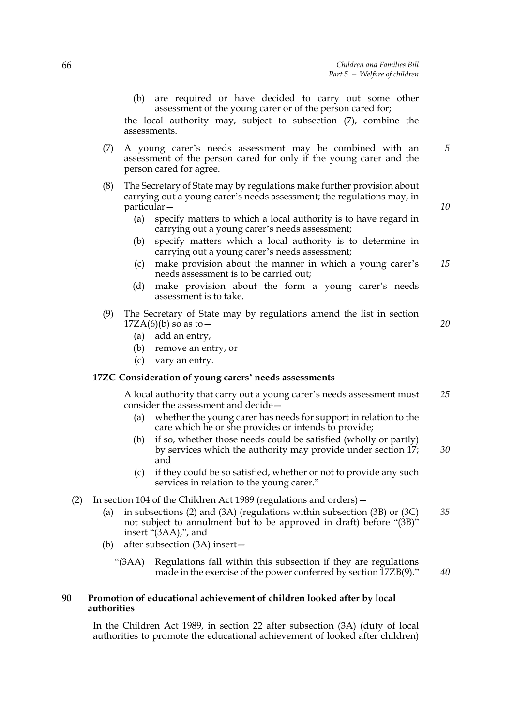the local authority may, subject to subsection (7), combine the assessments.

- (7) A young carer's needs assessment may be combined with an assessment of the person cared for only if the young carer and the person cared for agree.
- (8) The Secretary of State may by regulations make further provision about carrying out a young carer's needs assessment; the regulations may, in particular—
	- (a) specify matters to which a local authority is to have regard in carrying out a young carer's needs assessment;
	- (b) specify matters which a local authority is to determine in carrying out a young carer's needs assessment;
	- (c) make provision about the manner in which a young carer's needs assessment is to be carried out; *15*
	- (d) make provision about the form a young carer's needs assessment is to take.
- (9) The Secretary of State may by regulations amend the list in section  $17ZA(6)(b)$  so as to  $-$ 
	- (a) add an entry,
	- (b) remove an entry, or
	- (c) vary an entry.

### **17ZC Consideration of young carers' needs assessments**

A local authority that carry out a young carer's needs assessment must consider the assessment and decide— *25*

- (a) whether the young carer has needs for support in relation to the care which he or she provides or intends to provide;
- (b) if so, whether those needs could be satisfied (wholly or partly) by services which the authority may provide under section 17; and *30*
- (c) if they could be so satisfied, whether or not to provide any such services in relation to the young carer."
- (2) In section 104 of the Children Act 1989 (regulations and orders)—
	- (a) in subsections (2) and (3A) (regulations within subsection (3B) or (3C) not subject to annulment but to be approved in draft) before "(3B)" insert "(3AA),", and *35*
	- (b) after subsection (3A) insert—
		- "(3AA) Regulations fall within this subsection if they are regulations made in the exercise of the power conferred by section 17ZB(9)."

# **90 Promotion of educational achievement of children looked after by local authorities**

In the Children Act 1989, in section 22 after subsection (3A) (duty of local authorities to promote the educational achievement of looked after children) *10*

*5*

*20*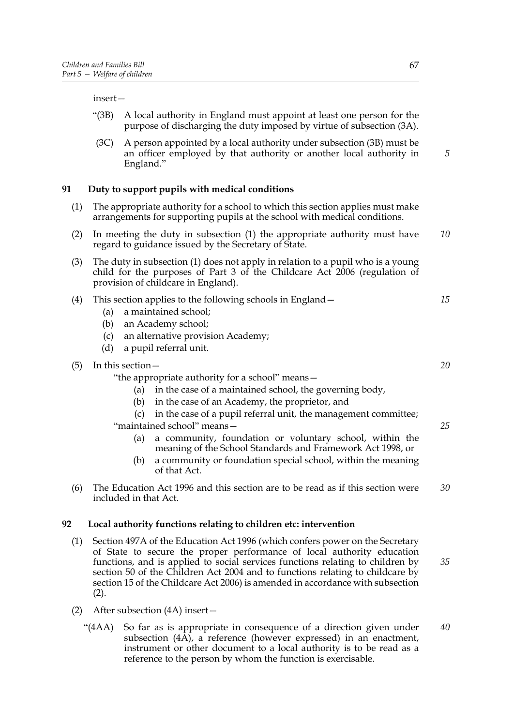insert—

- "(3B) A local authority in England must appoint at least one person for the purpose of discharging the duty imposed by virtue of subsection (3A).
- (3C) A person appointed by a local authority under subsection (3B) must be an officer employed by that authority or another local authority in England."

### **91 Duty to support pupils with medical conditions**

- (1) The appropriate authority for a school to which this section applies must make arrangements for supporting pupils at the school with medical conditions.
- (2) In meeting the duty in subsection (1) the appropriate authority must have regard to guidance issued by the Secretary of State. *10*
- (3) The duty in subsection (1) does not apply in relation to a pupil who is a young child for the purposes of Part 3 of the Childcare Act 2006 (regulation of provision of childcare in England).

| (4) | This section applies to the following schools in England – |                                                                | 15 |
|-----|------------------------------------------------------------|----------------------------------------------------------------|----|
|     | (a)                                                        | a maintained school;                                           |    |
|     | (b)                                                        | an Academy school;                                             |    |
|     | (C)                                                        | an alternative provision Academy;                              |    |
|     | (d)                                                        | a pupil referral unit.                                         |    |
| (5  | In this section -                                          |                                                                | 20 |
|     | "the appropriate authority for a school" means -           |                                                                |    |
|     |                                                            | in the case of a maintained school, the governing body,<br>(a) |    |

- (b) in the case of an Academy, the proprietor, and
- (c) in the case of a pupil referral unit, the management committee; "maintained school" means—
	- (a) a community, foundation or voluntary school, within the meaning of the School Standards and Framework Act 1998, or
	- (b) a community or foundation special school, within the meaning of that Act.
- (6) The Education Act 1996 and this section are to be read as if this section were included in that Act. *30*

### **92 Local authority functions relating to children etc: intervention**

- (1) Section 497A of the Education Act 1996 (which confers power on the Secretary of State to secure the proper performance of local authority education functions, and is applied to social services functions relating to children by section 50 of the Children Act 2004 and to functions relating to childcare by section 15 of the Childcare Act 2006) is amended in accordance with subsection  $(2).$ *35*
- (2) After subsection (4A) insert—
	- "(4AA) So far as is appropriate in consequence of a direction given under subsection (4A), a reference (however expressed) in an enactment, instrument or other document to a local authority is to be read as a reference to the person by whom the function is exercisable. *40*

*5*

*15*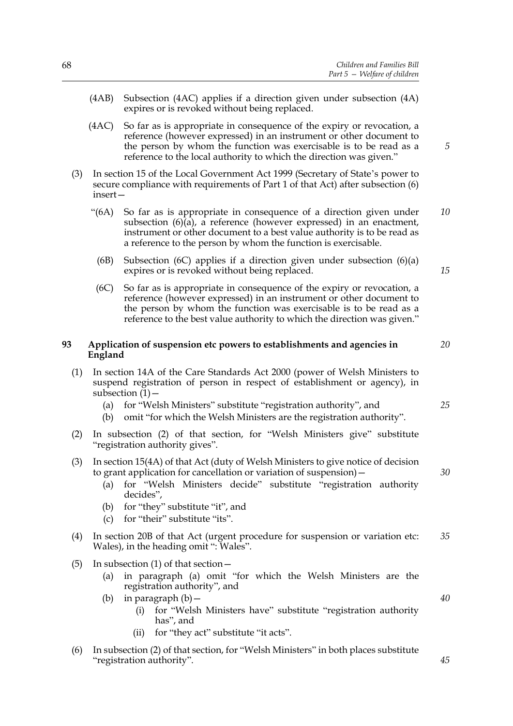- (4AB) Subsection (4AC) applies if a direction given under subsection (4A) expires or is revoked without being replaced.
- (4AC) So far as is appropriate in consequence of the expiry or revocation, a reference (however expressed) in an instrument or other document to the person by whom the function was exercisable is to be read as a reference to the local authority to which the direction was given."
- (3) In section 15 of the Local Government Act 1999 (Secretary of State's power to secure compliance with requirements of Part 1 of that Act) after subsection (6) insert—
	- "(6A) So far as is appropriate in consequence of a direction given under subsection (6)(a), a reference (however expressed) in an enactment, instrument or other document to a best value authority is to be read as a reference to the person by whom the function is exercisable. *10*
		- (6B) Subsection (6C) applies if a direction given under subsection (6)(a) expires or is revoked without being replaced.
	- (6C) So far as is appropriate in consequence of the expiry or revocation, a reference (however expressed) in an instrument or other document to the person by whom the function was exercisable is to be read as a reference to the best value authority to which the direction was given."

### **93 Application of suspension etc powers to establishments and agencies in England**

- (1) In section 14A of the Care Standards Act 2000 (power of Welsh Ministers to suspend registration of person in respect of establishment or agency), in subsection  $(1)$  –
	- (a) for "Welsh Ministers" substitute "registration authority", and
	- (b) omit "for which the Welsh Ministers are the registration authority".
- (2) In subsection (2) of that section, for "Welsh Ministers give" substitute "registration authority gives".
- (3) In section 15(4A) of that Act (duty of Welsh Ministers to give notice of decision to grant application for cancellation or variation of suspension)—
	- (a) for "Welsh Ministers decide" substitute "registration authority decides",
	- (b) for "they" substitute "it", and
	- (c) for "their" substitute "its".
- (4) In section 20B of that Act (urgent procedure for suspension or variation etc: Wales), in the heading omit ": Wales". *35*
- (5) In subsection (1) of that section—
	- (a) in paragraph (a) omit "for which the Welsh Ministers are the registration authority", and
	- (b) in paragraph (b)—
		- (i) for "Welsh Ministers have" substitute "registration authority has", and
		- (ii) for "they act" substitute "it acts".
- (6) In subsection (2) of that section, for "Welsh Ministers" in both places substitute "registration authority".

*40*

*45*

*15*

*20*

*25*

*30*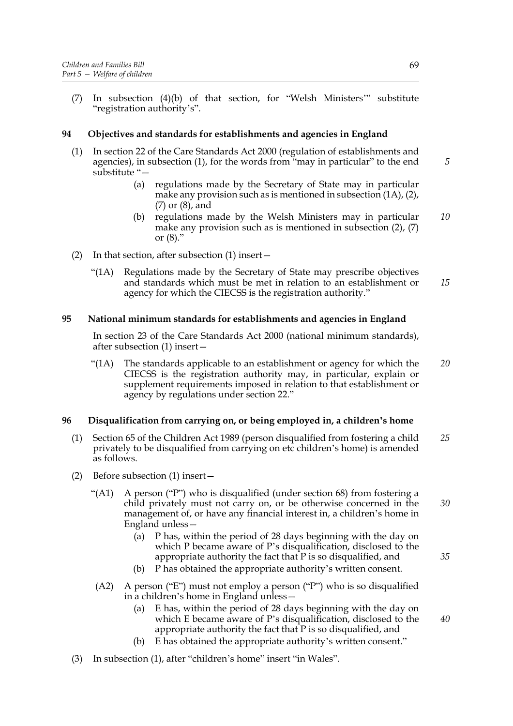(7) In subsection (4)(b) of that section, for "Welsh Ministers'" substitute "registration authority's".

### **94 Objectives and standards for establishments and agencies in England**

- (1) In section 22 of the Care Standards Act 2000 (regulation of establishments and agencies), in subsection (1), for the words from "may in particular" to the end substitute "—
	- (a) regulations made by the Secretary of State may in particular make any provision such as is mentioned in subsection (1A), (2), (7) or (8), and
	- (b) regulations made by the Welsh Ministers may in particular make any provision such as is mentioned in subsection (2), (7) or  $(8)$ ." *10*
- (2) In that section, after subsection (1) insert—
	- "(1A) Regulations made by the Secretary of State may prescribe objectives and standards which must be met in relation to an establishment or agency for which the CIECSS is the registration authority." *15*

### **95 National minimum standards for establishments and agencies in England**

In section 23 of the Care Standards Act 2000 (national minimum standards), after subsection (1) insert—

"(1A) The standards applicable to an establishment or agency for which the CIECSS is the registration authority may, in particular, explain or supplement requirements imposed in relation to that establishment or agency by regulations under section 22." *20*

### **96 Disqualification from carrying on, or being employed in, a children's home**

- (1) Section 65 of the Children Act 1989 (person disqualified from fostering a child privately to be disqualified from carrying on etc children's home) is amended as follows. *25*
- (2) Before subsection (1) insert—
	- "(A1) A person ("P") who is disqualified (under section 68) from fostering a child privately must not carry on, or be otherwise concerned in the management of, or have any financial interest in, a children's home in England unless— *30*
		- (a) P has, within the period of 28 days beginning with the day on which P became aware of P's disqualification, disclosed to the appropriate authority the fact that P is so disqualified, and
		- (b) P has obtained the appropriate authority's written consent.
	- (A2) A person ("E") must not employ a person ("P") who is so disqualified in a children's home in England unless—
		- (a) E has, within the period of 28 days beginning with the day on which E became aware of P's disqualification, disclosed to the appropriate authority the fact that P is so disqualified, and
		- (b) E has obtained the appropriate authority's written consent."
- (3) In subsection (1), after "children's home" insert "in Wales".

*5*

*35*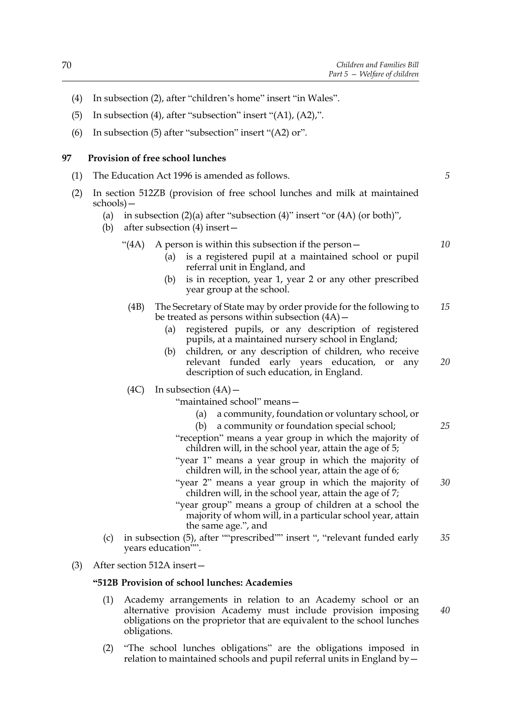- (4) In subsection (2), after "children's home" insert "in Wales".
- (5) In subsection (4), after "subsection" insert "(A1), (A2),".
- (6) In subsection (5) after "subsection" insert "(A2) or".

### **97 Provision of free school lunches**

- (1) The Education Act 1996 is amended as follows.
- (2) In section 512ZB (provision of free school lunches and milk at maintained schools)—
	- (a) in subsection  $(2)(a)$  after "subsection  $(4)$ " insert "or  $(4A)$  (or both)",
	- (b) after subsection (4) insert—
		- "(4A) A person is within this subsection if the person $-$ 
			- (a) is a registered pupil at a maintained school or pupil referral unit in England, and
			- (b) is in reception, year 1, year 2 or any other prescribed year group at the school.
			- (4B) The Secretary of State may by order provide for the following to be treated as persons within subsection (4A)— *15*
				- (a) registered pupils, or any description of registered pupils, at a maintained nursery school in England;
				- (b) children, or any description of children, who receive relevant funded early years education, or any description of such education, in England. *20*
		- $(4C)$  In subsection  $(4A)$  –

"maintained school" means—

- (a) a community, foundation or voluntary school, or
- (b) a community or foundation special school;
- "reception" means a year group in which the majority of children will, in the school year, attain the age of 5;
- "year 1" means a year group in which the majority of children will, in the school year, attain the age of 6;
- "year 2" means a year group in which the majority of children will, in the school year, attain the age of 7; *30*
- "year group" means a group of children at a school the majority of whom will, in a particular school year, attain the same age.", and
- (c) in subsection (5), after ""prescribed"" insert ", "relevant funded early years education"". *35*
- (3) After section 512A insert—

#### **"512B Provision of school lunches: Academies**

- (1) Academy arrangements in relation to an Academy school or an alternative provision Academy must include provision imposing obligations on the proprietor that are equivalent to the school lunches obligations.
- (2) "The school lunches obligations" are the obligations imposed in relation to maintained schools and pupil referral units in England by—

*5*

*10*

*25*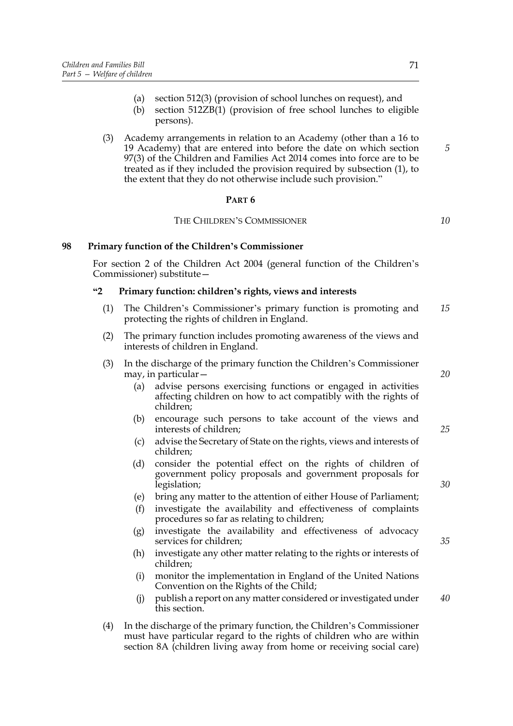- (a) section 512(3) (provision of school lunches on request), and
- (b) section 512ZB(1) (provision of free school lunches to eligible persons).
- (3) Academy arrangements in relation to an Academy (other than a 16 to 19 Academy) that are entered into before the date on which section 97(3) of the Children and Families Act 2014 comes into force are to be treated as if they included the provision required by subsection (1), to the extent that they do not otherwise include such provision."

### **PART 6**

### THE CHILDREN'S COMMISSIONER

### **98 Primary function of the Children's Commissioner**

For section 2 of the Children Act 2004 (general function of the Children's Commissioner) substitute—

### **"2 Primary function: children's rights, views and interests**

- (1) The Children's Commissioner's primary function is promoting and protecting the rights of children in England. *15*
- (2) The primary function includes promoting awareness of the views and interests of children in England.
- (3) In the discharge of the primary function the Children's Commissioner may, in particular—
	- (a) advise persons exercising functions or engaged in activities affecting children on how to act compatibly with the rights of children;
	- (b) encourage such persons to take account of the views and interests of children;
	- (c) advise the Secretary of State on the rights, views and interests of children;
	- (d) consider the potential effect on the rights of children of government policy proposals and government proposals for legislation;
	- (e) bring any matter to the attention of either House of Parliament;
	- (f) investigate the availability and effectiveness of complaints procedures so far as relating to children;
	- (g) investigate the availability and effectiveness of advocacy services for children;
	- (h) investigate any other matter relating to the rights or interests of children;
	- (i) monitor the implementation in England of the United Nations Convention on the Rights of the Child;
	- (j) publish a report on any matter considered or investigated under this section. *40*
- (4) In the discharge of the primary function, the Children's Commissioner must have particular regard to the rights of children who are within section 8A (children living away from home or receiving social care)

*20*

*25*

*30*

*5*

*10*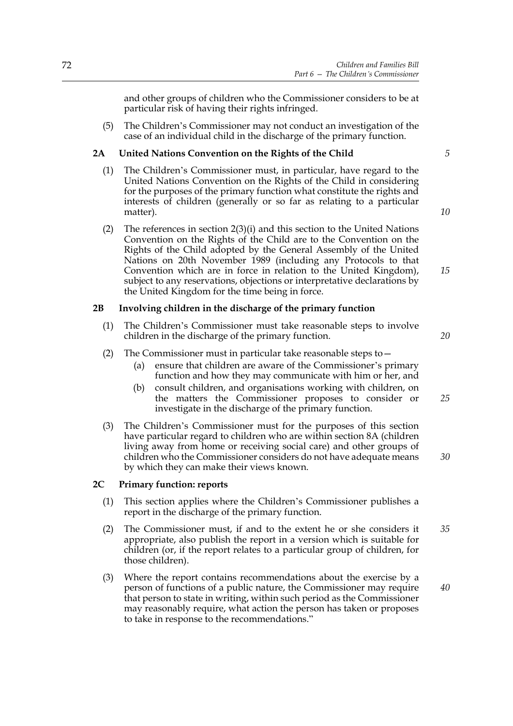and other groups of children who the Commissioner considers to be at particular risk of having their rights infringed.

(5) The Children's Commissioner may not conduct an investigation of the case of an individual child in the discharge of the primary function.

### **2A United Nations Convention on the Rights of the Child**

- (1) The Children's Commissioner must, in particular, have regard to the United Nations Convention on the Rights of the Child in considering for the purposes of the primary function what constitute the rights and interests of children (generally or so far as relating to a particular matter).
- (2) The references in section  $2(3)(i)$  and this section to the United Nations Convention on the Rights of the Child are to the Convention on the Rights of the Child adopted by the General Assembly of the United Nations on 20th November 1989 (including any Protocols to that Convention which are in force in relation to the United Kingdom), subject to any reservations, objections or interpretative declarations by the United Kingdom for the time being in force.

#### **2B Involving children in the discharge of the primary function**

(1) The Children's Commissioner must take reasonable steps to involve children in the discharge of the primary function.

#### (2) The Commissioner must in particular take reasonable steps to—

- (a) ensure that children are aware of the Commissioner's primary function and how they may communicate with him or her, and
- (b) consult children, and organisations working with children, on the matters the Commissioner proposes to consider or investigate in the discharge of the primary function. *25*
- (3) The Children's Commissioner must for the purposes of this section have particular regard to children who are within section 8A (children living away from home or receiving social care) and other groups of children who the Commissioner considers do not have adequate means by which they can make their views known.

# **2C Primary function: reports**

- (1) This section applies where the Children's Commissioner publishes a report in the discharge of the primary function.
- (2) The Commissioner must, if and to the extent he or she considers it appropriate, also publish the report in a version which is suitable for children (or, if the report relates to a particular group of children, for those children). *35*
- (3) Where the report contains recommendations about the exercise by a person of functions of a public nature, the Commissioner may require that person to state in writing, within such period as the Commissioner may reasonably require, what action the person has taken or proposes to take in response to the recommendations." *40*

*5*

*15*

*10*

*20*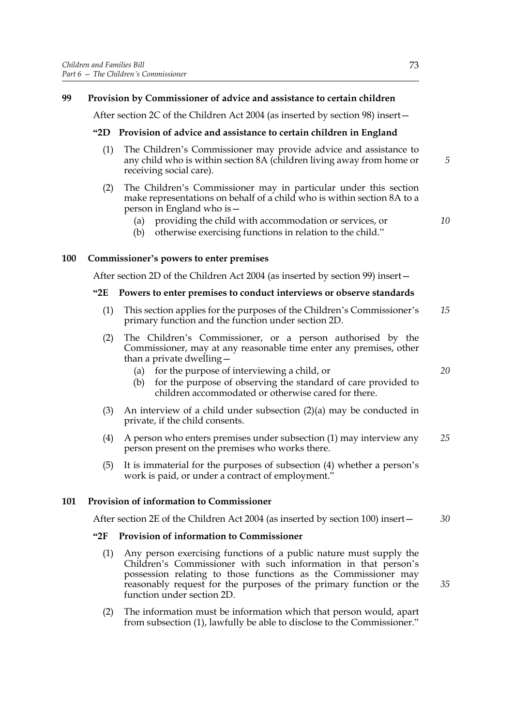### **99 Provision by Commissioner of advice and assistance to certain children**

After section 2C of the Children Act 2004 (as inserted by section 98) insert—

#### **"2D Provision of advice and assistance to certain children in England**

- (1) The Children's Commissioner may provide advice and assistance to any child who is within section 8A (children living away from home or receiving social care).
- (2) The Children's Commissioner may in particular under this section make representations on behalf of a child who is within section 8A to a person in England who is—
	- (a) providing the child with accommodation or services, or

*10*

*5*

(b) otherwise exercising functions in relation to the child."

# **100 Commissioner's powers to enter premises**

After section 2D of the Children Act 2004 (as inserted by section 99) insert—

### **"2E Powers to enter premises to conduct interviews or observe standards**

- (1) This section applies for the purposes of the Children's Commissioner's primary function and the function under section 2D. *15*
- (2) The Children's Commissioner, or a person authorised by the Commissioner, may at any reasonable time enter any premises, other than a private dwelling—
	- (a) for the purpose of interviewing a child, or
	- (b) for the purpose of observing the standard of care provided to children accommodated or otherwise cared for there.
- (3) An interview of a child under subsection (2)(a) may be conducted in private, if the child consents.
- (4) A person who enters premises under subsection (1) may interview any person present on the premises who works there. *25*
- (5) It is immaterial for the purposes of subsection (4) whether a person's work is paid, or under a contract of employment."

#### **101 Provision of information to Commissioner**

After section 2E of the Children Act 2004 (as inserted by section 100) insert— *30*

# **"2F Provision of information to Commissioner**

- (1) Any person exercising functions of a public nature must supply the Children's Commissioner with such information in that person's possession relating to those functions as the Commissioner may reasonably request for the purposes of the primary function or the function under section 2D.
- (2) The information must be information which that person would, apart from subsection (1), lawfully be able to disclose to the Commissioner."

*20*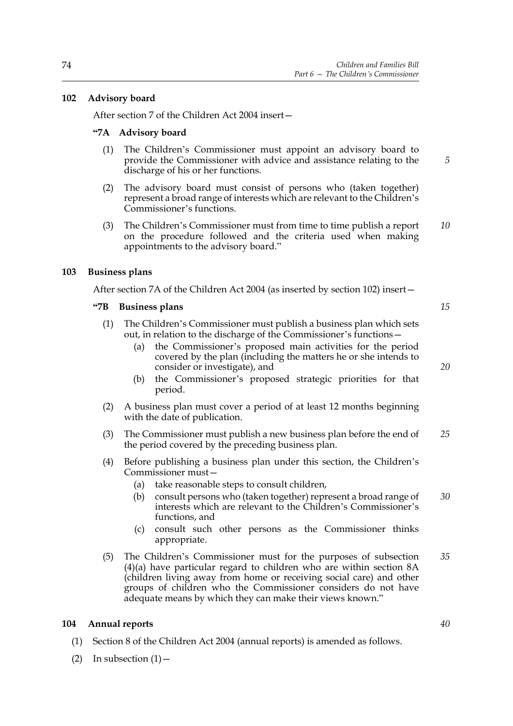### **102 Advisory board**

After section 7 of the Children Act 2004 insert—

#### **"7A Advisory board**

- (1) The Children's Commissioner must appoint an advisory board to provide the Commissioner with advice and assistance relating to the discharge of his or her functions.
- (2) The advisory board must consist of persons who (taken together) represent a broad range of interests which are relevant to the Children's Commissioner's functions.
- (3) The Children's Commissioner must from time to time publish a report on the procedure followed and the criteria used when making appointments to the advisory board." *10*

#### **103 Business plans**

After section 7A of the Children Act 2004 (as inserted by section 102) insert—

### **"7B Business plans**

- (1) The Children's Commissioner must publish a business plan which sets out, in relation to the discharge of the Commissioner's functions—
	- (a) the Commissioner's proposed main activities for the period covered by the plan (including the matters he or she intends to consider or investigate), and
	- (b) the Commissioner's proposed strategic priorities for that period.
- (2) A business plan must cover a period of at least 12 months beginning with the date of publication.
- (3) The Commissioner must publish a new business plan before the end of the period covered by the preceding business plan. *25*
- (4) Before publishing a business plan under this section, the Children's Commissioner must—
	- (a) take reasonable steps to consult children,
	- (b) consult persons who (taken together) represent a broad range of interests which are relevant to the Children's Commissioner's functions, and *30*
	- (c) consult such other persons as the Commissioner thinks appropriate.
- (5) The Children's Commissioner must for the purposes of subsection (4)(a) have particular regard to children who are within section 8A (children living away from home or receiving social care) and other groups of children who the Commissioner considers do not have adequate means by which they can make their views known." *35*

# **104 Annual reports**

- (1) Section 8 of the Children Act 2004 (annual reports) is amended as follows.
- (2) In subsection  $(1)$  –

*15*

*20*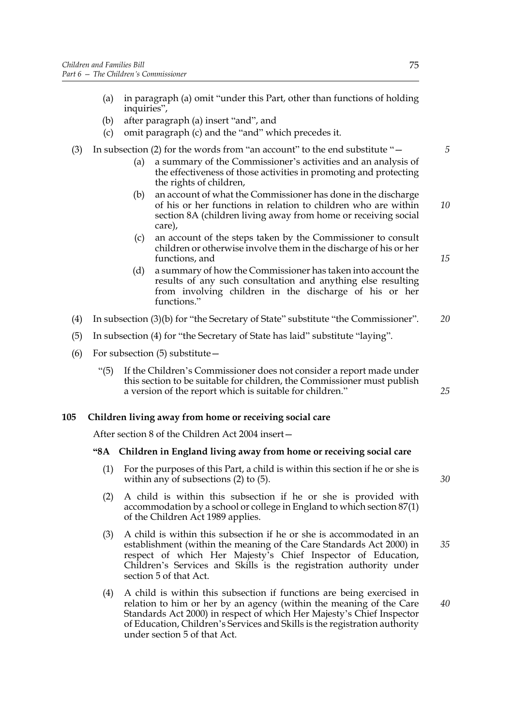- (a) in paragraph (a) omit "under this Part, other than functions of holding inquiries",
- (b) after paragraph (a) insert "and", and
- (c) omit paragraph (c) and the "and" which precedes it.
- (3) In subsection (2) for the words from "an account" to the end substitute "—
	- (a) a summary of the Commissioner's activities and an analysis of the effectiveness of those activities in promoting and protecting the rights of children,
	- (b) an account of what the Commissioner has done in the discharge of his or her functions in relation to children who are within section 8A (children living away from home or receiving social care), *10*
	- (c) an account of the steps taken by the Commissioner to consult children or otherwise involve them in the discharge of his or her functions, and
	- (d) a summary of how the Commissioner has taken into account the results of any such consultation and anything else resulting from involving children in the discharge of his or her functions."
- (4) In subsection (3)(b) for "the Secretary of State" substitute "the Commissioner". *20*
- (5) In subsection (4) for "the Secretary of State has laid" substitute "laying".
- (6) For subsection  $(5)$  substitute  $-$ 
	- "(5) If the Children's Commissioner does not consider a report made under this section to be suitable for children, the Commissioner must publish a version of the report which is suitable for children."

#### **105 Children living away from home or receiving social care**

After section 8 of the Children Act 2004 insert—

#### **"8A Children in England living away from home or receiving social care**

- (1) For the purposes of this Part, a child is within this section if he or she is within any of subsections (2) to (5).
- (2) A child is within this subsection if he or she is provided with accommodation by a school or college in England to which section 87(1) of the Children Act 1989 applies.
- (3) A child is within this subsection if he or she is accommodated in an establishment (within the meaning of the Care Standards Act 2000) in respect of which Her Majesty's Chief Inspector of Education, Children's Services and Skills is the registration authority under section 5 of that Act. *35*
- (4) A child is within this subsection if functions are being exercised in relation to him or her by an agency (within the meaning of the Care Standards Act 2000) in respect of which Her Majesty's Chief Inspector of Education, Children's Services and Skills is the registration authority under section 5 of that Act. *40*

*5*

*15*

*30*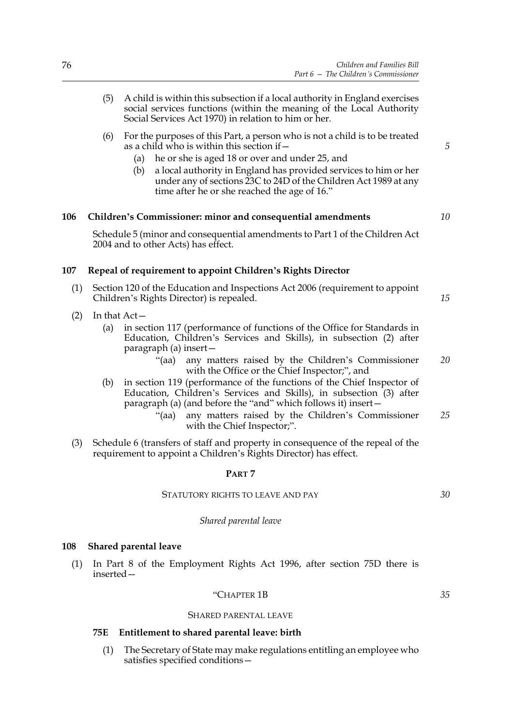- (5) A child is within this subsection if a local authority in England exercises social services functions (within the meaning of the Local Authority Social Services Act 1970) in relation to him or her.
- (6) For the purposes of this Part, a person who is not a child is to be treated as a child who is within this section if—
	- (a) he or she is aged 18 or over and under 25, and
	- (b) a local authority in England has provided services to him or her under any of sections 23C to 24D of the Children Act 1989 at any time after he or she reached the age of 16."

#### **106 Children's Commissioner: minor and consequential amendments**

Schedule 5 (minor and consequential amendments to Part 1 of the Children Act 2004 and to other Acts) has effect.

#### **107 Repeal of requirement to appoint Children's Rights Director**

- (1) Section 120 of the Education and Inspections Act 2006 (requirement to appoint Children's Rights Director) is repealed.
- (2) In that  $Act-$ 
	- (a) in section 117 (performance of functions of the Office for Standards in Education, Children's Services and Skills), in subsection (2) after paragraph (a) insert—
		- "(aa) any matters raised by the Children's Commissioner with the Office or the Chief Inspector;", and *20*
	- (b) in section 119 (performance of the functions of the Chief Inspector of Education, Children's Services and Skills), in subsection (3) after paragraph (a) (and before the "and" which follows it) insert—
		- "(aa) any matters raised by the Children's Commissioner with the Chief Inspector;". *25*
- (3) Schedule 6 (transfers of staff and property in consequence of the repeal of the requirement to appoint a Children's Rights Director) has effect.

#### **PART 7**

#### STATUTORY RIGHTS TO LEAVE AND PAY

*30*

#### *Shared parental leave*

#### **108 Shared parental leave**

(1) In Part 8 of the Employment Rights Act 1996, after section 75D there is inserted—

#### "CHAPTER 1B

*35*

#### SHARED PARENTAL LEAVE

#### **75E Entitlement to shared parental leave: birth**

(1) The Secretary of State may make regulations entitling an employee who satisfies specified conditions*5*

*10*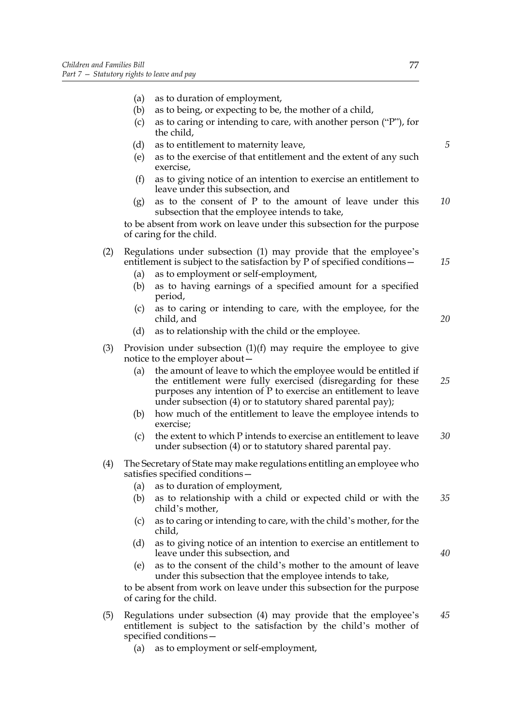- (a) as to duration of employment, (b) as to being, or expecting to be, the mother of a child, (c) as to caring or intending to care, with another person ("P"), for the child, (d) as to entitlement to maternity leave, (e) as to the exercise of that entitlement and the extent of any such exercise, (f) as to giving notice of an intention to exercise an entitlement to leave under this subsection, and (g) as to the consent of P to the amount of leave under this subsection that the employee intends to take, to be absent from work on leave under this subsection for the purpose of caring for the child. (2) Regulations under subsection (1) may provide that the employee's entitlement is subject to the satisfaction by P of specified conditions— (a) as to employment or self-employment, (b) as to having earnings of a specified amount for a specified period, (c) as to caring or intending to care, with the employee, for the child, and (d) as to relationship with the child or the employee. (3) Provision under subsection (1)(f) may require the employee to give notice to the employer about— (a) the amount of leave to which the employee would be entitled if the entitlement were fully exercised (disregarding for these purposes any intention of P to exercise an entitlement to leave under subsection (4) or to statutory shared parental pay); (b) how much of the entitlement to leave the employee intends to exercise; (c) the extent to which P intends to exercise an entitlement to leave under subsection (4) or to statutory shared parental pay. (4) The Secretary of State may make regulations entitling an employee who satisfies specified conditions— (a) as to duration of employment, (b) as to relationship with a child or expected child or with the child's mother, (c) as to caring or intending to care, with the child's mother, for the child, (d) as to giving notice of an intention to exercise an entitlement to leave under this subsection, and (e) as to the consent of the child's mother to the amount of leave under this subsection that the employee intends to take, to be absent from work on leave under this subsection for the purpose of caring for the child. (5) Regulations under subsection (4) may provide that the employee's entitlement is subject to the satisfaction by the child's mother of *5 10 15 20 25 30 35 40 45*
	- specified conditions— (a) as to employment or self-employment,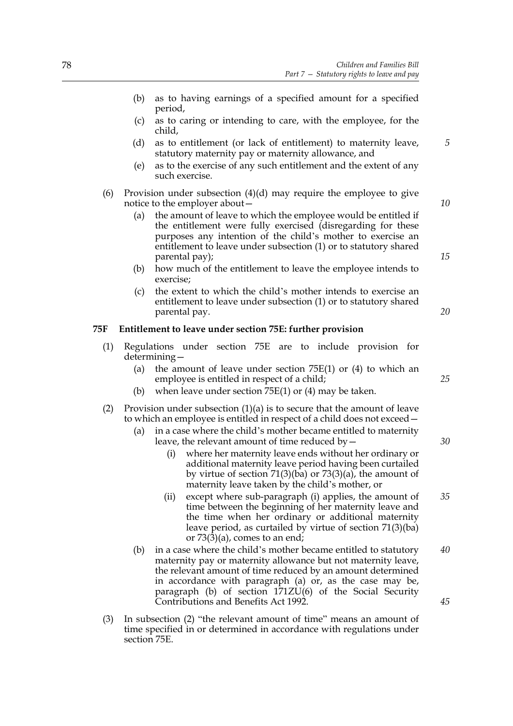- (b) as to having earnings of a specified amount for a specified period,
- (c) as to caring or intending to care, with the employee, for the child,
- (d) as to entitlement (or lack of entitlement) to maternity leave, statutory maternity pay or maternity allowance, and
- (e) as to the exercise of any such entitlement and the extent of any such exercise.
- (6) Provision under subsection (4)(d) may require the employee to give notice to the employer about—
	- (a) the amount of leave to which the employee would be entitled if the entitlement were fully exercised (disregarding for these purposes any intention of the child's mother to exercise an entitlement to leave under subsection (1) or to statutory shared parental pay);
	- (b) how much of the entitlement to leave the employee intends to exercise;
	- (c) the extent to which the child's mother intends to exercise an entitlement to leave under subsection (1) or to statutory shared parental pay.

#### **75F Entitlement to leave under section 75E: further provision**

- (1) Regulations under section 75E are to include provision for determining—
	- (a) the amount of leave under section 75E(1) or (4) to which an employee is entitled in respect of a child;
	- (b) when leave under section 75E(1) or (4) may be taken.
- (2) Provision under subsection  $(1)(a)$  is to secure that the amount of leave to which an employee is entitled in respect of a child does not exceed—
	- (a) in a case where the child's mother became entitled to maternity leave, the relevant amount of time reduced by—
		- (i) where her maternity leave ends without her ordinary or additional maternity leave period having been curtailed by virtue of section  $71(3)(\bar{ba})$  or  $73(3)(\bar{a})$ , the amount of maternity leave taken by the child's mother, or
		- (ii) except where sub-paragraph (i) applies, the amount of time between the beginning of her maternity leave and the time when her ordinary or additional maternity leave period, as curtailed by virtue of section 71(3)(ba) or 73(3)(a), comes to an end; *35*
	- (b) in a case where the child's mother became entitled to statutory maternity pay or maternity allowance but not maternity leave, the relevant amount of time reduced by an amount determined in accordance with paragraph (a) or, as the case may be, paragraph (b) of section  $171ZU(6)$  of the Social Security Contributions and Benefits Act 1992. *40 45*
- (3) In subsection (2) "the relevant amount of time" means an amount of time specified in or determined in accordance with regulations under section 75E.

*10*

*15*

*20*

*5*

*25*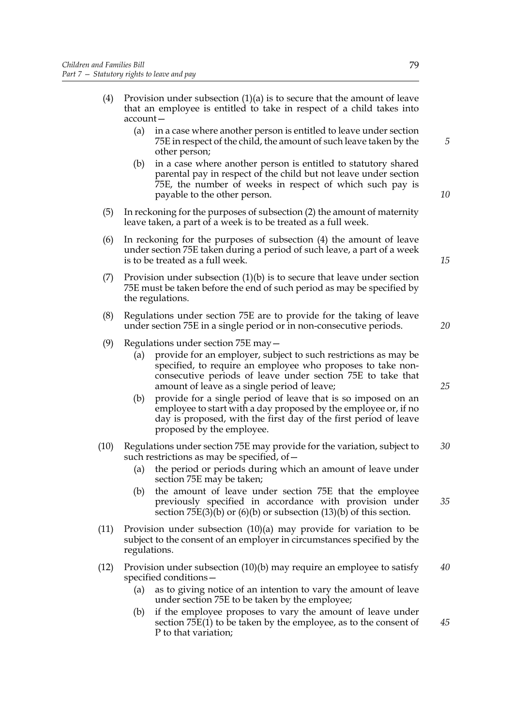- (4) Provision under subsection  $(1)(a)$  is to secure that the amount of leave that an employee is entitled to take in respect of a child takes into account—
	- (a) in a case where another person is entitled to leave under section 75E in respect of the child, the amount of such leave taken by the other person;
	- (b) in a case where another person is entitled to statutory shared parental pay in respect of the child but not leave under section 75E, the number of weeks in respect of which such pay is payable to the other person.
- (5) In reckoning for the purposes of subsection (2) the amount of maternity leave taken, a part of a week is to be treated as a full week.
- (6) In reckoning for the purposes of subsection (4) the amount of leave under section 75E taken during a period of such leave, a part of a week is to be treated as a full week.
- (7) Provision under subsection (1)(b) is to secure that leave under section 75E must be taken before the end of such period as may be specified by the regulations.
- (8) Regulations under section 75E are to provide for the taking of leave under section 75E in a single period or in non-consecutive periods.
- (9) Regulations under section 75E may—
	- (a) provide for an employer, subject to such restrictions as may be specified, to require an employee who proposes to take nonconsecutive periods of leave under section 75E to take that amount of leave as a single period of leave;
	- (b) provide for a single period of leave that is so imposed on an employee to start with a day proposed by the employee or, if no day is proposed, with the first day of the first period of leave proposed by the employee.
- (10) Regulations under section 75E may provide for the variation, subject to such restrictions as may be specified, of -*30*
	- (a) the period or periods during which an amount of leave under section 75E may be taken;
	- (b) the amount of leave under section 75E that the employee previously specified in accordance with provision under section  $75E(3)(b)$  or  $(6)(b)$  or subsection  $(13)(b)$  of this section.
- (11) Provision under subsection (10)(a) may provide for variation to be subject to the consent of an employer in circumstances specified by the regulations.
- (12) Provision under subsection (10)(b) may require an employee to satisfy specified conditions— *40*
	- (a) as to giving notice of an intention to vary the amount of leave under section 75E to be taken by the employee;
	- (b) if the employee proposes to vary the amount of leave under section  $75E(1)$  to be taken by the employee, as to the consent of P to that variation; *45*

*10*

*15*

*25*

*35*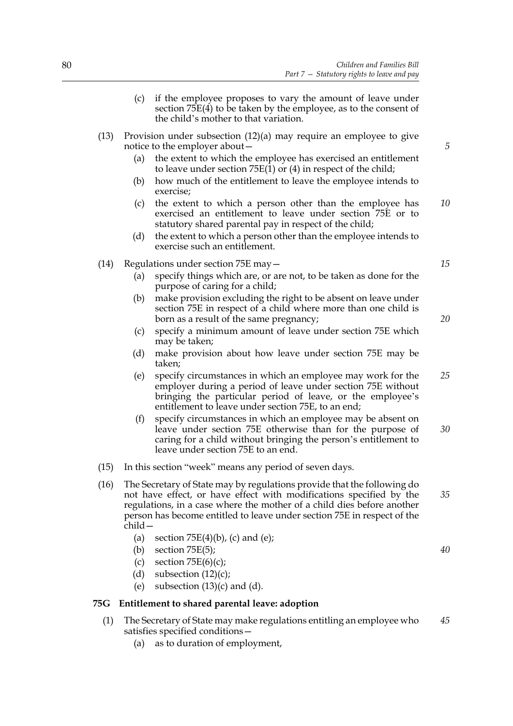- (c) if the employee proposes to vary the amount of leave under section 75E(4) to be taken by the employee, as to the consent of the child's mother to that variation.
- (13) Provision under subsection (12)(a) may require an employee to give notice to the employer about—
	- (a) the extent to which the employee has exercised an entitlement to leave under section 75E(1) or (4) in respect of the child;
	- (b) how much of the entitlement to leave the employee intends to exercise;
	- (c) the extent to which a person other than the employee has exercised an entitlement to leave under section 75E or to statutory shared parental pay in respect of the child; *10*
	- (d) the extent to which a person other than the employee intends to exercise such an entitlement.
- (14) Regulations under section 75E may—
	- (a) specify things which are, or are not, to be taken as done for the purpose of caring for a child;
	- (b) make provision excluding the right to be absent on leave under section 75E in respect of a child where more than one child is born as a result of the same pregnancy;
	- (c) specify a minimum amount of leave under section 75E which may be taken;
	- (d) make provision about how leave under section 75E may be taken;
	- (e) specify circumstances in which an employee may work for the employer during a period of leave under section 75E without bringing the particular period of leave, or the employee's entitlement to leave under section 75E, to an end; *25*
	- (f) specify circumstances in which an employee may be absent on leave under section 75E otherwise than for the purpose of caring for a child without bringing the person's entitlement to leave under section 75E to an end. *30*
- (15) In this section "week" means any period of seven days.
- (16) The Secretary of State may by regulations provide that the following do not have effect, or have effect with modifications specified by the regulations, in a case where the mother of a child dies before another person has become entitled to leave under section 75E in respect of the child— *35*
	- (a) section  $75E(4)(b)$ , (c) and (e);
	- (b) section 75E(5);
	- (c) section  $75E(6)(c)$ ;
	- (d) subsection  $(12)(c)$ ;
	- (e) subsection  $(13)(c)$  and  $(d)$ .

#### **75G Entitlement to shared parental leave: adoption**

- (1) The Secretary of State may make regulations entitling an employee who satisfies specified conditions— *45*
	- (a) as to duration of employment,

*5*

*20*

*15*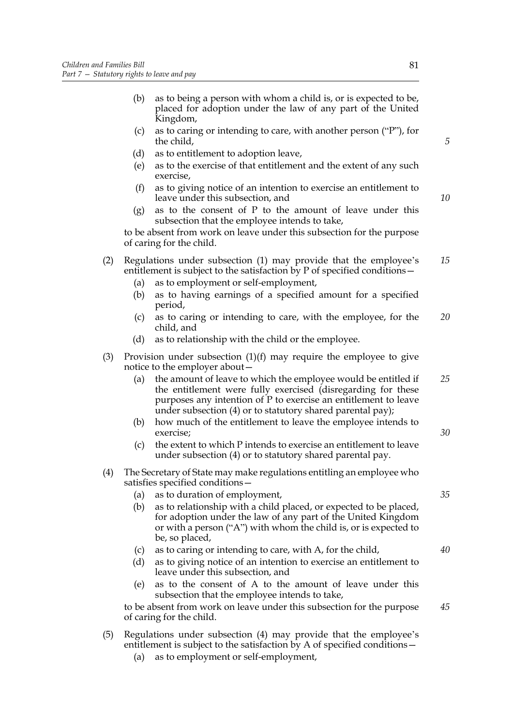- (b) as to being a person with whom a child is, or is expected to be, placed for adoption under the law of any part of the United Kingdom,
- (c) as to caring or intending to care, with another person ("P"), for the child,
- (d) as to entitlement to adoption leave,
- (e) as to the exercise of that entitlement and the extent of any such exercise,
- (f) as to giving notice of an intention to exercise an entitlement to leave under this subsection, and
- (g) as to the consent of P to the amount of leave under this subsection that the employee intends to take,

to be absent from work on leave under this subsection for the purpose of caring for the child.

#### (2) Regulations under subsection (1) may provide that the employee's entitlement is subject to the satisfaction by P of specified conditions— *15*

- (a) as to employment or self-employment,
- (b) as to having earnings of a specified amount for a specified period,
- (c) as to caring or intending to care, with the employee, for the child, and *20*
- (d) as to relationship with the child or the employee.

### (3) Provision under subsection  $(1)(f)$  may require the employee to give notice to the employer about—

- (a) the amount of leave to which the employee would be entitled if the entitlement were fully exercised (disregarding for these purposes any intention of P to exercise an entitlement to leave under subsection (4) or to statutory shared parental pay); *25*
- (b) how much of the entitlement to leave the employee intends to exercise;
- (c) the extent to which P intends to exercise an entitlement to leave under subsection (4) or to statutory shared parental pay.

### (4) The Secretary of State may make regulations entitling an employee who satisfies specified conditions—

- (a) as to duration of employment,
- (b) as to relationship with a child placed, or expected to be placed, for adoption under the law of any part of the United Kingdom or with a person ("A") with whom the child is, or is expected to be, so placed,
- (c) as to caring or intending to care, with A, for the child,
- (d) as to giving notice of an intention to exercise an entitlement to leave under this subsection, and
- (e) as to the consent of A to the amount of leave under this subsection that the employee intends to take,

to be absent from work on leave under this subsection for the purpose of caring for the child. *45*

- (5) Regulations under subsection (4) may provide that the employee's entitlement is subject to the satisfaction by A of specified conditions—
	- (a) as to employment or self-employment,

*5*

*10*

*35*

*30*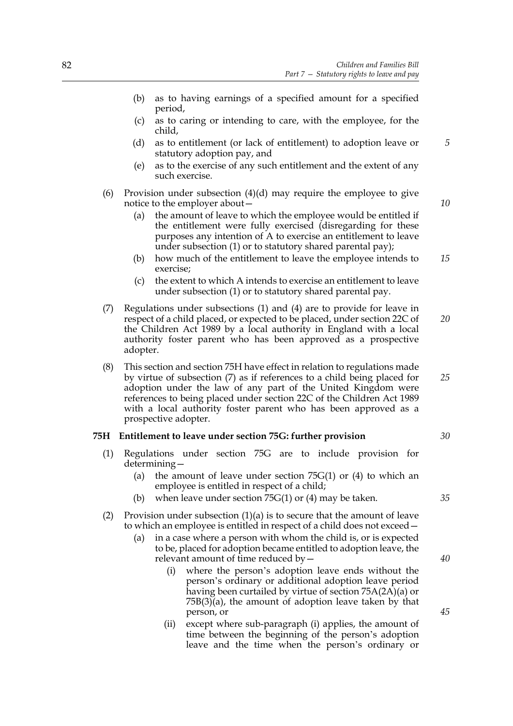- (b) as to having earnings of a specified amount for a specified period,
- (c) as to caring or intending to care, with the employee, for the child,
- (d) as to entitlement (or lack of entitlement) to adoption leave or statutory adoption pay, and
- (e) as to the exercise of any such entitlement and the extent of any such exercise.
- (6) Provision under subsection (4)(d) may require the employee to give notice to the employer about—
	- (a) the amount of leave to which the employee would be entitled if the entitlement were fully exercised (disregarding for these purposes any intention of A to exercise an entitlement to leave under subsection (1) or to statutory shared parental pay);
	- (b) how much of the entitlement to leave the employee intends to exercise; *15*
	- (c) the extent to which A intends to exercise an entitlement to leave under subsection (1) or to statutory shared parental pay.
- (7) Regulations under subsections (1) and (4) are to provide for leave in respect of a child placed, or expected to be placed, under section 22C of the Children Act 1989 by a local authority in England with a local authority foster parent who has been approved as a prospective adopter. *20*
- (8) This section and section 75H have effect in relation to regulations made by virtue of subsection (7) as if references to a child being placed for adoption under the law of any part of the United Kingdom were references to being placed under section 22C of the Children Act 1989 with a local authority foster parent who has been approved as a prospective adopter.

### **75H Entitlement to leave under section 75G: further provision**

- (1) Regulations under section 75G are to include provision for determining—
	- (a) the amount of leave under section  $75G(1)$  or  $(4)$  to which an employee is entitled in respect of a child;
	- (b) when leave under section 75G(1) or (4) may be taken.

# (2) Provision under subsection (1)(a) is to secure that the amount of leave to which an employee is entitled in respect of a child does not exceed—

- (a) in a case where a person with whom the child is, or is expected to be, placed for adoption became entitled to adoption leave, the relevant amount of time reduced by—
	- (i) where the person's adoption leave ends without the person's ordinary or additional adoption leave period having been curtailed by virtue of section 75A(2A)(a) or  $75B(3)(a)$ , the amount of adoption leave taken by that person, or
	- (ii) except where sub-paragraph (i) applies, the amount of time between the beginning of the person's adoption leave and the time when the person's ordinary or

*10*

*5*

*25*

*30*

*40*

*35*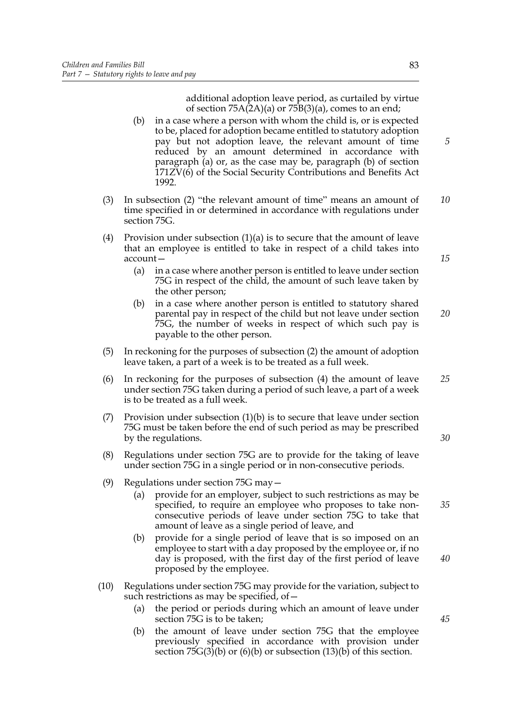additional adoption leave period, as curtailed by virtue of section 75A(2A)(a) or 75B(3)(a), comes to an end;

- (b) in a case where a person with whom the child is, or is expected to be, placed for adoption became entitled to statutory adoption pay but not adoption leave, the relevant amount of time reduced by an amount determined in accordance with paragraph (a) or, as the case may be, paragraph (b) of section 171ZV(6) of the Social Security Contributions and Benefits Act 1992.
- (3) In subsection (2) "the relevant amount of time" means an amount of time specified in or determined in accordance with regulations under section 75G. *10*
- (4) Provision under subsection  $(1)(a)$  is to secure that the amount of leave that an employee is entitled to take in respect of a child takes into account—
	- (a) in a case where another person is entitled to leave under section 75G in respect of the child, the amount of such leave taken by the other person;
	- (b) in a case where another person is entitled to statutory shared parental pay in respect of the child but not leave under section 75G, the number of weeks in respect of which such pay is payable to the other person. *20*
- (5) In reckoning for the purposes of subsection (2) the amount of adoption leave taken, a part of a week is to be treated as a full week.
- (6) In reckoning for the purposes of subsection (4) the amount of leave under section 75G taken during a period of such leave, a part of a week is to be treated as a full week. *25*
- (7) Provision under subsection (1)(b) is to secure that leave under section 75G must be taken before the end of such period as may be prescribed by the regulations.
- (8) Regulations under section 75G are to provide for the taking of leave under section 75G in a single period or in non-consecutive periods.
- (9) Regulations under section 75G may—
	- (a) provide for an employer, subject to such restrictions as may be specified, to require an employee who proposes to take nonconsecutive periods of leave under section 75G to take that amount of leave as a single period of leave, and
	- (b) provide for a single period of leave that is so imposed on an employee to start with a day proposed by the employee or, if no day is proposed, with the first day of the first period of leave proposed by the employee.
- (10) Regulations under section 75G may provide for the variation, subject to such restrictions as may be specified, of—
	- (a) the period or periods during which an amount of leave under section 75G is to be taken;
	- (b) the amount of leave under section 75G that the employee previously specified in accordance with provision under section  $75G(3)(b)$  or  $(6)(b)$  or subsection  $(13)(b)$  of this section.

*5*

*15*

*30*

*35*

*40*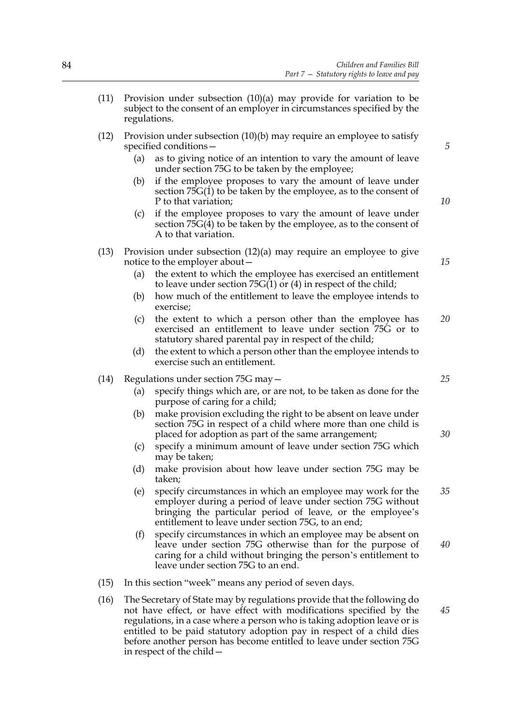- (11) Provision under subsection (10)(a) may provide for variation to be subject to the consent of an employer in circumstances specified by the regulations.
- (12) Provision under subsection (10)(b) may require an employee to satisfy specified conditions—
	- (a) as to giving notice of an intention to vary the amount of leave under section 75G to be taken by the employee;
	- (b) if the employee proposes to vary the amount of leave under section 75G(1) to be taken by the employee, as to the consent of P to that variation;
	- (c) if the employee proposes to vary the amount of leave under section  $75\overline{G(4)}$  to be taken by the employee, as to the consent of A to that variation.
- (13) Provision under subsection (12)(a) may require an employee to give notice to the employer about—
	- (a) the extent to which the employee has exercised an entitlement to leave under section 75G(1) or (4) in respect of the child;
	- (b) how much of the entitlement to leave the employee intends to exercise;
	- (c) the extent to which a person other than the employee has exercised an entitlement to leave under section 75G or to statutory shared parental pay in respect of the child; *20*
	- (d) the extent to which a person other than the employee intends to exercise such an entitlement.
- (14) Regulations under section 75G may—
	- (a) specify things which are, or are not, to be taken as done for the purpose of caring for a child;
	- (b) make provision excluding the right to be absent on leave under section 75G in respect of a child where more than one child is placed for adoption as part of the same arrangement;
	- (c) specify a minimum amount of leave under section 75G which may be taken;
	- (d) make provision about how leave under section 75G may be taken;
	- (e) specify circumstances in which an employee may work for the employer during a period of leave under section 75G without bringing the particular period of leave, or the employee's entitlement to leave under section 75G, to an end; *35*
	- (f) specify circumstances in which an employee may be absent on leave under section 75G otherwise than for the purpose of caring for a child without bringing the person's entitlement to leave under section 75G to an end.
- (15) In this section "week" means any period of seven days.
- (16) The Secretary of State may by regulations provide that the following do not have effect, or have effect with modifications specified by the regulations, in a case where a person who is taking adoption leave or is entitled to be paid statutory adoption pay in respect of a child dies before another person has become entitled to leave under section 75G in respect of the child— *45*

*10*

*5*

*25*

*30*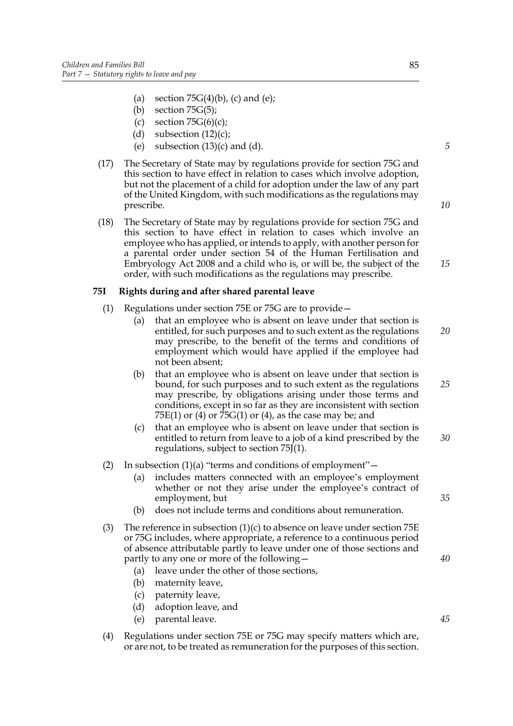- (a) section  $75G(4)(b)$ , (c) and (e);
- (b) section  $75G(5)$ ;
- (c) section  $75G(6)(c)$ ;
- (d) subsection  $(12)(c)$ ;
- (e) subsection  $(13)(c)$  and  $(d)$ .
- (17) The Secretary of State may by regulations provide for section 75G and this section to have effect in relation to cases which involve adoption, but not the placement of a child for adoption under the law of any part of the United Kingdom, with such modifications as the regulations may prescribe.
- (18) The Secretary of State may by regulations provide for section 75G and this section to have effect in relation to cases which involve an employee who has applied, or intends to apply, with another person for a parental order under section 54 of the Human Fertilisation and Embryology Act 2008 and a child who is, or will be, the subject of the order, with such modifications as the regulations may prescribe.

### **75I Rights during and after shared parental leave**

- (1) Regulations under section 75E or 75G are to provide—
	- (a) that an employee who is absent on leave under that section is entitled, for such purposes and to such extent as the regulations may prescribe, to the benefit of the terms and conditions of employment which would have applied if the employee had not been absent; *20*
	- (b) that an employee who is absent on leave under that section is bound, for such purposes and to such extent as the regulations may prescribe, by obligations arising under those terms and conditions, except in so far as they are inconsistent with section  $75E(1)$  or  $(4)$  or  $75G(1)$  or  $(4)$ , as the case may be; and *25*
	- (c) that an employee who is absent on leave under that section is entitled to return from leave to a job of a kind prescribed by the regulations, subject to section  $75(1)$ . *30*
- (2) In subsection  $(1)(a)$  "terms and conditions of employment"  $-$ 
	- (a) includes matters connected with an employee's employment whether or not they arise under the employee's contract of employment, but
	- (b) does not include terms and conditions about remuneration.
- (3) The reference in subsection  $(1)(c)$  to absence on leave under section 75E or 75G includes, where appropriate, a reference to a continuous period of absence attributable partly to leave under one of those sections and partly to any one or more of the following—
	- (a) leave under the other of those sections,
	- (b) maternity leave,
	- (c) paternity leave,
	- (d) adoption leave, and
	- (e) parental leave.
- (4) Regulations under section 75E or 75G may specify matters which are, or are not, to be treated as remuneration for the purposes of this section.

*10*

*5*

*15*

*35*

*40*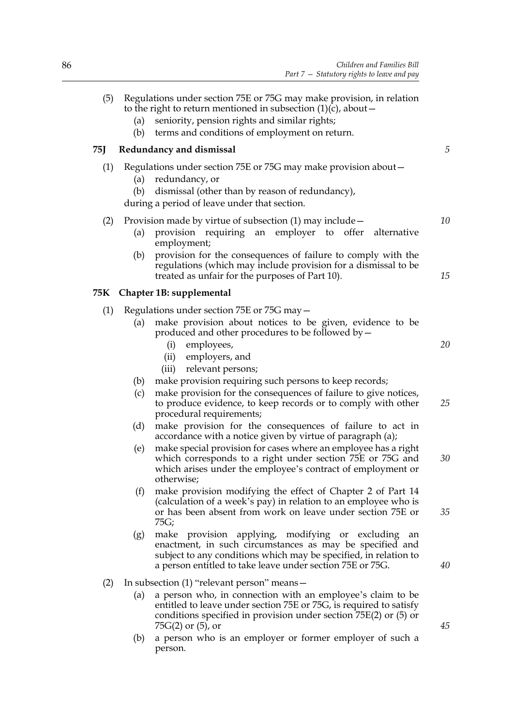| (5) | (a)<br>(b) | Regulations under section 75E or 75G may make provision, in relation<br>to the right to return mentioned in subsection $(1)(c)$ , about –<br>seniority, pension rights and similar rights;<br>terms and conditions of employment on return.                                                                                        |          |  |
|-----|------------|------------------------------------------------------------------------------------------------------------------------------------------------------------------------------------------------------------------------------------------------------------------------------------------------------------------------------------|----------|--|
| 75J |            | Redundancy and dismissal                                                                                                                                                                                                                                                                                                           |          |  |
| (1) | (a)<br>(b) | Regulations under section 75E or 75G may make provision about –<br>redundancy, or<br>dismissal (other than by reason of redundancy),<br>during a period of leave under that section.                                                                                                                                               |          |  |
| (2) | (a)<br>(b) | Provision made by virtue of subsection $(1)$ may include $-$<br>provision requiring an<br>employer to<br>offer<br>alternative<br>employment;<br>provision for the consequences of failure to comply with the<br>regulations (which may include provision for a dismissal to be<br>treated as unfair for the purposes of Part 10).  | 10<br>15 |  |
|     |            | 75K Chapter 1B: supplemental                                                                                                                                                                                                                                                                                                       |          |  |
| (1) | (a)        | Regulations under section 75E or 75G may –<br>make provision about notices to be given, evidence to be<br>produced and other procedures to be followed by –<br>employees,<br>(i)<br>employers, and<br>(ii)<br>relevant persons;<br>(iii)                                                                                           | 20       |  |
|     | (b)<br>(c) | make provision requiring such persons to keep records;<br>make provision for the consequences of failure to give notices,<br>to produce evidence, to keep records or to comply with other<br>procedural requirements;                                                                                                              | 25       |  |
|     | (d)<br>(e) | make provision for the consequences of failure to act in<br>accordance with a notice given by virtue of paragraph (a);<br>make special provision for cases where an employee has a right<br>which corresponds to a right under section 75E or 75G and<br>which arises under the employee's contract of employment or<br>otherwise; | 30       |  |
|     | (f)        | make provision modifying the effect of Chapter 2 of Part 14<br>(calculation of a week's pay) in relation to an employee who is<br>or has been absent from work on leave under section 75E or<br>75G;                                                                                                                               | 35       |  |
|     | (g)        | make provision applying, modifying or excluding<br>an<br>enactment, in such circumstances as may be specified and<br>subject to any conditions which may be specified, in relation to<br>a person entitled to take leave under section 75E or 75G.                                                                                 | 40       |  |
| (2) |            | In subsection (1) "relevant person" means -                                                                                                                                                                                                                                                                                        |          |  |
|     | (a)        | a person who, in connection with an employee's claim to be<br>entitled to leave under section 75E or 75G, is required to satisfy<br>conditions specified in provision under section $75E(2)$ or $(5)$ or<br>$75G(2)$ or $(5)$ , or                                                                                                 | 45       |  |
|     | (b)        | a person who is an employer or former employer of such a<br>person.                                                                                                                                                                                                                                                                |          |  |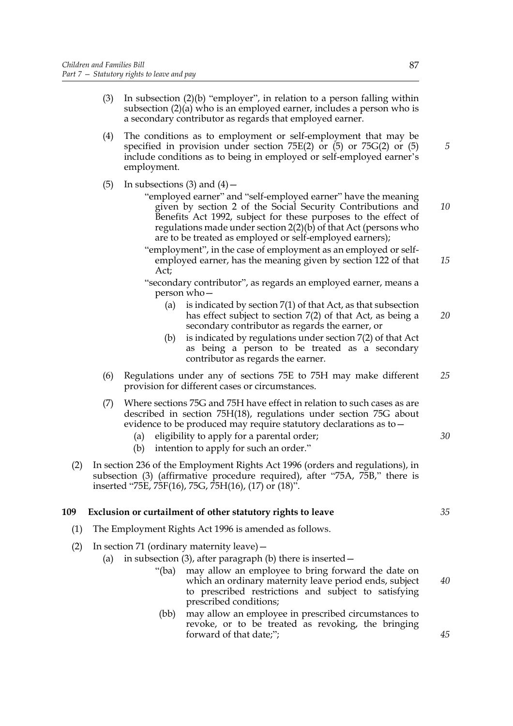- (3) In subsection  $(2)(b)$  "employer", in relation to a person falling within subsection (2)(a) who is an employed earner, includes a person who is a secondary contributor as regards that employed earner.
- (4) The conditions as to employment or self-employment that may be specified in provision under section 75E(2) or (5) or 75G(2) or (5) include conditions as to being in employed or self-employed earner's employment.
- (5) In subsections (3) and  $(4)$  -
	- "employed earner" and "self-employed earner" have the meaning given by section 2 of the Social Security Contributions and Benefits Act 1992, subject for these purposes to the effect of regulations made under section 2(2)(b) of that Act (persons who are to be treated as employed or self-employed earners); *10*
	- "employment", in the case of employment as an employed or selfemployed earner, has the meaning given by section 122 of that  $Act$ *15*
	- "secondary contributor", as regards an employed earner, means a person who—
		- (a) is indicated by section  $7(1)$  of that Act, as that subsection has effect subject to section 7(2) of that Act, as being a secondary contributor as regards the earner, or *20*
		- (b) is indicated by regulations under section 7(2) of that Act as being a person to be treated as a secondary contributor as regards the earner.
- (6) Regulations under any of sections 75E to 75H may make different provision for different cases or circumstances. *25*
- (7) Where sections 75G and 75H have effect in relation to such cases as are described in section 75H(18), regulations under section 75G about evidence to be produced may require statutory declarations as to—
	- (a) eligibility to apply for a parental order;
	- (b) intention to apply for such an order."
- (2) In section 236 of the Employment Rights Act 1996 (orders and regulations), in subsection (3) (affirmative procedure required), after "75A, 75B," there is inserted "75E, 75F(16), 75G, 75H(16), (17) or (18)".

### **109 Exclusion or curtailment of other statutory rights to leave**

- (1) The Employment Rights Act 1996 is amended as follows.
- (2) In section 71 (ordinary maternity leave)—
	- (a) in subsection (3), after paragraph (b) there is inserted—
		- "(ba) may allow an employee to bring forward the date on which an ordinary maternity leave period ends, subject to prescribed restrictions and subject to satisfying prescribed conditions; *40*
		- (bb) may allow an employee in prescribed circumstances to revoke, or to be treated as revoking, the bringing forward of that date;";

*5*

*45*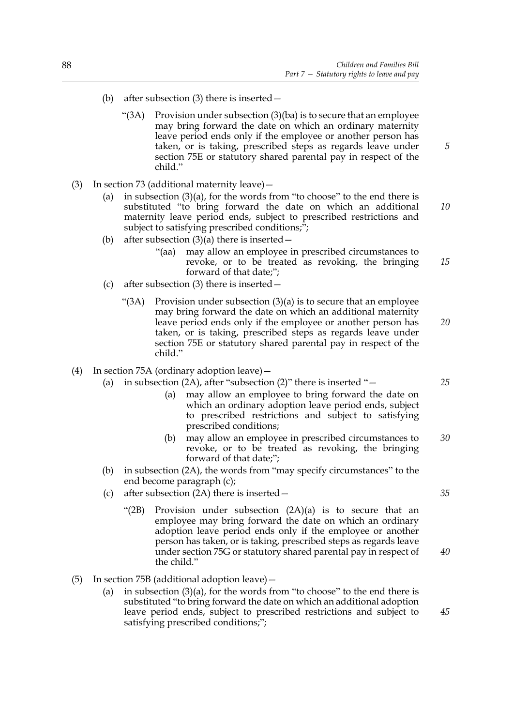- (b) after subsection (3) there is inserted—
	- "(3A) Provision under subsection (3)(ba) is to secure that an employee may bring forward the date on which an ordinary maternity leave period ends only if the employee or another person has taken, or is taking, prescribed steps as regards leave under section 75E or statutory shared parental pay in respect of the child."
- (3) In section 73 (additional maternity leave)—
	- (a) in subsection  $(3)(a)$ , for the words from "to choose" to the end there is substituted "to bring forward the date on which an additional maternity leave period ends, subject to prescribed restrictions and subject to satisfying prescribed conditions;"; *10*
	- (b) after subsection  $(3)(a)$  there is inserted  $-$ 
		- "(aa) may allow an employee in prescribed circumstances to revoke, or to be treated as revoking, the bringing forward of that date;"; *15*
	- (c) after subsection (3) there is inserted—
		- " $(3A)$  Provision under subsection  $(3)(a)$  is to secure that an employee may bring forward the date on which an additional maternity leave period ends only if the employee or another person has taken, or is taking, prescribed steps as regards leave under section 75E or statutory shared parental pay in respect of the child." *20*
- (4) In section 75A (ordinary adoption leave)—
	- (a) in subsection (2A), after "subsection (2)" there is inserted "—
		- (a) may allow an employee to bring forward the date on which an ordinary adoption leave period ends, subject to prescribed restrictions and subject to satisfying prescribed conditions;
		- (b) may allow an employee in prescribed circumstances to revoke, or to be treated as revoking, the bringing forward of that date;"; *30*
	- (b) in subsection (2A), the words from "may specify circumstances" to the end become paragraph (c);
	- (c) after subsection (2A) there is inserted—
		- "(2B) Provision under subsection (2A)(a) is to secure that an employee may bring forward the date on which an ordinary adoption leave period ends only if the employee or another person has taken, or is taking, prescribed steps as regards leave under section 75G or statutory shared parental pay in respect of the child."
- (5) In section 75B (additional adoption leave)—
	- (a) in subsection (3)(a), for the words from "to choose" to the end there is substituted "to bring forward the date on which an additional adoption leave period ends, subject to prescribed restrictions and subject to satisfying prescribed conditions;";

*35*

*40*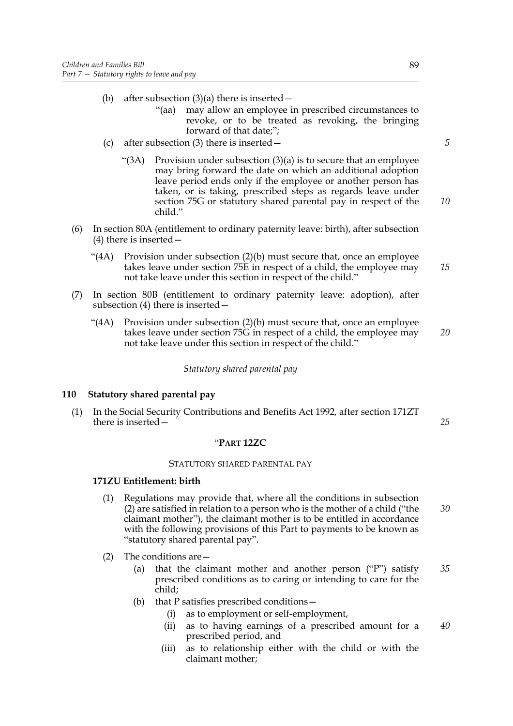- (b) after subsection  $(3)(a)$  there is inserted  $-$ 
	- "(aa) may allow an employee in prescribed circumstances to revoke, or to be treated as revoking, the bringing forward of that date;";
- (c) after subsection (3) there is inserted—
	- "(3A) Provision under subsection (3)(a) is to secure that an employee may bring forward the date on which an additional adoption leave period ends only if the employee or another person has taken, or is taking, prescribed steps as regards leave under section 75G or statutory shared parental pay in respect of the child."
- (6) In section 80A (entitlement to ordinary paternity leave: birth), after subsection (4) there is inserted—
	- "(4A) Provision under subsection (2)(b) must secure that, once an employee takes leave under section 75E in respect of a child, the employee may not take leave under this section in respect of the child."
- (7) In section 80B (entitlement to ordinary paternity leave: adoption), after subsection (4) there is inserted—
	- " $(4A)$  Provision under subsection  $(2)(b)$  must secure that, once an employee takes leave under section 75G in respect of a child, the employee may not take leave under this section in respect of the child."

*Statutory shared parental pay*

### **110 Statutory shared parental pay**

(1) In the Social Security Contributions and Benefits Act 1992, after section 171ZT there is inserted— *25*

#### "**PART 12ZC**

#### STATUTORY SHARED PARENTAL PAY

### **171ZU Entitlement: birth**

- (1) Regulations may provide that, where all the conditions in subsection (2) are satisfied in relation to a person who is the mother of a child ("the claimant mother"), the claimant mother is to be entitled in accordance with the following provisions of this Part to payments to be known as "statutory shared parental pay". *30*
- (2) The conditions are—
	- (a) that the claimant mother and another person ("P") satisfy prescribed conditions as to caring or intending to care for the child; *35*
	- (b) that P satisfies prescribed conditions—
		- (i) as to employment or self-employment,
		- (ii) as to having earnings of a prescribed amount for a prescribed period, and *40*
		- (iii) as to relationship either with the child or with the claimant mother;

*10*

*15*

*5*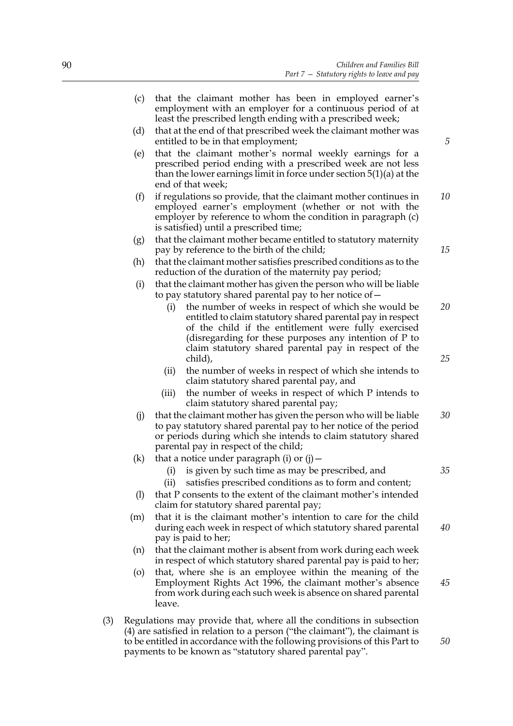|     | (c)<br>(d) | that the claimant mother has been in employed earner's<br>employment with an employer for a continuous period of at<br>least the prescribed length ending with a prescribed week;<br>that at the end of that prescribed week the claimant mother was                                                   |    |
|-----|------------|--------------------------------------------------------------------------------------------------------------------------------------------------------------------------------------------------------------------------------------------------------------------------------------------------------|----|
|     |            | entitled to be in that employment;                                                                                                                                                                                                                                                                     | 5  |
|     | (e)        | that the claimant mother's normal weekly earnings for a<br>prescribed period ending with a prescribed week are not less<br>than the lower earnings limit in force under section $5(1)(a)$ at the<br>end of that week;                                                                                  |    |
|     | (f)        | if regulations so provide, that the claimant mother continues in<br>employed earner's employment (whether or not with the<br>employer by reference to whom the condition in paragraph (c)<br>is satisfied) until a prescribed time;                                                                    | 10 |
|     | (g)        | that the claimant mother became entitled to statutory maternity<br>pay by reference to the birth of the child;                                                                                                                                                                                         | 15 |
|     | (h)        | that the claimant mother satisfies prescribed conditions as to the<br>reduction of the duration of the maternity pay period;                                                                                                                                                                           |    |
|     | (i)        | that the claimant mother has given the person who will be liable<br>to pay statutory shared parental pay to her notice of $-$                                                                                                                                                                          |    |
|     |            | the number of weeks in respect of which she would be<br>(i)<br>entitled to claim statutory shared parental pay in respect<br>of the child if the entitlement were fully exercised<br>(disregarding for these purposes any intention of $P$ to<br>claim statutory shared parental pay in respect of the | 20 |
|     |            | child),<br>(ii)<br>the number of weeks in respect of which she intends to<br>claim statutory shared parental pay, and<br>the number of weeks in respect of which P intends to<br>(iii)<br>claim statutory shared parental pay;                                                                         | 25 |
|     | (j)        | that the claimant mother has given the person who will be liable<br>to pay statutory shared parental pay to her notice of the period<br>or periods during which she intends to claim statutory shared<br>parental pay in respect of the child;                                                         | 30 |
|     | (k)        | that a notice under paragraph (i) or $(i)$ –<br>is given by such time as may be prescribed, and<br>(i)<br>satisfies prescribed conditions as to form and content;<br>(ii)                                                                                                                              | 35 |
|     | (1)        | that P consents to the extent of the claimant mother's intended<br>claim for statutory shared parental pay;                                                                                                                                                                                            |    |
|     | (m)        | that it is the claimant mother's intention to care for the child<br>during each week in respect of which statutory shared parental<br>pay is paid to her;                                                                                                                                              | 40 |
|     | (n)        | that the claimant mother is absent from work during each week<br>in respect of which statutory shared parental pay is paid to her;                                                                                                                                                                     |    |
|     | $\circ$    | that, where she is an employee within the meaning of the<br>Employment Rights Act 1996, the claimant mother's absence<br>from work during each such week is absence on shared parental<br>leave.                                                                                                       | 45 |
| (3) |            | Regulations may provide that, where all the conditions in subsection<br>(4) are satisfied in relation to a person ("the claimant"), the claimant is<br>to be entitled in accordance with the following provisions of this Part to<br>payments to be known as "statutory shared parental pay".          | 50 |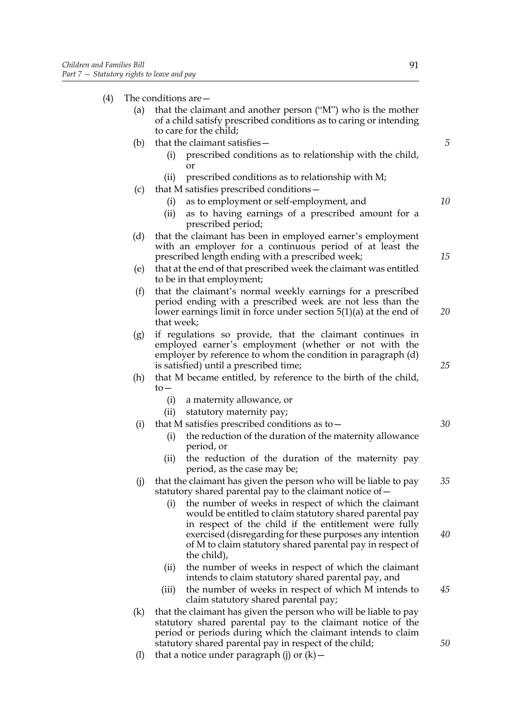# (4) The conditions are—

- (a) that the claimant and another person ("M") who is the mother of a child satisfy prescribed conditions as to caring or intending to care for the child;
- (b) that the claimant satisfies—
	- (i) prescribed conditions as to relationship with the child, or
	- (ii) prescribed conditions as to relationship with M;
- (c) that M satisfies prescribed conditions—
	- (i) as to employment or self-employment, and
	- (ii) as to having earnings of a prescribed amount for a prescribed period;
- (d) that the claimant has been in employed earner's employment with an employer for a continuous period of at least the prescribed length ending with a prescribed week;
- (e) that at the end of that prescribed week the claimant was entitled to be in that employment;
- (f) that the claimant's normal weekly earnings for a prescribed period ending with a prescribed week are not less than the lower earnings limit in force under section 5(1)(a) at the end of that week; *20*
- (g) if regulations so provide, that the claimant continues in employed earner's employment (whether or not with the employer by reference to whom the condition in paragraph (d) is satisfied) until a prescribed time;
- (h) that M became entitled, by reference to the birth of the child, to—
	- (i) a maternity allowance, or
	- (ii) statutory maternity pay;
- (i) that M satisfies prescribed conditions as to—
	- (i) the reduction of the duration of the maternity allowance period, or
	- (ii) the reduction of the duration of the maternity pay period, as the case may be;
- (j) that the claimant has given the person who will be liable to pay statutory shared parental pay to the claimant notice of— *35*
	- (i) the number of weeks in respect of which the claimant would be entitled to claim statutory shared parental pay in respect of the child if the entitlement were fully exercised (disregarding for these purposes any intention of M to claim statutory shared parental pay in respect of the child), *40*
	- (ii) the number of weeks in respect of which the claimant intends to claim statutory shared parental pay, and
	- (iii) the number of weeks in respect of which M intends to claim statutory shared parental pay; *45*
- (k) that the claimant has given the person who will be liable to pay statutory shared parental pay to the claimant notice of the period or periods during which the claimant intends to claim statutory shared parental pay in respect of the child;
- (l) that a notice under paragraph (j) or  $(k)$  –

*5*

*10*

*15*

*25*

*30*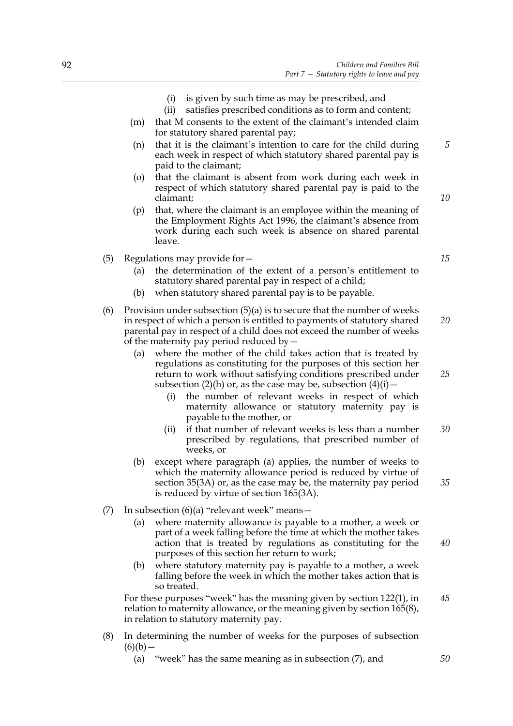- (i) is given by such time as may be prescribed, and
- (ii) satisfies prescribed conditions as to form and content;
- (m) that M consents to the extent of the claimant's intended claim for statutory shared parental pay;
- (n) that it is the claimant's intention to care for the child during each week in respect of which statutory shared parental pay is paid to the claimant;
- (o) that the claimant is absent from work during each week in respect of which statutory shared parental pay is paid to the claimant;
- (p) that, where the claimant is an employee within the meaning of the Employment Rights Act 1996, the claimant's absence from work during each such week is absence on shared parental leave.
- (5) Regulations may provide for—
	- (a) the determination of the extent of a person's entitlement to statutory shared parental pay in respect of a child;
	- (b) when statutory shared parental pay is to be payable.
- (6) Provision under subsection  $(5)(a)$  is to secure that the number of weeks in respect of which a person is entitled to payments of statutory shared parental pay in respect of a child does not exceed the number of weeks of the maternity pay period reduced by— *20*
	- (a) where the mother of the child takes action that is treated by regulations as constituting for the purposes of this section her return to work without satisfying conditions prescribed under subsection (2)(h) or, as the case may be, subsection  $(4)(i)$  —
		- (i) the number of relevant weeks in respect of which maternity allowance or statutory maternity pay is payable to the mother, or
		- (ii) if that number of relevant weeks is less than a number prescribed by regulations, that prescribed number of weeks, or *30*
	- (b) except where paragraph (a) applies, the number of weeks to which the maternity allowance period is reduced by virtue of section 35(3A) or, as the case may be, the maternity pay period is reduced by virtue of section 165(3A).
- (7) In subsection  $(6)(a)$  "relevant week" means  $-$ 
	- (a) where maternity allowance is payable to a mother, a week or part of a week falling before the time at which the mother takes action that is treated by regulations as constituting for the purposes of this section her return to work; *40*
	- (b) where statutory maternity pay is payable to a mother, a week falling before the week in which the mother takes action that is so treated.

For these purposes "week" has the meaning given by section 122(1), in relation to maternity allowance, or the meaning given by section 165(8), in relation to statutory maternity pay. *45*

(8) In determining the number of weeks for the purposes of subsection  $(6)(b)$ 

(a) "week" has the same meaning as in subsection (7), and

*10*

*15*

*5*

*25*

*35*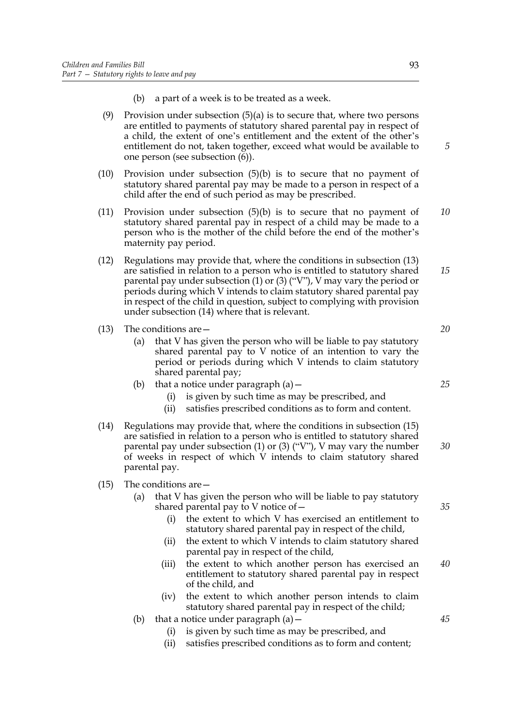- (b) a part of a week is to be treated as a week.
- (9) Provision under subsection  $(5)(a)$  is to secure that, where two persons are entitled to payments of statutory shared parental pay in respect of a child, the extent of one's entitlement and the extent of the other's entitlement do not, taken together, exceed what would be available to one person (see subsection (6)).
- (10) Provision under subsection (5)(b) is to secure that no payment of statutory shared parental pay may be made to a person in respect of a child after the end of such period as may be prescribed.
- (11) Provision under subsection (5)(b) is to secure that no payment of statutory shared parental pay in respect of a child may be made to a person who is the mother of the child before the end of the mother's maternity pay period. *10*
- (12) Regulations may provide that, where the conditions in subsection (13) are satisfied in relation to a person who is entitled to statutory shared parental pay under subsection (1) or (3) ("V"), V may vary the period or periods during which V intends to claim statutory shared parental pay in respect of the child in question, subject to complying with provision under subsection (14) where that is relevant. *15*
- (13) The conditions are—
	- (a) that V has given the person who will be liable to pay statutory shared parental pay to V notice of an intention to vary the period or periods during which V intends to claim statutory shared parental pay;
	- (b) that a notice under paragraph  $(a)$  -
		- (i) is given by such time as may be prescribed, and
		- (ii) satisfies prescribed conditions as to form and content.
- (14) Regulations may provide that, where the conditions in subsection (15) are satisfied in relation to a person who is entitled to statutory shared parental pay under subsection (1) or (3) ("V"), V may vary the number of weeks in respect of which V intends to claim statutory shared parental pay. *30*
- (15) The conditions are—
	- (a) that V has given the person who will be liable to pay statutory shared parental pay to V notice of—
		- (i) the extent to which V has exercised an entitlement to statutory shared parental pay in respect of the child,
		- (ii) the extent to which V intends to claim statutory shared parental pay in respect of the child,
		- (iii) the extent to which another person has exercised an entitlement to statutory shared parental pay in respect of the child, and
		- (iv) the extent to which another person intends to claim statutory shared parental pay in respect of the child;
	- (b) that a notice under paragraph  $(a)$ 
		- (i) is given by such time as may be prescribed, and
		- (ii) satisfies prescribed conditions as to form and content;

*40*

*45*

*25*

*20*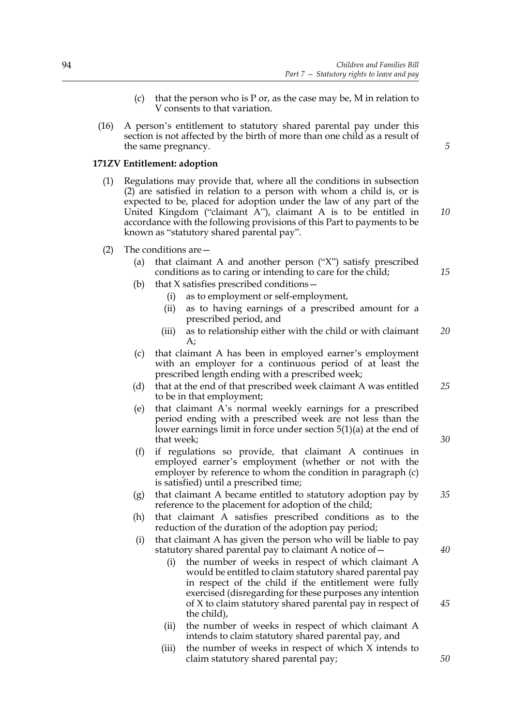- (c) that the person who is P or, as the case may be, M in relation to V consents to that variation.
- (16) A person's entitlement to statutory shared parental pay under this section is not affected by the birth of more than one child as a result of the same pregnancy.

### **171ZV Entitlement: adoption**

- (1) Regulations may provide that, where all the conditions in subsection (2) are satisfied in relation to a person with whom a child is, or is expected to be, placed for adoption under the law of any part of the United Kingdom ("claimant A"), claimant A is to be entitled in accordance with the following provisions of this Part to payments to be known as "statutory shared parental pay".
- (2) The conditions are—
	- (a) that claimant A and another person ("X") satisfy prescribed conditions as to caring or intending to care for the child;
	- (b) that X satisfies prescribed conditions  $-$ 
		- (i) as to employment or self-employment,
		- (ii) as to having earnings of a prescribed amount for a prescribed period, and
		- (iii) as to relationship either with the child or with claimant A; *20*
	- (c) that claimant A has been in employed earner's employment with an employer for a continuous period of at least the prescribed length ending with a prescribed week;
	- (d) that at the end of that prescribed week claimant A was entitled to be in that employment; *25*
	- (e) that claimant A's normal weekly earnings for a prescribed period ending with a prescribed week are not less than the lower earnings limit in force under section 5(1)(a) at the end of that week;
	- (f) if regulations so provide, that claimant A continues in employed earner's employment (whether or not with the employer by reference to whom the condition in paragraph (c) is satisfied) until a prescribed time;
	- (g) that claimant A became entitled to statutory adoption pay by reference to the placement for adoption of the child; *35*
	- (h) that claimant A satisfies prescribed conditions as to the reduction of the duration of the adoption pay period;
	- (i) that claimant A has given the person who will be liable to pay statutory shared parental pay to claimant A notice of—
		- (i) the number of weeks in respect of which claimant A would be entitled to claim statutory shared parental pay in respect of the child if the entitlement were fully exercised (disregarding for these purposes any intention of X to claim statutory shared parental pay in respect of the child),
		- (ii) the number of weeks in respect of which claimant A intends to claim statutory shared parental pay, and
		- (iii) the number of weeks in respect of which X intends to claim statutory shared parental pay;

*5*

*10*

*15*

*30*

*40*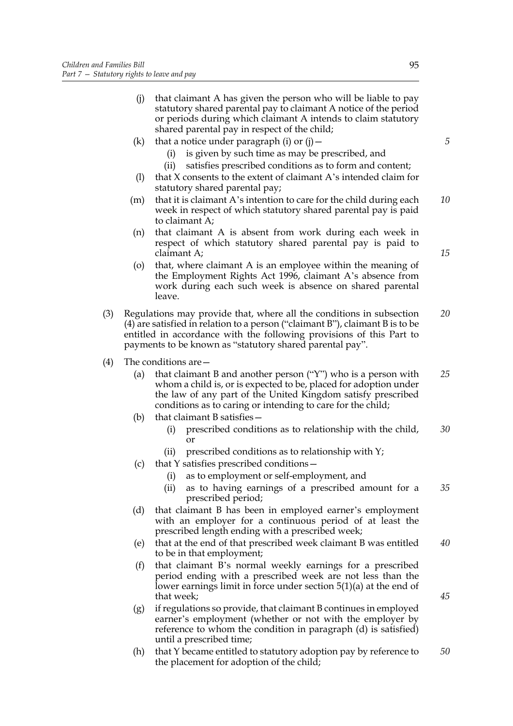- (j) that claimant A has given the person who will be liable to pay statutory shared parental pay to claimant A notice of the period or periods during which claimant A intends to claim statutory shared parental pay in respect of the child;
- (k) that a notice under paragraph (i) or  $(i)$ 
	- (i) is given by such time as may be prescribed, and
	- (ii) satisfies prescribed conditions as to form and content;
- (l) that X consents to the extent of claimant A's intended claim for statutory shared parental pay;
- (m) that it is claimant A's intention to care for the child during each week in respect of which statutory shared parental pay is paid to claimant A; *10*
- (n) that claimant A is absent from work during each week in respect of which statutory shared parental pay is paid to claimant A;
- (o) that, where claimant A is an employee within the meaning of the Employment Rights Act 1996, claimant A's absence from work during each such week is absence on shared parental leave.
- (3) Regulations may provide that, where all the conditions in subsection (4) are satisfied in relation to a person ("claimant B"), claimant B is to be entitled in accordance with the following provisions of this Part to payments to be known as "statutory shared parental pay". *20*
- (4) The conditions are—
	- (a) that claimant B and another person  $("Y")$  who is a person with whom a child is, or is expected to be, placed for adoption under the law of any part of the United Kingdom satisfy prescribed conditions as to caring or intending to care for the child; *25*
	- (b) that claimant B satisfies—
		- (i) prescribed conditions as to relationship with the child, or *30*
		- (ii) prescribed conditions as to relationship with  $Y$ ;
	- (c) that Y satisfies prescribed conditions—
		- (i) as to employment or self-employment, and
		- (ii) as to having earnings of a prescribed amount for a prescribed period; *35*
	- (d) that claimant B has been in employed earner's employment with an employer for a continuous period of at least the prescribed length ending with a prescribed week;
	- (e) that at the end of that prescribed week claimant B was entitled to be in that employment; *40*
	- (f) that claimant B's normal weekly earnings for a prescribed period ending with a prescribed week are not less than the lower earnings limit in force under section 5(1)(a) at the end of that week;
	- (g) if regulations so provide, that claimant B continues in employed earner's employment (whether or not with the employer by reference to whom the condition in paragraph (d) is satisfied) until a prescribed time;
	- (h) that Y became entitled to statutory adoption pay by reference to the placement for adoption of the child; *50*

*15*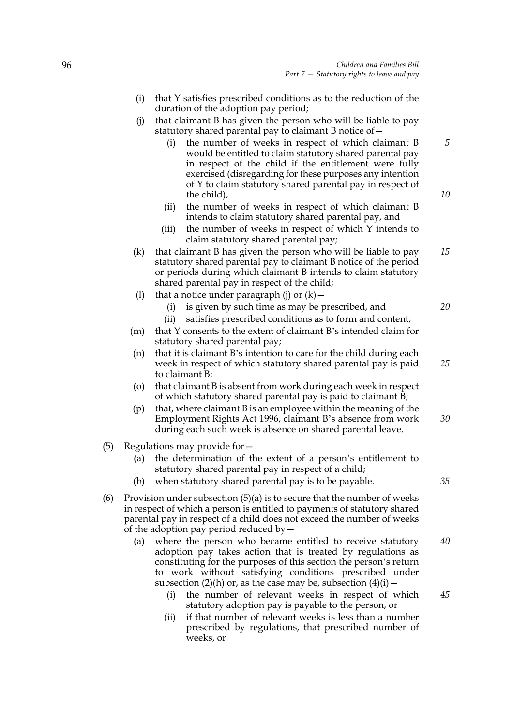|     | (i)     | that Y satisfies prescribed conditions as to the reduction of the<br>duration of the adoption pay period;                                                                                                                                                                                                              |         |
|-----|---------|------------------------------------------------------------------------------------------------------------------------------------------------------------------------------------------------------------------------------------------------------------------------------------------------------------------------|---------|
|     | (j)     | that claimant B has given the person who will be liable to pay<br>statutory shared parental pay to claimant B notice of -                                                                                                                                                                                              |         |
|     |         | the number of weeks in respect of which claimant B<br>(i)<br>would be entitled to claim statutory shared parental pay<br>in respect of the child if the entitlement were fully<br>exercised (disregarding for these purposes any intention<br>of Y to claim statutory shared parental pay in respect of<br>the child), | 5<br>10 |
|     |         | the number of weeks in respect of which claimant B<br>(ii)<br>intends to claim statutory shared parental pay, and<br>the number of weeks in respect of which Y intends to<br>(iii)                                                                                                                                     |         |
|     |         | claim statutory shared parental pay;<br>that claimant B has given the person who will be liable to pay                                                                                                                                                                                                                 | 15      |
|     | (k)     | statutory shared parental pay to claimant B notice of the period<br>or periods during which claimant B intends to claim statutory<br>shared parental pay in respect of the child;                                                                                                                                      |         |
|     | (1)     | that a notice under paragraph (j) or $(k)$ –                                                                                                                                                                                                                                                                           |         |
|     | (m)     | is given by such time as may be prescribed, and<br>(i)<br>satisfies prescribed conditions as to form and content;<br>(ii)<br>that Y consents to the extent of claimant B's intended claim for                                                                                                                          | 20      |
|     |         | statutory shared parental pay;                                                                                                                                                                                                                                                                                         |         |
|     | (n)     | that it is claimant B's intention to care for the child during each<br>week in respect of which statutory shared parental pay is paid<br>to claimant B;                                                                                                                                                                | 25      |
|     | $\circ$ | that claimant B is absent from work during each week in respect<br>of which statutory shared parental pay is paid to claimant B;                                                                                                                                                                                       |         |
|     | (p)     | that, where claimant B is an employee within the meaning of the<br>Employment Rights Act 1996, claimant B's absence from work<br>during each such week is absence on shared parental leave.                                                                                                                            | 30      |
| (5) |         | Regulations may provide for $-$                                                                                                                                                                                                                                                                                        |         |
|     | (a)     | the determination of the extent of a person's entitlement to<br>statutory shared parental pay in respect of a child;                                                                                                                                                                                                   |         |
|     | (b)     | when statutory shared parental pay is to be payable.                                                                                                                                                                                                                                                                   | 35      |
| (6) |         | Provision under subsection $(5)(a)$ is to secure that the number of weeks<br>in respect of which a person is entitled to payments of statutory shared<br>parental pay in respect of a child does not exceed the number of weeks<br>of the adoption pay period reduced by $-$                                           |         |
|     | (a)     | where the person who became entitled to receive statutory                                                                                                                                                                                                                                                              | 40      |
|     |         | adoption pay takes action that is treated by regulations as<br>constituting for the purposes of this section the person's return<br>to work without satisfying conditions prescribed under                                                                                                                             |         |
|     |         | subsection (2)(h) or, as the case may be, subsection $(4)(i)$ –<br>the number of relevant weeks in respect of which<br>(i)                                                                                                                                                                                             | 45      |
|     |         | statutory adoption pay is payable to the person, or                                                                                                                                                                                                                                                                    |         |
|     |         | if that number of relevant weeks is less than a number<br>(ii)<br>prescribed by regulations, that prescribed number of                                                                                                                                                                                                 |         |

weeks, or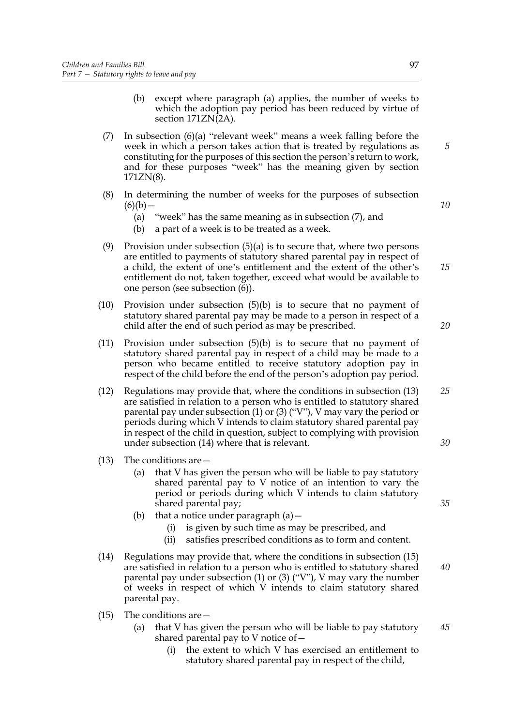- (b) except where paragraph (a) applies, the number of weeks to which the adoption pay period has been reduced by virtue of section 171ZN(2A).
- (7) In subsection (6)(a) "relevant week" means a week falling before the week in which a person takes action that is treated by regulations as constituting for the purposes of this section the person's return to work, and for these purposes "week" has the meaning given by section 171ZN(8).
- (8) In determining the number of weeks for the purposes of subsection  $(6)(b)$  –
	- (a) "week" has the same meaning as in subsection (7), and
	- (b) a part of a week is to be treated as a week.
- (9) Provision under subsection  $(5)(a)$  is to secure that, where two persons are entitled to payments of statutory shared parental pay in respect of a child, the extent of one's entitlement and the extent of the other's entitlement do not, taken together, exceed what would be available to one person (see subsection (6)). *15*
- (10) Provision under subsection (5)(b) is to secure that no payment of statutory shared parental pay may be made to a person in respect of a child after the end of such period as may be prescribed.
- (11) Provision under subsection (5)(b) is to secure that no payment of statutory shared parental pay in respect of a child may be made to a person who became entitled to receive statutory adoption pay in respect of the child before the end of the person's adoption pay period.
- (12) Regulations may provide that, where the conditions in subsection (13) are satisfied in relation to a person who is entitled to statutory shared parental pay under subsection (1) or (3) ("V"), V may vary the period or periods during which V intends to claim statutory shared parental pay in respect of the child in question, subject to complying with provision under subsection (14) where that is relevant. *25 30*
- (13) The conditions are—
	- (a) that V has given the person who will be liable to pay statutory shared parental pay to V notice of an intention to vary the period or periods during which V intends to claim statutory shared parental pay;
	- (b) that a notice under paragraph  $(a)$  -
		- (i) is given by such time as may be prescribed, and
		- (ii) satisfies prescribed conditions as to form and content.
- (14) Regulations may provide that, where the conditions in subsection (15) are satisfied in relation to a person who is entitled to statutory shared parental pay under subsection (1) or (3) ("V"), V may vary the number of weeks in respect of which V intends to claim statutory shared parental pay. *40*
- (15) The conditions are—
	- (a) that V has given the person who will be liable to pay statutory shared parental pay to V notice of—
		- (i) the extent to which V has exercised an entitlement to statutory shared parental pay in respect of the child,

*10*

*20*

*35*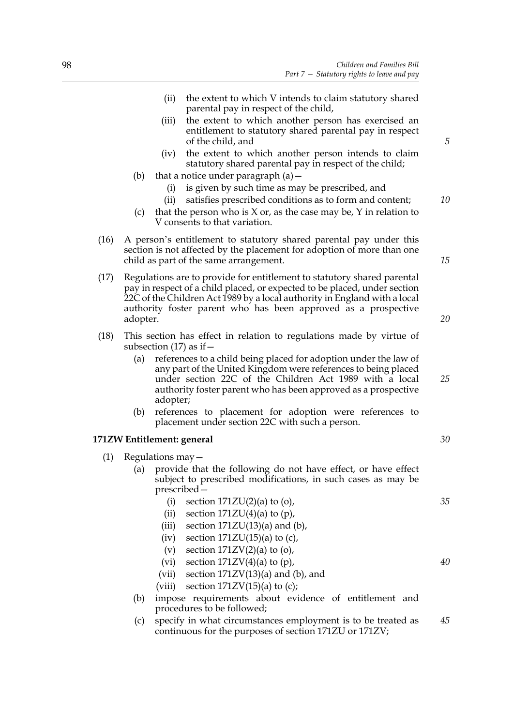- (ii) the extent to which V intends to claim statutory shared parental pay in respect of the child, (iii) the extent to which another person has exercised an entitlement to statutory shared parental pay in respect of the child, and (iv) the extent to which another person intends to claim statutory shared parental pay in respect of the child; (b) that a notice under paragraph  $(a)$  – (i) is given by such time as may be prescribed, and (ii) satisfies prescribed conditions as to form and content; (c) that the person who is  $X$  or, as the case may be,  $Y$  in relation to V consents to that variation. (16) A person's entitlement to statutory shared parental pay under this section is not affected by the placement for adoption of more than one child as part of the same arrangement. (17) Regulations are to provide for entitlement to statutory shared parental *5 10 15*
- pay in respect of a child placed, or expected to be placed, under section 22C of the Children Act 1989 by a local authority in England with a local authority foster parent who has been approved as a prospective adopter.
- (18) This section has effect in relation to regulations made by virtue of subsection (17) as if  $-$ 
	- (a) references to a child being placed for adoption under the law of any part of the United Kingdom were references to being placed under section 22C of the Children Act 1989 with a local authority foster parent who has been approved as a prospective adopter;
	- (b) references to placement for adoption were references to placement under section 22C with such a person.

### **171ZW Entitlement: general**

- (1) Regulations may
	- provide that the following do not have effect, or have effect subject to prescribed modifications, in such cases as may be prescribed—
		- (i) section  $171ZU(2)$ (a) to (o), *35*
		- (ii) section  $171ZU(4)$ (a) to (p),
		- (iii) section  $171ZU(13)(a)$  and  $(b)$ ,
		- (iv) section  $171ZU(15)$ (a) to (c),
		- (v) section  $171ZV(2)(a)$  to  $(o)$ ,
		- (vi) section  $171ZV(4)(a)$  to  $(p)$ ,
		- (vii) section  $171ZV(13)$ (a) and (b), and (viii) section  $171ZV(15)(a)$  to (c);
	- (b) impose requirements about evidence of entitlement and procedures to be followed;
	- (c) specify in what circumstances employment is to be treated as continuous for the purposes of section 171ZU or 171ZV; *45*

*20*

*25*

*30*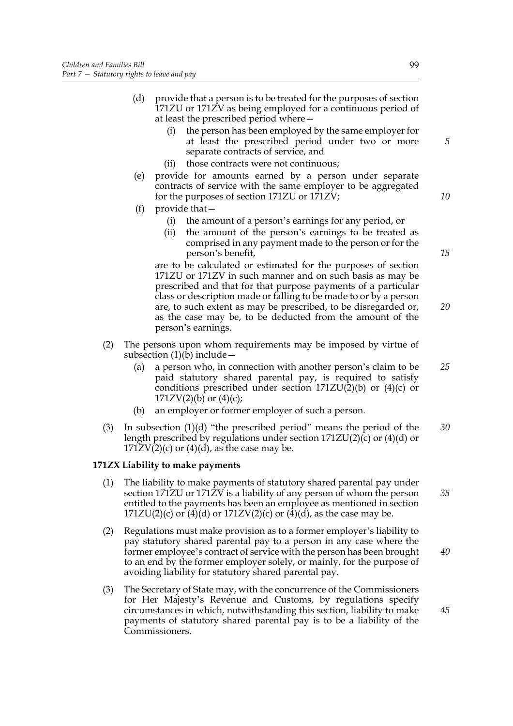- (d) provide that a person is to be treated for the purposes of section 171ZU or 171ZV as being employed for a continuous period of at least the prescribed period where—
	- (i) the person has been employed by the same employer for at least the prescribed period under two or more separate contracts of service, and
	- (ii) those contracts were not continuous;
- (e) provide for amounts earned by a person under separate contracts of service with the same employer to be aggregated for the purposes of section 171ZU or 171ZV;
- (f) provide that—
	- (i) the amount of a person's earnings for any period, or
	- (ii) the amount of the person's earnings to be treated as comprised in any payment made to the person or for the person's benefit,

are to be calculated or estimated for the purposes of section 171ZU or 171ZV in such manner and on such basis as may be prescribed and that for that purpose payments of a particular class or description made or falling to be made to or by a person are, to such extent as may be prescribed, to be disregarded or, as the case may be, to be deducted from the amount of the person's earnings.

- (2) The persons upon whom requirements may be imposed by virtue of subsection  $(1)(b)$  include –
	- (a) a person who, in connection with another person's claim to be paid statutory shared parental pay, is required to satisfy conditions prescribed under section  $171ZU(2)(b)$  or  $(4)(c)$  or  $171ZV(2)(b)$  or  $(4)(c)$ ; *25*
	- (b) an employer or former employer of such a person.
- (3) In subsection  $(1)(d)$  "the prescribed period" means the period of the length prescribed by regulations under section 171ZU(2)(c) or (4)(d) or  $171\overline{ZV(2)}(c)$  or  $(4)(d)$ , as the case may be. *30*

### **171ZX Liability to make payments**

- (1) The liability to make payments of statutory shared parental pay under section 171ZU or 171ZV is a liability of any person of whom the person entitled to the payments has been an employee as mentioned in section 171ZU(2)(c) or  $(4)(d)$  or 171ZV(2)(c) or  $(4)(d)$ , as the case may be. *35*
- (2) Regulations must make provision as to a former employer's liability to pay statutory shared parental pay to a person in any case where the former employee's contract of service with the person has been brought to an end by the former employer solely, or mainly, for the purpose of avoiding liability for statutory shared parental pay. *40*
- (3) The Secretary of State may, with the concurrence of the Commissioners for Her Majesty's Revenue and Customs, by regulations specify circumstances in which, notwithstanding this section, liability to make payments of statutory shared parental pay is to be a liability of the Commissioners.

*5*

*10*

*15*

*20*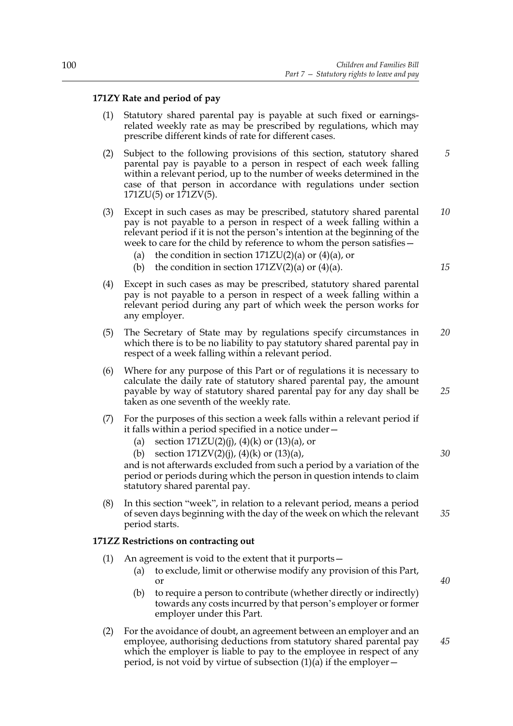### **171ZY Rate and period of pay**

- (1) Statutory shared parental pay is payable at such fixed or earningsrelated weekly rate as may be prescribed by regulations, which may prescribe different kinds of rate for different cases.
- (2) Subject to the following provisions of this section, statutory shared parental pay is payable to a person in respect of each week falling within a relevant period, up to the number of weeks determined in the case of that person in accordance with regulations under section 171ZU(5) or 171ZV(5). *5*
- (3) Except in such cases as may be prescribed, statutory shared parental pay is not payable to a person in respect of a week falling within a relevant period if it is not the person's intention at the beginning of the week to care for the child by reference to whom the person satisfies— *10*
	- (a) the condition in section  $171ZU(2)$ (a) or  $(4)$ (a), or
	- (b) the condition in section  $171ZV(2)(a)$  or  $(4)(a)$ .
- (4) Except in such cases as may be prescribed, statutory shared parental pay is not payable to a person in respect of a week falling within a relevant period during any part of which week the person works for any employer.
- (5) The Secretary of State may by regulations specify circumstances in which there is to be no liability to pay statutory shared parental pay in respect of a week falling within a relevant period. *20*
- (6) Where for any purpose of this Part or of regulations it is necessary to calculate the daily rate of statutory shared parental pay, the amount payable by way of statutory shared parental pay for any day shall be taken as one seventh of the weekly rate.
- (7) For the purposes of this section a week falls within a relevant period if it falls within a period specified in a notice under—
	- (a) section  $171ZU(2)(i)$ ,  $(4)(k)$  or  $(13)(a)$ , or
	- (b) section  $171ZV(2)(j)$ ,  $(4)(k)$  or  $(13)(a)$ ,

and is not afterwards excluded from such a period by a variation of the period or periods during which the person in question intends to claim statutory shared parental pay.

(8) In this section "week", in relation to a relevant period, means a period of seven days beginning with the day of the week on which the relevant period starts.

### **171ZZ Restrictions on contracting out**

- (1) An agreement is void to the extent that it purports—
	- (a) to exclude, limit or otherwise modify any provision of this Part, or
	- (b) to require a person to contribute (whether directly or indirectly) towards any costs incurred by that person's employer or former employer under this Part.
- (2) For the avoidance of doubt, an agreement between an employer and an employee, authorising deductions from statutory shared parental pay which the employer is liable to pay to the employee in respect of any period, is not void by virtue of subsection  $(1)(a)$  if the employer – *45*

*25*

*30*

*35*

*40*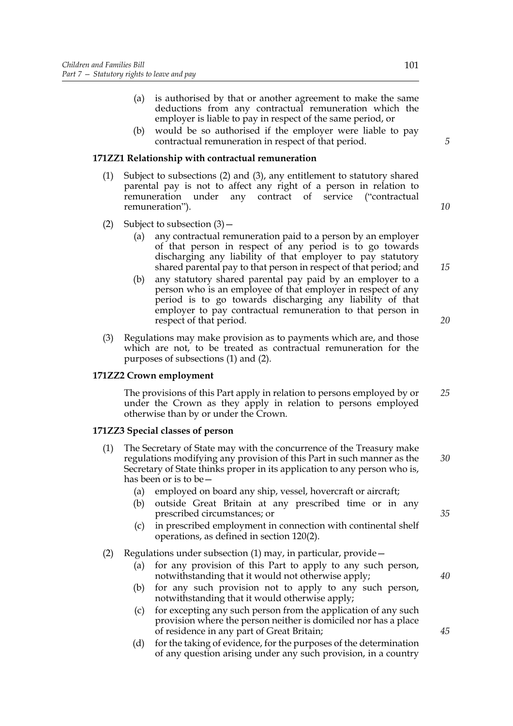- (a) is authorised by that or another agreement to make the same deductions from any contractual remuneration which the employer is liable to pay in respect of the same period, or
- (b) would be so authorised if the employer were liable to pay contractual remuneration in respect of that period.

### **171ZZ1 Relationship with contractual remuneration**

- Subject to subsections (2) and (3), any entitlement to statutory shared parental pay is not to affect any right of a person in relation to remuneration under any contract of service ("contractual remuneration").
- (2) Subject to subsection (3)—
	- (a) any contractual remuneration paid to a person by an employer of that person in respect of any period is to go towards discharging any liability of that employer to pay statutory shared parental pay to that person in respect of that period; and
	- (b) any statutory shared parental pay paid by an employer to a person who is an employee of that employer in respect of any period is to go towards discharging any liability of that employer to pay contractual remuneration to that person in respect of that period.
- (3) Regulations may make provision as to payments which are, and those which are not, to be treated as contractual remuneration for the purposes of subsections (1) and (2).

#### **171ZZ2 Crown employment**

The provisions of this Part apply in relation to persons employed by or under the Crown as they apply in relation to persons employed otherwise than by or under the Crown. *25*

#### **171ZZ3 Special classes of person**

- (1) The Secretary of State may with the concurrence of the Treasury make regulations modifying any provision of this Part in such manner as the Secretary of State thinks proper in its application to any person who is, has been or is to be— *30*
	- (a) employed on board any ship, vessel, hovercraft or aircraft;
	- (b) outside Great Britain at any prescribed time or in any prescribed circumstances; or
	- (c) in prescribed employment in connection with continental shelf operations, as defined in section 120(2).
- (2) Regulations under subsection (1) may, in particular, provide—
	- (a) for any provision of this Part to apply to any such person, notwithstanding that it would not otherwise apply;
	- (b) for any such provision not to apply to any such person, notwithstanding that it would otherwise apply;
	- (c) for excepting any such person from the application of any such provision where the person neither is domiciled nor has a place of residence in any part of Great Britain;
	- (d) for the taking of evidence, for the purposes of the determination of any question arising under any such provision, in a country

*35*

*40*

*45*

*15*

*20*

*10*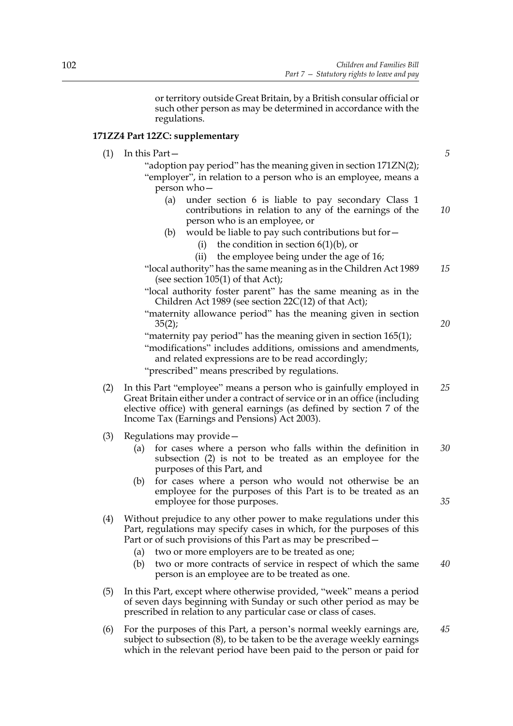or territory outside Great Britain, by a British consular official or such other person as may be determined in accordance with the regulations.

### **171ZZ4 Part 12ZC: supplementary**

(1) In this Part—

*5*

- "adoption pay period" has the meaning given in section 171ZN(2); "employer", in relation to a person who is an employee, means a person who—
	- (a) under section 6 is liable to pay secondary Class 1 contributions in relation to any of the earnings of the person who is an employee, or *10*
	- (b) would be liable to pay such contributions but for  $-$ 
		- (i) the condition in section  $6(1)(b)$ , or
		- (ii) the employee being under the age of 16;
- "local authority" has the same meaning as in the Children Act 1989 (see section 105(1) of that Act); *15*
- "local authority foster parent" has the same meaning as in the Children Act 1989 (see section 22C(12) of that Act);
- "maternity allowance period" has the meaning given in section  $35(2);$
- "maternity pay period" has the meaning given in section 165(1);

"modifications" includes additions, omissions and amendments, and related expressions are to be read accordingly;

"prescribed" means prescribed by regulations.

- (2) In this Part "employee" means a person who is gainfully employed in Great Britain either under a contract of service or in an office (including elective office) with general earnings (as defined by section 7 of the Income Tax (Earnings and Pensions) Act 2003). *25*
- (3) Regulations may provide—
	- (a) for cases where a person who falls within the definition in subsection (2) is not to be treated as an employee for the purposes of this Part, and *30*
	- (b) for cases where a person who would not otherwise be an employee for the purposes of this Part is to be treated as an employee for those purposes.
- (4) Without prejudice to any other power to make regulations under this Part, regulations may specify cases in which, for the purposes of this Part or of such provisions of this Part as may be prescribed—
	- (a) two or more employers are to be treated as one;
	- (b) two or more contracts of service in respect of which the same person is an employee are to be treated as one. *40*
- (5) In this Part, except where otherwise provided, "week" means a period of seven days beginning with Sunday or such other period as may be prescribed in relation to any particular case or class of cases.
- (6) For the purposes of this Part, a person's normal weekly earnings are, subject to subsection (8), to be taken to be the average weekly earnings which in the relevant period have been paid to the person or paid for *45*

*20*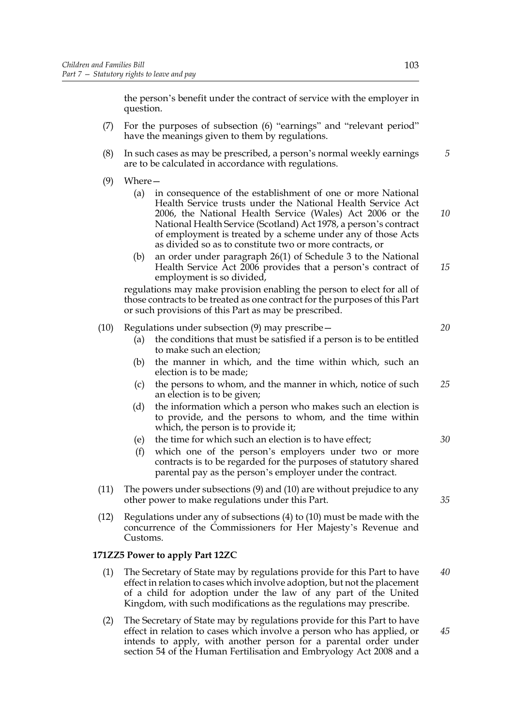the person's benefit under the contract of service with the employer in question.

- (7) For the purposes of subsection (6) "earnings" and "relevant period" have the meanings given to them by regulations.
- (8) In such cases as may be prescribed, a person's normal weekly earnings are to be calculated in accordance with regulations. *5*
- (9) Where—
	- (a) in consequence of the establishment of one or more National Health Service trusts under the National Health Service Act 2006, the National Health Service (Wales) Act 2006 or the National Health Service (Scotland) Act 1978, a person's contract of employment is treated by a scheme under any of those Acts as divided so as to constitute two or more contracts, or
	- (b) an order under paragraph 26(1) of Schedule 3 to the National Health Service Act 2006 provides that a person's contract of employment is so divided, *15*

regulations may make provision enabling the person to elect for all of those contracts to be treated as one contract for the purposes of this Part or such provisions of this Part as may be prescribed.

#### (10) Regulations under subsection (9) may prescribe—

- (a) the conditions that must be satisfied if a person is to be entitled to make such an election;
- (b) the manner in which, and the time within which, such an election is to be made;
- (c) the persons to whom, and the manner in which, notice of such an election is to be given; *25*
- (d) the information which a person who makes such an election is to provide, and the persons to whom, and the time within which, the person is to provide it;
- (e) the time for which such an election is to have effect;
- (f) which one of the person's employers under two or more contracts is to be regarded for the purposes of statutory shared parental pay as the person's employer under the contract.
- (11) The powers under subsections (9) and (10) are without prejudice to any other power to make regulations under this Part.
- (12) Regulations under any of subsections (4) to (10) must be made with the concurrence of the Commissioners for Her Majesty's Revenue and Customs.

## **171ZZ5 Power to apply Part 12ZC**

- (1) The Secretary of State may by regulations provide for this Part to have effect in relation to cases which involve adoption, but not the placement of a child for adoption under the law of any part of the United Kingdom, with such modifications as the regulations may prescribe. *40*
- (2) The Secretary of State may by regulations provide for this Part to have effect in relation to cases which involve a person who has applied, or intends to apply, with another person for a parental order under section 54 of the Human Fertilisation and Embryology Act 2008 and a *45*

*35*

*30*

*10*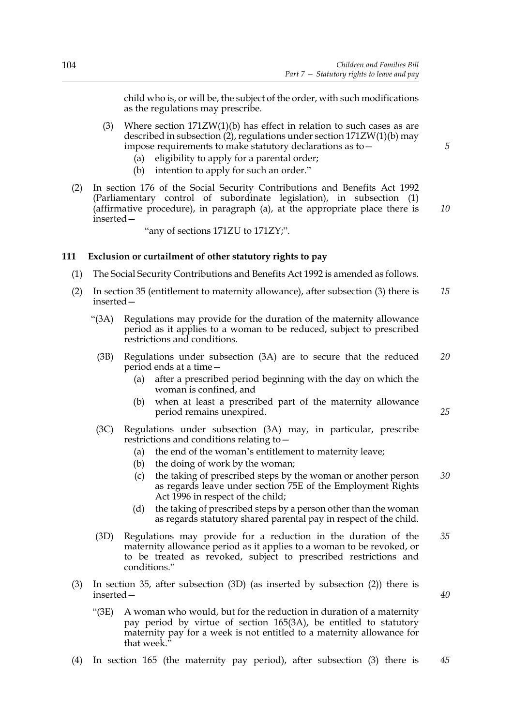child who is, or will be, the subject of the order, with such modifications as the regulations may prescribe.

- (3) Where section 171ZW(1)(b) has effect in relation to such cases as are described in subsection (2), regulations under section 171ZW(1)(b) may impose requirements to make statutory declarations as to—
	- (a) eligibility to apply for a parental order;
	- (b) intention to apply for such an order."
- (2) In section 176 of the Social Security Contributions and Benefits Act 1992 (Parliamentary control of subordinate legislation), in subsection (1) (affirmative procedure), in paragraph (a), at the appropriate place there is inserted— *10*

"any of sections 171ZU to 171ZY;".

#### **111 Exclusion or curtailment of other statutory rights to pay**

- (1) The Social Security Contributions and Benefits Act 1992 is amended as follows.
- (2) In section 35 (entitlement to maternity allowance), after subsection (3) there is inserted— *15*
	- "(3A) Regulations may provide for the duration of the maternity allowance period as it applies to a woman to be reduced, subject to prescribed restrictions and conditions.
		- (3B) Regulations under subsection (3A) are to secure that the reduced period ends at a time— *20*
			- (a) after a prescribed period beginning with the day on which the woman is confined, and
			- (b) when at least a prescribed part of the maternity allowance period remains unexpired.
	- (3C) Regulations under subsection (3A) may, in particular, prescribe restrictions and conditions relating to—
		- (a) the end of the woman's entitlement to maternity leave;
		- (b) the doing of work by the woman;
		- (c) the taking of prescribed steps by the woman or another person as regards leave under section 75E of the Employment Rights Act 1996 in respect of the child; *30*
		- (d) the taking of prescribed steps by a person other than the woman as regards statutory shared parental pay in respect of the child.
	- (3D) Regulations may provide for a reduction in the duration of the maternity allowance period as it applies to a woman to be revoked, or to be treated as revoked, subject to prescribed restrictions and conditions." *35*
- (3) In section 35, after subsection (3D) (as inserted by subsection (2)) there is inserted—
	- "(3E) A woman who would, but for the reduction in duration of a maternity pay period by virtue of section 165(3A), be entitled to statutory maternity pay for a week is not entitled to a maternity allowance for that week."
- (4) In section 165 (the maternity pay period), after subsection (3) there is *45*

*5*

*25*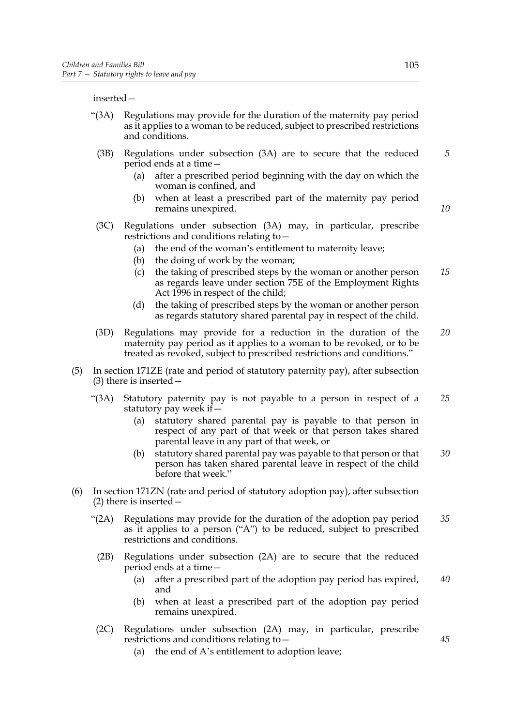inserted—

- "(3A) Regulations may provide for the duration of the maternity pay period as it applies to a woman to be reduced, subject to prescribed restrictions and conditions.
- (3B) Regulations under subsection (3A) are to secure that the reduced period ends at a time—
	- (a) after a prescribed period beginning with the day on which the woman is confined, and
	- (b) when at least a prescribed part of the maternity pay period remains unexpired.
- (3C) Regulations under subsection (3A) may, in particular, prescribe restrictions and conditions relating to—
	- (a) the end of the woman's entitlement to maternity leave;
	- (b) the doing of work by the woman;
	- (c) the taking of prescribed steps by the woman or another person as regards leave under section 75E of the Employment Rights Act 1996 in respect of the child; *15*
	- (d) the taking of prescribed steps by the woman or another person as regards statutory shared parental pay in respect of the child.
- (3D) Regulations may provide for a reduction in the duration of the maternity pay period as it applies to a woman to be revoked, or to be treated as revoked, subject to prescribed restrictions and conditions." *20*
- (5) In section 171ZE (rate and period of statutory paternity pay), after subsection (3) there is inserted—
	- "(3A) Statutory paternity pay is not payable to a person in respect of a statutory pay week if— *25*
		- (a) statutory shared parental pay is payable to that person in respect of any part of that week or that person takes shared parental leave in any part of that week, or
		- (b) statutory shared parental pay was payable to that person or that person has taken shared parental leave in respect of the child before that week." *30*
- (6) In section 171ZN (rate and period of statutory adoption pay), after subsection (2) there is inserted—
	- "(2A) Regulations may provide for the duration of the adoption pay period as it applies to a person ("A") to be reduced, subject to prescribed restrictions and conditions. *35*
		- (2B) Regulations under subsection (2A) are to secure that the reduced period ends at a time—
			- (a) after a prescribed part of the adoption pay period has expired, and *40*
			- (b) when at least a prescribed part of the adoption pay period remains unexpired.
	- (2C) Regulations under subsection (2A) may, in particular, prescribe restrictions and conditions relating to—
		- (a) the end of A's entitlement to adoption leave;

*5*

*10*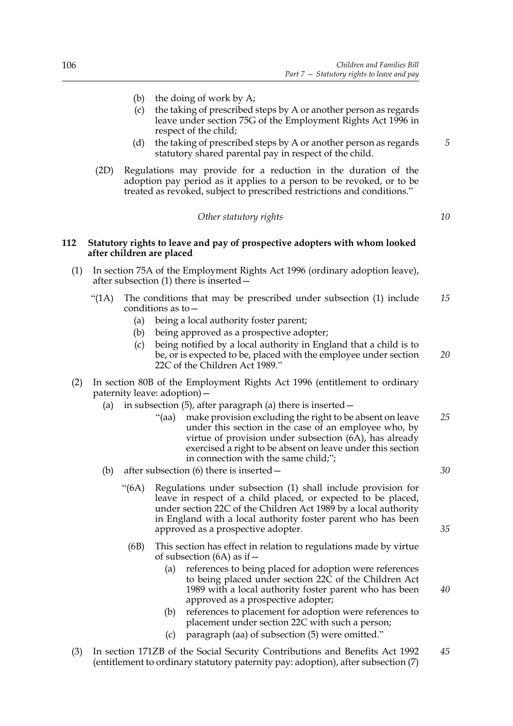- (b) the doing of work by A;
- (c) the taking of prescribed steps by A or another person as regards leave under section 75G of the Employment Rights Act 1996 in respect of the child;
- (d) the taking of prescribed steps by A or another person as regards statutory shared parental pay in respect of the child.
- (2D) Regulations may provide for a reduction in the duration of the adoption pay period as it applies to a person to be revoked, or to be treated as revoked, subject to prescribed restrictions and conditions."

*Other statutory rights*

*10*

*30*

*35*

*40*

*5*

#### **112 Statutory rights to leave and pay of prospective adopters with whom looked after children are placed**

- (1) In section 75A of the Employment Rights Act 1996 (ordinary adoption leave), after subsection (1) there is inserted—
	- " $(1A)$  The conditions that may be prescribed under subsection  $(1)$  include conditions as to— *15*
		- (a) being a local authority foster parent;
		- (b) being approved as a prospective adopter;
		- (c) being notified by a local authority in England that a child is to be, or is expected to be, placed with the employee under section 22C of the Children Act 1989." *20*
- (2) In section 80B of the Employment Rights Act 1996 (entitlement to ordinary paternity leave: adoption)—
	- (a) in subsection (5), after paragraph (a) there is inserted  $-$ 
		- "(aa) make provision excluding the right to be absent on leave under this section in the case of an employee who, by virtue of provision under subsection (6A), has already exercised a right to be absent on leave under this section in connection with the same child;"; *25*

### (b) after subsection (6) there is inserted—

- "(6A) Regulations under subsection (1) shall include provision for leave in respect of a child placed, or expected to be placed, under section 22C of the Children Act 1989 by a local authority in England with a local authority foster parent who has been approved as a prospective adopter.
	- (6B) This section has effect in relation to regulations made by virtue of subsection  $(6A)$  as if  $-$ 
		- (a) references to being placed for adoption were references to being placed under section 22C of the Children Act 1989 with a local authority foster parent who has been approved as a prospective adopter;
		- (b) references to placement for adoption were references to placement under section 22C with such a person;
		- (c) paragraph (aa) of subsection (5) were omitted."
- (3) In section 171ZB of the Social Security Contributions and Benefits Act 1992 (entitlement to ordinary statutory paternity pay: adoption), after subsection (7) *45*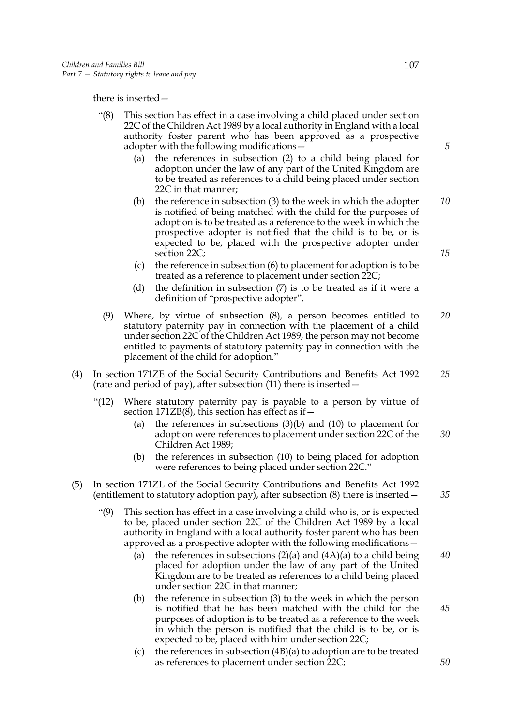there is inserted—

- "(8) This section has effect in a case involving a child placed under section 22C of the Children Act 1989 by a local authority in England with a local authority foster parent who has been approved as a prospective adopter with the following modifications—
	- (a) the references in subsection (2) to a child being placed for adoption under the law of any part of the United Kingdom are to be treated as references to a child being placed under section 22C in that manner;
	- (b) the reference in subsection (3) to the week in which the adopter is notified of being matched with the child for the purposes of adoption is to be treated as a reference to the week in which the prospective adopter is notified that the child is to be, or is expected to be, placed with the prospective adopter under section 22C; *10 15*
	- (c) the reference in subsection (6) to placement for adoption is to be treated as a reference to placement under section 22C;
	- (d) the definition in subsection (7) is to be treated as if it were a definition of "prospective adopter".
- (9) Where, by virtue of subsection (8), a person becomes entitled to statutory paternity pay in connection with the placement of a child under section 22C of the Children Act 1989, the person may not become entitled to payments of statutory paternity pay in connection with the placement of the child for adoption." *20*
- (4) In section 171ZE of the Social Security Contributions and Benefits Act 1992 (rate and period of pay), after subsection (11) there is inserted— *25*
	- "(12) Where statutory paternity pay is payable to a person by virtue of section  $171ZB(8)$ , this section has effect as if  $-$ 
		- (a) the references in subsections (3)(b) and (10) to placement for adoption were references to placement under section 22C of the Children Act 1989; *30*
		- (b) the references in subsection (10) to being placed for adoption were references to being placed under section 22C."

#### (5) In section 171ZL of the Social Security Contributions and Benefits Act 1992 (entitlement to statutory adoption pay), after subsection (8) there is inserted—

- "(9) This section has effect in a case involving a child who is, or is expected to be, placed under section 22C of the Children Act 1989 by a local authority in England with a local authority foster parent who has been approved as a prospective adopter with the following modifications—
	- (a) the references in subsections  $(2)(a)$  and  $(4A)(a)$  to a child being placed for adoption under the law of any part of the United Kingdom are to be treated as references to a child being placed under section 22C in that manner; *40*
	- (b) the reference in subsection (3) to the week in which the person is notified that he has been matched with the child for the purposes of adoption is to be treated as a reference to the week in which the person is notified that the child is to be, or is expected to be, placed with him under section 22C;
	- (c) the references in subsection (4B)(a) to adoption are to be treated as references to placement under section 22C;

*35*

*45*

*50*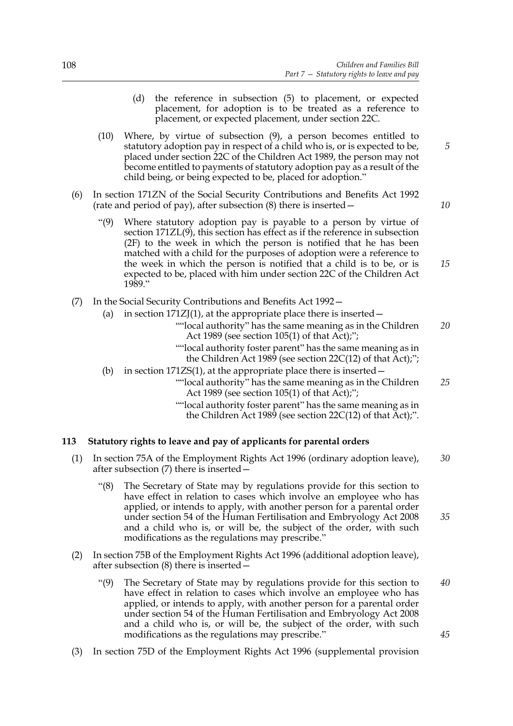- (d) the reference in subsection (5) to placement, or expected placement, for adoption is to be treated as a reference to placement, or expected placement, under section 22C.
- (10) Where, by virtue of subsection (9), a person becomes entitled to statutory adoption pay in respect of a child who is, or is expected to be, placed under section 22C of the Children Act 1989, the person may not become entitled to payments of statutory adoption pay as a result of the child being, or being expected to be, placed for adoption."
- (6) In section 171ZN of the Social Security Contributions and Benefits Act 1992 (rate and period of pay), after subsection (8) there is inserted—
	- "(9) Where statutory adoption pay is payable to a person by virtue of section 171ZL(9), this section has effect as if the reference in subsection (2F) to the week in which the person is notified that he has been matched with a child for the purposes of adoption were a reference to the week in which the person is notified that a child is to be, or is expected to be, placed with him under section 22C of the Children Act 1989."
- (7) In the Social Security Contributions and Benefits Act 1992—
	- (a) in section  $171ZJ(1)$ , at the appropriate place there is inserted
		- ""local authority" has the same meaning as in the Children Act 1989 (see section 105(1) of that Act);"; *20*
		- ""local authority foster parent" has the same meaning as in the Children Act 1989 (see section 22C(12) of that Act);";
	- (b) in section  $171ZS(1)$ , at the appropriate place there is inserted  $-$ 
		- ""local authority" has the same meaning as in the Children Act 1989 (see section 105(1) of that Act);"; *25*
		- ""local authority foster parent" has the same meaning as in the Children Act 1989 (see section 22C(12) of that Act);".

#### **113 Statutory rights to leave and pay of applicants for parental orders**

- (1) In section 75A of the Employment Rights Act 1996 (ordinary adoption leave), after subsection (7) there is inserted— *30*
	- "(8) The Secretary of State may by regulations provide for this section to have effect in relation to cases which involve an employee who has applied, or intends to apply, with another person for a parental order under section 54 of the Human Fertilisation and Embryology Act 2008 and a child who is, or will be, the subject of the order, with such modifications as the regulations may prescribe."
- (2) In section 75B of the Employment Rights Act 1996 (additional adoption leave), after subsection (8) there is inserted—
	- "(9) The Secretary of State may by regulations provide for this section to have effect in relation to cases which involve an employee who has applied, or intends to apply, with another person for a parental order under section 54 of the Human Fertilisation and Embryology Act 2008 and a child who is, or will be, the subject of the order, with such modifications as the regulations may prescribe." *40 45*
- (3) In section 75D of the Employment Rights Act 1996 (supplemental provision

*10*

*5*

*15*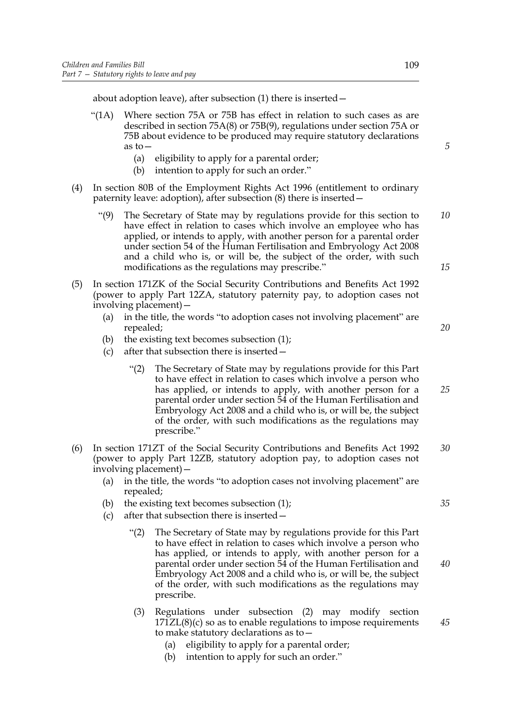about adoption leave), after subsection (1) there is inserted—

- "(1A) Where section 75A or 75B has effect in relation to such cases as are described in section 75A(8) or 75B(9), regulations under section 75A or 75B about evidence to be produced may require statutory declarations as to—
	- (a) eligibility to apply for a parental order;
	- (b) intention to apply for such an order."
- (4) In section 80B of the Employment Rights Act 1996 (entitlement to ordinary paternity leave: adoption), after subsection (8) there is inserted—
	- "(9) The Secretary of State may by regulations provide for this section to have effect in relation to cases which involve an employee who has applied, or intends to apply, with another person for a parental order under section 54 of the Human Fertilisation and Embryology Act 2008 and a child who is, or will be, the subject of the order, with such modifications as the regulations may prescribe." *10 15*
- (5) In section 171ZK of the Social Security Contributions and Benefits Act 1992 (power to apply Part 12ZA, statutory paternity pay, to adoption cases not involving placement)—
	- (a) in the title, the words "to adoption cases not involving placement" are repealed;
	- (b) the existing text becomes subsection (1);
	- (c) after that subsection there is inserted—
		- "(2) The Secretary of State may by regulations provide for this Part to have effect in relation to cases which involve a person who has applied, or intends to apply, with another person for a parental order under section 54 of the Human Fertilisation and Embryology Act 2008 and a child who is, or will be, the subject of the order, with such modifications as the regulations may prescribe."
- (6) In section 171ZT of the Social Security Contributions and Benefits Act 1992 (power to apply Part 12ZB, statutory adoption pay, to adoption cases not involving placement)— *30*
	- (a) in the title, the words "to adoption cases not involving placement" are repealed;
	- (b) the existing text becomes subsection (1);
	- (c) after that subsection there is inserted—
		- "(2) The Secretary of State may by regulations provide for this Part to have effect in relation to cases which involve a person who has applied, or intends to apply, with another person for a parental order under section 54 of the Human Fertilisation and Embryology Act 2008 and a child who is, or will be, the subject of the order, with such modifications as the regulations may prescribe.
		- (3) Regulations under subsection (2) may modify section  $171ZL(8)(c)$  so as to enable regulations to impose requirements to make statutory declarations as to—
			- (a) eligibility to apply for a parental order;
			- (b) intention to apply for such an order."

*35*

*40*

*45*

*5*

*20*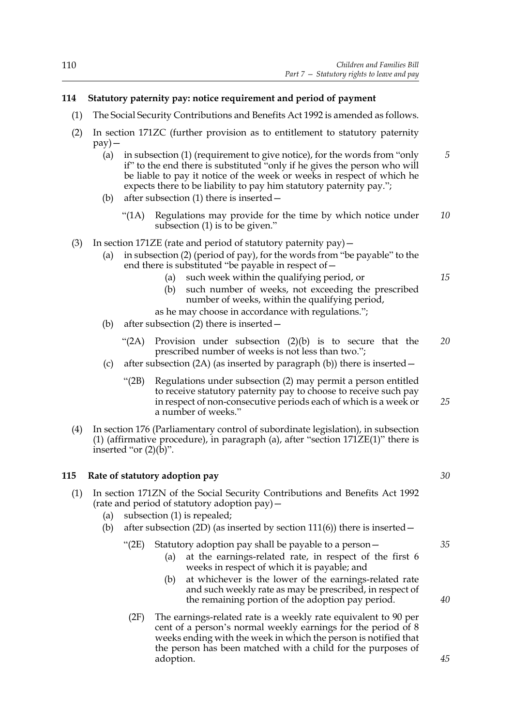## **114 Statutory paternity pay: notice requirement and period of payment**

- (1) The Social Security Contributions and Benefits Act 1992 is amended as follows.
- (2) In section 171ZC (further provision as to entitlement to statutory paternity pay)—
	- (a) in subsection (1) (requirement to give notice), for the words from "only if" to the end there is substituted "only if he gives the person who will be liable to pay it notice of the week or weeks in respect of which he expects there to be liability to pay him statutory paternity pay."; *5*
	- (b) after subsection (1) there is inserted—
		- "(1A) Regulations may provide for the time by which notice under subsection (1) is to be given." *10*
- (3) In section 171ZE (rate and period of statutory paternity  $pay$ )
	- (a) in subsection (2) (period of pay), for the words from "be payable" to the end there is substituted "be payable in respect of—
		- (a) such week within the qualifying period, or
		- (b) such number of weeks, not exceeding the prescribed number of weeks, within the qualifying period,
		- as he may choose in accordance with regulations.";
	- (b) after subsection (2) there is inserted—
		- "(2A) Provision under subsection (2)(b) is to secure that the prescribed number of weeks is not less than two."; *20*
	- (c) after subsection (2A) (as inserted by paragraph (b)) there is inserted—
		- "(2B) Regulations under subsection (2) may permit a person entitled to receive statutory paternity pay to choose to receive such pay in respect of non-consecutive periods each of which is a week or a number of weeks." *25*
- (4) In section 176 (Parliamentary control of subordinate legislation), in subsection (1) (affirmative procedure), in paragraph (a), after "section  $171\text{ZE}(1)$ " there is inserted "or (2)(b)".

## **115 Rate of statutory adoption pay**

- (1) In section 171ZN of the Social Security Contributions and Benefits Act 1992 (rate and period of statutory adoption pay)—
	- (a) subsection (1) is repealed;
	- (b) after subsection (2D) (as inserted by section  $111(6)$ ) there is inserted
		- "( $2E$ ) Statutory adoption pay shall be payable to a person  $-$ 
			- (a) at the earnings-related rate, in respect of the first 6 weeks in respect of which it is payable; and
			- (b) at whichever is the lower of the earnings-related rate and such weekly rate as may be prescribed, in respect of the remaining portion of the adoption pay period.
		- (2F) The earnings-related rate is a weekly rate equivalent to 90 per cent of a person's normal weekly earnings for the period of 8 weeks ending with the week in which the person is notified that the person has been matched with a child for the purposes of adoption.

*30*

*15*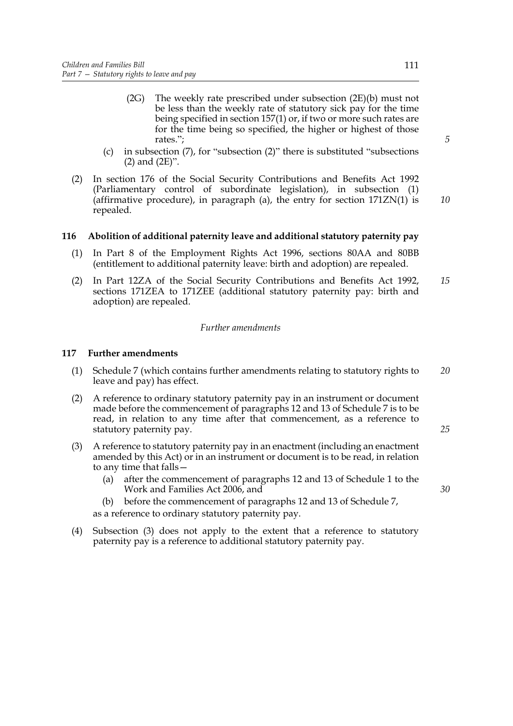- (2G) The weekly rate prescribed under subsection (2E)(b) must not be less than the weekly rate of statutory sick pay for the time being specified in section 157(1) or, if two or more such rates are for the time being so specified, the higher or highest of those rates.";
- (c) in subsection (7), for "subsection (2)" there is substituted "subsections (2) and (2E)".
- (2) In section 176 of the Social Security Contributions and Benefits Act 1992 (Parliamentary control of subordinate legislation), in subsection (1) (affirmative procedure), in paragraph (a), the entry for section  $171ZN(1)$  is repealed.

#### **116 Abolition of additional paternity leave and additional statutory paternity pay**

- (1) In Part 8 of the Employment Rights Act 1996, sections 80AA and 80BB (entitlement to additional paternity leave: birth and adoption) are repealed.
- (2) In Part 12ZA of the Social Security Contributions and Benefits Act 1992, sections 171ZEA to 171ZEE (additional statutory paternity pay: birth and adoption) are repealed. *15*

#### *Further amendments*

#### **117 Further amendments**

- (1) Schedule 7 (which contains further amendments relating to statutory rights to leave and pay) has effect. *20*
- (2) A reference to ordinary statutory paternity pay in an instrument or document made before the commencement of paragraphs 12 and 13 of Schedule 7 is to be read, in relation to any time after that commencement, as a reference to statutory paternity pay.
- (3) A reference to statutory paternity pay in an enactment (including an enactment amended by this Act) or in an instrument or document is to be read, in relation to any time that falls—
	- (a) after the commencement of paragraphs 12 and 13 of Schedule 1 to the Work and Families Act 2006, and
	- (b) before the commencement of paragraphs 12 and 13 of Schedule 7, as a reference to ordinary statutory paternity pay.
- (4) Subsection (3) does not apply to the extent that a reference to statutory paternity pay is a reference to additional statutory paternity pay.

*30*

*25*

# *10*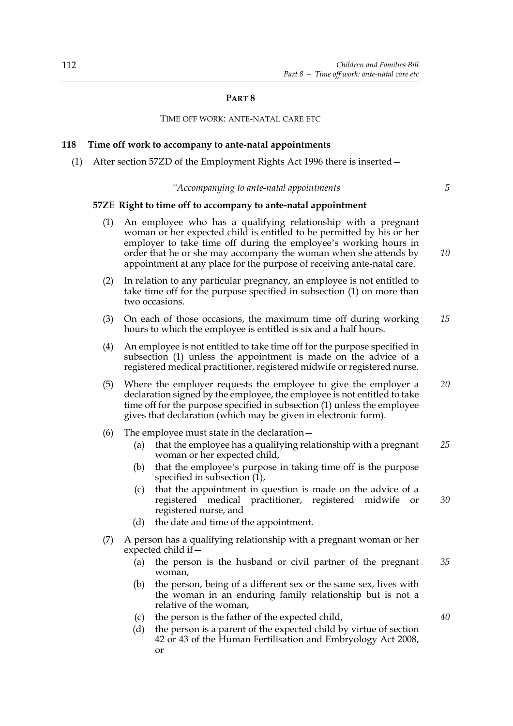#### **PART 8**

#### TIME OFF WORK: ANTE-NATAL CARE ETC

#### **118 Time off work to accompany to ante-natal appointments**

(1) After section 57ZD of the Employment Rights Act 1996 there is inserted—

#### *"Accompanying to ante-natal appointments*

#### **57ZE Right to time off to accompany to ante-natal appointment**

- (1) An employee who has a qualifying relationship with a pregnant woman or her expected child is entitled to be permitted by his or her employer to take time off during the employee's working hours in order that he or she may accompany the woman when she attends by appointment at any place for the purpose of receiving ante-natal care.
- (2) In relation to any particular pregnancy, an employee is not entitled to take time off for the purpose specified in subsection (1) on more than two occasions.
- (3) On each of those occasions, the maximum time off during working hours to which the employee is entitled is six and a half hours. *15*
- (4) An employee is not entitled to take time off for the purpose specified in subsection (1) unless the appointment is made on the advice of a registered medical practitioner, registered midwife or registered nurse.
- (5) Where the employer requests the employee to give the employer a declaration signed by the employee, the employee is not entitled to take time off for the purpose specified in subsection (1) unless the employee gives that declaration (which may be given in electronic form). *20*
- (6) The employee must state in the declaration—
	- (a) that the employee has a qualifying relationship with a pregnant woman or her expected child, *25*
	- (b) that the employee's purpose in taking time off is the purpose specified in subsection  $(1)$ ,
	- (c) that the appointment in question is made on the advice of a registered medical practitioner, registered midwife or registered nurse, and *30*
	- (d) the date and time of the appointment.
- (7) A person has a qualifying relationship with a pregnant woman or her expected child if—
	- (a) the person is the husband or civil partner of the pregnant woman, *35*
	- (b) the person, being of a different sex or the same sex, lives with the woman in an enduring family relationship but is not a relative of the woman,
	- (c) the person is the father of the expected child,
	- (d) the person is a parent of the expected child by virtue of section 42 or 43 of the Human Fertilisation and Embryology Act 2008, or

*5*

*10*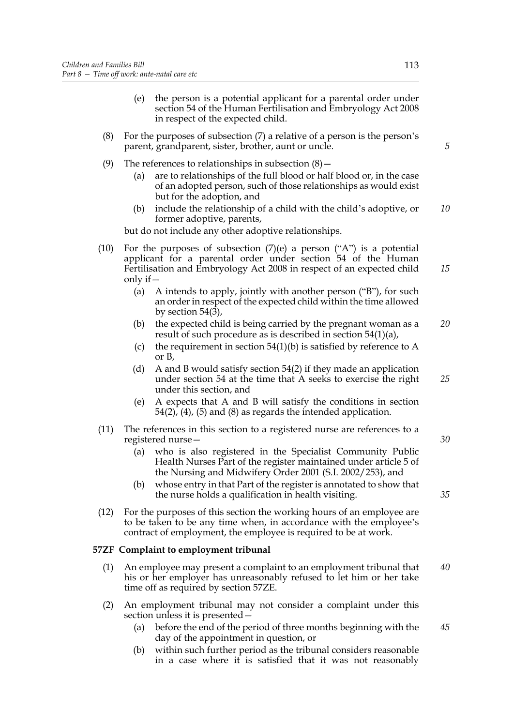- (e) the person is a potential applicant for a parental order under section 54 of the Human Fertilisation and Embryology Act 2008 in respect of the expected child.
- (8) For the purposes of subsection (7) a relative of a person is the person's parent, grandparent, sister, brother, aunt or uncle.
- (9) The references to relationships in subsection  $(8)$  -
	- (a) are to relationships of the full blood or half blood or, in the case of an adopted person, such of those relationships as would exist but for the adoption, and
	- (b) include the relationship of a child with the child's adoptive, or former adoptive, parents, *10*

but do not include any other adoptive relationships.

- (10) For the purposes of subsection  $(7)(e)$  a person ("A") is a potential applicant for a parental order under section 54 of the Human Fertilisation and Embryology Act 2008 in respect of an expected child only if— *15*
	- (a) A intends to apply, jointly with another person ("B"), for such an order in respect of the expected child within the time allowed by section 54(3),
	- (b) the expected child is being carried by the pregnant woman as a result of such procedure as is described in section 54(1)(a), *20*
	- (c) the requirement in section  $54(1)(b)$  is satisfied by reference to A or B,
	- (d) A and B would satisfy section 54(2) if they made an application under section 54 at the time that A seeks to exercise the right under this section, and *25*
	- (e) A expects that A and B will satisfy the conditions in section  $54(2)$ ,  $(4)$ ,  $(5)$  and  $(8)$  as regards the intended application.
- (11) The references in this section to a registered nurse are references to a registered nurse—
	- (a) who is also registered in the Specialist Community Public Health Nurses Part of the register maintained under article 5 of the Nursing and Midwifery Order 2001 (S.I. 2002/253), and
	- (b) whose entry in that Part of the register is annotated to show that the nurse holds a qualification in health visiting.
- (12) For the purposes of this section the working hours of an employee are to be taken to be any time when, in accordance with the employee's contract of employment, the employee is required to be at work.

#### **57ZF Complaint to employment tribunal**

- (1) An employee may present a complaint to an employment tribunal that his or her employer has unreasonably refused to let him or her take time off as required by section 57ZE. *40*
- (2) An employment tribunal may not consider a complaint under this section unless it is presented—
	- (a) before the end of the period of three months beginning with the day of the appointment in question, or *45*
	- (b) within such further period as the tribunal considers reasonable in a case where it is satisfied that it was not reasonably

*5*

*30*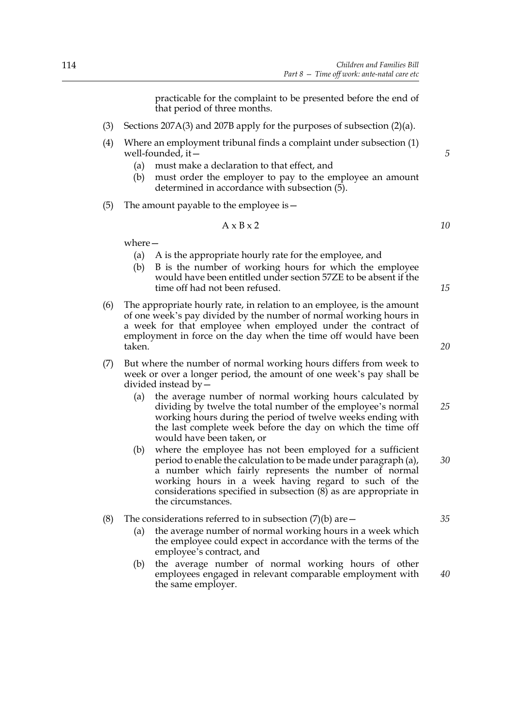practicable for the complaint to be presented before the end of that period of three months.

- (3) Sections 207A(3) and 207B apply for the purposes of subsection (2)(a).
- (4) Where an employment tribunal finds a complaint under subsection (1) well-founded, it—
	- (a) must make a declaration to that effect, and
	- (b) must order the employer to pay to the employee an amount determined in accordance with subsection (5).
- (5) The amount payable to the employee is  $-$

$$
A \times B \times 2
$$

where—

- (a) A is the appropriate hourly rate for the employee, and
- (b) B is the number of working hours for which the employee would have been entitled under section 57ZE to be absent if the time off had not been refused.
- (6) The appropriate hourly rate, in relation to an employee, is the amount of one week's pay divided by the number of normal working hours in a week for that employee when employed under the contract of employment in force on the day when the time off would have been taken.
- (7) But where the number of normal working hours differs from week to week or over a longer period, the amount of one week's pay shall be divided instead by—
	- (a) the average number of normal working hours calculated by dividing by twelve the total number of the employee's normal working hours during the period of twelve weeks ending with the last complete week before the day on which the time off would have been taken, or
	- (b) where the employee has not been employed for a sufficient period to enable the calculation to be made under paragraph (a), a number which fairly represents the number of normal working hours in a week having regard to such of the considerations specified in subsection (8) as are appropriate in the circumstances.
- (8) The considerations referred to in subsection  $(7)(b)$  are  $-$ 
	- (a) the average number of normal working hours in a week which the employee could expect in accordance with the terms of the employee's contract, and
	- (b) the average number of normal working hours of other employees engaged in relevant comparable employment with the same employer.

*25*

*5*

*10*

*15*

*20*

*35*

*40*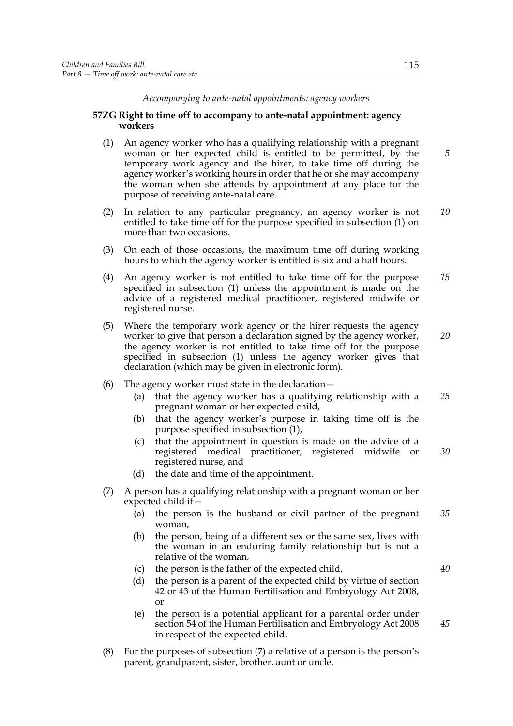*Accompanying to ante-natal appointments: agency workers*

#### **57ZG Right to time off to accompany to ante-natal appointment: agency workers**

- (1) An agency worker who has a qualifying relationship with a pregnant woman or her expected child is entitled to be permitted, by the temporary work agency and the hirer, to take time off during the agency worker's working hours in order that he or she may accompany the woman when she attends by appointment at any place for the purpose of receiving ante-natal care.
- (2) In relation to any particular pregnancy, an agency worker is not entitled to take time off for the purpose specified in subsection (1) on more than two occasions. *10*
- (3) On each of those occasions, the maximum time off during working hours to which the agency worker is entitled is six and a half hours.
- (4) An agency worker is not entitled to take time off for the purpose specified in subsection (1) unless the appointment is made on the advice of a registered medical practitioner, registered midwife or registered nurse. *15*
- (5) Where the temporary work agency or the hirer requests the agency worker to give that person a declaration signed by the agency worker, the agency worker is not entitled to take time off for the purpose specified in subsection (1) unless the agency worker gives that declaration (which may be given in electronic form). *20*
- (6) The agency worker must state in the declaration—
	- (a) that the agency worker has a qualifying relationship with a pregnant woman or her expected child, *25*
	- (b) that the agency worker's purpose in taking time off is the purpose specified in subsection (1),
	- (c) that the appointment in question is made on the advice of a registered medical practitioner, registered midwife or registered nurse, and *30*
	- (d) the date and time of the appointment.
- (7) A person has a qualifying relationship with a pregnant woman or her expected child if—
	- (a) the person is the husband or civil partner of the pregnant woman, *35*
	- (b) the person, being of a different sex or the same sex, lives with the woman in an enduring family relationship but is not a relative of the woman,
	- (c) the person is the father of the expected child,
	- (d) the person is a parent of the expected child by virtue of section 42 or 43 of the Human Fertilisation and Embryology Act 2008, or
	- (e) the person is a potential applicant for a parental order under section 54 of the Human Fertilisation and Embryology Act 2008 in respect of the expected child.
- (8) For the purposes of subsection (7) a relative of a person is the person's parent, grandparent, sister, brother, aunt or uncle.

*5*

*40*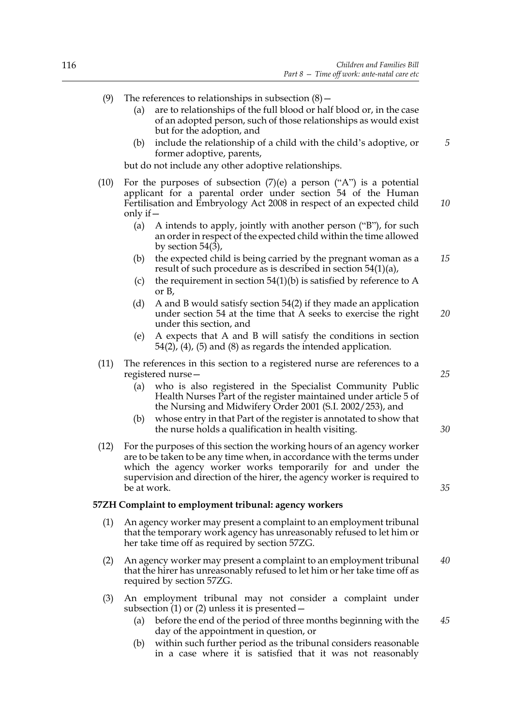- (9) The references to relationships in subsection  $(8)$  -
	- (a) are to relationships of the full blood or half blood or, in the case of an adopted person, such of those relationships as would exist but for the adoption, and
	- (b) include the relationship of a child with the child's adoptive, or former adoptive, parents,

but do not include any other adoptive relationships.

- (10) For the purposes of subsection  $(7)(e)$  a person ("A") is a potential applicant for a parental order under section 54 of the Human Fertilisation and Embryology Act 2008 in respect of an expected child only if— *10*
	- (a) A intends to apply, jointly with another person ("B"), for such an order in respect of the expected child within the time allowed by section 54(3),
	- (b) the expected child is being carried by the pregnant woman as a result of such procedure as is described in section 54(1)(a), *15*
	- (c) the requirement in section  $54(1)(b)$  is satisfied by reference to A or B,
	- (d) A and B would satisfy section 54(2) if they made an application under section 54 at the time that A seeks to exercise the right under this section, and *20*
	- (e) A expects that A and B will satisfy the conditions in section 54(2), (4), (5) and (8) as regards the intended application.
- (11) The references in this section to a registered nurse are references to a registered nurse—
	- (a) who is also registered in the Specialist Community Public Health Nurses Part of the register maintained under article 5 of the Nursing and Midwifery Order 2001 (S.I. 2002/253), and
	- (b) whose entry in that Part of the register is annotated to show that the nurse holds a qualification in health visiting.
- (12) For the purposes of this section the working hours of an agency worker are to be taken to be any time when, in accordance with the terms under which the agency worker works temporarily for and under the supervision and direction of the hirer, the agency worker is required to be at work.

#### **57ZH Complaint to employment tribunal: agency workers**

- (1) An agency worker may present a complaint to an employment tribunal that the temporary work agency has unreasonably refused to let him or her take time off as required by section 57ZG.
- (2) An agency worker may present a complaint to an employment tribunal that the hirer has unreasonably refused to let him or her take time off as required by section 57ZG. *40*
- (3) An employment tribunal may not consider a complaint under subsection  $(1)$  or  $(2)$  unless it is presented –
	- (a) before the end of the period of three months beginning with the day of the appointment in question, or *45*
	- (b) within such further period as the tribunal considers reasonable in a case where it is satisfied that it was not reasonably

*25*

*30*

*35*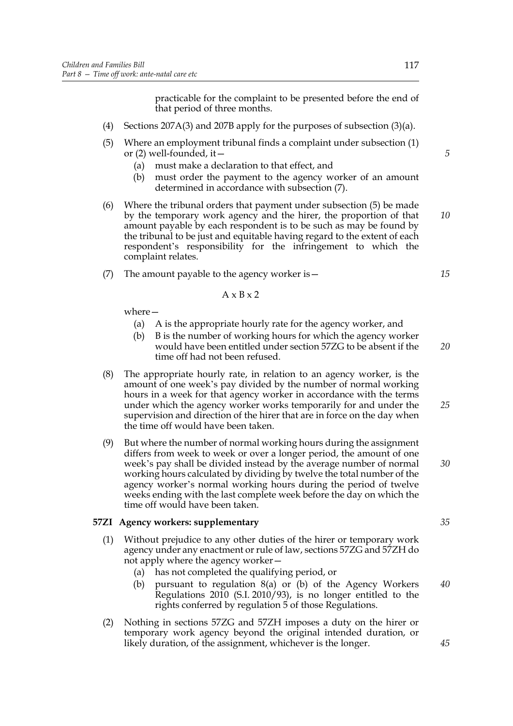practicable for the complaint to be presented before the end of that period of three months.

- (4) Sections 207A(3) and 207B apply for the purposes of subsection (3)(a).
- (5) Where an employment tribunal finds a complaint under subsection (1) or (2) well-founded, it—
	- (a) must make a declaration to that effect, and
	- (b) must order the payment to the agency worker of an amount determined in accordance with subsection (7).
- (6) Where the tribunal orders that payment under subsection (5) be made by the temporary work agency and the hirer, the proportion of that amount payable by each respondent is to be such as may be found by the tribunal to be just and equitable having regard to the extent of each respondent's responsibility for the infringement to which the complaint relates. *10*
- (7) The amount payable to the agency worker is—

#### $A \times B \times 2$

where—

- (a) A is the appropriate hourly rate for the agency worker, and
- (b) B is the number of working hours for which the agency worker would have been entitled under section 57ZG to be absent if the time off had not been refused.
- (8) The appropriate hourly rate, in relation to an agency worker, is the amount of one week's pay divided by the number of normal working hours in a week for that agency worker in accordance with the terms under which the agency worker works temporarily for and under the supervision and direction of the hirer that are in force on the day when the time off would have been taken.
- (9) But where the number of normal working hours during the assignment differs from week to week or over a longer period, the amount of one week's pay shall be divided instead by the average number of normal working hours calculated by dividing by twelve the total number of the agency worker's normal working hours during the period of twelve weeks ending with the last complete week before the day on which the time off would have been taken.

#### **57ZI Agency workers: supplementary**

- (1) Without prejudice to any other duties of the hirer or temporary work agency under any enactment or rule of law, sections 57ZG and 57ZH do not apply where the agency worker—
	- (a) has not completed the qualifying period, or
	- (b) pursuant to regulation 8(a) or (b) of the Agency Workers Regulations 2010 (S.I. 2010/93), is no longer entitled to the rights conferred by regulation 5 of those Regulations. *40*
- (2) Nothing in sections 57ZG and 57ZH imposes a duty on the hirer or temporary work agency beyond the original intended duration, or likely duration, of the assignment, whichever is the longer.

*35*

*15*

*20*

*25*

*30*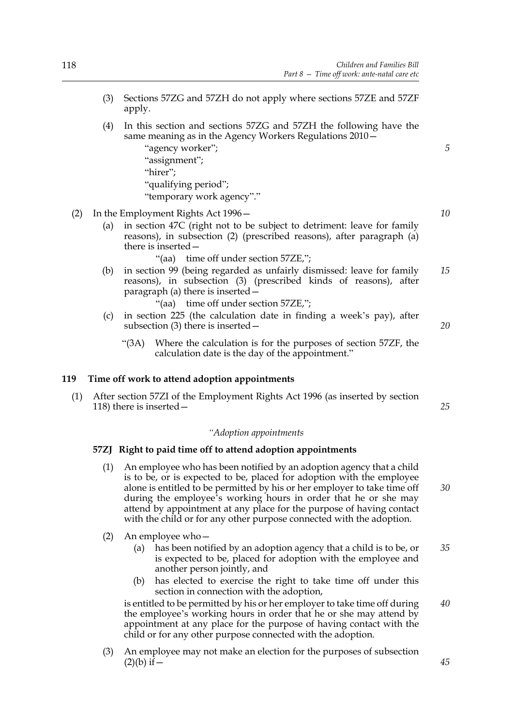- (3) Sections 57ZG and 57ZH do not apply where sections 57ZE and 57ZF apply. (4) In this section and sections 57ZG and 57ZH the following have the same meaning as in the Agency Workers Regulations 2010— "agency worker"; "assignment"; "hirer"; "qualifying period"; "temporary work agency"." (2) In the Employment Rights Act 1996— (a) in section 47C (right not to be subject to detriment: leave for family reasons), in subsection (2) (prescribed reasons), after paragraph (a) there is inserted— "(aa) time off under section 57ZE,"; *5 10*
	- (b) in section 99 (being regarded as unfairly dismissed: leave for family reasons), in subsection (3) (prescribed kinds of reasons), after paragraph (a) there is inserted— *15*
		- "(aa) time off under section 57ZE,";
	- (c) in section 225 (the calculation date in finding a week's pay), after subsection (3) there is inserted—
		- "(3A) Where the calculation is for the purposes of section 57ZF, the calculation date is the day of the appointment."

#### **119 Time off work to attend adoption appointments**

(1) After section 57ZI of the Employment Rights Act 1996 (as inserted by section 118) there is inserted—

#### *"Adoption appointments*

#### **57ZJ Right to paid time off to attend adoption appointments**

- (1) An employee who has been notified by an adoption agency that a child is to be, or is expected to be, placed for adoption with the employee alone is entitled to be permitted by his or her employer to take time off during the employee's working hours in order that he or she may attend by appointment at any place for the purpose of having contact with the child or for any other purpose connected with the adoption. *30*
- (2) An employee who—
	- (a) has been notified by an adoption agency that a child is to be, or is expected to be, placed for adoption with the employee and another person jointly, and *35*
	- (b) has elected to exercise the right to take time off under this section in connection with the adoption,

is entitled to be permitted by his or her employer to take time off during the employee's working hours in order that he or she may attend by appointment at any place for the purpose of having contact with the child or for any other purpose connected with the adoption.

(3) An employee may not make an election for the purposes of subsection  $(2)(b)$  if  $-$ 

*20*

*25*

*45*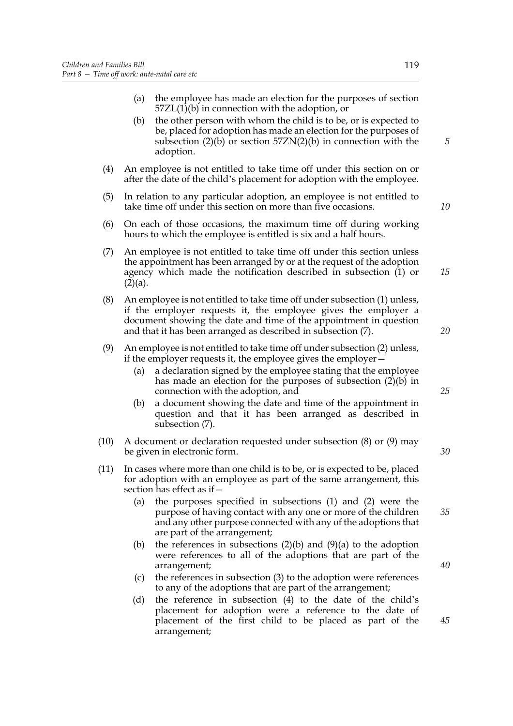- (a) the employee has made an election for the purposes of section 57ZL(1)(b) in connection with the adoption, or
- (b) the other person with whom the child is to be, or is expected to be, placed for adoption has made an election for the purposes of subsection (2)(b) or section 57ZN(2)(b) in connection with the adoption.
- (4) An employee is not entitled to take time off under this section on or after the date of the child's placement for adoption with the employee.
- (5) In relation to any particular adoption, an employee is not entitled to take time off under this section on more than five occasions.
- (6) On each of those occasions, the maximum time off during working hours to which the employee is entitled is six and a half hours.
- (7) An employee is not entitled to take time off under this section unless the appointment has been arranged by or at the request of the adoption agency which made the notification described in subsection (1) or  $(2)(a)$ .
- (8) An employee is not entitled to take time off under subsection (1) unless, if the employer requests it, the employee gives the employer a document showing the date and time of the appointment in question and that it has been arranged as described in subsection (7).
- (9) An employee is not entitled to take time off under subsection (2) unless, if the employer requests it, the employee gives the employer—
	- (a) a declaration signed by the employee stating that the employee has made an election for the purposes of subsection  $(2)(b)$  in connection with the adoption, and
	- (b) a document showing the date and time of the appointment in question and that it has been arranged as described in subsection (7).
- (10) A document or declaration requested under subsection (8) or (9) may be given in electronic form.
- (11) In cases where more than one child is to be, or is expected to be, placed for adoption with an employee as part of the same arrangement, this section has effect as if—
	- (a) the purposes specified in subsections (1) and (2) were the purpose of having contact with any one or more of the children and any other purpose connected with any of the adoptions that are part of the arrangement;
	- (b) the references in subsections  $(2)(b)$  and  $(9)(a)$  to the adoption were references to all of the adoptions that are part of the arrangement;
	- (c) the references in subsection (3) to the adoption were references to any of the adoptions that are part of the arrangement;
	- (d) the reference in subsection (4) to the date of the child's placement for adoption were a reference to the date of placement of the first child to be placed as part of the arrangement;

*5*

*10*

*15*

*20*

*30*

*25*

*40*

*45*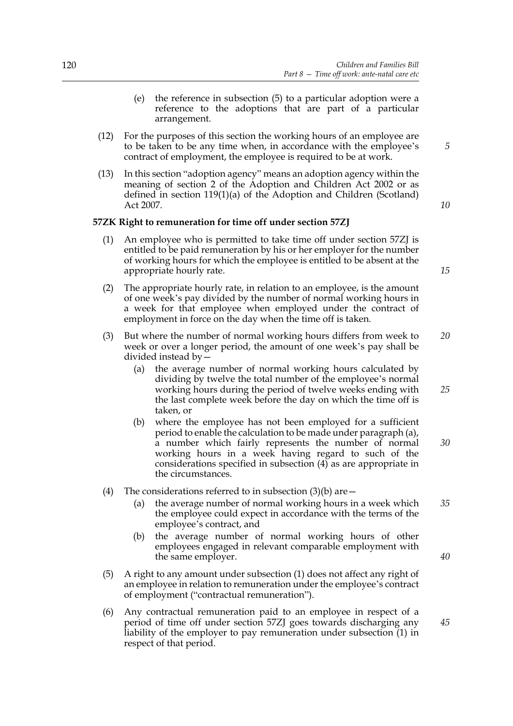- (e) the reference in subsection (5) to a particular adoption were a reference to the adoptions that are part of a particular arrangement.
- (12) For the purposes of this section the working hours of an employee are to be taken to be any time when, in accordance with the employee's contract of employment, the employee is required to be at work.
- (13) In this section "adoption agency" means an adoption agency within the meaning of section 2 of the Adoption and Children Act 2002 or as defined in section 119(1)(a) of the Adoption and Children (Scotland) Act 2007.

#### **57ZK Right to remuneration for time off under section 57ZJ**

- (1) An employee who is permitted to take time off under section 57ZJ is entitled to be paid remuneration by his or her employer for the number of working hours for which the employee is entitled to be absent at the appropriate hourly rate.
- (2) The appropriate hourly rate, in relation to an employee, is the amount of one week's pay divided by the number of normal working hours in a week for that employee when employed under the contract of employment in force on the day when the time off is taken.
- (3) But where the number of normal working hours differs from week to week or over a longer period, the amount of one week's pay shall be divided instead by— *20*
	- (a) the average number of normal working hours calculated by dividing by twelve the total number of the employee's normal working hours during the period of twelve weeks ending with the last complete week before the day on which the time off is taken, or
	- (b) where the employee has not been employed for a sufficient period to enable the calculation to be made under paragraph (a), a number which fairly represents the number of normal working hours in a week having regard to such of the considerations specified in subsection (4) as are appropriate in the circumstances.
- (4) The considerations referred to in subsection  $(3)(b)$  are  $-$ 
	- (a) the average number of normal working hours in a week which the employee could expect in accordance with the terms of the employee's contract, and *35*
	- (b) the average number of normal working hours of other employees engaged in relevant comparable employment with the same employer.
- (5) A right to any amount under subsection (1) does not affect any right of an employee in relation to remuneration under the employee's contract of employment ("contractual remuneration").
- (6) Any contractual remuneration paid to an employee in respect of a period of time off under section 57ZJ goes towards discharging any liability of the employer to pay remuneration under subsection (1) in respect of that period.

*5*

*10*

*15*

*25*

*30*

*40*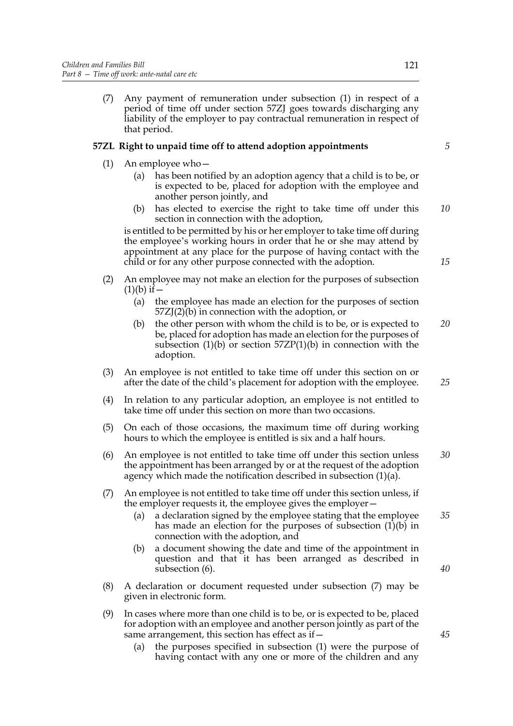(7) Any payment of remuneration under subsection (1) in respect of a period of time off under section 57ZJ goes towards discharging any liability of the employer to pay contractual remuneration in respect of that period.

## **57ZL Right to unpaid time off to attend adoption appointments**

- (1) An employee who—
	- (a) has been notified by an adoption agency that a child is to be, or is expected to be, placed for adoption with the employee and another person jointly, and
	- (b) has elected to exercise the right to take time off under this section in connection with the adoption, *10*

is entitled to be permitted by his or her employer to take time off during the employee's working hours in order that he or she may attend by appointment at any place for the purpose of having contact with the child or for any other purpose connected with the adoption.

- (2) An employee may not make an election for the purposes of subsection  $(1)(b)$  if  $-$ 
	- (a) the employee has made an election for the purposes of section  $57ZI(2)(b)$  in connection with the adoption, or
	- (b) the other person with whom the child is to be, or is expected to be, placed for adoption has made an election for the purposes of subsection  $(1)(b)$  or section  $57ZP(1)(b)$  in connection with the adoption. *20*
- (3) An employee is not entitled to take time off under this section on or after the date of the child's placement for adoption with the employee.
- (4) In relation to any particular adoption, an employee is not entitled to take time off under this section on more than two occasions.
- (5) On each of those occasions, the maximum time off during working hours to which the employee is entitled is six and a half hours.
- (6) An employee is not entitled to take time off under this section unless the appointment has been arranged by or at the request of the adoption agency which made the notification described in subsection (1)(a). *30*
- (7) An employee is not entitled to take time off under this section unless, if the employer requests it, the employee gives the employer—
	- (a) a declaration signed by the employee stating that the employee has made an election for the purposes of subsection  $(1)(b)$  in connection with the adoption, and
	- (b) a document showing the date and time of the appointment in question and that it has been arranged as described in subsection (6).
- (8) A declaration or document requested under subsection (7) may be given in electronic form.
- (9) In cases where more than one child is to be, or is expected to be, placed for adoption with an employee and another person jointly as part of the same arrangement, this section has effect as if—
	- (a) the purposes specified in subsection (1) were the purpose of having contact with any one or more of the children and any

*5*

*15*

*25*

*40*

*35*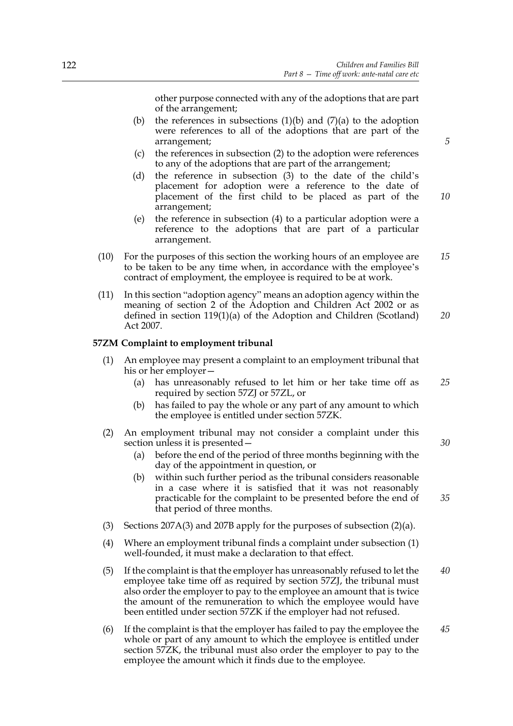other purpose connected with any of the adoptions that are part of the arrangement;

- (b) the references in subsections  $(1)(b)$  and  $(7)(a)$  to the adoption were references to all of the adoptions that are part of the arrangement;
- (c) the references in subsection (2) to the adoption were references to any of the adoptions that are part of the arrangement;
- (d) the reference in subsection (3) to the date of the child's placement for adoption were a reference to the date of placement of the first child to be placed as part of the arrangement;
- (e) the reference in subsection (4) to a particular adoption were a reference to the adoptions that are part of a particular arrangement.
- (10) For the purposes of this section the working hours of an employee are to be taken to be any time when, in accordance with the employee's contract of employment, the employee is required to be at work. *15*
- (11) In this section "adoption agency" means an adoption agency within the meaning of section 2 of the Adoption and Children Act 2002 or as defined in section 119(1)(a) of the Adoption and Children (Scotland) Act 2007. *20*

#### **57ZM Complaint to employment tribunal**

- (1) An employee may present a complaint to an employment tribunal that his or her employer—
	- (a) has unreasonably refused to let him or her take time off as required by section 57ZJ or 57ZL, or *25*
	- (b) has failed to pay the whole or any part of any amount to which the employee is entitled under section 57ZK.
- (2) An employment tribunal may not consider a complaint under this section unless it is presented—
	- (a) before the end of the period of three months beginning with the day of the appointment in question, or
	- (b) within such further period as the tribunal considers reasonable in a case where it is satisfied that it was not reasonably practicable for the complaint to be presented before the end of that period of three months.
- (3) Sections 207A(3) and 207B apply for the purposes of subsection (2)(a).
- (4) Where an employment tribunal finds a complaint under subsection (1) well-founded, it must make a declaration to that effect.
- (5) If the complaint is that the employer has unreasonably refused to let the employee take time off as required by section 57ZJ, the tribunal must also order the employer to pay to the employee an amount that is twice the amount of the remuneration to which the employee would have been entitled under section 57ZK if the employer had not refused. *40*
- (6) If the complaint is that the employer has failed to pay the employee the whole or part of any amount to which the employee is entitled under section 57ZK, the tribunal must also order the employer to pay to the employee the amount which it finds due to the employee. *45*

*5*

*10*

*30*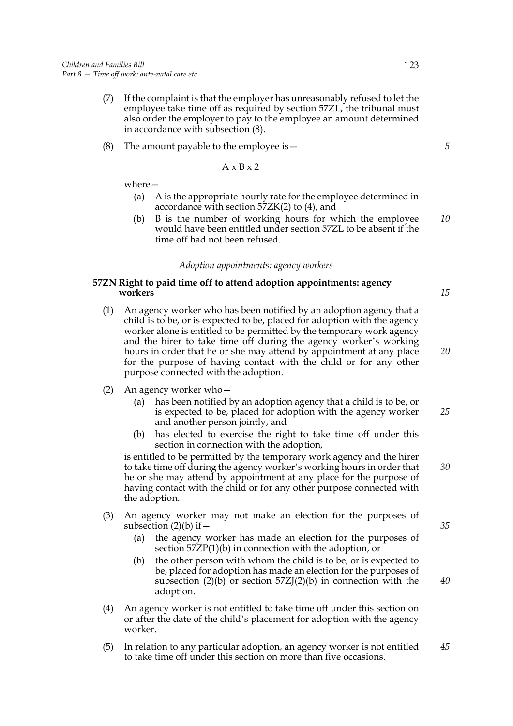- (7) If the complaint is that the employer has unreasonably refused to let the employee take time off as required by section 57ZL, the tribunal must also order the employer to pay to the employee an amount determined in accordance with subsection (8).
- (8) The amount payable to the employee is  $-$

#### $A \times B \times 2$

where—

- (a) A is the appropriate hourly rate for the employee determined in accordance with section 57ZK(2) to (4), and
- (b) B is the number of working hours for which the employee would have been entitled under section 57ZL to be absent if the time off had not been refused. *10*

#### *Adoption appointments: agency workers*

#### **57ZN Right to paid time off to attend adoption appointments: agency workers**

- (1) An agency worker who has been notified by an adoption agency that a child is to be, or is expected to be, placed for adoption with the agency worker alone is entitled to be permitted by the temporary work agency and the hirer to take time off during the agency worker's working hours in order that he or she may attend by appointment at any place for the purpose of having contact with the child or for any other purpose connected with the adoption.
- (2) An agency worker who—
	- (a) has been notified by an adoption agency that a child is to be, or is expected to be, placed for adoption with the agency worker and another person jointly, and *25*
	- (b) has elected to exercise the right to take time off under this section in connection with the adoption,

is entitled to be permitted by the temporary work agency and the hirer to take time off during the agency worker's working hours in order that he or she may attend by appointment at any place for the purpose of having contact with the child or for any other purpose connected with the adoption.

- (3) An agency worker may not make an election for the purposes of subsection  $(2)(b)$  if  $-$ 
	- (a) the agency worker has made an election for the purposes of section 57ZP(1)(b) in connection with the adoption, or
	- (b) the other person with whom the child is to be, or is expected to be, placed for adoption has made an election for the purposes of subsection  $(2)(b)$  or section 57ZJ $(2)(b)$  in connection with the adoption.
- (4) An agency worker is not entitled to take time off under this section on or after the date of the child's placement for adoption with the agency worker.
- (5) In relation to any particular adoption, an agency worker is not entitled to take time off under this section on more than five occasions. *45*

*5*

*15*

*20*

*40*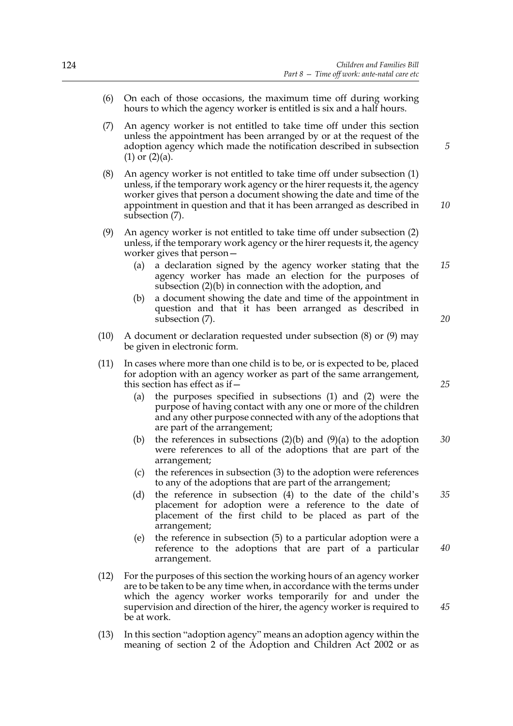- (6) On each of those occasions, the maximum time off during working hours to which the agency worker is entitled is six and a half hours.
- (7) An agency worker is not entitled to take time off under this section unless the appointment has been arranged by or at the request of the adoption agency which made the notification described in subsection  $(1)$  or  $(2)(a)$ .
- (8) An agency worker is not entitled to take time off under subsection (1) unless, if the temporary work agency or the hirer requests it, the agency worker gives that person a document showing the date and time of the appointment in question and that it has been arranged as described in subsection (7).
- (9) An agency worker is not entitled to take time off under subsection (2) unless, if the temporary work agency or the hirer requests it, the agency worker gives that person—
	- (a) a declaration signed by the agency worker stating that the agency worker has made an election for the purposes of subsection (2)(b) in connection with the adoption, and *15*
	- (b) a document showing the date and time of the appointment in question and that it has been arranged as described in subsection (7).
- (10) A document or declaration requested under subsection (8) or (9) may be given in electronic form.
- (11) In cases where more than one child is to be, or is expected to be, placed for adoption with an agency worker as part of the same arrangement, this section has effect as if—
	- (a) the purposes specified in subsections (1) and (2) were the purpose of having contact with any one or more of the children and any other purpose connected with any of the adoptions that are part of the arrangement;
	- (b) the references in subsections  $(2)(b)$  and  $(9)(a)$  to the adoption were references to all of the adoptions that are part of the arrangement; *30*
	- (c) the references in subsection (3) to the adoption were references to any of the adoptions that are part of the arrangement;
	- (d) the reference in subsection (4) to the date of the child's placement for adoption were a reference to the date of placement of the first child to be placed as part of the arrangement; *35*
	- (e) the reference in subsection (5) to a particular adoption were a reference to the adoptions that are part of a particular arrangement. *40*
- (12) For the purposes of this section the working hours of an agency worker are to be taken to be any time when, in accordance with the terms under which the agency worker works temporarily for and under the supervision and direction of the hirer, the agency worker is required to be at work.
- (13) In this section "adoption agency" means an adoption agency within the meaning of section 2 of the Adoption and Children Act 2002 or as

*25*

*45*

*20*

*5*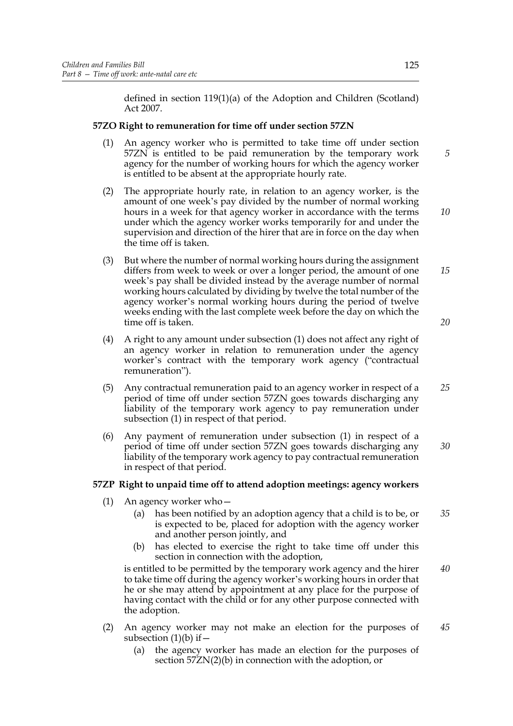defined in section 119(1)(a) of the Adoption and Children (Scotland) Act 2007.

## **57ZO Right to remuneration for time off under section 57ZN**

- (1) An agency worker who is permitted to take time off under section 57ZN is entitled to be paid remuneration by the temporary work agency for the number of working hours for which the agency worker is entitled to be absent at the appropriate hourly rate.
- (2) The appropriate hourly rate, in relation to an agency worker, is the amount of one week's pay divided by the number of normal working hours in a week for that agency worker in accordance with the terms under which the agency worker works temporarily for and under the supervision and direction of the hirer that are in force on the day when the time off is taken.
- (3) But where the number of normal working hours during the assignment differs from week to week or over a longer period, the amount of one week's pay shall be divided instead by the average number of normal working hours calculated by dividing by twelve the total number of the agency worker's normal working hours during the period of twelve weeks ending with the last complete week before the day on which the time off is taken. *15 20*
- (4) A right to any amount under subsection (1) does not affect any right of an agency worker in relation to remuneration under the agency worker's contract with the temporary work agency ("contractual remuneration").
- (5) Any contractual remuneration paid to an agency worker in respect of a period of time off under section 57ZN goes towards discharging any liability of the temporary work agency to pay remuneration under subsection (1) in respect of that period. *25*
- (6) Any payment of remuneration under subsection (1) in respect of a period of time off under section 57ZN goes towards discharging any liability of the temporary work agency to pay contractual remuneration in respect of that period. *30*

## **57ZP Right to unpaid time off to attend adoption meetings: agency workers**

- (1) An agency worker who—
	- (a) has been notified by an adoption agency that a child is to be, or is expected to be, placed for adoption with the agency worker and another person jointly, and *35*
	- (b) has elected to exercise the right to take time off under this section in connection with the adoption,

is entitled to be permitted by the temporary work agency and the hirer to take time off during the agency worker's working hours in order that he or she may attend by appointment at any place for the purpose of having contact with the child or for any other purpose connected with the adoption. *40*

- (2) An agency worker may not make an election for the purposes of subsection  $(1)(b)$  if  $-$ *45*
	- (a) the agency worker has made an election for the purposes of section 57ZN(2)(b) in connection with the adoption, or

125

*5*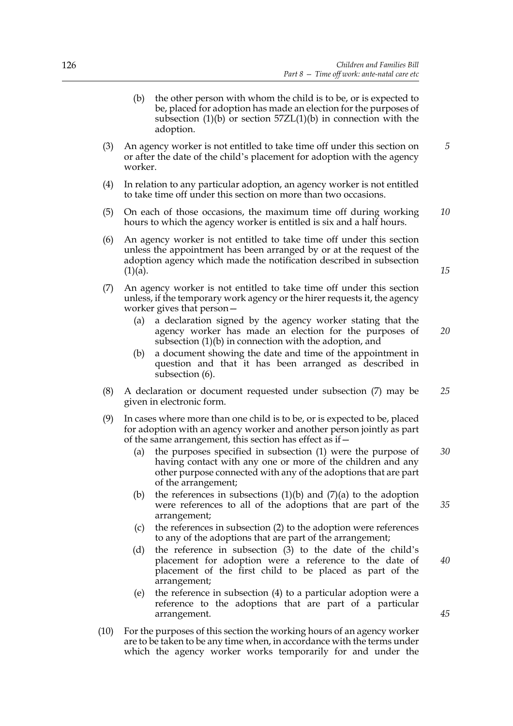- (b) the other person with whom the child is to be, or is expected to be, placed for adoption has made an election for the purposes of subsection  $(1)(b)$  or section  $57ZL(1)(b)$  in connection with the adoption.
- (3) An agency worker is not entitled to take time off under this section on or after the date of the child's placement for adoption with the agency worker. *5*
- (4) In relation to any particular adoption, an agency worker is not entitled to take time off under this section on more than two occasions.
- (5) On each of those occasions, the maximum time off during working hours to which the agency worker is entitled is six and a half hours. *10*
- (6) An agency worker is not entitled to take time off under this section unless the appointment has been arranged by or at the request of the adoption agency which made the notification described in subsection  $(1)(a)$ .
- (7) An agency worker is not entitled to take time off under this section unless, if the temporary work agency or the hirer requests it, the agency worker gives that person—
	- (a) a declaration signed by the agency worker stating that the agency worker has made an election for the purposes of subsection (1)(b) in connection with the adoption, and
	- (b) a document showing the date and time of the appointment in question and that it has been arranged as described in subsection (6).
- (8) A declaration or document requested under subsection (7) may be given in electronic form. *25*
- (9) In cases where more than one child is to be, or is expected to be, placed for adoption with an agency worker and another person jointly as part of the same arrangement, this section has effect as if—
	- (a) the purposes specified in subsection (1) were the purpose of having contact with any one or more of the children and any other purpose connected with any of the adoptions that are part of the arrangement; *30*
	- (b) the references in subsections  $(1)(b)$  and  $(7)(a)$  to the adoption were references to all of the adoptions that are part of the arrangement;
	- (c) the references in subsection (2) to the adoption were references to any of the adoptions that are part of the arrangement;
	- (d) the reference in subsection (3) to the date of the child's placement for adoption were a reference to the date of placement of the first child to be placed as part of the arrangement;
	- (e) the reference in subsection (4) to a particular adoption were a reference to the adoptions that are part of a particular arrangement.
- (10) For the purposes of this section the working hours of an agency worker are to be taken to be any time when, in accordance with the terms under which the agency worker works temporarily for and under the

*15*

*20*

*35*

*40*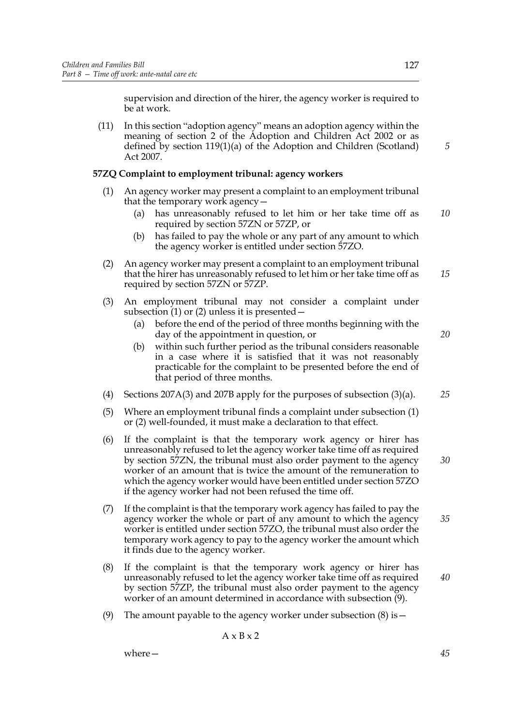supervision and direction of the hirer, the agency worker is required to be at work.

(11) In this section "adoption agency" means an adoption agency within the meaning of section 2 of the Adoption and Children Act 2002 or as defined by section 119(1)(a) of the Adoption and Children (Scotland) Act 2007.

## **57ZQ Complaint to employment tribunal: agency workers**

- (1) An agency worker may present a complaint to an employment tribunal that the temporary work agency—
	- (a) has unreasonably refused to let him or her take time off as required by section 57ZN or 57ZP, or *10*
	- (b) has failed to pay the whole or any part of any amount to which the agency worker is entitled under section 57ZO.
- (2) An agency worker may present a complaint to an employment tribunal that the hirer has unreasonably refused to let him or her take time off as required by section 57ZN or 57ZP.
- (3) An employment tribunal may not consider a complaint under subsection  $(1)$  or  $(2)$  unless it is presented –
	- (a) before the end of the period of three months beginning with the day of the appointment in question, or
	- (b) within such further period as the tribunal considers reasonable in a case where it is satisfied that it was not reasonably practicable for the complaint to be presented before the end of that period of three months.
- (4) Sections 207A(3) and 207B apply for the purposes of subsection (3)(a). *25*
- (5) Where an employment tribunal finds a complaint under subsection (1) or (2) well-founded, it must make a declaration to that effect.
- (6) If the complaint is that the temporary work agency or hirer has unreasonably refused to let the agency worker take time off as required by section 57ZN, the tribunal must also order payment to the agency worker of an amount that is twice the amount of the remuneration to which the agency worker would have been entitled under section 57ZO if the agency worker had not been refused the time off.
- (7) If the complaint is that the temporary work agency has failed to pay the agency worker the whole or part of any amount to which the agency worker is entitled under section 57ZO, the tribunal must also order the temporary work agency to pay to the agency worker the amount which it finds due to the agency worker. *35*
- (8) If the complaint is that the temporary work agency or hirer has unreasonably refused to let the agency worker take time off as required by section 57ZP, the tribunal must also order payment to the agency worker of an amount determined in accordance with subsection (9).
- (9) The amount payable to the agency worker under subsection  $(8)$  is  $-$

where—

*5*

*20*

*15*

*30*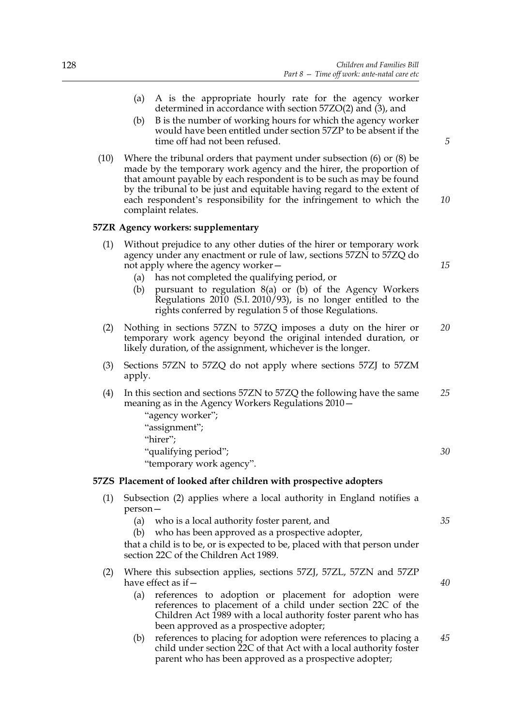- (a) A is the appropriate hourly rate for the agency worker determined in accordance with section 57ZO(2) and (3), and
- (b) B is the number of working hours for which the agency worker would have been entitled under section 57ZP to be absent if the time off had not been refused.
- (10) Where the tribunal orders that payment under subsection (6) or (8) be made by the temporary work agency and the hirer, the proportion of that amount payable by each respondent is to be such as may be found by the tribunal to be just and equitable having regard to the extent of each respondent's responsibility for the infringement to which the complaint relates.

#### **57ZR Agency workers: supplementary**

- (1) Without prejudice to any other duties of the hirer or temporary work agency under any enactment or rule of law, sections 57ZN to 57ZQ do not apply where the agency worker—
	- (a) has not completed the qualifying period, or
	- (b) pursuant to regulation 8(a) or (b) of the Agency Workers Regulations 2010 (S.I. 2010/93), is no longer entitled to the rights conferred by regulation 5 of those Regulations.
- (2) Nothing in sections 57ZN to 57ZQ imposes a duty on the hirer or temporary work agency beyond the original intended duration, or likely duration, of the assignment, whichever is the longer. *20*
- (3) Sections 57ZN to 57ZQ do not apply where sections 57ZJ to 57ZM apply.
- (4) In this section and sections 57ZN to 57ZQ the following have the same meaning as in the Agency Workers Regulations 2010— "agency worker"; "assignment"; "hirer"; *25*

"qualifying period";

"temporary work agency".

#### **57ZS Placement of looked after children with prospective adopters**

- (1) Subsection (2) applies where a local authority in England notifies a person—
	- (a) who is a local authority foster parent, and
	- (b) who has been approved as a prospective adopter,

that a child is to be, or is expected to be, placed with that person under section 22C of the Children Act 1989.

- (2) Where this subsection applies, sections 57ZJ, 57ZL, 57ZN and 57ZP have effect as if—
	- (a) references to adoption or placement for adoption were references to placement of a child under section 22C of the Children Act 1989 with a local authority foster parent who has been approved as a prospective adopter;
	- (b) references to placing for adoption were references to placing a child under section 22C of that Act with a local authority foster parent who has been approved as a prospective adopter; *45*

*5*

*10*

*15*

*30*

*35*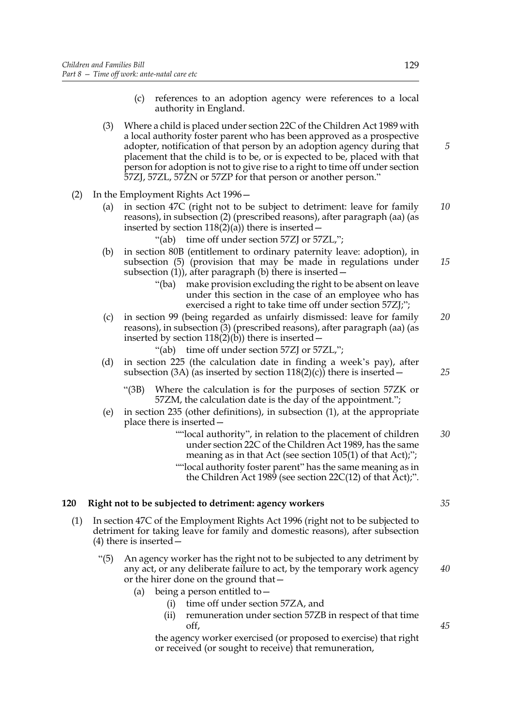- (c) references to an adoption agency were references to a local authority in England.
- (3) Where a child is placed under section 22C of the Children Act 1989 with a local authority foster parent who has been approved as a prospective adopter, notification of that person by an adoption agency during that placement that the child is to be, or is expected to be, placed with that person for adoption is not to give rise to a right to time off under section 57ZJ, 57ZL, 57ZN or 57ZP for that person or another person."
- (2) In the Employment Rights Act 1996—
	- (a) in section 47C (right not to be subject to detriment: leave for family reasons), in subsection (2) (prescribed reasons), after paragraph (aa) (as inserted by section  $118(2)(a)$ ) there is inserted – *10*
		- "(ab) time off under section 57ZJ or 57ZL,";
	- (b) in section 80B (entitlement to ordinary paternity leave: adoption), in subsection (5) (provision that may be made in regulations under subsection  $(1)$ , after paragraph (b) there is inserted – *15*
		- "(ba) make provision excluding the right to be absent on leave under this section in the case of an employee who has exercised a right to take time off under section 57ZJ;";
	- (c) in section 99 (being regarded as unfairly dismissed: leave for family reasons), in subsection (3) (prescribed reasons), after paragraph (aa) (as inserted by section  $118(2)(b)$ ) there is inserted – *20*
		- "(ab) time off under section 57ZJ or 57ZL,";
	- (d) in section 225 (the calculation date in finding a week's pay), after subsection (3A) (as inserted by section  $118(2)(c)$ ) there is inserted –
		- "(3B) Where the calculation is for the purposes of section 57ZK or 57ZM, the calculation date is the day of the appointment.";
	- (e) in section 235 (other definitions), in subsection (1), at the appropriate place there is inserted—
		- ""local authority", in relation to the placement of children under section 22C of the Children Act 1989, has the same meaning as in that Act (see section 105(1) of that Act);"; *30*
		- ""local authority foster parent" has the same meaning as in the Children Act 1989 (see section 22C(12) of that Act);".

#### **120 Right not to be subjected to detriment: agency workers**

- (1) In section 47C of the Employment Rights Act 1996 (right not to be subjected to detriment for taking leave for family and domestic reasons), after subsection (4) there is inserted—
	- "(5) An agency worker has the right not to be subjected to any detriment by any act, or any deliberate failure to act, by the temporary work agency or the hirer done on the ground that—
		- (a) being a person entitled to  $-$ 
			- (i) time off under section 57ZA, and
			- (ii) remuneration under section 57ZB in respect of that time off,

the agency worker exercised (or proposed to exercise) that right or received (or sought to receive) that remuneration,

*45*

*40*

*35*

*5*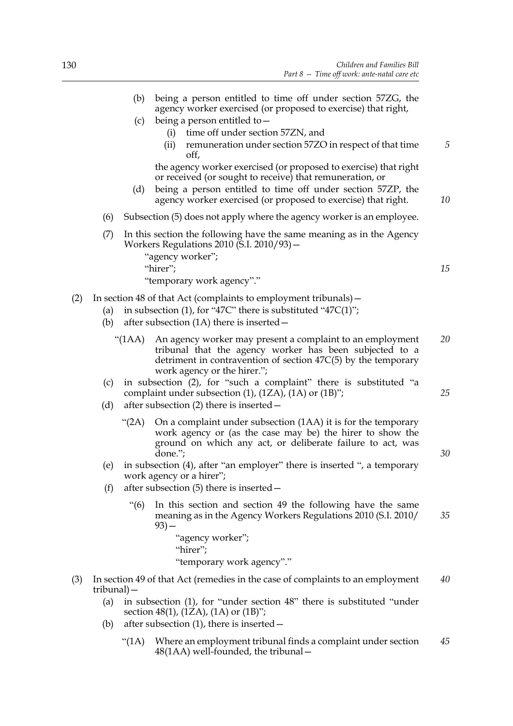|     |             | (b)<br>(c)      | being a person entitled to time off under section 57ZG, the<br>agency worker exercised (or proposed to exercise) that right,<br>being a person entitled to $-$<br>time off under section 57ZN, and<br>(i)<br>remuneration under section 57ZO in respect of that time<br>(ii)<br>off, | 5  |
|-----|-------------|-----------------|--------------------------------------------------------------------------------------------------------------------------------------------------------------------------------------------------------------------------------------------------------------------------------------|----|
|     |             | (d)             | the agency worker exercised (or proposed to exercise) that right<br>or received (or sought to receive) that remuneration, or<br>being a person entitled to time off under section 57ZP, the<br>agency worker exercised (or proposed to exercise) that right.                         | 10 |
|     | (6)         |                 | Subsection (5) does not apply where the agency worker is an employee.                                                                                                                                                                                                                |    |
|     | (7)         |                 | In this section the following have the same meaning as in the Agency<br>Workers Regulations 2010 (S.I. 2010/93) –<br>"agency worker";                                                                                                                                                |    |
|     |             |                 | "hirer";<br>"temporary work agency"."                                                                                                                                                                                                                                                | 15 |
| (2) | (a)<br>(b)  |                 | In section 48 of that Act (complaints to employment tribunals) –<br>in subsection (1), for "47C" there is substituted "47 $C(1)$ ";<br>after subsection $(1A)$ there is inserted $-$                                                                                                 |    |
|     |             | "(1AA)          | An agency worker may present a complaint to an employment<br>tribunal that the agency worker has been subjected to a<br>detriment in contravention of section $47C(5)$ by the temporary<br>work agency or the hirer.";                                                               | 20 |
|     | (c)<br>(d)  |                 | in subsection (2), for "such a complaint" there is substituted "a<br>complaint under subsection $(1)$ , $(1ZA)$ , $(1A)$ or $(1B)$ ";<br>after subsection (2) there is inserted -                                                                                                    | 25 |
|     |             | " $(2A)$        | On a complaint under subsection (1AA) it is for the temporary<br>work agency or (as the case may be) the hirer to show the<br>ground on which any act, or deliberate failure to act, was<br>done.";                                                                                  | 30 |
|     | (e)         |                 | in subsection (4), after "an employer" there is inserted ", a temporary<br>work agency or a hirer";                                                                                                                                                                                  |    |
|     | (f)         | $\cdot\cdot(6)$ | after subsection $(5)$ there is inserted $-$<br>In this section and section 49 the following have the same<br>meaning as in the Agency Workers Regulations 2010 (S.I. 2010/<br>$93$ ) –                                                                                              | 35 |
|     |             |                 | "agency worker";<br>"hirer";<br>"temporary work agency"."                                                                                                                                                                                                                            |    |
| (3) | tribunal) — |                 | In section 49 of that Act (remedies in the case of complaints to an employment                                                                                                                                                                                                       | 40 |
|     | (a)<br>(b)  |                 | in subsection (1), for "under section 48" there is substituted "under<br>section 48(1), $(1ZA)$ , $(1A)$ or $(1B)$ ";<br>after subsection $(1)$ , there is inserted $-$                                                                                                              |    |
|     |             | "(1A)           | Where an employment tribunal finds a complaint under section<br>$48(1AA)$ well-founded, the tribunal $-$                                                                                                                                                                             | 45 |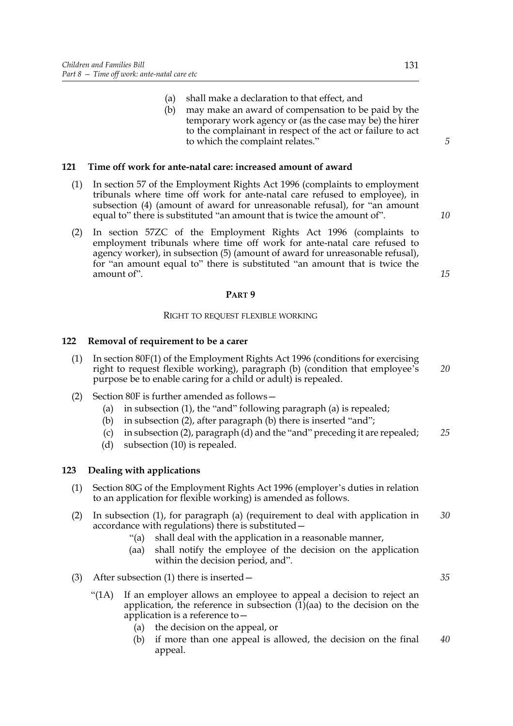- (a) shall make a declaration to that effect, and
- (b) may make an award of compensation to be paid by the temporary work agency or (as the case may be) the hirer to the complainant in respect of the act or failure to act to which the complaint relates."

#### **121 Time off work for ante-natal care: increased amount of award**

- (1) In section 57 of the Employment Rights Act 1996 (complaints to employment tribunals where time off work for ante-natal care refused to employee), in subsection (4) (amount of award for unreasonable refusal), for "an amount equal to" there is substituted "an amount that is twice the amount of".
- (2) In section 57ZC of the Employment Rights Act 1996 (complaints to employment tribunals where time off work for ante-natal care refused to agency worker), in subsection (5) (amount of award for unreasonable refusal), for "an amount equal to" there is substituted "an amount that is twice the amount of".

**PART 9**

#### RIGHT TO REQUEST FLEXIBLE WORKING

#### **122 Removal of requirement to be a carer**

- (1) In section 80F(1) of the Employment Rights Act 1996 (conditions for exercising right to request flexible working), paragraph (b) (condition that employee's purpose be to enable caring for a child or adult) is repealed.
- (2) Section 80F is further amended as follows—
	- (a) in subsection (1), the "and" following paragraph (a) is repealed;
	- (b) in subsection (2), after paragraph (b) there is inserted "and";
	- (c) in subsection (2), paragraph (d) and the "and" preceding it are repealed; *25*
	- (d) subsection (10) is repealed.

#### **123 Dealing with applications**

- (1) Section 80G of the Employment Rights Act 1996 (employer's duties in relation to an application for flexible working) is amended as follows.
- (2) In subsection (1), for paragraph (a) (requirement to deal with application in accordance with regulations) there is substituted— *30*
	- "(a) shall deal with the application in a reasonable manner,
	- (aa) shall notify the employee of the decision on the application within the decision period, and".
- (3) After subsection (1) there is inserted—
	- "(1A) If an employer allows an employee to appeal a decision to reject an application, the reference in subsection  $(1)(aa)$  to the decision on the application is a reference to—
		- (a) the decision on the appeal, or
		- (b) if more than one appeal is allowed, the decision on the final appeal. *40*

*5*

*10*

*20*

*35*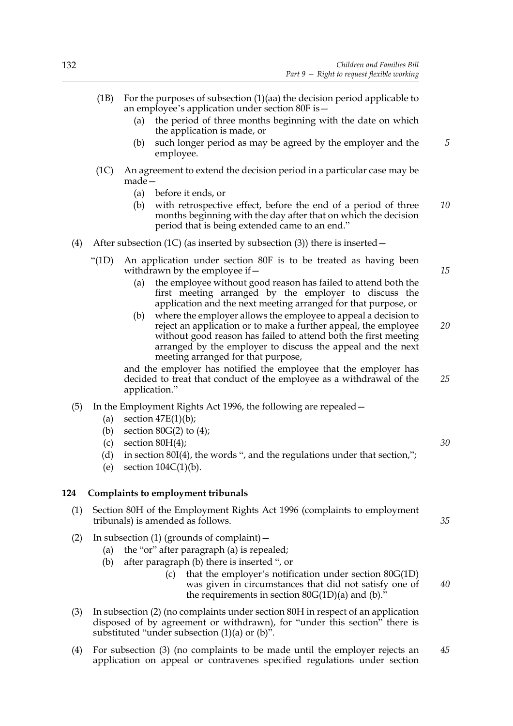- (1B) For the purposes of subsection (1)(aa) the decision period applicable to an employee's application under section 80F is— (a) the period of three months beginning with the date on which the application is made, or (b) such longer period as may be agreed by the employer and the employee. *5*
- (1C) An agreement to extend the decision period in a particular case may be made—
	- (a) before it ends, or
	- (b) with retrospective effect, before the end of a period of three months beginning with the day after that on which the decision period that is being extended came to an end." *10*
- (4) After subsection (1C) (as inserted by subsection (3)) there is inserted  $-$ 
	- "(1D) An application under section 80F is to be treated as having been withdrawn by the employee if  $-$ 
		- (a) the employee without good reason has failed to attend both the first meeting arranged by the employer to discuss the application and the next meeting arranged for that purpose, or
		- (b) where the employer allows the employee to appeal a decision to reject an application or to make a further appeal, the employee without good reason has failed to attend both the first meeting arranged by the employer to discuss the appeal and the next meeting arranged for that purpose, *20*

and the employer has notified the employee that the employer has decided to treat that conduct of the employee as a withdrawal of the application."

## (5) In the Employment Rights Act 1996, the following are repealed—

- (a) section  $47E(1)(b)$ ;
- (b) section  $80G(2)$  to  $(4)$ ;
- (c) section  $80H(4)$ ;
- (d) in section 80I(4), the words ", and the regulations under that section,";
- (e) section  $104C(1)(b)$ .

## **124 Complaints to employment tribunals**

- (1) Section 80H of the Employment Rights Act 1996 (complaints to employment tribunals) is amended as follows.
- (2) In subsection (1) (grounds of complaint)—
	- (a) the "or" after paragraph (a) is repealed;
	- (b) after paragraph (b) there is inserted ", or
		- (c) that the employer's notification under section 80G(1D) was given in circumstances that did not satisfy one of the requirements in section  $80G(1D)(a)$  and (b)."
- (3) In subsection (2) (no complaints under section 80H in respect of an application disposed of by agreement or withdrawn), for "under this section" there is substituted "under subsection (1)(a) or (b)".
- (4) For subsection (3) (no complaints to be made until the employer rejects an application on appeal or contravenes specified regulations under section *45*

*30*

*25*

*15*

*40*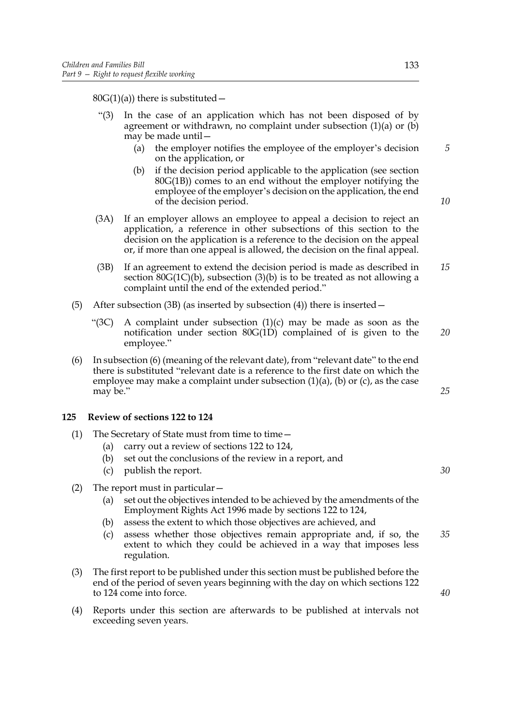$80G(1)(a)$ ) there is substituted –

- "(3) In the case of an application which has not been disposed of by agreement or withdrawn, no complaint under subsection (1)(a) or (b) may be made until—
	- (a) the employer notifies the employee of the employer's decision on the application, or
	- (b) if the decision period applicable to the application (see section 80G(1B)) comes to an end without the employer notifying the employee of the employer's decision on the application, the end of the decision period.
- (3A) If an employer allows an employee to appeal a decision to reject an application, a reference in other subsections of this section to the decision on the application is a reference to the decision on the appeal or, if more than one appeal is allowed, the decision on the final appeal.
- (3B) If an agreement to extend the decision period is made as described in section 80G(1C)(b), subsection (3)(b) is to be treated as not allowing a complaint until the end of the extended period." *15*
- (5) After subsection (3B) (as inserted by subsection (4)) there is inserted—
	- "(3C) A complaint under subsection  $(1)(c)$  may be made as soon as the notification under section 80G(1D) complained of is given to the employee."
- (6) In subsection (6) (meaning of the relevant date), from "relevant date" to the end there is substituted "relevant date is a reference to the first date on which the employee may make a complaint under subsection  $(1)(a)$ ,  $(b)$  or  $(c)$ , as the case may be."

## **125 Review of sections 122 to 124**

- (1) The Secretary of State must from time to time  $-$ 
	- (a) carry out a review of sections 122 to 124,
	- (b) set out the conclusions of the review in a report, and
	- (c) publish the report.
- (2) The report must in particular—
	- (a) set out the objectives intended to be achieved by the amendments of the Employment Rights Act 1996 made by sections 122 to 124,
	- (b) assess the extent to which those objectives are achieved, and
	- (c) assess whether those objectives remain appropriate and, if so, the extent to which they could be achieved in a way that imposes less regulation. *35*
- (3) The first report to be published under this section must be published before the end of the period of seven years beginning with the day on which sections 122 to 124 come into force.
- (4) Reports under this section are afterwards to be published at intervals not exceeding seven years.

*5*

*10*

*25*

*30*

*20*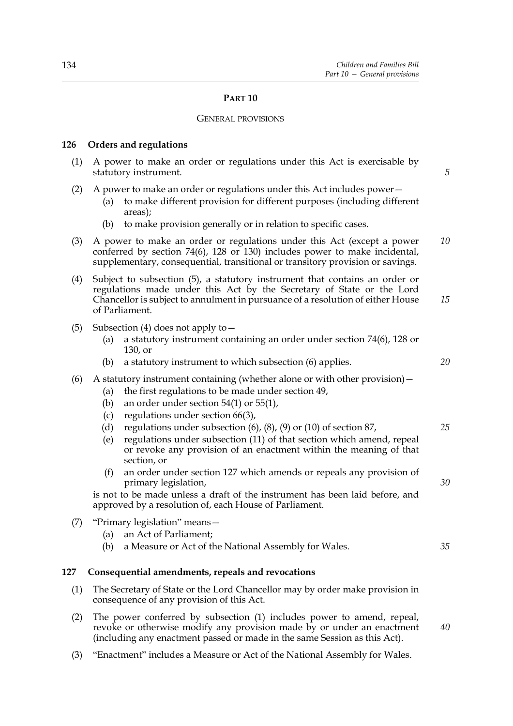## **PART 10**

## GENERAL PROVISIONS

## **126 Orders and regulations**

| (1) | A power to make an order or regulations under this Act is exercisable by<br>5<br>statutory instrument.                                                                                                                                                          |    |  |  |
|-----|-----------------------------------------------------------------------------------------------------------------------------------------------------------------------------------------------------------------------------------------------------------------|----|--|--|
| (2) | A power to make an order or regulations under this Act includes power -<br>to make different provision for different purposes (including different<br>(a)<br>areas);                                                                                            |    |  |  |
|     | to make provision generally or in relation to specific cases.<br>(b)                                                                                                                                                                                            |    |  |  |
| (3) | A power to make an order or regulations under this Act (except a power<br>10<br>conferred by section 74(6), 128 or 130) includes power to make incidental,<br>supplementary, consequential, transitional or transitory provision or savings.                    |    |  |  |
| (4) | Subject to subsection (5), a statutory instrument that contains an order or<br>regulations made under this Act by the Secretary of State or the Lord<br>Chancellor is subject to annulment in pursuance of a resolution of either House<br>15<br>of Parliament. |    |  |  |
| (5) | Subsection (4) does not apply to $-$                                                                                                                                                                                                                            |    |  |  |
|     | a statutory instrument containing an order under section $74(6)$ , 128 or<br>(a)<br>$130$ , or                                                                                                                                                                  |    |  |  |
|     | a statutory instrument to which subsection (6) applies.<br>(b)                                                                                                                                                                                                  | 20 |  |  |
| (6) | A statutory instrument containing (whether alone or with other provision) –<br>the first regulations to be made under section 49,<br>(a)<br>an order under section $54(1)$ or $55(1)$ ,<br>(b)<br>regulations under section 66(3),<br>(c)                       |    |  |  |
|     | regulations under subsection $(6)$ , $(8)$ , $(9)$ or $(10)$ of section 87,<br>(d)<br>regulations under subsection (11) of that section which amend, repeal<br>(e)<br>or revoke any provision of an enactment within the meaning of that<br>section, or         | 25 |  |  |
|     | an order under section 127 which amends or repeals any provision of<br>(f)<br>primary legislation,                                                                                                                                                              | 30 |  |  |
|     | is not to be made unless a draft of the instrument has been laid before, and<br>approved by a resolution of, each House of Parliament.                                                                                                                          |    |  |  |
| (7) | "Primary legislation" means-                                                                                                                                                                                                                                    |    |  |  |
|     | (a) an Act of Parliament;                                                                                                                                                                                                                                       |    |  |  |
|     | (b) a Measure or Act of the National Assembly for Wales.                                                                                                                                                                                                        | 35 |  |  |
| 127 | Consequential amendments, repeals and revocations                                                                                                                                                                                                               |    |  |  |
| (1) | The Secretary of State or the Lord Chancellor may by order make provision in<br>consequence of any provision of this Act.                                                                                                                                       |    |  |  |
| (2) | The power conferred by subsection (1) includes power to amend, repeal,<br>revoke or otherwise modify any provision made by or under an enactment<br>(including any enactment passed or made in the same Session as this Act).                                   | 40 |  |  |

(3) "Enactment" includes a Measure or Act of the National Assembly for Wales.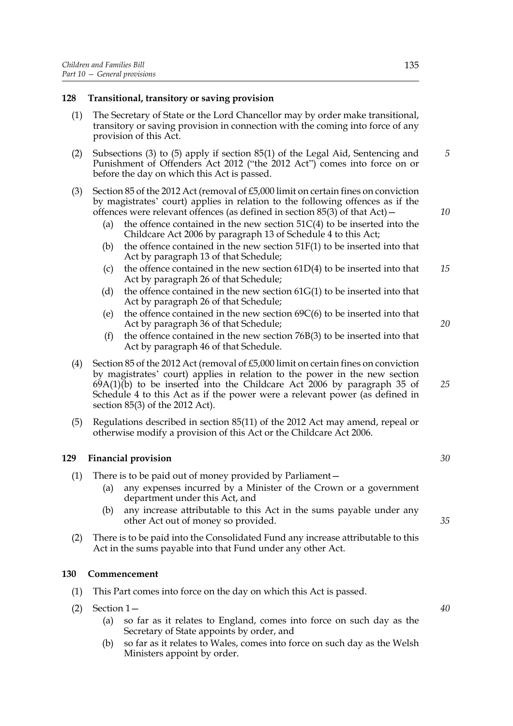## **128 Transitional, transitory or saving provision**

- (1) The Secretary of State or the Lord Chancellor may by order make transitional, transitory or saving provision in connection with the coming into force of any provision of this Act.
- (2) Subsections (3) to (5) apply if section 85(1) of the Legal Aid, Sentencing and Punishment of Offenders Act 2012 ("the 2012 Act") comes into force on or before the day on which this Act is passed.
- (3) Section 85 of the 2012 Act (removal of £5,000 limit on certain fines on conviction by magistrates' court) applies in relation to the following offences as if the offences were relevant offences (as defined in section 85(3) of that Act)—
	- (a) the offence contained in the new section  $51C(4)$  to be inserted into the Childcare Act 2006 by paragraph 13 of Schedule 4 to this Act;
	- (b) the offence contained in the new section  $51F(1)$  to be inserted into that Act by paragraph 13 of that Schedule;
	- (c) the offence contained in the new section 61D(4) to be inserted into that Act by paragraph 26 of that Schedule; *15*
	- (d) the offence contained in the new section  $61G(1)$  to be inserted into that Act by paragraph 26 of that Schedule;
	- (e) the offence contained in the new section  $69C(6)$  to be inserted into that Act by paragraph 36 of that Schedule;
	- (f) the offence contained in the new section 76B(3) to be inserted into that Act by paragraph 46 of that Schedule.
- (4) Section 85 of the 2012 Act (removal of £5,000 limit on certain fines on conviction by magistrates' court) applies in relation to the power in the new section 69A(1)(b) to be inserted into the Childcare Act 2006 by paragraph 35 of Schedule 4 to this Act as if the power were a relevant power (as defined in section 85(3) of the 2012 Act).
- (5) Regulations described in section 85(11) of the 2012 Act may amend, repeal or otherwise modify a provision of this Act or the Childcare Act 2006.

## **129 Financial provision**

- (1) There is to be paid out of money provided by Parliament—
	- (a) any expenses incurred by a Minister of the Crown or a government department under this Act, and
	- (b) any increase attributable to this Act in the sums payable under any other Act out of money so provided.
- (2) There is to be paid into the Consolidated Fund any increase attributable to this Act in the sums payable into that Fund under any other Act.

## **130 Commencement**

- (1) This Part comes into force on the day on which this Act is passed.
- (2) Section 1—
	- (a) so far as it relates to England, comes into force on such day as the Secretary of State appoints by order, and
	- (b) so far as it relates to Wales, comes into force on such day as the Welsh Ministers appoint by order.

*5*

*10*

*20*

*25*

*30*

*35*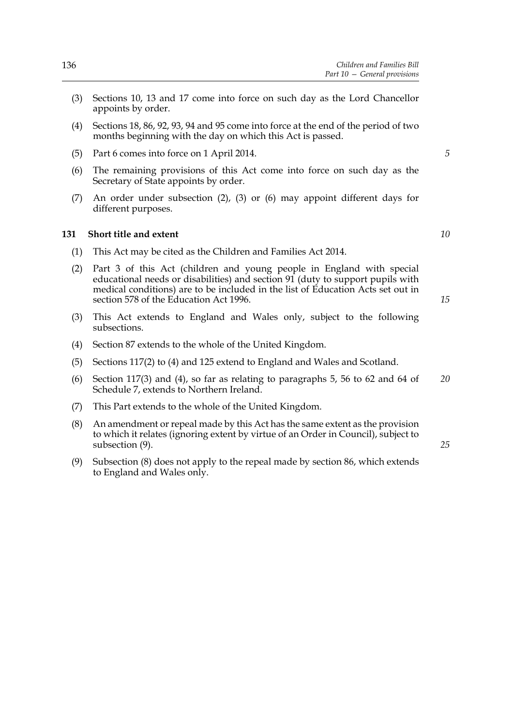- (3) Sections 10, 13 and 17 come into force on such day as the Lord Chancellor appoints by order.
- (4) Sections 18, 86, 92, 93, 94 and 95 come into force at the end of the period of two months beginning with the day on which this Act is passed.
- (5) Part 6 comes into force on 1 April 2014.
- (6) The remaining provisions of this Act come into force on such day as the Secretary of State appoints by order.
- (7) An order under subsection (2), (3) or (6) may appoint different days for different purposes.

#### **131 Short title and extent**

- (1) This Act may be cited as the Children and Families Act 2014.
- (2) Part 3 of this Act (children and young people in England with special educational needs or disabilities) and section 91 (duty to support pupils with medical conditions) are to be included in the list of Education Acts set out in section 578 of the Education Act 1996.
- (3) This Act extends to England and Wales only, subject to the following subsections.
- (4) Section 87 extends to the whole of the United Kingdom.
- (5) Sections 117(2) to (4) and 125 extend to England and Wales and Scotland.
- (6) Section 117(3) and (4), so far as relating to paragraphs 5, 56 to 62 and 64 of Schedule 7, extends to Northern Ireland. *20*
- (7) This Part extends to the whole of the United Kingdom.
- (8) An amendment or repeal made by this Act has the same extent as the provision to which it relates (ignoring extent by virtue of an Order in Council), subject to subsection (9).
- (9) Subsection (8) does not apply to the repeal made by section 86, which extends to England and Wales only.

*5*

*10*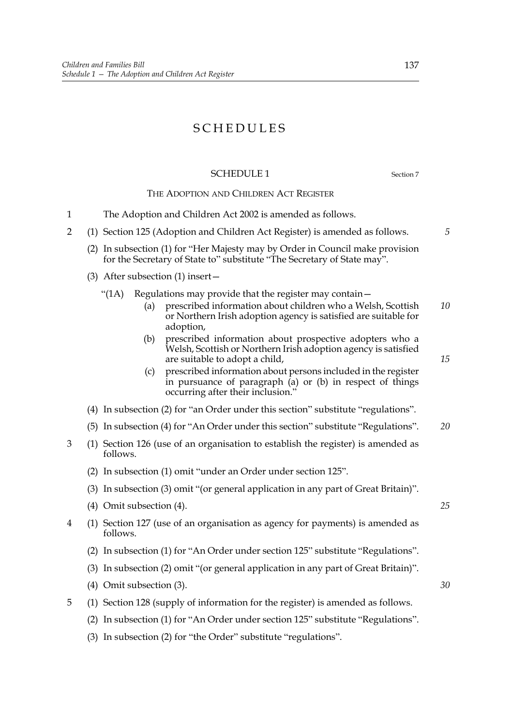## SCHEDULES

## SCHEDULE 1 Section 7

*5*

*15*

## THE ADOPTION AND CHILDREN ACT REGISTER

| The Adoption and Children Act 2002 is amended as follows. |
|-----------------------------------------------------------|
|                                                           |

- 2 (1) Section 125 (Adoption and Children Act Register) is amended as follows.
	- (2) In subsection (1) for "Her Majesty may by Order in Council make provision for the Secretary of State to" substitute "The Secretary of State may".
	- (3) After subsection (1) insert—
		- "(1A) Regulations may provide that the register may contain—
			- (a) prescribed information about children who a Welsh, Scottish or Northern Irish adoption agency is satisfied are suitable for adoption, *10*
			- (b) prescribed information about prospective adopters who a Welsh, Scottish or Northern Irish adoption agency is satisfied are suitable to adopt a child,
			- (c) prescribed information about persons included in the register in pursuance of paragraph  $\overline{a}$  or  $\overline{b}$  in respect of things occurring after their inclusion."
	- (4) In subsection (2) for "an Order under this section" substitute "regulations".
	- (5) In subsection (4) for "An Order under this section" substitute "Regulations". *20*
- 3 (1) Section 126 (use of an organisation to establish the register) is amended as follows.
	- (2) In subsection (1) omit "under an Order under section 125".
	- (3) In subsection (3) omit "(or general application in any part of Great Britain)".
	- (4) Omit subsection (4).
- 4 (1) Section 127 (use of an organisation as agency for payments) is amended as follows.
	- (2) In subsection (1) for "An Order under section 125" substitute "Regulations".
	- (3) In subsection (2) omit "(or general application in any part of Great Britain)".
	- (4) Omit subsection (3).
- 5 (1) Section 128 (supply of information for the register) is amended as follows.
	- (2) In subsection (1) for "An Order under section 125" substitute "Regulations".
	- (3) In subsection (2) for "the Order" substitute "regulations".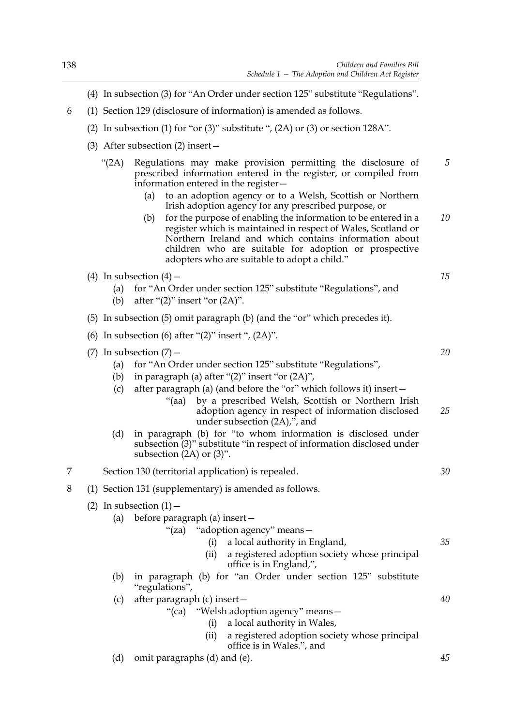- (4) In subsection (3) for "An Order under section 125" substitute "Regulations".
- 6 (1) Section 129 (disclosure of information) is amended as follows.
	- (2) In subsection (1) for "or (3)" substitute ", (2A) or (3) or section  $128A$ ".
	- (3) After subsection (2) insert—
		- "(2A) Regulations may make provision permitting the disclosure of prescribed information entered in the register, or compiled from information entered in the register— *5*
			- (a) to an adoption agency or to a Welsh, Scottish or Northern Irish adoption agency for any prescribed purpose, or
			- (b) for the purpose of enabling the information to be entered in a register which is maintained in respect of Wales, Scotland or Northern Ireland and which contains information about children who are suitable for adoption or prospective adopters who are suitable to adopt a child." *10*
	- (4) In subsection  $(4)$ 
		- (a) for "An Order under section 125" substitute "Regulations", and
		- (b) after " $(2)$ " insert "or  $(2A)$ ".
	- (5) In subsection (5) omit paragraph (b) (and the "or" which precedes it).
	- (6) In subsection (6) after " $(2)$ " insert ",  $(2A)$ ".
	- (7) In subsection  $(7)$  -
		- (a) for "An Order under section 125" substitute "Regulations",
		- (b) in paragraph (a) after "(2)" insert "or (2A)",
		- (c) after paragraph (a) (and before the "or" which follows it) insert—
			- "(aa) by a prescribed Welsh, Scottish or Northern Irish adoption agency in respect of information disclosed under subsection (2A),", and *25*
		- (d) in paragraph (b) for "to whom information is disclosed under subsection (3)" substitute "in respect of information disclosed under subsection (2A) or (3)".

#### 7 Section 130 (territorial application) is repealed.

#### 8 (1) Section 131 (supplementary) is amended as follows.

- (2) In subsection  $(1)$  -
	- (a) before paragraph (a) insert—
		- "(za) "adoption agency" means—
			- (i) a local authority in England,
			- (ii) a registered adoption society whose principal office is in England,",
	- (b) in paragraph (b) for "an Order under section 125" substitute "regulations",
	- (c) after paragraph (c) insert— *40*
		- "(ca) "Welsh adoption agency" means—
			- (i) a local authority in Wales,
				- (ii) a registered adoption society whose principal office is in Wales.", and
	- (d) omit paragraphs (d) and (e).

*45*

*15*

*20*

*30*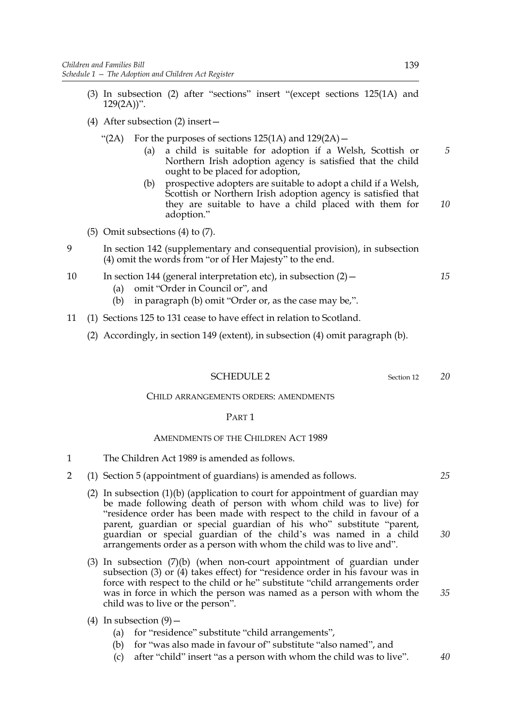- (3) In subsection (2) after "sections" insert "(except sections 125(1A) and  $129(2A)$ ".
- (4) After subsection (2) insert—
	- "(2A) For the purposes of sections  $125(1)$  and  $129(2)$  -
		- (a) a child is suitable for adoption if a Welsh, Scottish or Northern Irish adoption agency is satisfied that the child ought to be placed for adoption,
		- (b) prospective adopters are suitable to adopt a child if a Welsh, Scottish or Northern Irish adoption agency is satisfied that they are suitable to have a child placed with them for adoption." *10*
- (5) Omit subsections (4) to (7).
- 9 In section 142 (supplementary and consequential provision), in subsection (4) omit the words from "or of Her Majesty" to the end.
- 10 In section 144 (general interpretation etc), in subsection (2) -
	- (a) omit "Order in Council or", and
	- (b) in paragraph (b) omit "Order or, as the case may be,".
- 11 (1) Sections 125 to 131 cease to have effect in relation to Scotland.
	- (2) Accordingly, in section 149 (extent), in subsection (4) omit paragraph (b).

# SCHEDULE 2 Section 12

# CHILD ARRANGEMENTS ORDERS: AMENDMENTS

### PART 1

## AMENDMENTS OF THE CHILDREN ACT 1989

- 1 The Children Act 1989 is amended as follows.
- 2 (1) Section 5 (appointment of guardians) is amended as follows.
	- (2) In subsection (1)(b) (application to court for appointment of guardian may be made following death of person with whom child was to live) for "residence order has been made with respect to the child in favour of a parent, guardian or special guardian of his who" substitute "parent, guardian or special guardian of the child's was named in a child arrangements order as a person with whom the child was to live and". *30*
	- (3) In subsection (7)(b) (when non-court appointment of guardian under subsection (3) or (4) takes effect) for "residence order in his favour was in force with respect to the child or he" substitute "child arrangements order was in force in which the person was named as a person with whom the child was to live or the person".
	- (4) In subsection  $(9)$ 
		- (a) for "residence" substitute "child arrangements",
		- (b) for "was also made in favour of" substitute "also named", and
		- (c) after "child" insert "as a person with whom the child was to live".

*5*

*15*

*25*

*35*

*40*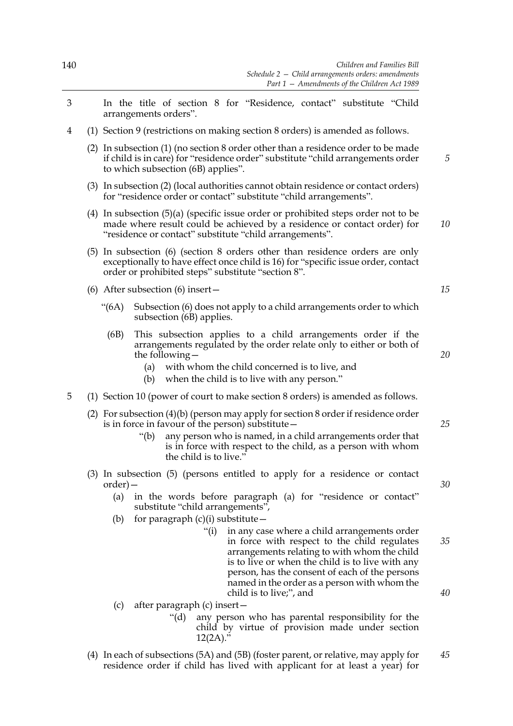- 3 In the title of section 8 for "Residence, contact" substitute "Child arrangements orders".
- 4 (1) Section 9 (restrictions on making section 8 orders) is amended as follows.
	- (2) In subsection (1) (no section 8 order other than a residence order to be made if child is in care) for "residence order" substitute "child arrangements order to which subsection (6B) applies".
	- (3) In subsection (2) (local authorities cannot obtain residence or contact orders) for "residence order or contact" substitute "child arrangements".
	- (4) In subsection (5)(a) (specific issue order or prohibited steps order not to be made where result could be achieved by a residence or contact order) for "residence or contact" substitute "child arrangements". *10*
	- (5) In subsection (6) (section 8 orders other than residence orders are only exceptionally to have effect once child is 16) for "specific issue order, contact order or prohibited steps" substitute "section 8".
	- (6) After subsection (6) insert—
		- "(6A) Subsection (6) does not apply to a child arrangements order to which subsection (6B) applies.
			- (6B) This subsection applies to a child arrangements order if the arrangements regulated by the order relate only to either or both of the following—
				- (a) with whom the child concerned is to live, and
				- (b) when the child is to live with any person."
- 5 (1) Section 10 (power of court to make section 8 orders) is amended as follows.
	- (2) For subsection (4)(b) (person may apply for section 8 order if residence order is in force in favour of the person) substitute—
		- "(b) any person who is named, in a child arrangements order that is in force with respect to the child, as a person with whom the child is to live."
	- (3) In subsection (5) (persons entitled to apply for a residence or contact order)—
		- (a) in the words before paragraph (a) for "residence or contact" substitute "child arrangements",
		- (b) for paragraph  $(c)(i)$  substitute
			- "(i) in any case where a child arrangements order in force with respect to the child regulates arrangements relating to with whom the child is to live or when the child is to live with any person, has the consent of each of the persons named in the order as a person with whom the child is to live;", and *35 40*
		- (c) after paragraph (c) insert—
			- "(d) any person who has parental responsibility for the child by virtue of provision made under section  $12(2A).$
	- (4) In each of subsections (5A) and (5B) (foster parent, or relative, may apply for residence order if child has lived with applicant for at least a year) for *45*

*5*

*25*

*30*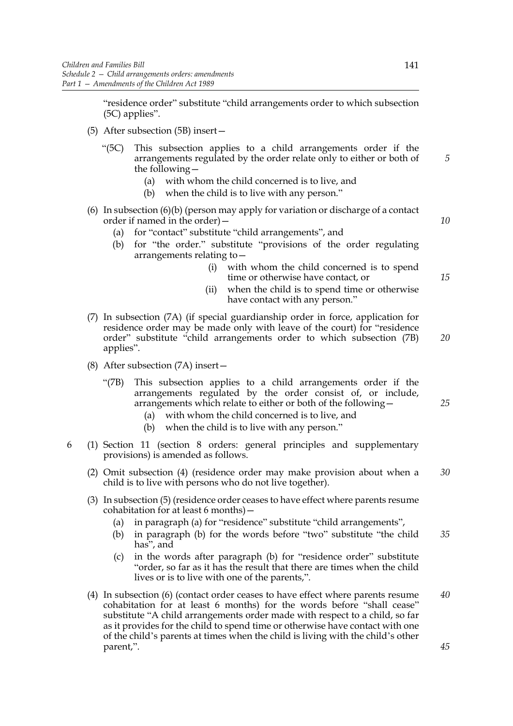"residence order" substitute "child arrangements order to which subsection (5C) applies".

- (5) After subsection (5B) insert—
	- "(5C) This subsection applies to a child arrangements order if the arrangements regulated by the order relate only to either or both of the following—
		- (a) with whom the child concerned is to live, and
		- (b) when the child is to live with any person."
- (6) In subsection (6)(b) (person may apply for variation or discharge of a contact order if named in the order)—
	- (a) for "contact" substitute "child arrangements", and
	- (b) for "the order." substitute "provisions of the order regulating arrangements relating to—
		- (i) with whom the child concerned is to spend time or otherwise have contact, or
		- (ii) when the child is to spend time or otherwise have contact with any person."
- (7) In subsection (7A) (if special guardianship order in force, application for residence order may be made only with leave of the court) for "residence order" substitute "child arrangements order to which subsection (7B) applies".
- (8) After subsection (7A) insert—
	- "(7B) This subsection applies to a child arrangements order if the arrangements regulated by the order consist of, or include, arrangements which relate to either or both of the following—
		- (a) with whom the child concerned is to live, and
		- (b) when the child is to live with any person."
- 6 (1) Section 11 (section 8 orders: general principles and supplementary provisions) is amended as follows.
	- (2) Omit subsection (4) (residence order may make provision about when a child is to live with persons who do not live together). *30*
	- (3) In subsection (5) (residence order ceases to have effect where parents resume cohabitation for at least 6 months)—
		- (a) in paragraph (a) for "residence" substitute "child arrangements",
		- (b) in paragraph (b) for the words before "two" substitute "the child has", and *35*
		- (c) in the words after paragraph (b) for "residence order" substitute "order, so far as it has the result that there are times when the child lives or is to live with one of the parents,".
	- (4) In subsection (6) (contact order ceases to have effect where parents resume cohabitation for at least 6 months) for the words before "shall cease" substitute "A child arrangements order made with respect to a child, so far as it provides for the child to spend time or otherwise have contact with one of the child's parents at times when the child is living with the child's other parent,". *40 45*

*5*

*10*

*15*

*20*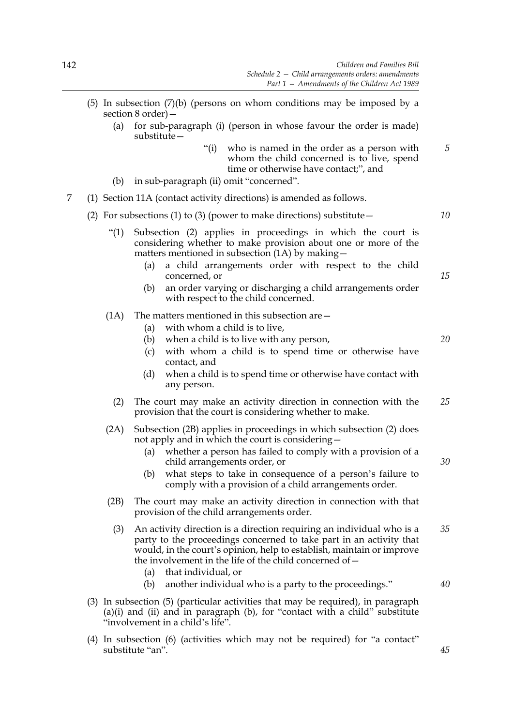- (5) In subsection (7)(b) (persons on whom conditions may be imposed by a section 8 order)—
	- (a) for sub-paragraph (i) (person in whose favour the order is made) substitute—
		- "(i) who is named in the order as a person with whom the child concerned is to live, spend time or otherwise have contact;", and *5*
	- (b) in sub-paragraph (ii) omit "concerned".
- 7 (1) Section 11A (contact activity directions) is amended as follows.

# (2) For subsections (1) to (3) (power to make directions) substitute  $-$

- "(1) Subsection (2) applies in proceedings in which the court is considering whether to make provision about one or more of the matters mentioned in subsection (1A) by making—
	- (a) a child arrangements order with respect to the child concerned, or
	- (b) an order varying or discharging a child arrangements order with respect to the child concerned.
- (1A) The matters mentioned in this subsection are—
	- (a) with whom a child is to live,
	- (b) when a child is to live with any person,
	- (c) with whom a child is to spend time or otherwise have contact, and
	- (d) when a child is to spend time or otherwise have contact with any person.
	- (2) The court may make an activity direction in connection with the provision that the court is considering whether to make. *25*
- (2A) Subsection (2B) applies in proceedings in which subsection (2) does not apply and in which the court is considering—
	- (a) whether a person has failed to comply with a provision of a child arrangements order, or
	- (b) what steps to take in consequence of a person's failure to comply with a provision of a child arrangements order.
- (2B) The court may make an activity direction in connection with that provision of the child arrangements order.
	- (3) An activity direction is a direction requiring an individual who is a party to the proceedings concerned to take part in an activity that would, in the court's opinion, help to establish, maintain or improve the involvement in the life of the child concerned of— *35*
		- (a) that individual, or
		- (b) another individual who is a party to the proceedings."
- (3) In subsection (5) (particular activities that may be required), in paragraph (a)(i) and (ii) and in paragraph (b), for "contact with a child" substitute "involvement in a child's life".
- (4) In subsection (6) (activities which may not be required) for "a contact" substitute "an".

*10*

*15*

*20*

*30*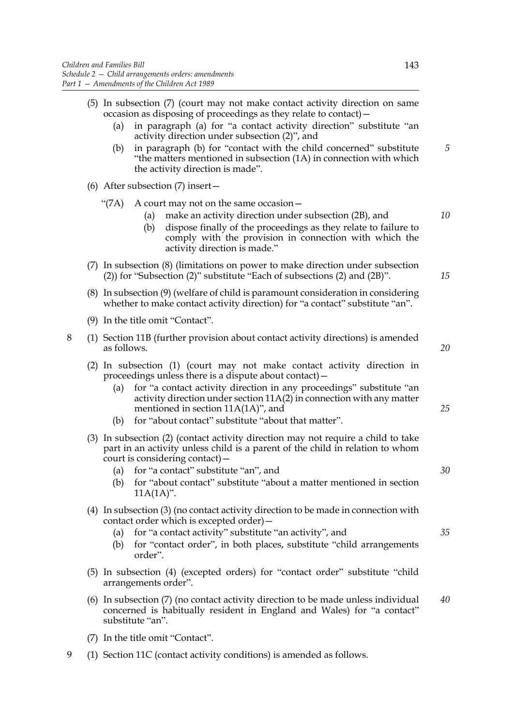|   | (5) In subsection (7) (court may not make contact activity direction on same<br>occasion as disposing of proceedings as they relate to contact) –<br>in paragraph (a) for "a contact activity direction" substitute "an<br>(a)<br>activity direction under subsection (2)", and<br>in paragraph (b) for "contact with the child concerned" substitute<br>(b)<br>"the matters mentioned in subsection (1A) in connection with which | 5  |
|---|------------------------------------------------------------------------------------------------------------------------------------------------------------------------------------------------------------------------------------------------------------------------------------------------------------------------------------------------------------------------------------------------------------------------------------|----|
|   | the activity direction is made".                                                                                                                                                                                                                                                                                                                                                                                                   |    |
|   | (6) After subsection $(7)$ insert –                                                                                                                                                                                                                                                                                                                                                                                                |    |
|   | A court may not on the same occasion –<br>" $(7A)$<br>make an activity direction under subsection (2B), and<br>(a)<br>dispose finally of the proceedings as they relate to failure to<br>(b)<br>comply with the provision in connection with which the<br>activity direction is made."                                                                                                                                             | 10 |
|   | (7) In subsection (8) (limitations on power to make direction under subsection<br>(2)) for "Subsection (2)" substitute "Each of subsections (2) and (2B)".                                                                                                                                                                                                                                                                         | 15 |
|   | $(8)$ In subsection $(9)$ (welfare of child is paramount consideration in considering<br>whether to make contact activity direction) for "a contact" substitute "an".                                                                                                                                                                                                                                                              |    |
|   | (9) In the title omit "Contact".                                                                                                                                                                                                                                                                                                                                                                                                   |    |
| 8 | (1) Section 11B (further provision about contact activity directions) is amended<br>as follows.                                                                                                                                                                                                                                                                                                                                    | 20 |
|   | (2) In subsection (1) (court may not make contact activity direction in<br>proceedings unless there is a dispute about contact) –<br>for "a contact activity direction in any proceedings" substitute "an<br>(a)<br>activity direction under section $11A(2)$ in connection with any matter<br>mentioned in section $11A(1A)$ ", and<br>for "about contact" substitute "about that matter".<br>(b)                                 | 25 |
|   | (3) In subsection (2) (contact activity direction may not require a child to take<br>part in an activity unless child is a parent of the child in relation to whom<br>court is considering contact) –<br>(a) for "a contact" substitute "an", and<br>(b) for "about contact" substitute "about a matter mentioned in section<br>$11A(1A)$ ".                                                                                       | 30 |
|   | (4) In subsection (3) (no contact activity direction to be made in connection with<br>contact order which is excepted order) –<br>for "a contact activity" substitute "an activity", and<br>(a)<br>for "contact order", in both places, substitute "child arrangements"<br>(b)<br>order".                                                                                                                                          | 35 |
|   | (5) In subsection (4) (excepted orders) for "contact order" substitute "child<br>arrangements order".                                                                                                                                                                                                                                                                                                                              |    |
|   | (6) In subsection (7) (no contact activity direction to be made unless individual<br>concerned is habitually resident in England and Wales) for "a contact"<br>substitute "an".                                                                                                                                                                                                                                                    | 40 |

- (7) In the title omit "Contact".
- 9 (1) Section 11C (contact activity conditions) is amended as follows.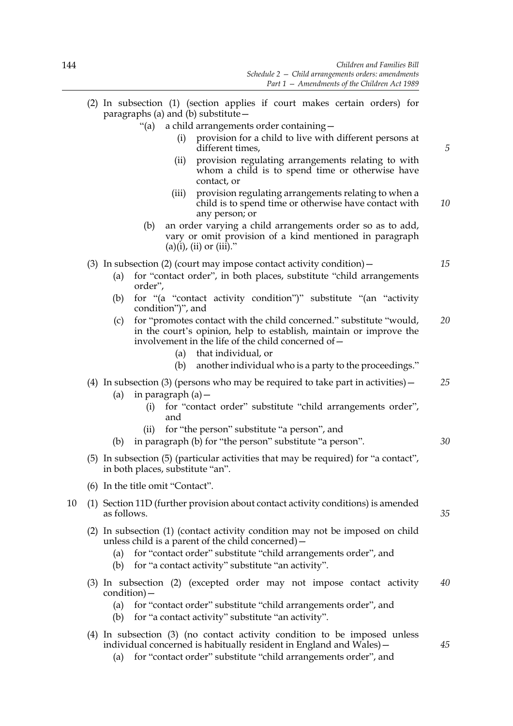- (2) In subsection (1) (section applies if court makes certain orders) for paragraphs (a) and (b) substitute— "(a) a child arrangements order containing— (i) provision for a child to live with different persons at different times, (ii) provision regulating arrangements relating to with whom a child is to spend time or otherwise have contact, or (iii) provision regulating arrangements relating to when a child is to spend time or otherwise have contact with any person; or (b) an order varying a child arrangements order so as to add, vary or omit provision of a kind mentioned in paragraph  $(a)(i)$ ,  $(ii)$  or  $(iii)$ ." (3) In subsection (2) (court may impose contact activity condition)— (a) for "contact order", in both places, substitute "child arrangements order", (b) for "(a "contact activity condition")" substitute "(an "activity condition")", and (c) for "promotes contact with the child concerned." substitute "would, in the court's opinion, help to establish, maintain or improve the involvement in the life of the child concerned of— (a) that individual, or (b) another individual who is a party to the proceedings." (4) In subsection (3) (persons who may be required to take part in activities)  $-$ (a) in paragraph  $(a)$  -(i) for "contact order" substitute "child arrangements order", and (ii) for "the person" substitute "a person", and (b) in paragraph (b) for "the person" substitute "a person". (5) In subsection (5) (particular activities that may be required) for "a contact", in both places, substitute "an". (6) In the title omit "Contact". 10 (1) Section 11D (further provision about contact activity conditions) is amended as follows. (2) In subsection (1) (contact activity condition may not be imposed on child unless child is a parent of the child concerned)— (a) for "contact order" substitute "child arrangements order", and (b) for "a contact activity" substitute "an activity". (3) In subsection (2) (excepted order may not impose contact activity condition)— (a) for "contact order" substitute "child arrangements order", and (b) for "a contact activity" substitute "an activity". *5 10 15 20 25 30 35 40*
	- (4) In subsection (3) (no contact activity condition to be imposed unless individual concerned is habitually resident in England and Wales)—
		- (a) for "contact order" substitute "child arrangements order", and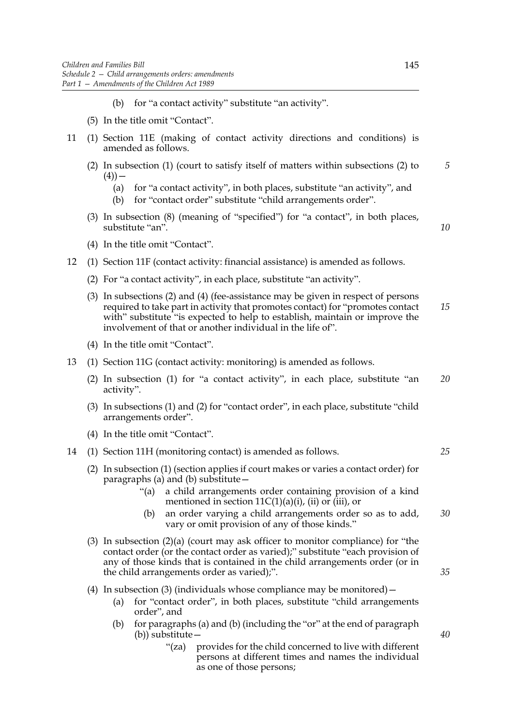- (b) for "a contact activity" substitute "an activity".
- (5) In the title omit "Contact".
- 11 (1) Section 11E (making of contact activity directions and conditions) is amended as follows.
	- (2) In subsection (1) (court to satisfy itself of matters within subsections (2) to  $(4)$ ) — *5*
		- (a) for "a contact activity", in both places, substitute "an activity", and
		- (b) for "contact order" substitute "child arrangements order".
	- (3) In subsection (8) (meaning of "specified") for "a contact", in both places, substitute "an".
	- (4) In the title omit "Contact".
- 12 (1) Section 11F (contact activity: financial assistance) is amended as follows.
	- (2) For "a contact activity", in each place, substitute "an activity".
	- (3) In subsections (2) and (4) (fee-assistance may be given in respect of persons required to take part in activity that promotes contact) for "promotes contact with" substitute "is expected to help to establish, maintain or improve the involvement of that or another individual in the life of". *15*
	- (4) In the title omit "Contact".
- 13 (1) Section 11G (contact activity: monitoring) is amended as follows.
	- (2) In subsection (1) for "a contact activity", in each place, substitute "an activity". *20*
	- (3) In subsections (1) and (2) for "contact order", in each place, substitute "child arrangements order".
	- (4) In the title omit "Contact".
- 14 (1) Section 11H (monitoring contact) is amended as follows.
	- (2) In subsection (1) (section applies if court makes or varies a contact order) for paragraphs (a) and (b) substitute—
		- "(a) a child arrangements order containing provision of a kind mentioned in section  $11C(1)(a)(i)$ , (ii) or (iii), or
		- (b) an order varying a child arrangements order so as to add, vary or omit provision of any of those kinds." *30*
	- (3) In subsection (2)(a) (court may ask officer to monitor compliance) for "the contact order (or the contact order as varied);" substitute "each provision of any of those kinds that is contained in the child arrangements order (or in the child arrangements order as varied);".
	- (4) In subsection (3) (individuals whose compliance may be monitored)—
		- (a) for "contact order", in both places, substitute "child arrangements order", and
		- (b) for paragraphs (a) and (b) (including the "or" at the end of paragraph (b)) substitute—
			- "(za) provides for the child concerned to live with different persons at different times and names the individual as one of those persons;

*40*

*35*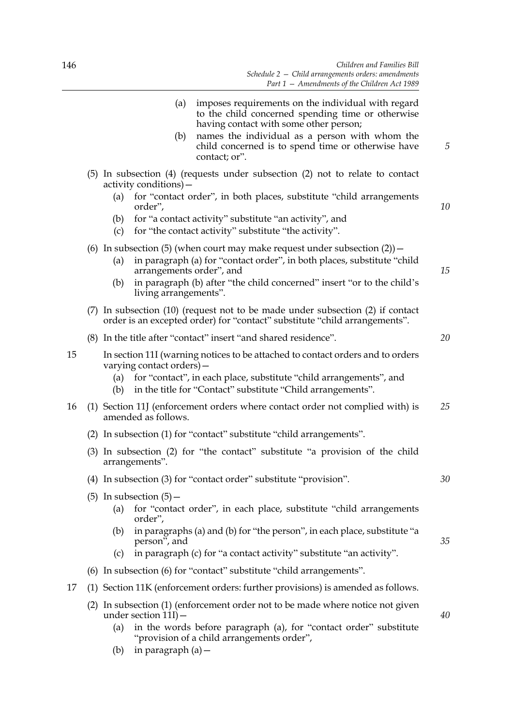|    | imposes requirements on the individual with regard<br>(a)<br>to the child concerned spending time or otherwise<br>having contact with some other person;<br>names the individual as a person with whom the<br>(b)<br>child concerned is to spend time or otherwise have<br>contact; or".               | 5  |
|----|--------------------------------------------------------------------------------------------------------------------------------------------------------------------------------------------------------------------------------------------------------------------------------------------------------|----|
|    | (5) In subsection (4) (requests under subsection (2) not to relate to contact<br>activity conditions) -                                                                                                                                                                                                |    |
|    | for "contact order", in both places, substitute "child arrangements"<br>(a)<br>order",                                                                                                                                                                                                                 | 10 |
|    | for "a contact activity" substitute "an activity", and<br>(b)<br>for "the contact activity" substitute "the activity".<br>(c)                                                                                                                                                                          |    |
|    | (6) In subsection (5) (when court may make request under subsection $(2)$ ) –<br>in paragraph (a) for "contact order", in both places, substitute "child"<br>(a)<br>arrangements order", and<br>in paragraph (b) after "the child concerned" insert "or to the child's<br>(b)<br>living arrangements". | 15 |
|    | (7) In subsection (10) (request not to be made under subsection (2) if contact<br>order is an excepted order) for "contact" substitute "child arrangements".                                                                                                                                           |    |
|    | (8) In the title after "contact" insert "and shared residence".                                                                                                                                                                                                                                        | 20 |
| 15 | In section 11I (warning notices to be attached to contact orders and to orders<br>varying contact orders) –<br>for "contact", in each place, substitute "child arrangements", and<br>(a)<br>in the title for "Contact" substitute "Child arrangements".<br>(b)                                         |    |
| 16 | (1) Section 11J (enforcement orders where contact order not complied with) is<br>amended as follows.                                                                                                                                                                                                   | 25 |
|    | (2) In subsection (1) for "contact" substitute "child arrangements".                                                                                                                                                                                                                                   |    |
|    | (3) In subsection (2) for "the contact" substitute "a provision of the child<br>arrangements".                                                                                                                                                                                                         |    |
|    | (4) In subsection (3) for "contact order" substitute "provision".                                                                                                                                                                                                                                      | 30 |
|    | $(5)$ In subsection $(5)$ –<br>for "contact order", in each place, substitute "child arrangements<br>(a)<br>order",<br>in paragraphs (a) and (b) for "the person", in each place, substitute "a<br>(b)<br>person", and<br>in paragraph (c) for "a contact activity" substitute "an activity".<br>(c)   | 35 |
|    | (6) In subsection (6) for "contact" substitute "child arrangements".                                                                                                                                                                                                                                   |    |
| 17 | (1) Section 11K (enforcement orders: further provisions) is amended as follows.                                                                                                                                                                                                                        |    |
|    | (2) In subsection (1) (enforcement order not to be made where notice not given<br>under section $11$ ] $-$<br>in the words before paragraph (a), for "contact order" substitute<br>(a)<br>"provision of a child arrangements order",                                                                   | 40 |

(b) in paragraph  $(a)$  –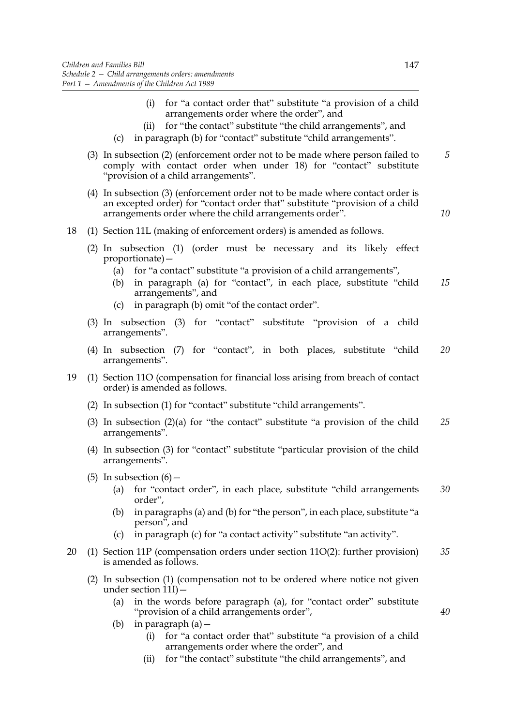- (i) for "a contact order that" substitute "a provision of a child arrangements order where the order", and
- (ii) for "the contact" substitute "the child arrangements", and
- (c) in paragraph (b) for "contact" substitute "child arrangements".
- (3) In subsection (2) (enforcement order not to be made where person failed to comply with contact order when under 18) for "contact" substitute "provision of a child arrangements". *5*
- (4) In subsection (3) (enforcement order not to be made where contact order is an excepted order) for "contact order that" substitute "provision of a child arrangements order where the child arrangements order".
- 18 (1) Section 11L (making of enforcement orders) is amended as follows.
	- (2) In subsection (1) (order must be necessary and its likely effect proportionate)—
		- (a) for "a contact" substitute "a provision of a child arrangements",
		- (b) in paragraph (a) for "contact", in each place, substitute "child arrangements", and *15*
		- (c) in paragraph (b) omit "of the contact order".
	- (3) In subsection (3) for "contact" substitute "provision of a child arrangements".
	- (4) In subsection (7) for "contact", in both places, substitute "child arrangements". *20*
- 19 (1) Section 11O (compensation for financial loss arising from breach of contact order) is amended as follows.
	- (2) In subsection (1) for "contact" substitute "child arrangements".
	- (3) In subsection  $(2)(a)$  for "the contact" substitute "a provision of the child arrangements". *25*
	- (4) In subsection (3) for "contact" substitute "particular provision of the child arrangements".
	- (5) In subsection  $(6)$  -
		- (a) for "contact order", in each place, substitute "child arrangements order", *30*
		- (b) in paragraphs (a) and (b) for "the person", in each place, substitute "a person", and
		- (c) in paragraph (c) for "a contact activity" substitute "an activity".
- 20 (1) Section 11P (compensation orders under section 11O(2): further provision) is amended as follows. *35*
	- (2) In subsection (1) (compensation not to be ordered where notice not given under section 11I)—
		- (a) in the words before paragraph (a), for "contact order" substitute "provision of a child arrangements order",
		- (b) in paragraph (a)—
			- (i) for "a contact order that" substitute "a provision of a child arrangements order where the order", and
			- (ii) for "the contact" substitute "the child arrangements", and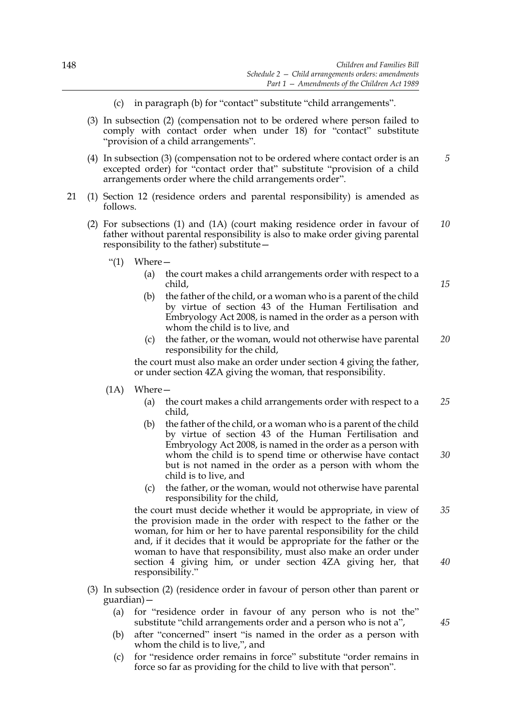- (c) in paragraph (b) for "contact" substitute "child arrangements".
- (3) In subsection (2) (compensation not to be ordered where person failed to comply with contact order when under 18) for "contact" substitute "provision of a child arrangements".
- (4) In subsection (3) (compensation not to be ordered where contact order is an excepted order) for "contact order that" substitute "provision of a child arrangements order where the child arrangements order". *5*
- 21 (1) Section 12 (residence orders and parental responsibility) is amended as follows.
	- (2) For subsections (1) and (1A) (court making residence order in favour of father without parental responsibility is also to make order giving parental responsibility to the father) substitute— *10*
		- " $(1)$  Where  $-$ 
			- (a) the court makes a child arrangements order with respect to a child,
			- (b) the father of the child, or a woman who is a parent of the child by virtue of section 43 of the Human Fertilisation and Embryology Act 2008, is named in the order as a person with whom the child is to live, and
			- (c) the father, or the woman, would not otherwise have parental responsibility for the child, *20*

the court must also make an order under section 4 giving the father, or under section 4ZA giving the woman, that responsibility.

- (1A) Where—
	- (a) the court makes a child arrangements order with respect to a child, *25*
	- (b) the father of the child, or a woman who is a parent of the child by virtue of section 43 of the Human Fertilisation and Embryology Act 2008, is named in the order as a person with whom the child is to spend time or otherwise have contact but is not named in the order as a person with whom the child is to live, and *30*
	- (c) the father, or the woman, would not otherwise have parental responsibility for the child,

the court must decide whether it would be appropriate, in view of the provision made in the order with respect to the father or the woman, for him or her to have parental responsibility for the child and, if it decides that it would be appropriate for the father or the woman to have that responsibility, must also make an order under section 4 giving him, or under section 4ZA giving her, that responsibility." *35 40*

- (3) In subsection (2) (residence order in favour of person other than parent or guardian)—
	- (a) for "residence order in favour of any person who is not the" substitute "child arrangements order and a person who is not a",
	- (b) after "concerned" insert "is named in the order as a person with whom the child is to live,", and
	- (c) for "residence order remains in force" substitute "order remains in force so far as providing for the child to live with that person".

*45*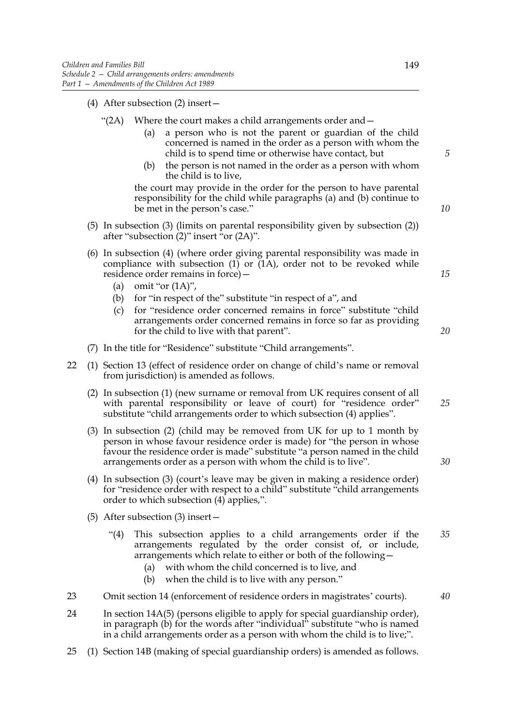- (4) After subsection (2) insert—
	- "(2A) Where the court makes a child arrangements order and—
		- (a) a person who is not the parent or guardian of the child concerned is named in the order as a person with whom the child is to spend time or otherwise have contact, but
		- (b) the person is not named in the order as a person with whom the child is to live,

the court may provide in the order for the person to have parental responsibility for the child while paragraphs (a) and (b) continue to be met in the person's case."

- (5) In subsection (3) (limits on parental responsibility given by subsection (2)) after "subsection (2)" insert "or (2A)".
- (6) In subsection (4) (where order giving parental responsibility was made in compliance with subsection (1) or (1A), order not to be revoked while residence order remains in force)—
	- (a) omit "or  $(1A)$ ",
	- (b) for "in respect of the" substitute "in respect of a", and
	- (c) for "residence order concerned remains in force" substitute "child arrangements order concerned remains in force so far as providing for the child to live with that parent".
- (7) In the title for "Residence" substitute "Child arrangements".
- 22 (1) Section 13 (effect of residence order on change of child's name or removal from jurisdiction) is amended as follows.
	- (2) In subsection (1) (new surname or removal from UK requires consent of all with parental responsibility or leave of court) for "residence order" substitute "child arrangements order to which subsection (4) applies". *25*
	- (3) In subsection (2) (child may be removed from UK for up to 1 month by person in whose favour residence order is made) for "the person in whose favour the residence order is made" substitute "a person named in the child arrangements order as a person with whom the child is to live".
	- (4) In subsection (3) (court's leave may be given in making a residence order) for "residence order with respect to a child" substitute "child arrangements order to which subsection (4) applies,".
	- (5) After subsection (3) insert—
		- "(4) This subsection applies to a child arrangements order if the arrangements regulated by the order consist of, or include, arrangements which relate to either or both of the following— *35*
			- (a) with whom the child concerned is to live, and
			- (b) when the child is to live with any person."
- 23 Omit section 14 (enforcement of residence orders in magistrates' courts).
- 24 In section 14A(5) (persons eligible to apply for special guardianship order), in paragraph (b) for the words after "individual" substitute "who is named in a child arrangements order as a person with whom the child is to live;".
- 25 (1) Section 14B (making of special guardianship orders) is amended as follows.

*5*

*10*

*15*

*20*

*30*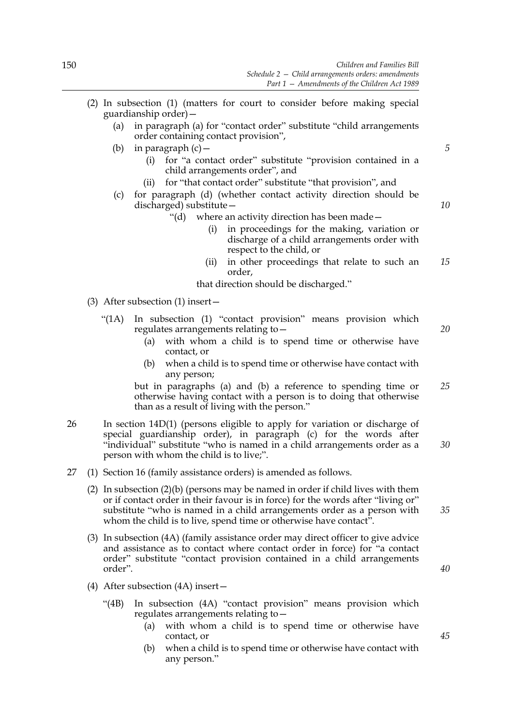- (2) In subsection (1) (matters for court to consider before making special guardianship order)—
	- (a) in paragraph (a) for "contact order" substitute "child arrangements order containing contact provision",
	- (b) in paragraph  $(c)$  -
		- (i) for "a contact order" substitute "provision contained in a child arrangements order", and
		- (ii) for "that contact order" substitute "that provision", and
	- (c) for paragraph (d) (whether contact activity direction should be discharged) substitute—
		- "(d) where an activity direction has been made—
			- (i) in proceedings for the making, variation or discharge of a child arrangements order with respect to the child, or
			- (ii) in other proceedings that relate to such an order, *15*

that direction should be discharged."

- (3) After subsection (1) insert—
	- "(1A) In subsection (1) "contact provision" means provision which regulates arrangements relating to—
		- (a) with whom a child is to spend time or otherwise have contact, or
		- (b) when a child is to spend time or otherwise have contact with any person;

but in paragraphs (a) and (b) a reference to spending time or otherwise having contact with a person is to doing that otherwise than as a result of living with the person." *25*

- 26 In section 14D(1) (persons eligible to apply for variation or discharge of special guardianship order), in paragraph (c) for the words after "individual" substitute "who is named in a child arrangements order as a person with whom the child is to live;". *30*
- 27 (1) Section 16 (family assistance orders) is amended as follows.
	- (2) In subsection (2)(b) (persons may be named in order if child lives with them or if contact order in their favour is in force) for the words after "living or" substitute "who is named in a child arrangements order as a person with whom the child is to live, spend time or otherwise have contact".
	- (3) In subsection (4A) (family assistance order may direct officer to give advice and assistance as to contact where contact order in force) for "a contact order" substitute "contact provision contained in a child arrangements order".
	- (4) After subsection (4A) insert—
		- "(4B) In subsection (4A) "contact provision" means provision which regulates arrangements relating to—
			- (a) with whom a child is to spend time or otherwise have contact, or
			- (b) when a child is to spend time or otherwise have contact with any person."

*40*

*45*

*35*

*5*

*10*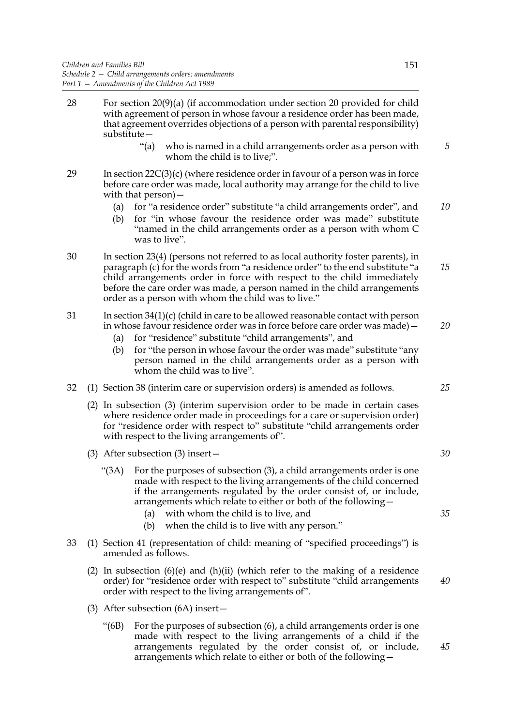- 28 For section 20(9)(a) (if accommodation under section 20 provided for child with agreement of person in whose favour a residence order has been made, that agreement overrides objections of a person with parental responsibility) substitute— "(a) who is named in a child arrangements order as a person with
	- whom the child is to live;".
- 29 In section 22C(3)(c) (where residence order in favour of a person was in force before care order was made, local authority may arrange for the child to live with that person)—
	- (a) for "a residence order" substitute "a child arrangements order", and *10*
	- (b) for "in whose favour the residence order was made" substitute "named in the child arrangements order as a person with whom C was to live".
- 30 In section 23(4) (persons not referred to as local authority foster parents), in paragraph (c) for the words from "a residence order" to the end substitute "a child arrangements order in force with respect to the child immediately before the care order was made, a person named in the child arrangements order as a person with whom the child was to live." *15*
- 31 In section 34(1)(c) (child in care to be allowed reasonable contact with person in whose favour residence order was in force before care order was made)—
	- (a) for "residence" substitute "child arrangements", and
	- (b) for "the person in whose favour the order was made" substitute "any person named in the child arrangements order as a person with whom the child was to live".
- 32 (1) Section 38 (interim care or supervision orders) is amended as follows.
	- (2) In subsection (3) (interim supervision order to be made in certain cases where residence order made in proceedings for a care or supervision order) for "residence order with respect to" substitute "child arrangements order with respect to the living arrangements of".
	- (3) After subsection (3) insert—
		- "(3A) For the purposes of subsection (3), a child arrangements order is one made with respect to the living arrangements of the child concerned if the arrangements regulated by the order consist of, or include, arrangements which relate to either or both of the following—
			- (a) with whom the child is to live, and
			- (b) when the child is to live with any person."
- 33 (1) Section 41 (representation of child: meaning of "specified proceedings") is amended as follows.
	- (2) In subsection  $(6)(e)$  and  $(h)(ii)$  (which refer to the making of a residence order) for "residence order with respect to" substitute "child arrangements order with respect to the living arrangements of".
	- (3) After subsection (6A) insert—
		- "(6B) For the purposes of subsection (6), a child arrangements order is one made with respect to the living arrangements of a child if the arrangements regulated by the order consist of, or include, arrangements which relate to either or both of the following—

*25*

*20*

*30*

*35*

*40*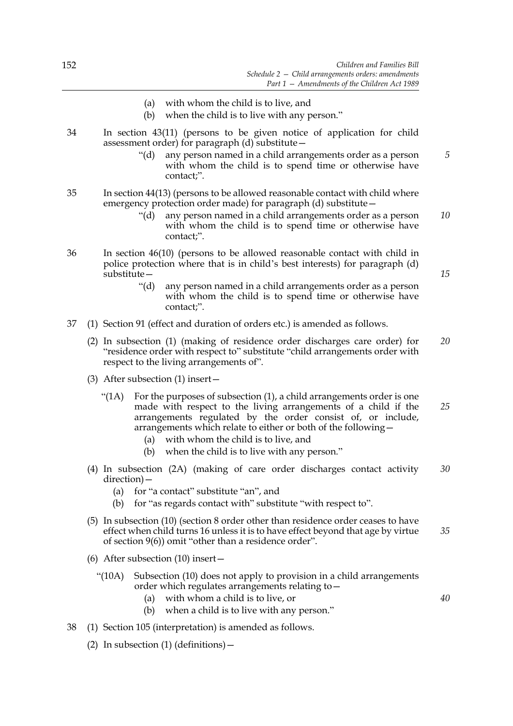- (a) with whom the child is to live, and
- (b) when the child is to live with any person."
- 34 In section 43(11) (persons to be given notice of application for child assessment order) for paragraph (d) substitute—
	- "(d) any person named in a child arrangements order as a person with whom the child is to spend time or otherwise have contact;". *5*
- 35 In section 44(13) (persons to be allowed reasonable contact with child where emergency protection order made) for paragraph (d) substitute—
	- "(d) any person named in a child arrangements order as a person with whom the child is to spend time or otherwise have contact;". *10*
- 36 In section 46(10) (persons to be allowed reasonable contact with child in police protection where that is in child's best interests) for paragraph (d) substitute—
	- "(d) any person named in a child arrangements order as a person with whom the child is to spend time or otherwise have contact;".
- 37 (1) Section 91 (effect and duration of orders etc.) is amended as follows.
	- (2) In subsection (1) (making of residence order discharges care order) for "residence order with respect to" substitute "child arrangements order with respect to the living arrangements of". *20*
	- (3) After subsection (1) insert—
		- " $(1)$  For the purposes of subsection  $(1)$ , a child arrangements order is one made with respect to the living arrangements of a child if the arrangements regulated by the order consist of, or include, arrangements which relate to either or both of the following— *25*
			- (a) with whom the child is to live, and
			- (b) when the child is to live with any person."
	- (4) In subsection (2A) (making of care order discharges contact activity direction)— *30*
		- (a) for "a contact" substitute "an", and
		- (b) for "as regards contact with" substitute "with respect to".
	- (5) In subsection (10) (section 8 order other than residence order ceases to have effect when child turns 16 unless it is to have effect beyond that age by virtue of section 9(6)) omit "other than a residence order". *35*
	- (6) After subsection (10) insert—
		- "(10A) Subsection (10) does not apply to provision in a child arrangements order which regulates arrangements relating to—
			- (a) with whom a child is to live, or
			- (b) when a child is to live with any person."
- 38 (1) Section 105 (interpretation) is amended as follows.
	- (2) In subsection (1) (definitions)  $-$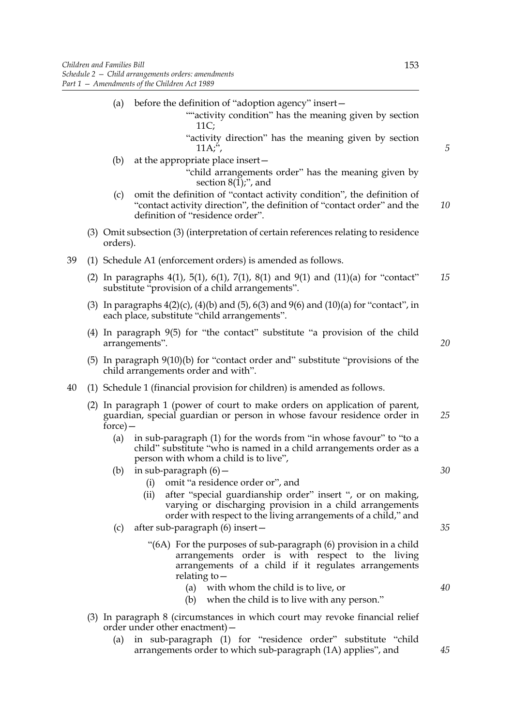- (a) before the definition of "adoption agency" insert— ""activity condition" has the meaning given by section 11C; "activity direction" has the meaning given by section  $11A;$ (b) at the appropriate place insert— "child arrangements order" has the meaning given by section  $8(1)$ ;", and (c) omit the definition of "contact activity condition", the definition of "contact activity direction", the definition of "contact order" and the definition of "residence order". (3) Omit subsection (3) (interpretation of certain references relating to residence orders). 39 (1) Schedule A1 (enforcement orders) is amended as follows. (2) In paragraphs  $4(1)$ ,  $5(1)$ ,  $6(1)$ ,  $7(1)$ ,  $8(1)$  and  $9(1)$  and  $(11)(a)$  for "contact" substitute "provision of a child arrangements". (3) In paragraphs  $4(2)(c)$ ,  $(4)(b)$  and  $(5)$ ,  $6(3)$  and  $9(6)$  and  $(10)(a)$  for "contact", in each place, substitute "child arrangements". (4) In paragraph 9(5) for "the contact" substitute "a provision of the child arrangements". (5) In paragraph 9(10)(b) for "contact order and" substitute "provisions of the child arrangements order and with". 40 (1) Schedule 1 (financial provision for children) is amended as follows. (2) In paragraph 1 (power of court to make orders on application of parent, guardian, special guardian or person in whose favour residence order in force)— (a) in sub-paragraph (1) for the words from "in whose favour" to "to a child" substitute "who is named in a child arrangements order as a person with whom a child is to live", (b) in sub-paragraph  $(6)$  -(i) omit "a residence order or", and (ii) after "special guardianship order" insert ", or on making, varying or discharging provision in a child arrangements order with respect to the living arrangements of a child," and (c) after sub-paragraph (6) insert— "(6A) For the purposes of sub-paragraph (6) provision in a child arrangements order is with respect to the living arrangements of a child if it regulates arrangements relating to— (a) with whom the child is to live, or (b) when the child is to live with any person." (3) In paragraph 8 (circumstances in which court may revoke financial relief order under other enactment)— *5 10 15 20 25 30 40*
	- (a) in sub-paragraph (1) for "residence order" substitute "child arrangements order to which sub-paragraph (1A) applies", and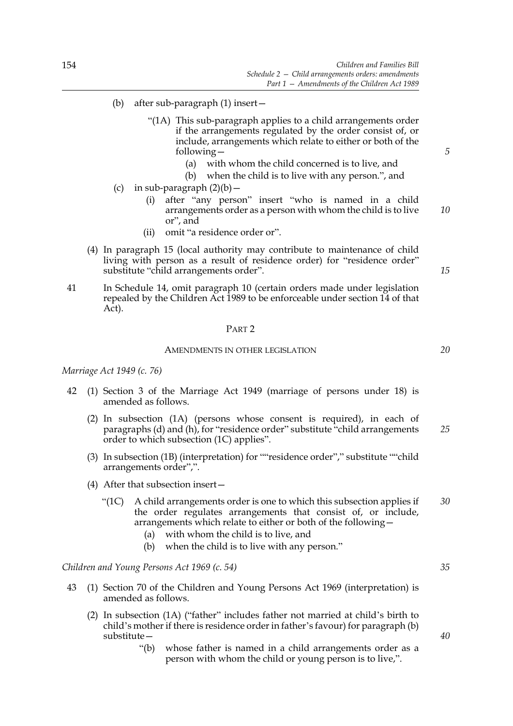- (b) after sub-paragraph (1) insert—
	- "(1A) This sub-paragraph applies to a child arrangements order if the arrangements regulated by the order consist of, or include, arrangements which relate to either or both of the following—
		- (a) with whom the child concerned is to live, and
		- (b) when the child is to live with any person.", and
- (c) in sub-paragraph  $(2)(b)$ 
	- after "any person" insert "who is named in a child arrangements order as a person with whom the child is to live or", and
	- (ii) omit "a residence order or".
- (4) In paragraph 15 (local authority may contribute to maintenance of child living with person as a result of residence order) for "residence order" substitute "child arrangements order".
- 41 In Schedule 14, omit paragraph 10 (certain orders made under legislation repealed by the Children Act 1989 to be enforceable under section 14 of that Act).

#### PART 2

### AMENDMENTS IN OTHER LEGISLATION

*Marriage Act 1949 (c. 76)*

- 42 (1) Section 3 of the Marriage Act 1949 (marriage of persons under 18) is amended as follows.
	- (2) In subsection (1A) (persons whose consent is required), in each of paragraphs (d) and (h), for "residence order" substitute "child arrangements order to which subsection (1C) applies". *25*
	- (3) In subsection (1B) (interpretation) for ""residence order"," substitute ""child arrangements order",".
	- (4) After that subsection insert—
		- "(1C) A child arrangements order is one to which this subsection applies if the order regulates arrangements that consist of, or include, arrangements which relate to either or both of the following— *30*
			- (a) with whom the child is to live, and
			- (b) when the child is to live with any person."

*Children and Young Persons Act 1969 (c. 54)*

- 43 (1) Section 70 of the Children and Young Persons Act 1969 (interpretation) is amended as follows.
	- (2) In subsection (1A) ("father" includes father not married at child's birth to child's mother if there is residence order in father's favour) for paragraph (b) substitute—
		- "(b) whose father is named in a child arrangements order as a person with whom the child or young person is to live,".

*20*

*5*

*10*

*15*

*35*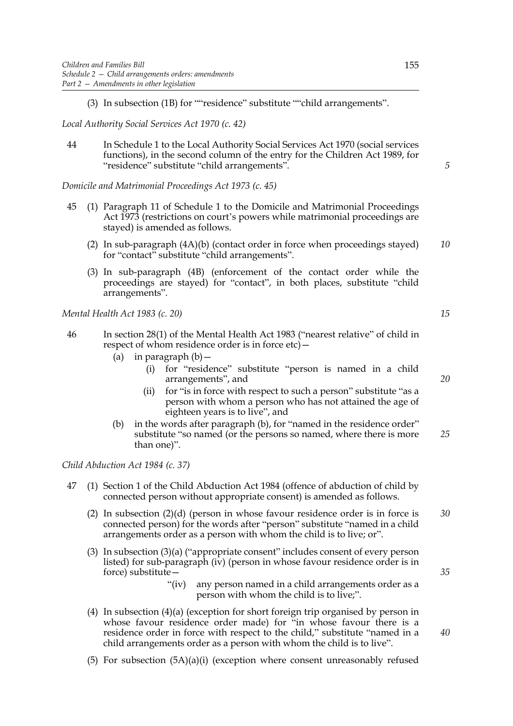(3) In subsection (1B) for ""residence" substitute ""child arrangements".

*Local Authority Social Services Act 1970 (c. 42)*

44 In Schedule 1 to the Local Authority Social Services Act 1970 (social services functions), in the second column of the entry for the Children Act 1989, for "residence" substitute "child arrangements".

*Domicile and Matrimonial Proceedings Act 1973 (c. 45)*

- 45 (1) Paragraph 11 of Schedule 1 to the Domicile and Matrimonial Proceedings Act 1973 (restrictions on court's powers while matrimonial proceedings are stayed) is amended as follows.
	- (2) In sub-paragraph (4A)(b) (contact order in force when proceedings stayed) for "contact" substitute "child arrangements". *10*
	- (3) In sub-paragraph (4B) (enforcement of the contact order while the proceedings are stayed) for "contact", in both places, substitute "child arrangements".

*Mental Health Act 1983 (c. 20)*

- 46 In section 28(1) of the Mental Health Act 1983 ("nearest relative" of child in respect of whom residence order is in force etc)—
	- (a) in paragraph  $(b)$ 
		- (i) for "residence" substitute "person is named in a child arrangements", and
		- (ii) for "is in force with respect to such a person" substitute "as a person with whom a person who has not attained the age of eighteen years is to live", and
	- (b) in the words after paragraph (b), for "named in the residence order" substitute "so named (or the persons so named, where there is more than one)". *25*

*Child Abduction Act 1984 (c. 37)*

- 47 (1) Section 1 of the Child Abduction Act 1984 (offence of abduction of child by connected person without appropriate consent) is amended as follows.
	- (2) In subsection (2)(d) (person in whose favour residence order is in force is connected person) for the words after "person" substitute "named in a child arrangements order as a person with whom the child is to live; or". *30*
	- (3) In subsection (3)(a) ("appropriate consent" includes consent of every person listed) for sub-paragraph (iv) (person in whose favour residence order is in force) substitute—

"(iv) any person named in a child arrangements order as a person with whom the child is to live;".

- (4) In subsection (4)(a) (exception for short foreign trip organised by person in whose favour residence order made) for "in whose favour there is a residence order in force with respect to the child," substitute "named in a child arrangements order as a person with whom the child is to live".
- (5) For subsection (5A)(a)(i) (exception where consent unreasonably refused

*20*

*15*

*5*

*35*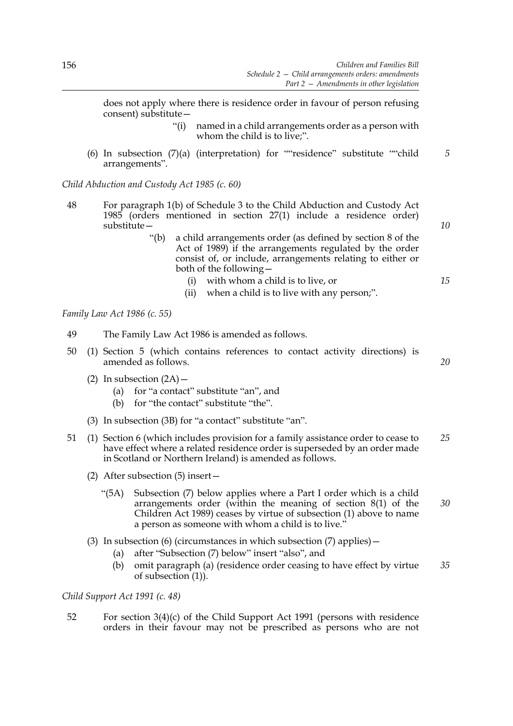does not apply where there is residence order in favour of person refusing consent) substitute—

- "(i) named in a child arrangements order as a person with whom the child is to live;".
- (6) In subsection (7)(a) (interpretation) for ""residence" substitute ""child arrangements". *5*

*Child Abduction and Custody Act 1985 (c. 60)*

- 48 For paragraph 1(b) of Schedule 3 to the Child Abduction and Custody Act 1985 (orders mentioned in section 27(1) include a residence order) substitute—
	- "(b) a child arrangements order (as defined by section 8 of the Act of 1989) if the arrangements regulated by the order consist of, or include, arrangements relating to either or both of the following—
		- (i) with whom a child is to live, or
		- (ii) when a child is to live with any person;".

*Family Law Act 1986 (c. 55)*

- 49 The Family Law Act 1986 is amended as follows.
- 50 (1) Section 5 (which contains references to contact activity directions) is amended as follows.
	- (2) In subsection  $(2A)$ 
		- (a) for "a contact" substitute "an", and
		- (b) for "the contact" substitute "the".
	- (3) In subsection (3B) for "a contact" substitute "an".
- 51 (1) Section 6 (which includes provision for a family assistance order to cease to have effect where a related residence order is superseded by an order made in Scotland or Northern Ireland) is amended as follows. *25*
	- (2) After subsection (5) insert—
		- "(5A) Subsection (7) below applies where a Part I order which is a child arrangements order (within the meaning of section 8(1) of the Children Act 1989) ceases by virtue of subsection (1) above to name a person as someone with whom a child is to live." *30*
	- (3) In subsection (6) (circumstances in which subsection (7) applies)—
		- (a) after "Subsection (7) below" insert "also", and
		- (b) omit paragraph (a) (residence order ceasing to have effect by virtue of subsection (1)). *35*

*Child Support Act 1991 (c. 48)*

52 For section 3(4)(c) of the Child Support Act 1991 (persons with residence orders in their favour may not be prescribed as persons who are not *10*

*20*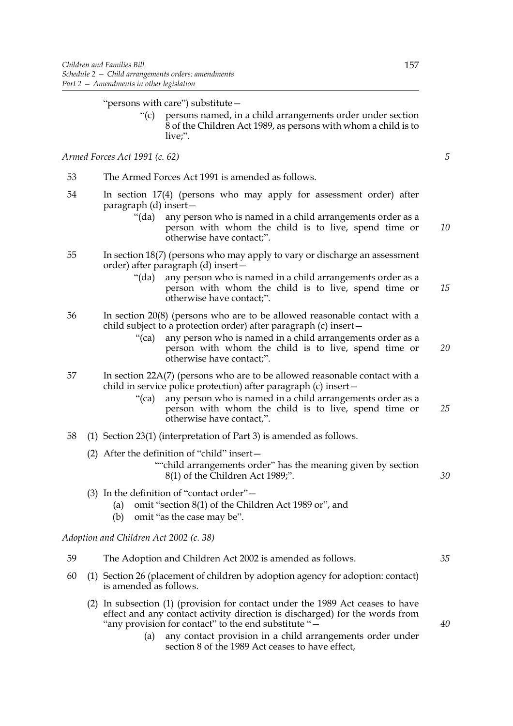### "persons with care") substitute—

"(c) persons named, in a child arrangements order under section 8 of the Children Act 1989, as persons with whom a child is to live;".

## *Armed Forces Act 1991 (c. 62)*

- 53 The Armed Forces Act 1991 is amended as follows.
- 54 In section 17(4) (persons who may apply for assessment order) after paragraph (d) insert—
	- "(da) any person who is named in a child arrangements order as a person with whom the child is to live, spend time or otherwise have contact;". *10*
- 55 In section 18(7) (persons who may apply to vary or discharge an assessment order) after paragraph (d) insert—
	- "(da) any person who is named in a child arrangements order as a person with whom the child is to live, spend time or otherwise have contact;". *15*
- 56 In section 20(8) (persons who are to be allowed reasonable contact with a child subject to a protection order) after paragraph (c) insert—
	- "(ca) any person who is named in a child arrangements order as a person with whom the child is to live, spend time or otherwise have contact;". *20*
- 57 In section 22A(7) (persons who are to be allowed reasonable contact with a child in service police protection) after paragraph (c) insert—
	- "(ca) any person who is named in a child arrangements order as a person with whom the child is to live, spend time or otherwise have contact,". *25*
- 58 (1) Section 23(1) (interpretation of Part 3) is amended as follows.
	- (2) After the definition of "child" insert—
		- ""child arrangements order" has the meaning given by section 8(1) of the Children Act 1989;".
	- (3) In the definition of "contact order"—
		- (a) omit "section 8(1) of the Children Act 1989 or", and
		- (b) omit "as the case may be".

*Adoption and Children Act 2002 (c. 38)*

- 59 The Adoption and Children Act 2002 is amended as follows. *35*
- 60 (1) Section 26 (placement of children by adoption agency for adoption: contact) is amended as follows.
	- (2) In subsection (1) (provision for contact under the 1989 Act ceases to have effect and any contact activity direction is discharged) for the words from "any provision for contact" to the end substitute "—
		- (a) any contact provision in a child arrangements order under section 8 of the 1989 Act ceases to have effect,

*5*

*40*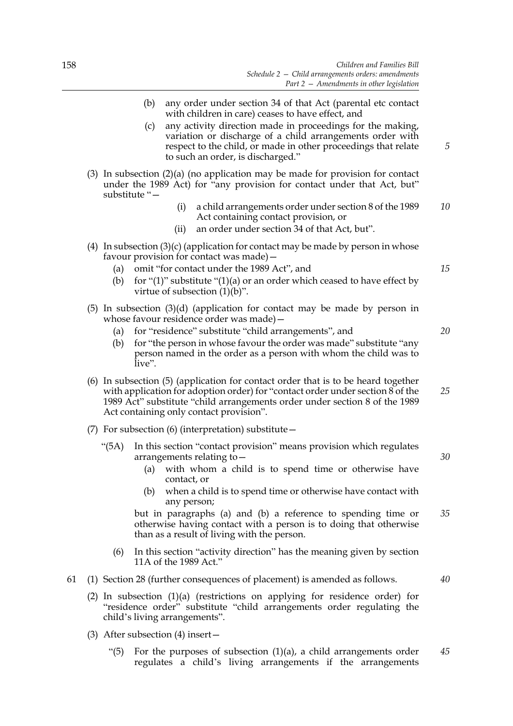- (b) any order under section 34 of that Act (parental etc contact with children in care) ceases to have effect, and
- (c) any activity direction made in proceedings for the making, variation or discharge of a child arrangements order with respect to the child, or made in other proceedings that relate to such an order, is discharged."
- (3) In subsection (2)(a) (no application may be made for provision for contact under the 1989 Act) for "any provision for contact under that Act, but" substitute "—
	- (i) a child arrangements order under section 8 of the 1989 Act containing contact provision, or *10*
	- (ii) an order under section 34 of that Act, but".
- (4) In subsection (3)(c) (application for contact may be made by person in whose favour provision for contact was made)—
	- (a) omit "for contact under the 1989 Act", and
	- (b) for " $(1)$ " substitute " $(1)(a)$  or an order which ceased to have effect by virtue of subsection  $(1)(b)$ ".
- (5) In subsection (3)(d) (application for contact may be made by person in whose favour residence order was made)—
	- (a) for "residence" substitute "child arrangements", and
	- (b) for "the person in whose favour the order was made" substitute "any person named in the order as a person with whom the child was to live".
- (6) In subsection (5) (application for contact order that is to be heard together with application for adoption order) for "contact order under section 8 of the 1989 Act" substitute "child arrangements order under section 8 of the 1989 Act containing only contact provision".
- (7) For subsection (6) (interpretation) substitute—
	- "(5A) In this section "contact provision" means provision which regulates arrangements relating to—
		- (a) with whom a child is to spend time or otherwise have contact, or
		- (b) when a child is to spend time or otherwise have contact with any person;

but in paragraphs (a) and (b) a reference to spending time or otherwise having contact with a person is to doing that otherwise than as a result of living with the person. *35*

- (6) In this section "activity direction" has the meaning given by section 11A of the 1989 Act."
- 61 (1) Section 28 (further consequences of placement) is amended as follows.
	- (2) In subsection (1)(a) (restrictions on applying for residence order) for "residence order" substitute "child arrangements order regulating the child's living arrangements".
	- (3) After subsection (4) insert—
		- "(5) For the purposes of subsection  $(1)(a)$ , a child arrangements order regulates a child's living arrangements if the arrangements *45*

*20*

*15*

*5*

*25*

*30*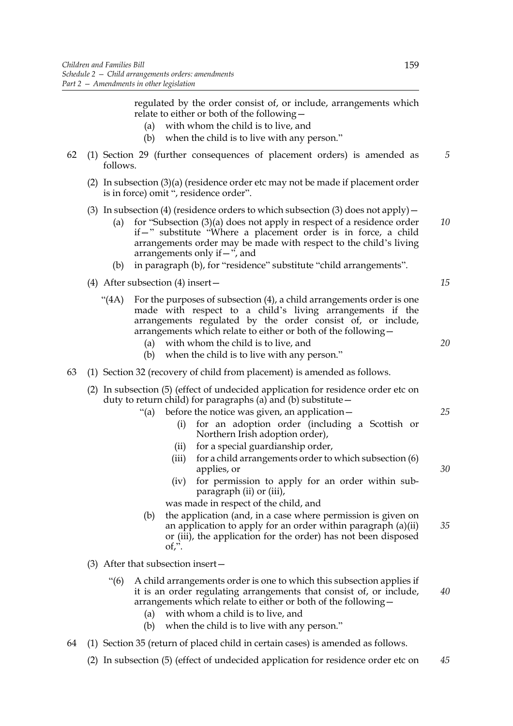regulated by the order consist of, or include, arrangements which relate to either or both of the following—

- (a) with whom the child is to live, and
- (b) when the child is to live with any person."
- 62 (1) Section 29 (further consequences of placement orders) is amended as follows. *5*
	- (2) In subsection (3)(a) (residence order etc may not be made if placement order is in force) omit ", residence order".

# (3) In subsection (4) (residence orders to which subsection (3) does not apply)  $-$

- (a) for "Subsection (3)(a) does not apply in respect of a residence order if—" substitute "Where a placement order is in force, a child arrangements order may be made with respect to the child's living arrangements only if—", and
- (b) in paragraph (b), for "residence" substitute "child arrangements".
- (4) After subsection (4) insert—
	- "(4A) For the purposes of subsection (4), a child arrangements order is one made with respect to a child's living arrangements if the arrangements regulated by the order consist of, or include, arrangements which relate to either or both of the following—
		- (a) with whom the child is to live, and
		- (b) when the child is to live with any person."
- 63 (1) Section 32 (recovery of child from placement) is amended as follows.

(2) In subsection (5) (effect of undecided application for residence order etc on duty to return child) for paragraphs (a) and (b) substitute  $-$ 

- "(a) before the notice was given, an application—
	- (i) for an adoption order (including a Scottish or Northern Irish adoption order),
	- (ii) for a special guardianship order,
	- (iii) for a child arrangements order to which subsection (6) applies, or
	- (iv) for permission to apply for an order within subparagraph (ii) or (iii),

was made in respect of the child, and

- (b) the application (and, in a case where permission is given on an application to apply for an order within paragraph (a)(ii) or (iii), the application for the order) has not been disposed  $\mathsf{of}$ . *35*
- (3) After that subsection insert—
	- "(6) A child arrangements order is one to which this subsection applies if it is an order regulating arrangements that consist of, or include, arrangements which relate to either or both of the following— *40*
		- (a) with whom a child is to live, and
		- (b) when the child is to live with any person."
- 64 (1) Section 35 (return of placed child in certain cases) is amended as follows.
	- (2) In subsection (5) (effect of undecided application for residence order etc on *45*

*10*

*15*

*20*

*25*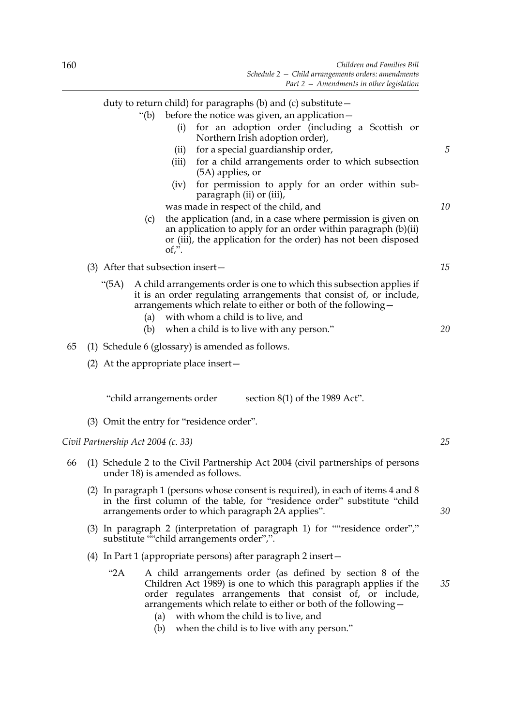duty to return child) for paragraphs (b) and (c) substitute— "(b) before the notice was given, an application for an adoption order (including a Scottish or Northern Irish adoption order), (ii) for a special guardianship order, (iii) for a child arrangements order to which subsection (5A) applies, or (iv) for permission to apply for an order within subparagraph (ii) or (iii), was made in respect of the child, and (c) the application (and, in a case where permission is given on an application to apply for an order within paragraph (b)(ii) or (iii), the application for the order) has not been disposed  $\mathsf{of}$ . (3) After that subsection insert— "(5A) A child arrangements order is one to which this subsection applies if it is an order regulating arrangements that consist of, or include, arrangements which relate to either or both of the following— (a) with whom a child is to live, and (b) when a child is to live with any person." 65 (1) Schedule 6 (glossary) is amended as follows. (2) At the appropriate place insert— (3) Omit the entry for "residence order". *Civil Partnership Act 2004 (c. 33)* "child arrangements order section 8(1) of the 1989 Act". *10 15 20 25*

- 66 (1) Schedule 2 to the Civil Partnership Act 2004 (civil partnerships of persons under 18) is amended as follows.
	- (2) In paragraph 1 (persons whose consent is required), in each of items 4 and 8 in the first column of the table, for "residence order" substitute "child arrangements order to which paragraph 2A applies".
	- (3) In paragraph 2 (interpretation of paragraph 1) for ""residence order"," substitute ""child arrangements order",".
	- (4) In Part 1 (appropriate persons) after paragraph 2 insert—
		- "2A A child arrangements order (as defined by section 8 of the Children Act 1989) is one to which this paragraph applies if the order regulates arrangements that consist of, or include, arrangements which relate to either or both of the following—
			- (a) with whom the child is to live, and
			- (b) when the child is to live with any person."

*30*

*35*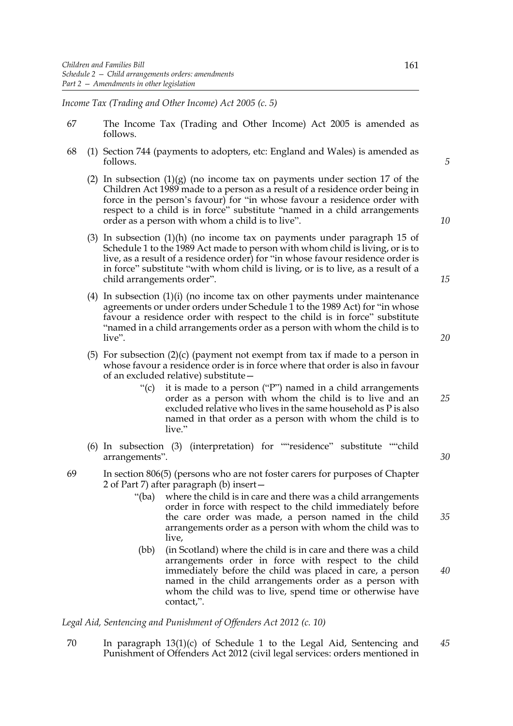*Income Tax (Trading and Other Income) Act 2005 (c. 5)*

- 67 The Income Tax (Trading and Other Income) Act 2005 is amended as follows.
- 68 (1) Section 744 (payments to adopters, etc: England and Wales) is amended as follows.
	- (2) In subsection  $(1)(g)$  (no income tax on payments under section 17 of the Children Act 1989 made to a person as a result of a residence order being in force in the person's favour) for "in whose favour a residence order with respect to a child is in force" substitute "named in a child arrangements order as a person with whom a child is to live".
	- (3) In subsection (1)(h) (no income tax on payments under paragraph 15 of Schedule 1 to the 1989 Act made to person with whom child is living, or is to live, as a result of a residence order) for "in whose favour residence order is in force" substitute "with whom child is living, or is to live, as a result of a child arrangements order".
	- (4) In subsection (1)(i) (no income tax on other payments under maintenance agreements or under orders under Schedule 1 to the 1989 Act) for "in whose favour a residence order with respect to the child is in force" substitute "named in a child arrangements order as a person with whom the child is to live".
	- (5) For subsection (2)(c) (payment not exempt from tax if made to a person in whose favour a residence order is in force where that order is also in favour of an excluded relative) substitute—
		- "(c) it is made to a person ("P") named in a child arrangements order as a person with whom the child is to live and an excluded relative who lives in the same household as P is also named in that order as a person with whom the child is to live." *25*
	- (6) In subsection (3) (interpretation) for ""residence" substitute ""child arrangements".
- 69 In section 806(5) (persons who are not foster carers for purposes of Chapter 2 of Part 7) after paragraph (b) insert—
	- "(ba) where the child is in care and there was a child arrangements order in force with respect to the child immediately before the care order was made, a person named in the child arrangements order as a person with whom the child was to live,
	- (bb) (in Scotland) where the child is in care and there was a child arrangements order in force with respect to the child immediately before the child was placed in care, a person named in the child arrangements order as a person with whom the child was to live, spend time or otherwise have contact,".

*Legal Aid, Sentencing and Punishment of Offenders Act 2012 (c. 10)*

70 In paragraph 13(1)(c) of Schedule 1 to the Legal Aid, Sentencing and Punishment of Offenders Act 2012 (civil legal services: orders mentioned in *45*

*15*

*5*

*10*

*30*

*35*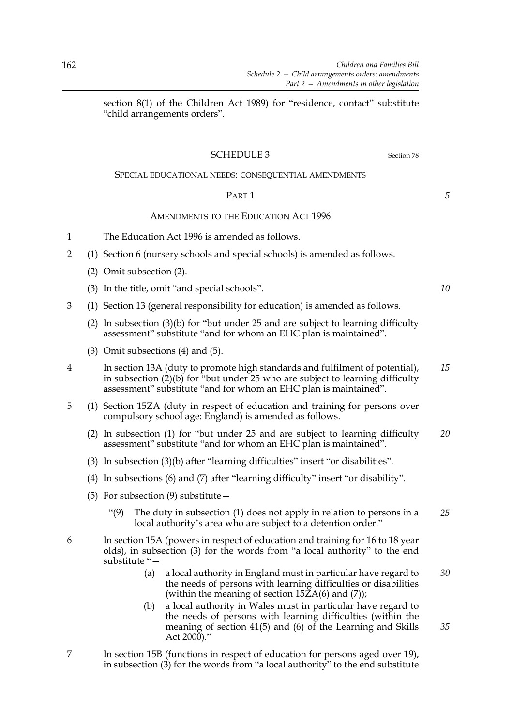section 8(1) of the Children Act 1989) for "residence, contact" substitute "child arrangements orders".

# SCHEDULE 3 Section 78

## SPECIAL EDUCATIONAL NEEDS: CONSEQUENTIAL AMENDMENTS

## PART 1

# AMENDMENTS TO THE EDUCATION ACT 1996

- 1 The Education Act 1996 is amended as follows.
- 2 (1) Section 6 (nursery schools and special schools) is amended as follows.
	- (2) Omit subsection (2).
	- (3) In the title, omit "and special schools".
- 3 (1) Section 13 (general responsibility for education) is amended as follows.
	- (2) In subsection (3)(b) for "but under 25 and are subject to learning difficulty assessment" substitute "and for whom an EHC plan is maintained".
	- (3) Omit subsections (4) and (5).
- 4 In section 13A (duty to promote high standards and fulfilment of potential), in subsection (2)(b) for "but under 25 who are subject to learning difficulty assessment" substitute "and for whom an EHC plan is maintained". *15*
- 5 (1) Section 15ZA (duty in respect of education and training for persons over compulsory school age: England) is amended as follows.
	- (2) In subsection (1) for "but under 25 and are subject to learning difficulty assessment" substitute "and for whom an EHC plan is maintained". *20*
	- (3) In subsection (3)(b) after "learning difficulties" insert "or disabilities".
	- (4) In subsections (6) and (7) after "learning difficulty" insert "or disability".
	- (5) For subsection (9) substitute—
		- "(9) The duty in subsection (1) does not apply in relation to persons in a local authority's area who are subject to a detention order." *25*
- 6 In section 15A (powers in respect of education and training for 16 to 18 year olds), in subsection (3) for the words from "a local authority" to the end substitute "—
	- (a) a local authority in England must in particular have regard to the needs of persons with learning difficulties or disabilities (within the meaning of section  $15\overline{Z}A(6)$  and (7)); *30*
	- (b) a local authority in Wales must in particular have regard to the needs of persons with learning difficulties (within the meaning of section 41(5) and (6) of the Learning and Skills Act  $2000$ )."
- 7 In section 15B (functions in respect of education for persons aged over 19), in subsection (3) for the words from "a local authority" to the end substitute

*5*

*10*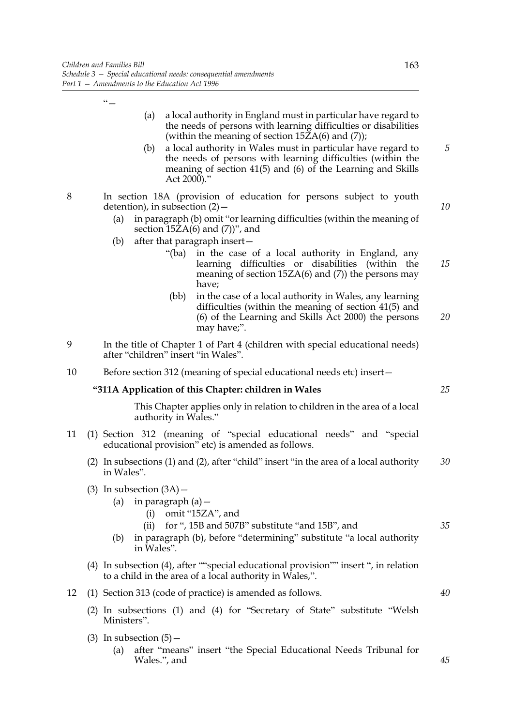$\epsilon$   $\epsilon$ 

- (a) a local authority in England must in particular have regard to the needs of persons with learning difficulties or disabilities (within the meaning of section  $15\overline{Z}A(6)$  and (7));
- (b) a local authority in Wales must in particular have regard to the needs of persons with learning difficulties (within the meaning of section 41(5) and (6) of the Learning and Skills Act  $2000$ )."
- 8 In section 18A (provision of education for persons subject to youth detention), in subsection (2)—
	- (a) in paragraph (b) omit "or learning difficulties (within the meaning of section  $15\overline{2}A(6)$  and  $(7)$ ", and
	- (b) after that paragraph insert—
		- "(ba) in the case of a local authority in England, any learning difficulties or disabilities (within the meaning of section 15ZA(6) and (7)) the persons may have; *15*
		- (bb) in the case of a local authority in Wales, any learning difficulties (within the meaning of section 41(5) and (6) of the Learning and Skills Act 2000) the persons may have;". *20*
- 9 In the title of Chapter 1 of Part 4 (children with special educational needs) after "children" insert "in Wales".
- 10 Before section 312 (meaning of special educational needs etc) insert—

## **"311A Application of this Chapter: children in Wales**

This Chapter applies only in relation to children in the area of a local authority in Wales."

- 11 (1) Section 312 (meaning of "special educational needs" and "special educational provision" etc) is amended as follows.
	- (2) In subsections (1) and (2), after "child" insert "in the area of a local authority in Wales". *30*

# (3) In subsection  $(3A)$  –

- (a) in paragraph (a)—
	- (i) omit "15ZA", and
	- (ii) for ", 15B and 507B" substitute "and 15B", and
- (b) in paragraph (b), before "determining" substitute "a local authority in Wales".
- (4) In subsection (4), after ""special educational provision"" insert ", in relation to a child in the area of a local authority in Wales,".

- (2) In subsections (1) and (4) for "Secretary of State" substitute "Welsh Ministers".
- (3) In subsection  $(5)$  -
	- (a) after "means" insert "the Special Educational Needs Tribunal for Wales.", and

*25*

*5*

*10*

*35*

*40*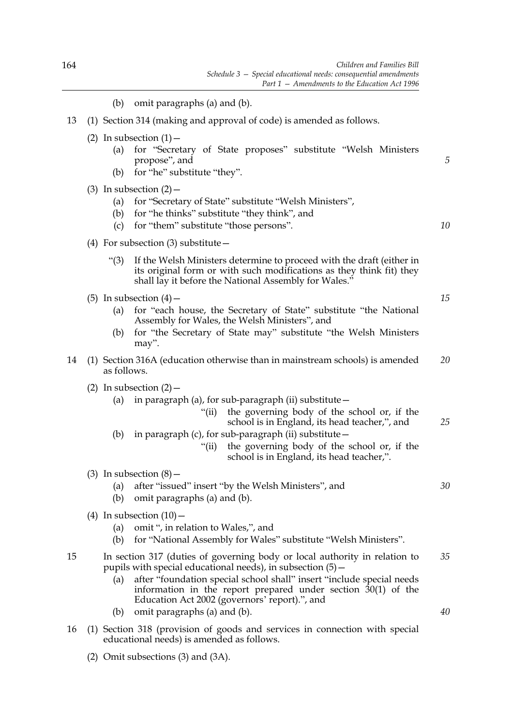- (b) omit paragraphs (a) and (b).
- 13 (1) Section 314 (making and approval of code) is amended as follows.
	- (2) In subsection  $(1)$  -
		- (a) for "Secretary of State proposes" substitute "Welsh Ministers propose", and
		- (b) for "he" substitute "they".
	- (3) In subsection  $(2)$ 
		- (a) for "Secretary of State" substitute "Welsh Ministers",
		- (b) for "he thinks" substitute "they think", and
		- (c) for "them" substitute "those persons".
	- (4) For subsection (3) substitute  $-$ 
		- "(3) If the Welsh Ministers determine to proceed with the draft (either in its original form or with such modifications as they think fit) they shall lay it before the National Assembly for Wales."
	- (5) In subsection  $(4)$ 
		- (a) for "each house, the Secretary of State" substitute "the National Assembly for Wales, the Welsh Ministers", and
		- (b) for "the Secretary of State may" substitute "the Welsh Ministers may".
- 14 (1) Section 316A (education otherwise than in mainstream schools) is amended as follows. *20*
	- (2) In subsection  $(2)$ 
		- (a) in paragraph (a), for sub-paragraph (ii) substitute $-$ 
			- "(ii) the governing body of the school or, if the school is in England, its head teacher,", and
		- (b) in paragraph (c), for sub-paragraph (ii) substitute—
			- "(ii) the governing body of the school or, if the school is in England, its head teacher,".
	- (3) In subsection  $(8)$ 
		- (a) after "issued" insert "by the Welsh Ministers", and
		- (b) omit paragraphs (a) and (b).
	- (4) In subsection  $(10)$  -
		- (a) omit ", in relation to Wales,", and
		- (b) for "National Assembly for Wales" substitute "Welsh Ministers".
- 15 In section 317 (duties of governing body or local authority in relation to pupils with special educational needs), in subsection (5)— *35*
	- (a) after "foundation special school shall" insert "include special needs information in the report prepared under section 30(1) of the Education Act 2002 (governors' report).", and
	- (b) omit paragraphs (a) and (b).
- 16 (1) Section 318 (provision of goods and services in connection with special educational needs) is amended as follows.
	- (2) Omit subsections (3) and (3A).

*15*

*25*

*30*

*40*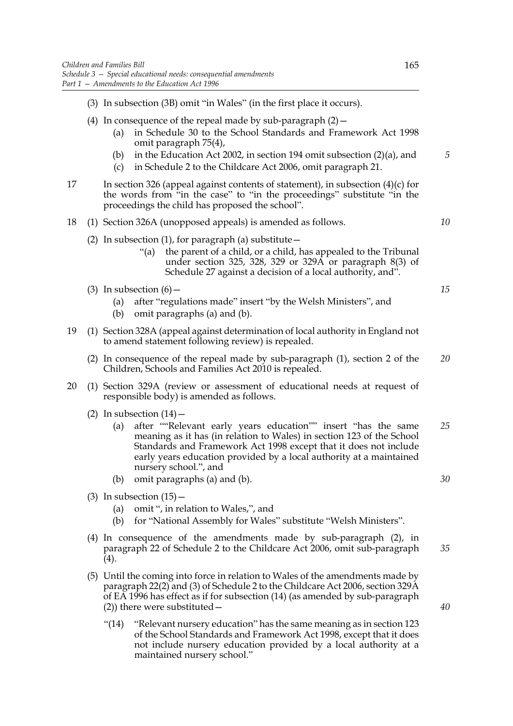- (3) In subsection (3B) omit "in Wales" (in the first place it occurs). (4) In consequence of the repeal made by sub-paragraph  $(2)$  -(a) in Schedule 30 to the School Standards and Framework Act 1998 omit paragraph 75(4), (b) in the Education Act 2002, in section 194 omit subsection (2)(a), and (c) in Schedule 2 to the Childcare Act 2006, omit paragraph 21. 17 In section 326 (appeal against contents of statement), in subsection (4)(c) for the words from "in the case" to "in the proceedings" substitute "in the proceedings the child has proposed the school". 18 (1) Section 326A (unopposed appeals) is amended as follows. (2) In subsection (1), for paragraph (a) substitute  $-$ "(a) the parent of a child, or a child, has appealed to the Tribunal under section 325, 328, 329 or 329 $\overrightarrow{A}$  or paragraph 8(3) of Schedule 27 against a decision of a local authority, and".  $(3)$  In subsection  $(6)$  – (a) after "regulations made" insert "by the Welsh Ministers", and (b) omit paragraphs (a) and (b). 19 (1) Section 328A (appeal against determination of local authority in England not to amend statement following review) is repealed. (2) In consequence of the repeal made by sub-paragraph (1), section 2 of the Children, Schools and Families Act 2010 is repealed. 20 (1) Section 329A (review or assessment of educational needs at request of responsible body) is amended as follows. (2) In subsection  $(14)$  – (a) after ""Relevant early years education"" insert "has the same meaning as it has (in relation to Wales) in section 123 of the School Standards and Framework Act 1998 except that it does not include early years education provided by a local authority at a maintained nursery school.", and (b) omit paragraphs (a) and (b). (3) In subsection  $(15)$  – (a) omit ", in relation to Wales,", and (b) for "National Assembly for Wales" substitute "Welsh Ministers". (4) In consequence of the amendments made by sub-paragraph (2), in paragraph 22 of Schedule 2 to the Childcare Act 2006, omit sub-paragraph  $(4).$ (5) Until the coming into force in relation to Wales of the amendments made by paragraph 22(2) and (3) of Schedule 2 to the Childcare Act 2006, section 329A of EA 1996 has effect as if for subsection (14) (as amended by sub-paragraph (2)) there were substituted— *5 10 15 20 25 30 35 40*
	- "(14) "Relevant nursery education" has the same meaning as in section 123 of the School Standards and Framework Act 1998, except that it does not include nursery education provided by a local authority at a maintained nursery school."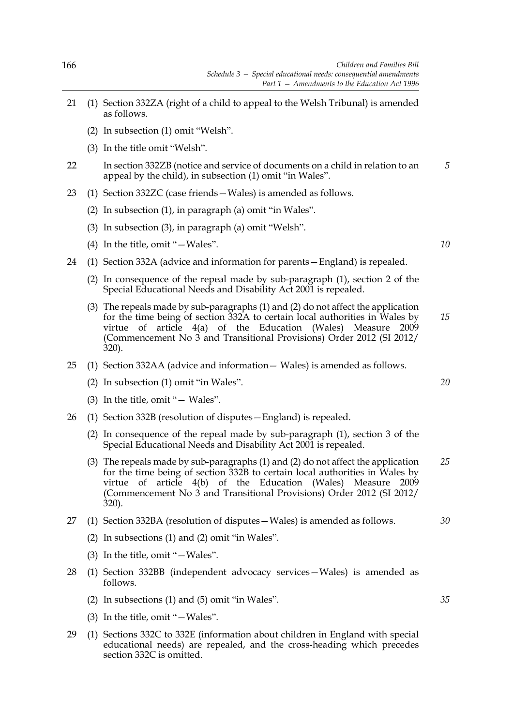- 21 (1) Section 332ZA (right of a child to appeal to the Welsh Tribunal) is amended as follows.
	- (2) In subsection (1) omit "Welsh".
	- (3) In the title omit "Welsh".
- 22 In section 332ZB (notice and service of documents on a child in relation to an appeal by the child), in subsection (1) omit "in Wales". *5*
- 23 (1) Section 332ZC (case friends—Wales) is amended as follows.
	- (2) In subsection (1), in paragraph (a) omit "in Wales".
	- (3) In subsection (3), in paragraph (a) omit "Welsh".
	- (4) In the title, omit "—Wales".
- 24 (1) Section 332A (advice and information for parents—England) is repealed.
	- (2) In consequence of the repeal made by sub-paragraph (1), section 2 of the Special Educational Needs and Disability Act 2001 is repealed.
	- (3) The repeals made by sub-paragraphs (1) and (2) do not affect the application for the time being of section 332A to certain local authorities in Wales by virtue of article 4(a) of the Education (Wales) Measure 2009 (Commencement No 3 and Transitional Provisions) Order 2012 (SI 2012/ 320). *15*
- 25 (1) Section 332AA (advice and information— Wales) is amended as follows.
	- (2) In subsection (1) omit "in Wales".
	- (3) In the title, omit "— Wales".
- 26 (1) Section 332B (resolution of disputes—England) is repealed.
	- (2) In consequence of the repeal made by sub-paragraph (1), section 3 of the Special Educational Needs and Disability Act 2001 is repealed.
	- (3) The repeals made by sub-paragraphs (1) and (2) do not affect the application for the time being of section 332B to certain local authorities in Wales by virtue of article 4(b) of the Education (Wales) Measure 2009 (Commencement No 3 and Transitional Provisions) Order 2012 (SI 2012/ 320). *25*
- 27 (1) Section 332BA (resolution of disputes—Wales) is amended as follows.
	- (2) In subsections (1) and (2) omit "in Wales".
	- (3) In the title, omit "—Wales".
- 28 (1) Section 332BB (independent advocacy services—Wales) is amended as follows.
	- (2) In subsections (1) and (5) omit "in Wales".
	- (3) In the title, omit "—Wales".
- 29 (1) Sections 332C to 332E (information about children in England with special educational needs) are repealed, and the cross-heading which precedes section 332C is omitted.

*20*

*30*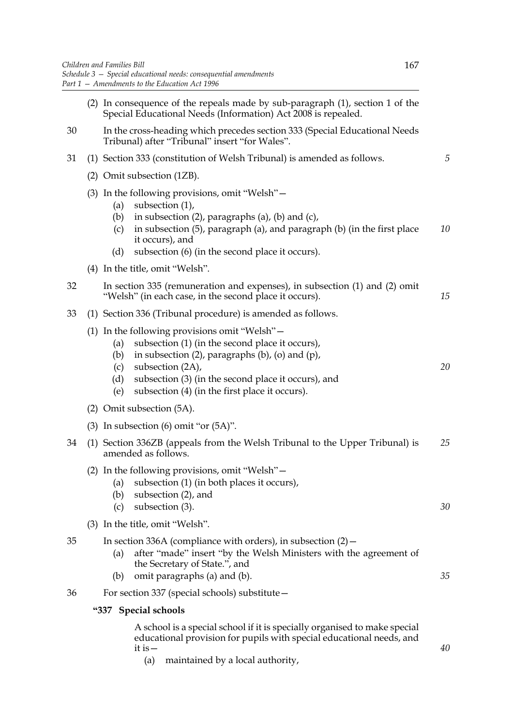(2) In consequence of the repeals made by sub-paragraph (1), section 1 of the Special Educational Needs (Information) Act 2008 is repealed. 30 In the cross-heading which precedes section 333 (Special Educational Needs Tribunal) after "Tribunal" insert "for Wales". 31 (1) Section 333 (constitution of Welsh Tribunal) is amended as follows. (2) Omit subsection (1ZB). (3) In the following provisions, omit "Welsh"— (a) subsection (1), (b) in subsection  $(2)$ , paragraphs  $(a)$ ,  $(b)$  and  $(c)$ , (c) in subsection (5), paragraph (a), and paragraph (b) (in the first place it occurs), and (d) subsection (6) (in the second place it occurs). (4) In the title, omit "Welsh". 32 In section 335 (remuneration and expenses), in subsection (1) and (2) omit "Welsh" (in each case, in the second place it occurs). 33 (1) Section 336 (Tribunal procedure) is amended as follows. (1) In the following provisions omit "Welsh"— (a) subsection (1) (in the second place it occurs), (b) in subsection (2), paragraphs (b), (o) and (p), (c) subsection (2A), (d) subsection (3) (in the second place it occurs), and (e) subsection (4) (in the first place it occurs). (2) Omit subsection (5A). (3) In subsection  $(6)$  omit "or  $(5A)$ ". 34 (1) Section 336ZB (appeals from the Welsh Tribunal to the Upper Tribunal) is amended as follows. (2) In the following provisions, omit "Welsh"— (a) subsection (1) (in both places it occurs), (b) subsection (2), and (c) subsection (3). (3) In the title, omit "Welsh". 35 In section 336A (compliance with orders), in subsection (2)— (a) after "made" insert "by the Welsh Ministers with the agreement of the Secretary of State.", and (b) omit paragraphs (a) and (b). *5 10 15 20 25 30 35*

36 For section 337 (special schools) substitute—

# **"337 Special schools**

A school is a special school if it is specially organised to make special educational provision for pupils with special educational needs, and it is—

(a) maintained by a local authority,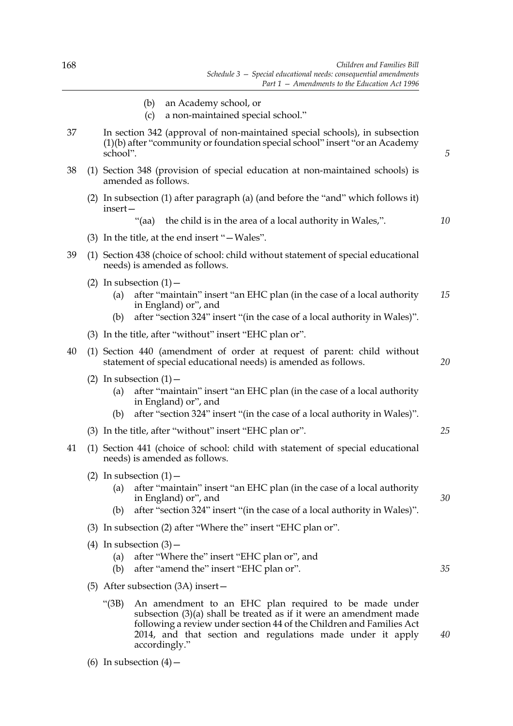- (b) an Academy school, or
- (c) a non-maintained special school."
- 37 In section 342 (approval of non-maintained special schools), in subsection (1)(b) after "community or foundation special school" insert "or an Academy school".
- 38 (1) Section 348 (provision of special education at non-maintained schools) is amended as follows.
	- (2) In subsection (1) after paragraph (a) (and before the "and" which follows it) insert—

"(aa) the child is in the area of a local authority in Wales,".

- (3) In the title, at the end insert "—Wales".
- 39 (1) Section 438 (choice of school: child without statement of special educational needs) is amended as follows.
	- (2) In subsection  $(1)$  -
		- (a) after "maintain" insert "an EHC plan (in the case of a local authority in England) or", and *15*
		- (b) after "section 324" insert "(in the case of a local authority in Wales)".
	- (3) In the title, after "without" insert "EHC plan or".
- 40 (1) Section 440 (amendment of order at request of parent: child without statement of special educational needs) is amended as follows.
	- (2) In subsection  $(1)$ 
		- (a) after "maintain" insert "an EHC plan (in the case of a local authority in England) or", and
		- (b) after "section 324" insert "(in the case of a local authority in Wales)".
	- (3) In the title, after "without" insert "EHC plan or".
- 41 (1) Section 441 (choice of school: child with statement of special educational needs) is amended as follows.
	- (2) In subsection  $(1)$ 
		- (a) after "maintain" insert "an EHC plan (in the case of a local authority in England) or", and
		- (b) after "section 324" insert "(in the case of a local authority in Wales)".
	- (3) In subsection (2) after "Where the" insert "EHC plan or".
	- (4) In subsection  $(3)$  -
		- (a) after "Where the" insert "EHC plan or", and
		- (b) after "amend the" insert "EHC plan or".
	- (5) After subsection (3A) insert—
		- "(3B) An amendment to an EHC plan required to be made under subsection (3)(a) shall be treated as if it were an amendment made following a review under section 44 of the Children and Families Act 2014, and that section and regulations made under it apply accordingly."
	-

*30*

*35*

*40*

*5*

*10*

*20*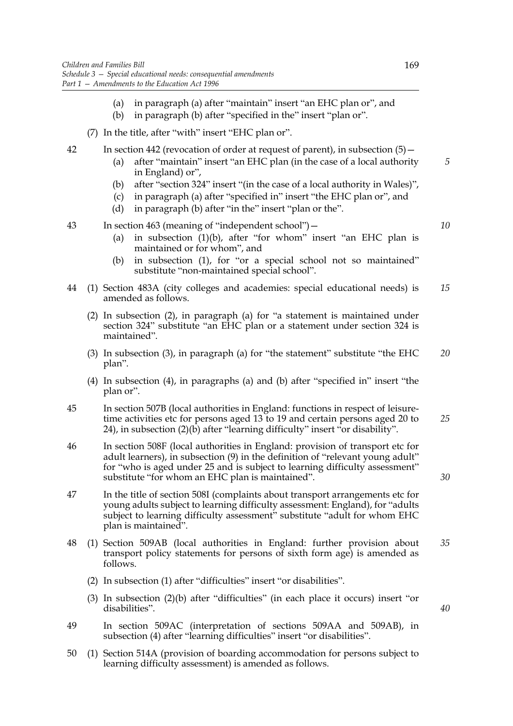- (a) in paragraph (a) after "maintain" insert "an EHC plan or", and
- (b) in paragraph (b) after "specified in the" insert "plan or".
- (7) In the title, after "with" insert "EHC plan or".
- 42 In section 442 (revocation of order at request of parent), in subsection (5)—
	- (a) after "maintain" insert "an EHC plan (in the case of a local authority in England) or",
	- (b) after "section 324" insert "(in the case of a local authority in Wales)",
	- (c) in paragraph (a) after "specified in" insert "the EHC plan or", and
	- (d) in paragraph (b) after "in the" insert "plan or the".
- 43 In section 463 (meaning of "independent school")—
	- (a) in subsection  $(1)(b)$ , after "for whom" insert "an EHC plan is maintained or for whom", and
	- (b) in subsection (1), for "or a special school not so maintained" substitute "non-maintained special school".
- 44 (1) Section 483A (city colleges and academies: special educational needs) is amended as follows. *15*
	- (2) In subsection (2), in paragraph (a) for "a statement is maintained under section 324" substitute "an EHC plan or a statement under section 324 is maintained".
	- (3) In subsection (3), in paragraph (a) for "the statement" substitute "the EHC plan". *20*
	- (4) In subsection (4), in paragraphs (a) and (b) after "specified in" insert "the plan or".
- 45 In section 507B (local authorities in England: functions in respect of leisuretime activities etc for persons aged 13 to 19 and certain persons aged 20 to 24), in subsection (2)(b) after "learning difficulty" insert "or disability". *25*
- 46 In section 508F (local authorities in England: provision of transport etc for adult learners), in subsection (9) in the definition of "relevant young adult" for "who is aged under 25 and is subject to learning difficulty assessment" substitute "for whom an EHC plan is maintained".
- 47 In the title of section 508I (complaints about transport arrangements etc for young adults subject to learning difficulty assessment: England), for "adults subject to learning difficulty assessment" substitute "adult for whom EHC plan is maintained".
- 48 (1) Section 509AB (local authorities in England: further provision about transport policy statements for persons of sixth form age) is amended as follows. *35*
	- (2) In subsection (1) after "difficulties" insert "or disabilities".
	- (3) In subsection (2)(b) after "difficulties" (in each place it occurs) insert "or disabilities".
- 49 In section 509AC (interpretation of sections 509AA and 509AB), in subsection (4) after "learning difficulties" insert "or disabilities".
- 50 (1) Section 514A (provision of boarding accommodation for persons subject to learning difficulty assessment) is amended as follows.

*10*

*30*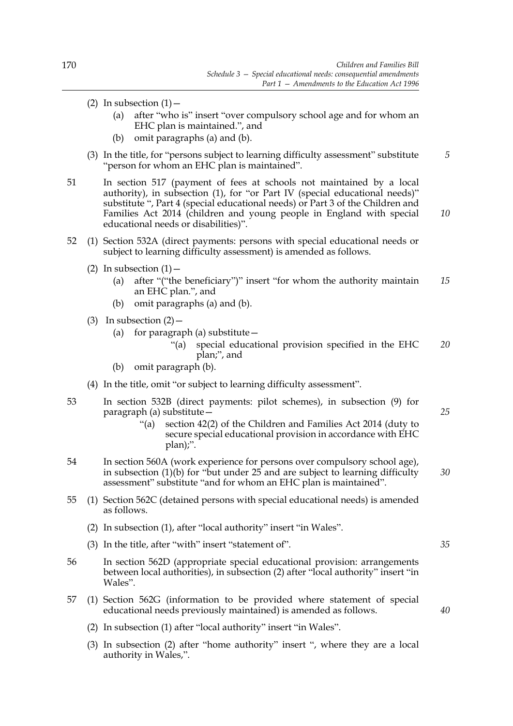- (2) In subsection  $(1)$ 
	- (a) after "who is" insert "over compulsory school age and for whom an EHC plan is maintained.", and
	- (b) omit paragraphs (a) and (b).
- (3) In the title, for "persons subject to learning difficulty assessment" substitute "person for whom an EHC plan is maintained". *5*
- 51 In section 517 (payment of fees at schools not maintained by a local authority), in subsection (1), for "or Part IV (special educational needs)" substitute ", Part 4 (special educational needs) or Part 3 of the Children and Families Act 2014 (children and young people in England with special educational needs or disabilities)".
- 52 (1) Section 532A (direct payments: persons with special educational needs or subject to learning difficulty assessment) is amended as follows.
	- (2) In subsection  $(1)$ 
		- (a) after "("the beneficiary")" insert "for whom the authority maintain an EHC plan.", and *15*
		- (b) omit paragraphs (a) and (b).
	- (3) In subsection  $(2)$ 
		- (a) for paragraph (a) substitute—
			- "(a) special educational provision specified in the EHC plan;", and *20*
		- (b) omit paragraph (b).
	- (4) In the title, omit "or subject to learning difficulty assessment".
- 53 In section 532B (direct payments: pilot schemes), in subsection (9) for paragraph (a) substitute—
	- "(a) section 42(2) of the Children and Families Act 2014 (duty to secure special educational provision in accordance with EHC plan);".
- 54 In section 560A (work experience for persons over compulsory school age), in subsection  $(1)(b)$  for "but under  $25$  and are subject to learning difficulty assessment" substitute "and for whom an EHC plan is maintained". *30*
- 55 (1) Section 562C (detained persons with special educational needs) is amended as follows.
	- (2) In subsection (1), after "local authority" insert "in Wales".
	- (3) In the title, after "with" insert "statement of".
- 56 In section 562D (appropriate special educational provision: arrangements between local authorities), in subsection (2) after "local authority" insert "in Wales".
- 57 (1) Section 562G (information to be provided where statement of special educational needs previously maintained) is amended as follows.
	- (2) In subsection (1) after "local authority" insert "in Wales".
	- (3) In subsection (2) after "home authority" insert ", where they are a local authority in Wales,".

*40*

*25*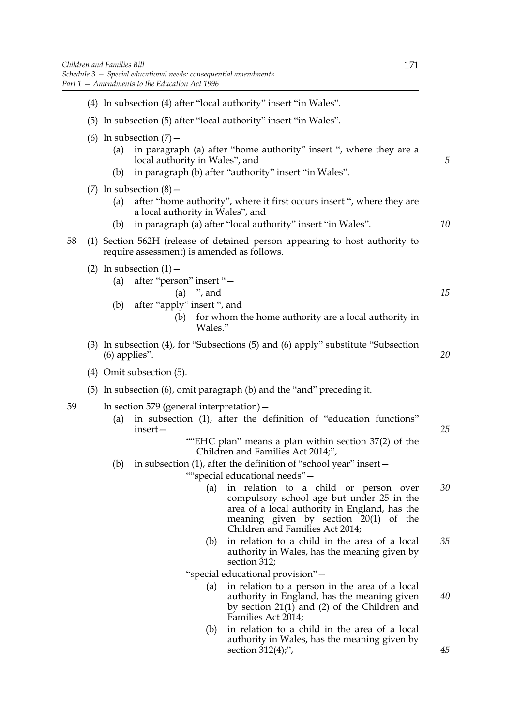(6) In subsection  $(7)$  -

(7) In subsection  $(8)$  -

(2) In subsection  $(1)$  –

- (4) In subsection (4) after "local authority" insert "in Wales". (5) In subsection (5) after "local authority" insert "in Wales". (a) in paragraph (a) after "home authority" insert ", where they are a local authority in Wales", and (b) in paragraph (b) after "authority" insert "in Wales". (a) after "home authority", where it first occurs insert ", where they are a local authority in Wales", and (b) in paragraph (a) after "local authority" insert "in Wales". 58 (1) Section 562H (release of detained person appearing to host authority to require assessment) is amended as follows. (a) after "person" insert "— (a) ", and (b) after "apply" insert ", and (b) for whom the home authority are a local authority in Wales." (3) In subsection (4), for "Subsections (5) and (6) apply" substitute "Subsection *10 15 20*
	- (4) Omit subsection (5).

(6) applies".

- (5) In subsection (6), omit paragraph (b) and the "and" preceding it.
- 59 In section 579 (general interpretation)—
	- (a) in subsection (1), after the definition of "education functions" insert—
		- ""EHC plan" means a plan within section 37(2) of the Children and Families Act 2014;",
	- (b) in subsection (1), after the definition of "school year" insert—

""special educational needs"—

- (a) in relation to a child or person over compulsory school age but under 25 in the area of a local authority in England, has the meaning given by section 20(1) of the Children and Families Act 2014; *30*
- (b) in relation to a child in the area of a local authority in Wales, has the meaning given by section 312; *35*

"special educational provision"—

- (a) in relation to a person in the area of a local authority in England, has the meaning given by section 21(1) and (2) of the Children and Families Act 2014; *40*
- (b) in relation to a child in the area of a local authority in Wales, has the meaning given by section 312(4);",

*5*

*45*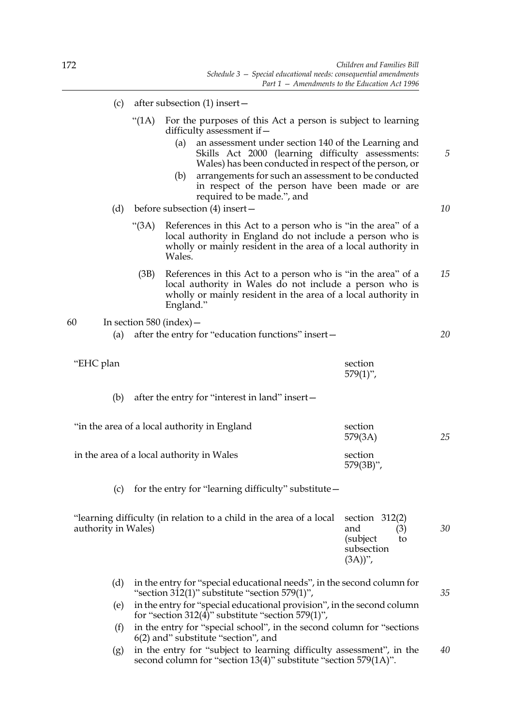- (c) after subsection (1) insert— "(1A) For the purposes of this Act a person is subject to learning difficulty assessment if— (a) an assessment under section 140 of the Learning and Skills Act 2000 (learning difficulty assessments: Wales) has been conducted in respect of the person, or (b) arrangements for such an assessment to be conducted in respect of the person have been made or are required to be made.", and (d) before subsection (4) insert— "(3A) References in this Act to a person who is "in the area" of a local authority in England do not include a person who is wholly or mainly resident in the area of a local authority in Wales. (3B) References in this Act to a person who is "in the area" of a local authority in Wales do not include a person who is wholly or mainly resident in the area of a local authority in England." 60 In section 580 (index)— (a) after the entry for "education functions" insert— (b) after the entry for "interest in land" insert— (c) for the entry for "learning difficulty" substitute  $-$ (d) in the entry for "special educational needs", in the second column for "section 312(1)" substitute "section 579(1)", (e) in the entry for "special educational provision", in the second column "EHC plan section 579(1)", "in the area of a local authority in England section 579(3A) in the area of a local authority in Wales section 579(3B)", "learning difficulty (in relation to a child in the area of a local authority in Wales) section 312(2) and  $(3)$ (subject to subsection  $(3A)$ ", *5 10 15 20 25 30 35*
	- for "section  $312(4)$ " substitute "section 579(1)", (f) in the entry for "special school", in the second column for "sections
	- 6(2) and" substitute "section", and (g) in the entry for "subject to learning difficulty assessment", in the second column for "section 13(4)" substitute "section 579(1A)". *40*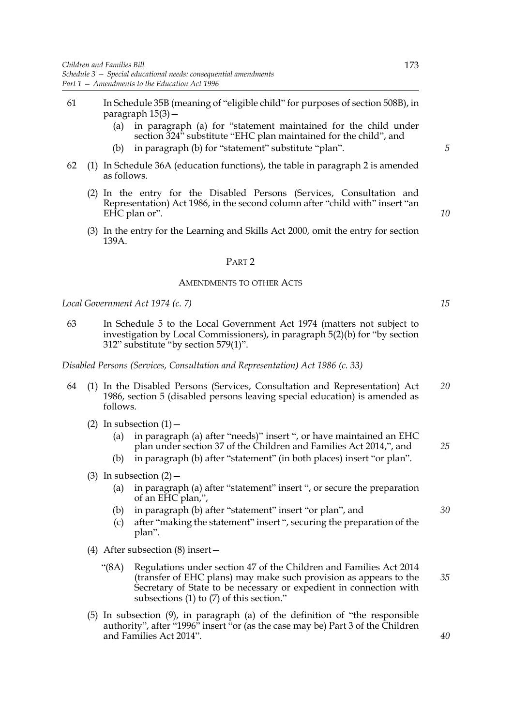- 61 In Schedule 35B (meaning of "eligible child" for purposes of section 508B), in paragraph 15(3)—
	- (a) in paragraph (a) for "statement maintained for the child under section 324" substitute "EHC plan maintained for the child", and
	- (b) in paragraph (b) for "statement" substitute "plan".
- 62 (1) In Schedule 36A (education functions), the table in paragraph 2 is amended as follows.
	- (2) In the entry for the Disabled Persons (Services, Consultation and Representation) Act 1986, in the second column after "child with" insert "an EHC plan or".
	- (3) In the entry for the Learning and Skills Act 2000, omit the entry for section 139A.

#### PART 2

### AMENDMENTS TO OTHER ACTS

*Local Government Act 1974 (c. 7)*

63 In Schedule 5 to the Local Government Act 1974 (matters not subject to investigation by Local Commissioners), in paragraph 5(2)(b) for "by section 312" substitute "by section 579(1)".

*Disabled Persons (Services, Consultation and Representation) Act 1986 (c. 33)*

- 64 (1) In the Disabled Persons (Services, Consultation and Representation) Act 1986, section 5 (disabled persons leaving special education) is amended as follows. *20*
	- (2) In subsection  $(1)$ 
		- (a) in paragraph (a) after "needs)" insert ", or have maintained an EHC plan under section 37 of the Children and Families Act 2014,", and
		- (b) in paragraph (b) after "statement" (in both places) insert "or plan".
	- (3) In subsection  $(2)$ 
		- (a) in paragraph (a) after "statement" insert ", or secure the preparation of an EHC plan,",
		- (b) in paragraph (b) after "statement" insert "or plan", and
		- (c) after "making the statement" insert ", securing the preparation of the plan".
	- (4) After subsection (8) insert—
		- "(8A) Regulations under section 47 of the Children and Families Act 2014 (transfer of EHC plans) may make such provision as appears to the Secretary of State to be necessary or expedient in connection with subsections (1) to (7) of this section." *35*
	- (5) In subsection (9), in paragraph (a) of the definition of "the responsible authority", after "1996" insert "or (as the case may be) Part 3 of the Children and Families Act 2014".

*5*

*10*

*15*

*30*

*25*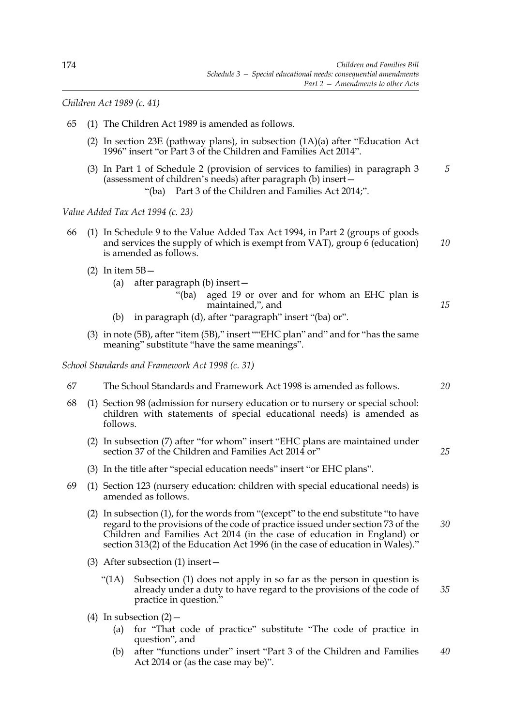*Children Act 1989 (c. 41)*

- 65 (1) The Children Act 1989 is amended as follows.
	- (2) In section 23E (pathway plans), in subsection (1A)(a) after "Education Act 1996" insert "or Part 3 of the Children and Families Act 2014".
	- (3) In Part 1 of Schedule 2 (provision of services to families) in paragraph 3 (assessment of children's needs) after paragraph (b) insert— *5*
		- "(ba) Part 3 of the Children and Families Act 2014;".

*Value Added Tax Act 1994 (c. 23)*

- 66 (1) In Schedule 9 to the Value Added Tax Act 1994, in Part 2 (groups of goods and services the supply of which is exempt from VAT), group 6 (education) is amended as follows. *10*
	- $(2)$  In item  $5B -$ 
		- (a) after paragraph (b) insert—
			- "(ba) aged 19 or over and for whom an EHC plan is maintained,", and *15*
		- (b) in paragraph (d), after "paragraph" insert "(ba) or".
	- (3) in note (5B), after "item (5B)," insert ""EHC plan" and" and for "has the same meaning" substitute "have the same meanings".

*School Standards and Framework Act 1998 (c. 31)*

- 67 The School Standards and Framework Act 1998 is amended as follows.
- 68 (1) Section 98 (admission for nursery education or to nursery or special school: children with statements of special educational needs) is amended as follows.
	- (2) In subsection (7) after "for whom" insert "EHC plans are maintained under section 37 of the Children and Families Act 2014 or"
	- (3) In the title after "special education needs" insert "or EHC plans".
- 69 (1) Section 123 (nursery education: children with special educational needs) is amended as follows.
	- (2) In subsection (1), for the words from "(except" to the end substitute "to have regard to the provisions of the code of practice issued under section 73 of the Children and Families Act 2014 (in the case of education in England) or section 313(2) of the Education Act 1996 (in the case of education in Wales)." *30*
	- (3) After subsection (1) insert—
		- "(1A) Subsection (1) does not apply in so far as the person in question is already under a duty to have regard to the provisions of the code of practice in question." *35*
	- (4) In subsection  $(2)$ 
		- (a) for "That code of practice" substitute "The code of practice in question", and
		- (b) after "functions under" insert "Part 3 of the Children and Families Act 2014 or (as the case may be)". *40*

*20*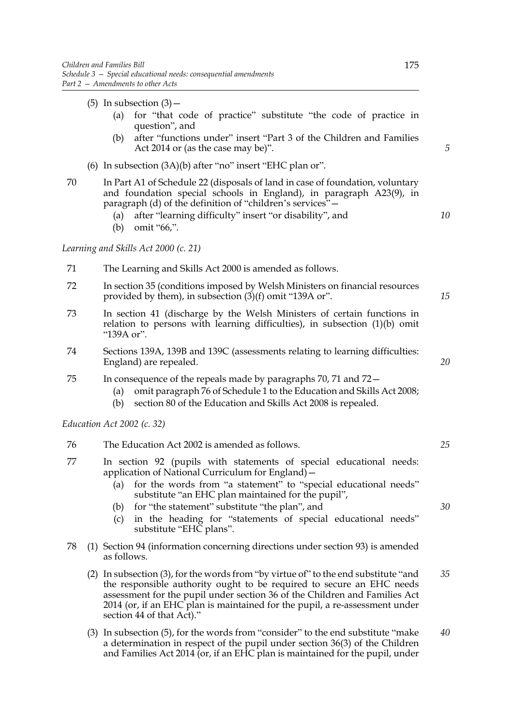- $(5)$  In subsection  $(3)$ 
	- (a) for "that code of practice" substitute "the code of practice in question", and
	- (b) after "functions under" insert "Part 3 of the Children and Families Act 2014 or (as the case may be)".
- (6) In subsection (3A)(b) after "no" insert "EHC plan or".
- 70 In Part A1 of Schedule 22 (disposals of land in case of foundation, voluntary and foundation special schools in England), in paragraph A23(9), in paragraph (d) of the definition of "children's services"—
	- (a) after "learning difficulty" insert "or disability", and
	- (b) omit "66,".

*Learning and Skills Act 2000 (c. 21)*

- 71 The Learning and Skills Act 2000 is amended as follows.
- 72 In section 35 (conditions imposed by Welsh Ministers on financial resources provided by them), in subsection (3)(f) omit "139A or".
- 73 In section 41 (discharge by the Welsh Ministers of certain functions in relation to persons with learning difficulties), in subsection (1)(b) omit "139A or".
- 74 Sections 139A, 139B and 139C (assessments relating to learning difficulties: England) are repealed.
- 75 In consequence of the repeals made by paragraphs 70, 71 and 72—
	- (a) omit paragraph 76 of Schedule 1 to the Education and Skills Act 2008;
	- (b) section 80 of the Education and Skills Act 2008 is repealed.

*Education Act 2002 (c. 32)*

| 76 | The Education Act 2002 is amended as follows.                                                                             |    |  |  |  |
|----|---------------------------------------------------------------------------------------------------------------------------|----|--|--|--|
| 77 | In section 92 (pupils with statements of special educational needs:<br>application of National Curriculum for England) –  |    |  |  |  |
|    | (a) for the words from "a statement" to "special educational needs"<br>substitute "an EHC plan maintained for the pupil", |    |  |  |  |
|    | for "the statement" substitute "the plan", and<br>(b)                                                                     | 30 |  |  |  |
|    | (c) in the heading for "statements of special educational needs"                                                          |    |  |  |  |

- substitute "EHC plans". 78 (1) Section 94 (information concerning directions under section 93) is amended as follows.
	- (2) In subsection (3), for the words from "by virtue of" to the end substitute "and the responsible authority ought to be required to secure an EHC needs assessment for the pupil under section 36 of the Children and Families Act 2014 (or, if an EHC plan is maintained for the pupil, a re-assessment under section 44 of that Act)." *35*
	- (3) In subsection (5), for the words from "consider" to the end substitute "make a determination in respect of the pupil under section 36(3) of the Children and Families Act 2014 (or, if an EHC plan is maintained for the pupil, under *40*

*5*

*10*

*15*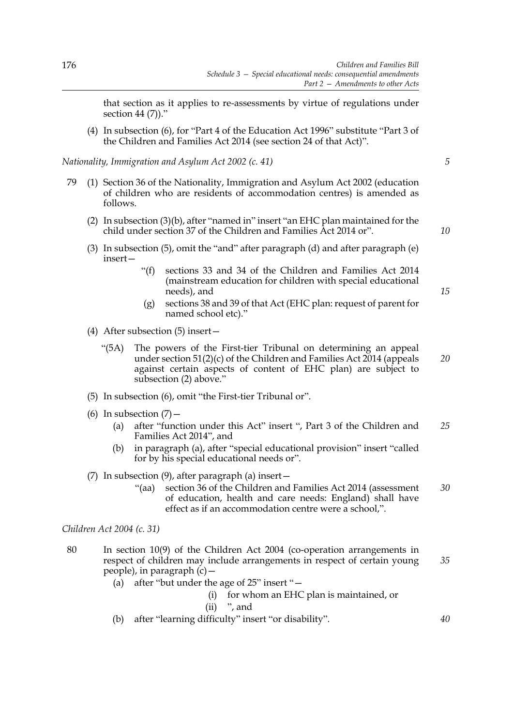that section as it applies to re-assessments by virtue of regulations under section 44 (7))."

(4) In subsection (6), for "Part 4 of the Education Act 1996" substitute "Part 3 of the Children and Families Act 2014 (see section 24 of that Act)".

*Nationality, Immigration and Asylum Act 2002 (c. 41)*

- 79 (1) Section 36 of the Nationality, Immigration and Asylum Act 2002 (education of children who are residents of accommodation centres) is amended as follows.
	- (2) In subsection (3)(b), after "named in" insert "an EHC plan maintained for the child under section 37 of the Children and Families Act 2014 or".
	- (3) In subsection (5), omit the "and" after paragraph (d) and after paragraph (e) insert—
		- "(f) sections 33 and 34 of the Children and Families Act 2014 (mainstream education for children with special educational needs), and
		- (g) sections 38 and 39 of that Act (EHC plan: request of parent for named school etc)."
	- (4) After subsection (5) insert—
		- "(5A) The powers of the First-tier Tribunal on determining an appeal under section 51(2)(c) of the Children and Families Act 2014 (appeals against certain aspects of content of EHC plan) are subject to subsection (2) above." *20*
	- (5) In subsection (6), omit "the First-tier Tribunal or".
	- (6) In subsection  $(7)$ 
		- (a) after "function under this Act" insert ", Part 3 of the Children and Families Act 2014", and *25*
		- (b) in paragraph (a), after "special educational provision" insert "called for by his special educational needs or".

# (7) In subsection (9), after paragraph (a) insert—

"(aa) section 36 of the Children and Families Act 2014 (assessment of education, health and care needs: England) shall have effect as if an accommodation centre were a school,". *30*

*Children Act 2004 (c. 31)*

- 80 In section 10(9) of the Children Act 2004 (co-operation arrangements in respect of children may include arrangements in respect of certain young people), in paragraph (c)— *35*
	- (a) after "but under the age of 25" insert "—
		- (i) for whom an EHC plan is maintained, or
		- (ii) ", and
	- (b) after "learning difficulty" insert "or disability". *40*

*5*

*10*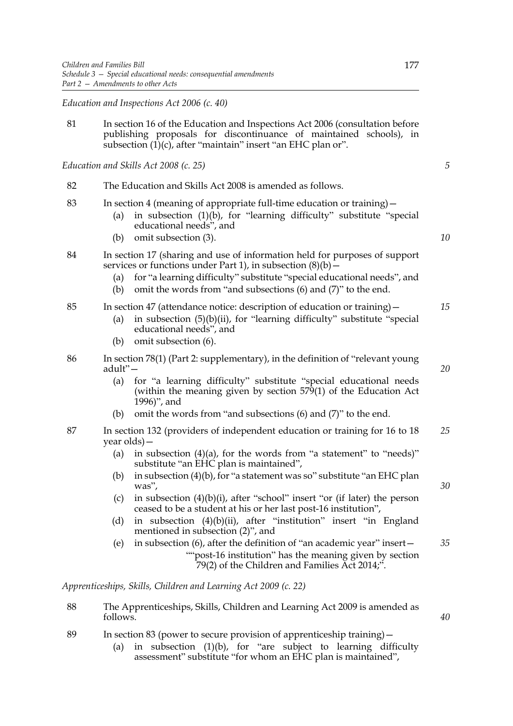*Education and Inspections Act 2006 (c. 40)*

81 In section 16 of the Education and Inspections Act 2006 (consultation before publishing proposals for discontinuance of maintained schools), in subsection (1)(c), after "maintain" insert "an EHC plan or".

*Education and Skills Act 2008 (c. 25)*

- 82 The Education and Skills Act 2008 is amended as follows.
- 83 In section 4 (meaning of appropriate full-time education or training)—
	- (a) in subsection (1)(b), for "learning difficulty" substitute "special educational needs", and
	- (b) omit subsection (3).
- 84 In section 17 (sharing and use of information held for purposes of support services or functions under Part 1), in subsection  $(8)(b)$  –
	- (a) for "a learning difficulty" substitute "special educational needs", and
	- (b) omit the words from "and subsections (6) and (7)" to the end.

## 85 In section 47 (attendance notice: description of education or training)—

- (a) in subsection  $(5)(b)(ii)$ , for "learning difficulty" substitute "special educational needs", and
- (b) omit subsection (6).
- 86 In section 78(1) (Part 2: supplementary), in the definition of "relevant young adult"—
	- (a) for "a learning difficulty" substitute "special educational needs (within the meaning given by section 579(1) of the Education Act 1996)", and
	- (b) omit the words from "and subsections (6) and (7)" to the end.
- 87 In section 132 (providers of independent education or training for 16 to 18 year olds)— *25*
	- (a) in subsection  $(4)(a)$ , for the words from "a statement" to "needs)" substitute "an EHC plan is maintained",
	- (b) in subsection (4)(b), for "a statement was so" substitute "an EHC plan was",
	- (c) in subsection  $(4)(b)(i)$ , after "school" insert "or (if later) the person ceased to be a student at his or her last post-16 institution",
	- (d) in subsection (4)(b)(ii), after "institution" insert "in England mentioned in subsection (2)", and
	- (e) in subsection (6), after the definition of "an academic year" insert— ""post-16 institution" has the meaning given by section 79(2) of the Children and Families Act 2014;". *35*

*Apprenticeships, Skills, Children and Learning Act 2009 (c. 22)*

- 88 The Apprenticeships, Skills, Children and Learning Act 2009 is amended as follows.
- 89 In section 83 (power to secure provision of apprenticeship training)—
	- (a) in subsection  $(1)(b)$ , for "are subject to learning difficulty assessment" substitute "for whom an EHC plan is maintained",

*5*

*10*

*15*

*20*

*30*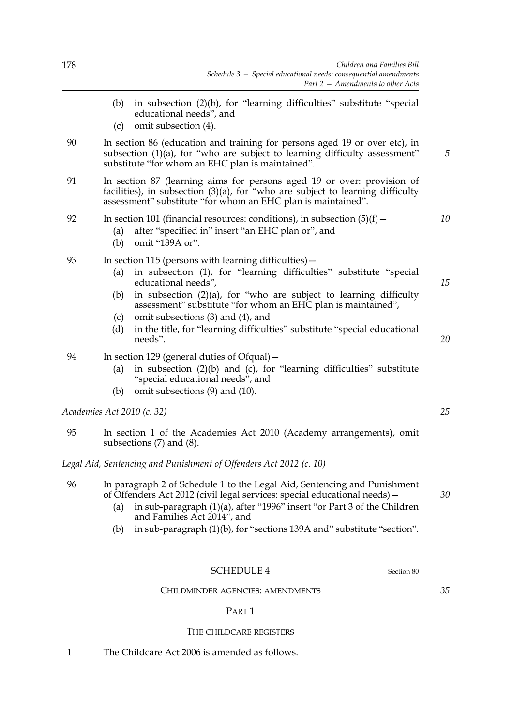- (b) in subsection (2)(b), for "learning difficulties" substitute "special educational needs", and
- (c) omit subsection (4).
- 90 In section 86 (education and training for persons aged 19 or over etc), in subsection  $(1)(a)$ , for "who are subject to learning difficulty assessment" substitute "for whom an EHC plan is maintained".
- 91 In section 87 (learning aims for persons aged 19 or over: provision of facilities), in subsection  $(3)(a)$ , for "who are subject to learning difficulty assessment" substitute "for whom an EHC plan is maintained".

# 92 In section 101 (financial resources: conditions), in subsection  $(5)(f)$  -

- (a) after "specified in" insert "an EHC plan or", and
- (b) omit "139A or".
- 93 In section 115 (persons with learning difficulties)—
	- (a) in subsection (1), for "learning difficulties" substitute "special educational needs",
	- (b) in subsection (2)(a), for "who are subject to learning difficulty assessment" substitute "for whom an EHC plan is maintained",
	- (c) omit subsections (3) and (4), and
	- (d) in the title, for "learning difficulties" substitute "special educational needs".

# 94 In section 129 (general duties of Ofqual)—

- (a) in subsection  $(2)(b)$  and  $(c)$ , for "learning difficulties" substitute "special educational needs", and
- (b) omit subsections  $(9)$  and  $(10)$ .

*Academies Act 2010 (c. 32)*

95 In section 1 of the Academies Act 2010 (Academy arrangements), omit subsections (7) and (8).

*Legal Aid, Sentencing and Punishment of Offenders Act 2012 (c. 10)*

- 96 In paragraph 2 of Schedule 1 to the Legal Aid, Sentencing and Punishment of Offenders Act 2012 (civil legal services: special educational needs)—
	- (a) in sub-paragraph (1)(a), after "1996" insert "or Part 3 of the Children and Families Act 2014", and
	- (b) in sub-paragraph (1)(b), for "sections 139A and" substitute "section".

# SCHEDULE 4 Section 80

CHILDMINDER AGENCIES: AMENDMENTS

# PART 1

# THE CHILDCARE REGISTERS

1 The Childcare Act 2006 is amended as follows.

*25*

*30*

*35*

*5*

*10*

*15*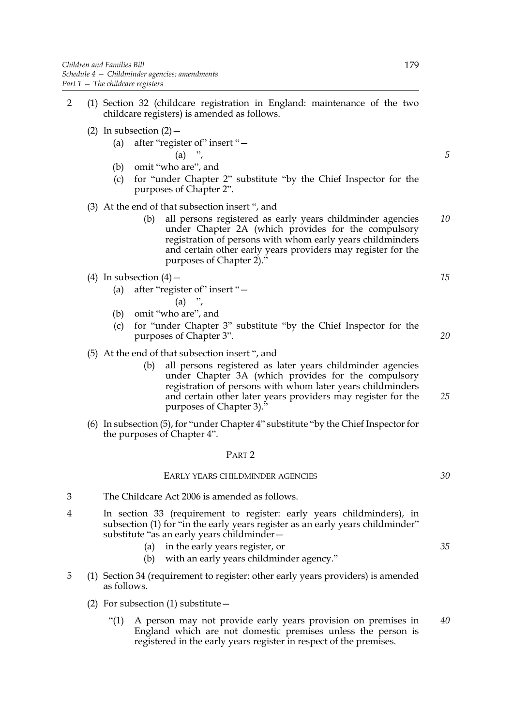- 2 (1) Section 32 (childcare registration in England: maintenance of the two childcare registers) is amended as follows.
	- (2) In subsection  $(2)$ 
		- (a) after "register of" insert "—  $(a)$  ",
		- (b) omit "who are", and
		- (c) for "under Chapter 2" substitute "by the Chief Inspector for the purposes of Chapter 2".
	- (3) At the end of that subsection insert ", and
		- (b) all persons registered as early years childminder agencies under Chapter 2A (which provides for the compulsory registration of persons with whom early years childminders and certain other early years providers may register for the purposes of Chapter 2)." *10*

# (4) In subsection  $(4)$  –

- (a) after "register of" insert "—  $(a)$  ",
- (b) omit "who are", and
- (c) for "under Chapter 3" substitute "by the Chief Inspector for the purposes of Chapter 3".

## (5) At the end of that subsection insert ", and

- (b) all persons registered as later years childminder agencies under Chapter 3A (which provides for the compulsory registration of persons with whom later years childminders and certain other later years providers may register for the purposes of Chapter 3)." *25*
- (6) In subsection (5), for "under Chapter 4" substitute "by the Chief Inspector for the purposes of Chapter 4".

#### PART 2

#### EARLY YEARS CHILDMINDER AGENCIES

- 3 The Childcare Act 2006 is amended as follows.
- 4 In section 33 (requirement to register: early years childminders), in subsection (1) for "in the early years register as an early years childminder" substitute "as an early years childminder—
	- (a) in the early years register, or
	- (b) with an early years childminder agency."
- 5 (1) Section 34 (requirement to register: other early years providers) is amended as follows.
	- (2) For subsection (1) substitute—
		- "(1) A person may not provide early years provision on premises in England which are not domestic premises unless the person is registered in the early years register in respect of the premises. *40*

*5*

*15*

*20*

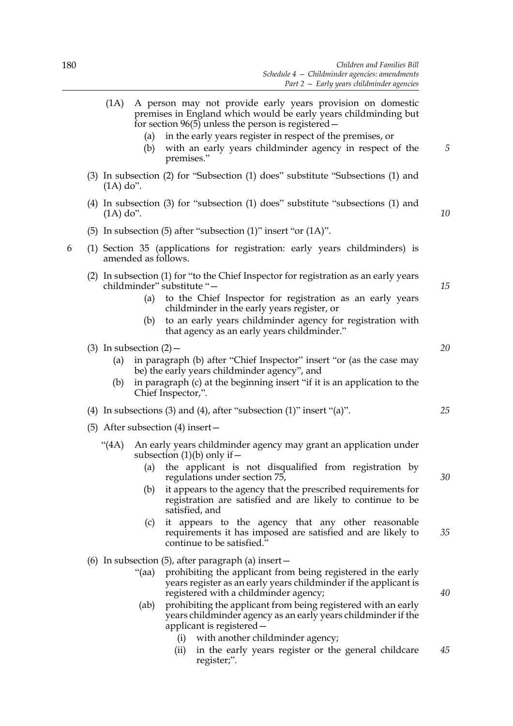|   | (1A)                                |                           | A person may not provide early years provision on domestic<br>premises in England which would be early years childminding but<br>for section $96(5)$ unless the person is registered $-$                                                                                                                                                    |            |  |
|---|-------------------------------------|---------------------------|---------------------------------------------------------------------------------------------------------------------------------------------------------------------------------------------------------------------------------------------------------------------------------------------------------------------------------------------|------------|--|
|   |                                     | (a)<br>(b)                | in the early years register in respect of the premises, or<br>with an early years childminder agency in respect of the<br>premises."                                                                                                                                                                                                        | $\sqrt{5}$ |  |
|   | $(1A)$ do".                         |                           | (3) In subsection (2) for "Subsection (1) does" substitute "Subsections (1) and                                                                                                                                                                                                                                                             |            |  |
|   | $(1A)$ do".                         |                           | $(4)$ In subsection $(3)$ for "subsection $(1)$ does" substitute "subsections $(1)$ and                                                                                                                                                                                                                                                     | 10         |  |
|   |                                     |                           | (5) In subsection (5) after "subsection (1)" insert "or $(1A)$ ".                                                                                                                                                                                                                                                                           |            |  |
| 6 |                                     | amended as follows.       | (1) Section 35 (applications for registration: early years childminders) is                                                                                                                                                                                                                                                                 |            |  |
|   |                                     | (a)<br>(b)                | (2) In subsection (1) for "to the Chief Inspector for registration as an early years<br>childminder" substitute "-<br>to the Chief Inspector for registration as an early years<br>childminder in the early years register, or<br>to an early years childminder agency for registration with<br>that agency as an early years childminder." | 15         |  |
|   |                                     | (3) In subsection $(2)$ – |                                                                                                                                                                                                                                                                                                                                             | 20         |  |
|   | (a)                                 |                           | in paragraph (b) after "Chief Inspector" insert "or (as the case may<br>be) the early years childminder agency", and                                                                                                                                                                                                                        |            |  |
|   | (b)                                 |                           | in paragraph (c) at the beginning insert "if it is an application to the<br>Chief Inspector,".                                                                                                                                                                                                                                              |            |  |
|   |                                     |                           | (4) In subsections (3) and (4), after "subsection $(1)$ " insert " $(a)$ ".                                                                                                                                                                                                                                                                 | 25         |  |
|   | (5) After subsection (4) insert $-$ |                           |                                                                                                                                                                                                                                                                                                                                             |            |  |
|   | "(4A)                               |                           | An early years childminder agency may grant an application under<br>subsection $(1)(b)$ only if $-$                                                                                                                                                                                                                                         |            |  |
|   |                                     | (a)                       | the applicant is not disqualified from registration by<br>regulations under section 75,                                                                                                                                                                                                                                                     | 30         |  |
|   |                                     | (b)                       | it appears to the agency that the prescribed requirements for<br>registration are satisfied and are likely to continue to be<br>satisfied, and                                                                                                                                                                                              |            |  |
|   |                                     | (c)                       | it appears to the agency that any other reasonable<br>requirements it has imposed are satisfied and are likely to<br>continue to be satisfied."                                                                                                                                                                                             | 35         |  |

- (6) In subsection (5), after paragraph (a) insert—
	- "(aa) prohibiting the applicant from being registered in the early years register as an early years childminder if the applicant is registered with a childminder agency;
	- (ab) prohibiting the applicant from being registered with an early years childminder agency as an early years childminder if the applicant is registered—
		- (i) with another childminder agency;
		- (ii) in the early years register or the general childcare register;". *45*

*20*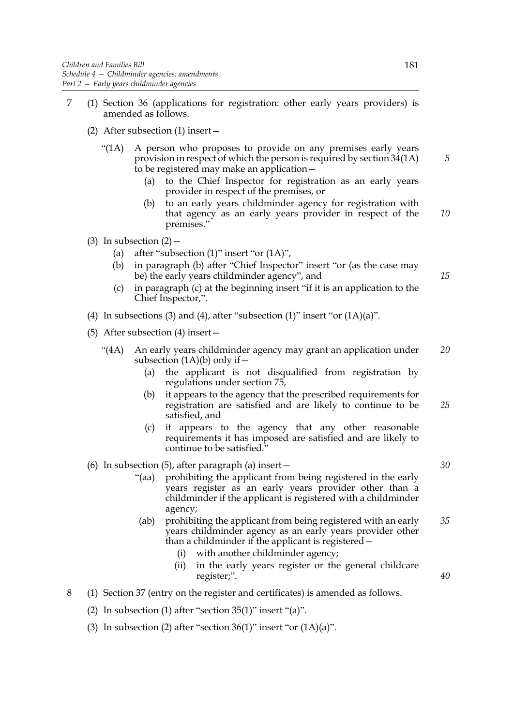- 7 (1) Section 36 (applications for registration: other early years providers) is amended as follows.
	- (2) After subsection (1) insert—
		- "(1A) A person who proposes to provide on any premises early years provision in respect of which the person is required by section 34(1A) to be registered may make an application—
			- (a) to the Chief Inspector for registration as an early years provider in respect of the premises, or
			- (b) to an early years childminder agency for registration with that agency as an early years provider in respect of the premises." *10*
	- (3) In subsection  $(2)$ 
		- (a) after "subsection (1)" insert "or (1A)",
		- (b) in paragraph (b) after "Chief Inspector" insert "or (as the case may be) the early years childminder agency", and
		- (c) in paragraph (c) at the beginning insert "if it is an application to the Chief Inspector,".
	- (4) In subsections (3) and (4), after "subsection (1)" insert "or  $(1A)(a)$ ".
	- (5) After subsection (4) insert—
		- "(4A) An early years childminder agency may grant an application under subsection  $(1A)(b)$  only if  $-$ *20*
			- (a) the applicant is not disqualified from registration by regulations under section 75,
			- (b) it appears to the agency that the prescribed requirements for registration are satisfied and are likely to continue to be satisfied, and *25*
			- (c) it appears to the agency that any other reasonable requirements it has imposed are satisfied and are likely to continue to be satisfied."
	- (6) In subsection (5), after paragraph (a) insert—
		- "(aa) prohibiting the applicant from being registered in the early years register as an early years provider other than a childminder if the applicant is registered with a childminder agency;
		- (ab) prohibiting the applicant from being registered with an early years childminder agency as an early years provider other than a childminder if the applicant is registered— *35*
			- (i) with another childminder agency;
			- (ii) in the early years register or the general childcare register;".
- 8 (1) Section 37 (entry on the register and certificates) is amended as follows.
	- (2) In subsection (1) after "section 35(1)" insert "(a)".
	- (3) In subsection (2) after "section  $36(1)$ " insert "or  $(1A)(a)$ ".

*5*

*15*

*30*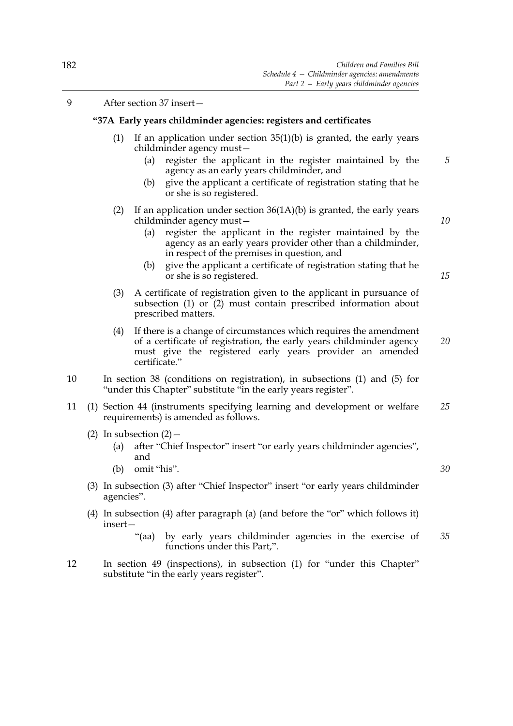9 After section 37 insert—

# **"37A Early years childminder agencies: registers and certificates**

- (1) If an application under section 35(1)(b) is granted, the early years childminder agency must—
	- (a) register the applicant in the register maintained by the agency as an early years childminder, and *5*
	- (b) give the applicant a certificate of registration stating that he or she is so registered.
- (2) If an application under section  $36(1A)(b)$  is granted, the early years childminder agency must—
	- (a) register the applicant in the register maintained by the agency as an early years provider other than a childminder, in respect of the premises in question, and
	- (b) give the applicant a certificate of registration stating that he or she is so registered.
- (3) A certificate of registration given to the applicant in pursuance of subsection (1) or (2) must contain prescribed information about prescribed matters.
- (4) If there is a change of circumstances which requires the amendment of a certificate of registration, the early years childminder agency must give the registered early years provider an amended certificate." *20*
- 10 In section 38 (conditions on registration), in subsections (1) and (5) for "under this Chapter" substitute "in the early years register".
- 11 (1) Section 44 (instruments specifying learning and development or welfare requirements) is amended as follows. *25*
	- (2) In subsection  $(2)$ 
		- (a) after "Chief Inspector" insert "or early years childminder agencies", and
		- (b) omit "his".
	- (3) In subsection (3) after "Chief Inspector" insert "or early years childminder agencies".
	- (4) In subsection (4) after paragraph (a) (and before the "or" which follows it) insert—
		- "(aa) by early years childminder agencies in the exercise of functions under this Part,". *35*
- 12 In section 49 (inspections), in subsection (1) for "under this Chapter" substitute "in the early years register".

*30*

*10*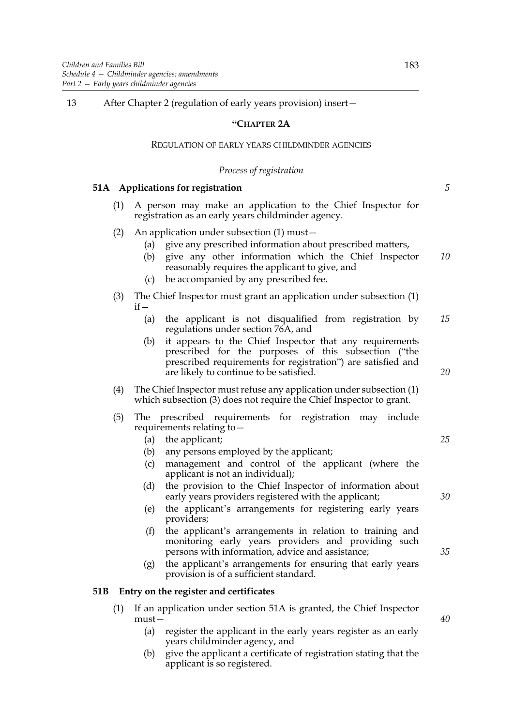## 13 After Chapter 2 (regulation of early years provision) insert—

## **"CHAPTER 2A**

## REGULATION OF EARLY YEARS CHILDMINDER AGENCIES

#### *Process of registration*

## **51A Applications for registration**

(1) A person may make an application to the Chief Inspector for registration as an early years childminder agency.

## (2) An application under subsection (1) must—

- (a) give any prescribed information about prescribed matters,
- (b) give any other information which the Chief Inspector reasonably requires the applicant to give, and *10*
- (c) be accompanied by any prescribed fee.
- (3) The Chief Inspector must grant an application under subsection (1)  $if -$ 
	- (a) the applicant is not disqualified from registration by regulations under section 76A, and *15*
	- (b) it appears to the Chief Inspector that any requirements prescribed for the purposes of this subsection ("the prescribed requirements for registration") are satisfied and are likely to continue to be satisfied.
- (4) The Chief Inspector must refuse any application under subsection (1) which subsection (3) does not require the Chief Inspector to grant.
- (5) The prescribed requirements for registration may include requirements relating to—
	- (a) the applicant;
	- (b) any persons employed by the applicant;
	- (c) management and control of the applicant (where the applicant is not an individual);
	- (d) the provision to the Chief Inspector of information about early years providers registered with the applicant;
	- (e) the applicant's arrangements for registering early years providers;
	- (f) the applicant's arrangements in relation to training and monitoring early years providers and providing such persons with information, advice and assistance;
	- (g) the applicant's arrangements for ensuring that early years provision is of a sufficient standard.

## **51B Entry on the register and certificates**

- (1) If an application under section 51A is granted, the Chief Inspector must—
	- (a) register the applicant in the early years register as an early years childminder agency, and
	- (b) give the applicant a certificate of registration stating that the applicant is so registered.

*5*

*30*

*20*

*25*

*35*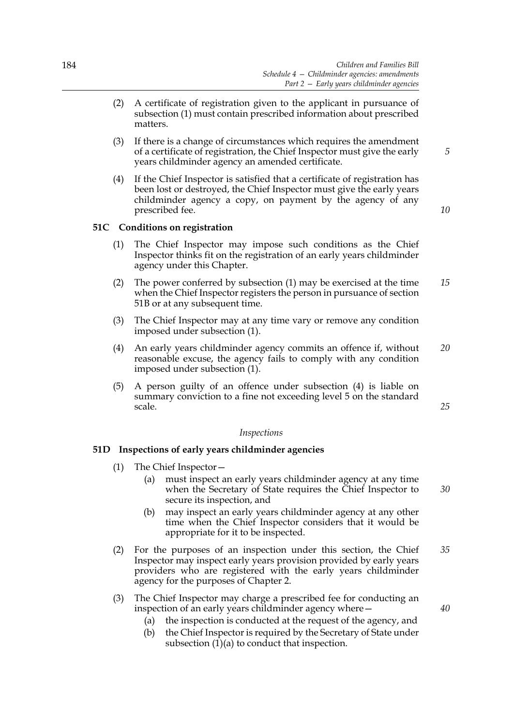- (2) A certificate of registration given to the applicant in pursuance of subsection (1) must contain prescribed information about prescribed matters.
- (3) If there is a change of circumstances which requires the amendment of a certificate of registration, the Chief Inspector must give the early years childminder agency an amended certificate.
- (4) If the Chief Inspector is satisfied that a certificate of registration has been lost or destroyed, the Chief Inspector must give the early years childminder agency a copy, on payment by the agency of any prescribed fee.

*10*

*25*

*30*

*5*

# **51C Conditions on registration**

- (1) The Chief Inspector may impose such conditions as the Chief Inspector thinks fit on the registration of an early years childminder agency under this Chapter.
- (2) The power conferred by subsection (1) may be exercised at the time when the Chief Inspector registers the person in pursuance of section 51B or at any subsequent time. *15*
- (3) The Chief Inspector may at any time vary or remove any condition imposed under subsection (1).
- (4) An early years childminder agency commits an offence if, without reasonable excuse, the agency fails to comply with any condition imposed under subsection (1). *20*
- (5) A person guilty of an offence under subsection (4) is liable on summary conviction to a fine not exceeding level 5 on the standard scale.

*Inspections*

## **51D Inspections of early years childminder agencies**

- (1) The Chief Inspector—
	- (a) must inspect an early years childminder agency at any time when the Secretary of State requires the Chief Inspector to secure its inspection, and
	- (b) may inspect an early years childminder agency at any other time when the Chief Inspector considers that it would be appropriate for it to be inspected.
- (2) For the purposes of an inspection under this section, the Chief Inspector may inspect early years provision provided by early years providers who are registered with the early years childminder agency for the purposes of Chapter 2. *35*
- (3) The Chief Inspector may charge a prescribed fee for conducting an inspection of an early years childminder agency where—
	- (a) the inspection is conducted at the request of the agency, and
	- (b) the Chief Inspector is required by the Secretary of State under subsection (1)(a) to conduct that inspection.

184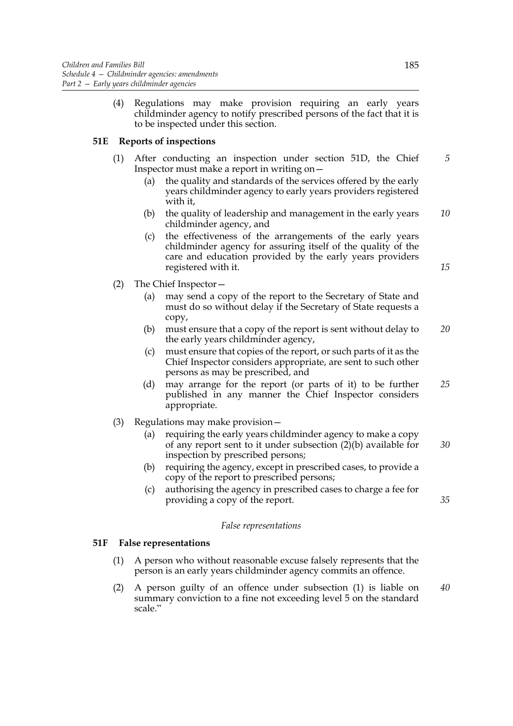(4) Regulations may make provision requiring an early years childminder agency to notify prescribed persons of the fact that it is to be inspected under this section.

# **51E Reports of inspections**

- (1) After conducting an inspection under section 51D, the Chief Inspector must make a report in writing on— *5*
	- (a) the quality and standards of the services offered by the early years childminder agency to early years providers registered with it,
	- (b) the quality of leadership and management in the early years childminder agency, and *10*
	- (c) the effectiveness of the arrangements of the early years childminder agency for assuring itself of the quality of the care and education provided by the early years providers registered with it.
- (2) The Chief Inspector—
	- (a) may send a copy of the report to the Secretary of State and must do so without delay if the Secretary of State requests a copy,
	- (b) must ensure that a copy of the report is sent without delay to the early years childminder agency, *20*
	- (c) must ensure that copies of the report, or such parts of it as the Chief Inspector considers appropriate, are sent to such other persons as may be prescribed, and
	- (d) may arrange for the report (or parts of it) to be further published in any manner the Chief Inspector considers appropriate. *25*
- (3) Regulations may make provision—
	- (a) requiring the early years childminder agency to make a copy of any report sent to it under subsection (2)(b) available for inspection by prescribed persons; *30*
	- (b) requiring the agency, except in prescribed cases, to provide a copy of the report to prescribed persons;
	- (c) authorising the agency in prescribed cases to charge a fee for providing a copy of the report.

## *False representations*

# **51F False representations**

- (1) A person who without reasonable excuse falsely represents that the person is an early years childminder agency commits an offence.
- (2) A person guilty of an offence under subsection (1) is liable on summary conviction to a fine not exceeding level 5 on the standard scale." *40*

*35*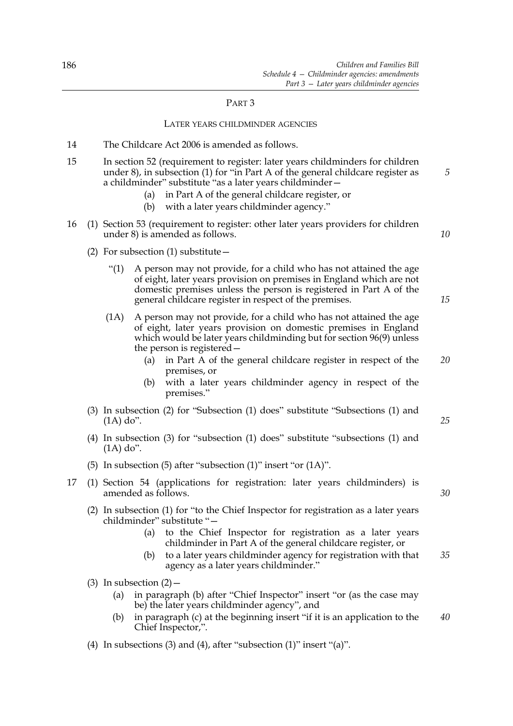## PART 3

#### LATER YEARS CHILDMINDER AGENCIES

- 14 The Childcare Act 2006 is amended as follows.
- 15 In section 52 (requirement to register: later years childminders for children under 8), in subsection (1) for "in Part A of the general childcare register as a childminder" substitute "as a later years childminder—
	- (a) in Part A of the general childcare register, or
	- (b) with a later years childminder agency."
- 16 (1) Section 53 (requirement to register: other later years providers for children under 8) is amended as follows.
	- (2) For subsection (1) substitute  $-$ 
		- "(1) A person may not provide, for a child who has not attained the age of eight, later years provision on premises in England which are not domestic premises unless the person is registered in Part A of the general childcare register in respect of the premises.
		- (1A) A person may not provide, for a child who has not attained the age of eight, later years provision on domestic premises in England which would be later years childminding but for section 96(9) unless the person is registered—
			- (a) in Part A of the general childcare register in respect of the premises, or *20*
			- (b) with a later years childminder agency in respect of the premises."
	- (3) In subsection (2) for "Subsection (1) does" substitute "Subsections (1) and  $(1A)$  do".
	- (4) In subsection (3) for "subsection (1) does" substitute "subsections (1) and  $(1A)$  do".
	- (5) In subsection (5) after "subsection (1)" insert "or (1A)".
- 17 (1) Section 54 (applications for registration: later years childminders) is amended as follows.
	- (2) In subsection (1) for "to the Chief Inspector for registration as a later years childminder" substitute "—
		- (a) to the Chief Inspector for registration as a later years childminder in Part A of the general childcare register, or
		- (b) to a later years childminder agency for registration with that agency as a later years childminder." *35*
	- (3) In subsection  $(2)$ 
		- (a) in paragraph (b) after "Chief Inspector" insert "or (as the case may be) the later years childminder agency", and
		- (b) in paragraph (c) at the beginning insert "if it is an application to the Chief Inspector,". *40*
	- (4) In subsections (3) and (4), after "subsection (1)" insert "(a)".

*30*

*25*

*5*

*10*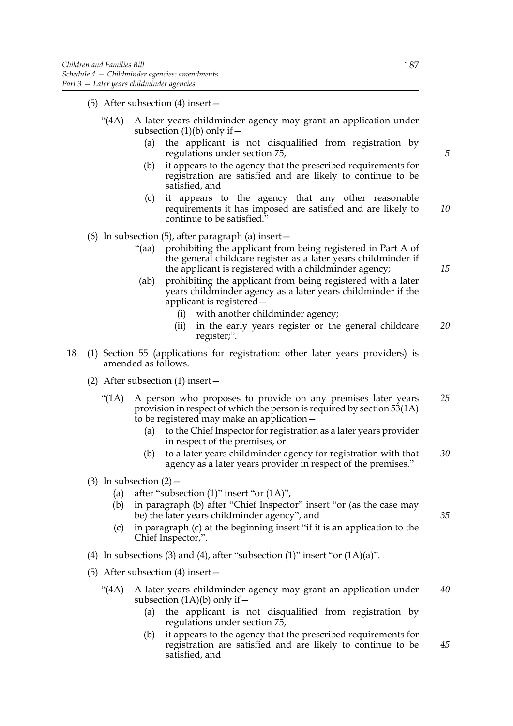- (5) After subsection (4) insert—
	- "(4A) A later years childminder agency may grant an application under subsection  $(1)(b)$  only if  $-$ 
		- (a) the applicant is not disqualified from registration by regulations under section 75,
		- (b) it appears to the agency that the prescribed requirements for registration are satisfied and are likely to continue to be satisfied, and
		- (c) it appears to the agency that any other reasonable requirements it has imposed are satisfied and are likely to continue to be satisfied.<sup>7</sup>
- (6) In subsection  $(5)$ , after paragraph (a) insert  $-$ 
	- "(aa) prohibiting the applicant from being registered in Part A of the general childcare register as a later years childminder if the applicant is registered with a childminder agency;
	- (ab) prohibiting the applicant from being registered with a later years childminder agency as a later years childminder if the applicant is registered—
		- (i) with another childminder agency;
		- (ii) in the early years register or the general childcare register;". *20*
- 18 (1) Section 55 (applications for registration: other later years providers) is amended as follows.
	- (2) After subsection (1) insert—
		- "(1A) A person who proposes to provide on any premises later years provision in respect of which the person is required by section 53(1A) to be registered may make an application— *25*
			- (a) to the Chief Inspector for registration as a later years provider in respect of the premises, or
			- (b) to a later years childminder agency for registration with that agency as a later years provider in respect of the premises." *30*
	- (3) In subsection  $(2)$ 
		- (a) after "subsection (1)" insert "or (1A)",
		- (b) in paragraph (b) after "Chief Inspector" insert "or (as the case may be) the later years childminder agency", and
		- (c) in paragraph (c) at the beginning insert "if it is an application to the Chief Inspector,".
	- (4) In subsections (3) and (4), after "subsection (1)" insert "or  $(1A)(a)$ ".
	- (5) After subsection (4) insert—
		- "(4A) A later years childminder agency may grant an application under subsection  $(1A)(b)$  only if  $-$ *40*
			- (a) the applicant is not disqualified from registration by regulations under section 75,
			- (b) it appears to the agency that the prescribed requirements for registration are satisfied and are likely to continue to be satisfied, and

*5*

*10*

*15*

*35*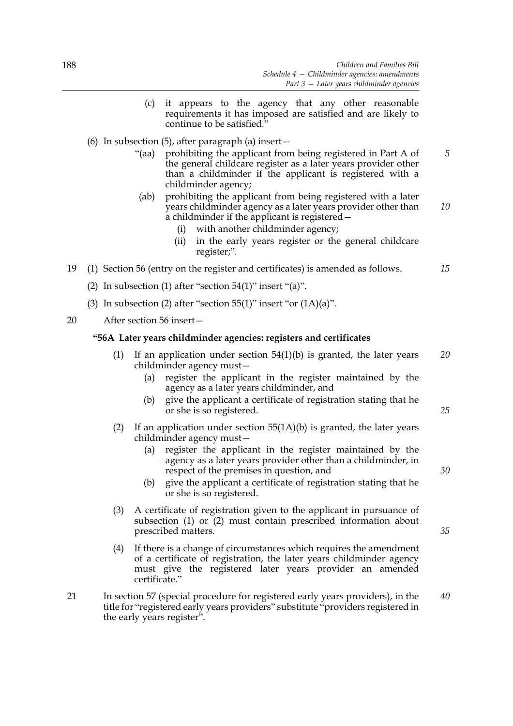- (c) it appears to the agency that any other reasonable requirements it has imposed are satisfied and are likely to continue to be satisfied."
- (6) In subsection (5), after paragraph (a) insert—
	- "(aa) prohibiting the applicant from being registered in Part A of the general childcare register as a later years provider other than a childminder if the applicant is registered with a childminder agency; *5*
	- (ab) prohibiting the applicant from being registered with a later years childminder agency as a later years provider other than a childminder if the applicant is registered— *10*
		- with another childminder agency;
		- (ii) in the early years register or the general childcare register;".
- 19 (1) Section 56 (entry on the register and certificates) is amended as follows. *15*
	- (2) In subsection (1) after "section  $54(1)$ " insert "(a)".
	- (3) In subsection (2) after "section  $55(1)$ " insert "or  $(1A)(a)$ ".

20 After section 56 insert—

# **"56A Later years childminder agencies: registers and certificates**

- (1) If an application under section  $54(1)(b)$  is granted, the later years childminder agency must— *20*
	- (a) register the applicant in the register maintained by the agency as a later years childminder, and
	- (b) give the applicant a certificate of registration stating that he or she is so registered.
- (2) If an application under section  $55(1A)(b)$  is granted, the later years childminder agency must—
	- (a) register the applicant in the register maintained by the agency as a later years provider other than a childminder, in respect of the premises in question, and
	- (b) give the applicant a certificate of registration stating that he or she is so registered.
- (3) A certificate of registration given to the applicant in pursuance of subsection (1) or (2) must contain prescribed information about prescribed matters.
- (4) If there is a change of circumstances which requires the amendment of a certificate of registration, the later years childminder agency must give the registered later years provider an amended certificate."
- 21 In section 57 (special procedure for registered early years providers), in the title for "registered early years providers" substitute "providers registered in the early years register". *40*

*30*

*35*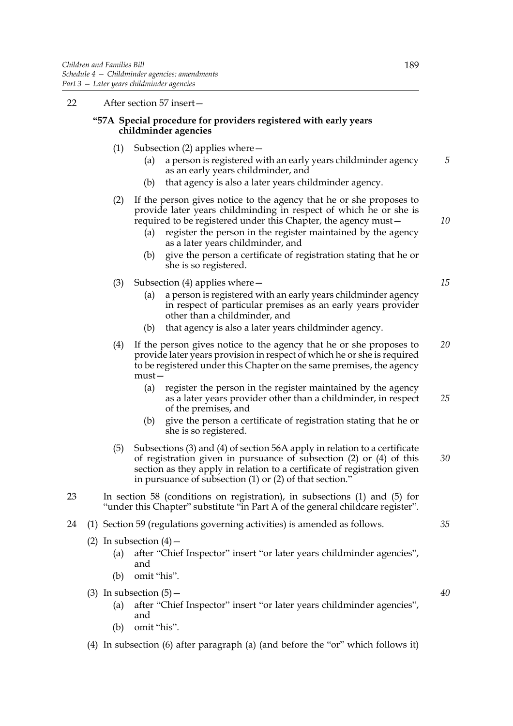#### 22 After section 57 insert—

#### **"57A Special procedure for providers registered with early years childminder agencies**

- (1) Subsection (2) applies where
	- a person is registered with an early years childminder agency as an early years childminder, and *5*
	- (b) that agency is also a later years childminder agency.
- (2) If the person gives notice to the agency that he or she proposes to provide later years childminding in respect of which he or she is required to be registered under this Chapter, the agency must—
	- (a) register the person in the register maintained by the agency as a later years childminder, and
	- (b) give the person a certificate of registration stating that he or she is so registered.
- (3) Subsection (4) applies where—
	- (a) a person is registered with an early years childminder agency in respect of particular premises as an early years provider other than a childminder, and
	- (b) that agency is also a later years childminder agency.
- (4) If the person gives notice to the agency that he or she proposes to provide later years provision in respect of which he or she is required to be registered under this Chapter on the same premises, the agency must— *20*
	- (a) register the person in the register maintained by the agency as a later years provider other than a childminder, in respect of the premises, and
	- (b) give the person a certificate of registration stating that he or she is so registered.
- (5) Subsections (3) and (4) of section 56A apply in relation to a certificate of registration given in pursuance of subsection (2) or (4) of this section as they apply in relation to a certificate of registration given in pursuance of subsection (1) or (2) of that section." *30*
- 23 In section 58 (conditions on registration), in subsections (1) and (5) for "under this Chapter" substitute "in Part A of the general childcare register".
- 24 (1) Section 59 (regulations governing activities) is amended as follows.
	- (2) In subsection  $(4)$ 
		- (a) after "Chief Inspector" insert "or later years childminder agencies", and
		- (b) omit "his".
	- (3) In subsection  $(5)$ 
		- (a) after "Chief Inspector" insert "or later years childminder agencies", and
		- (b) omit "his".
	- (4) In subsection (6) after paragraph (a) (and before the "or" which follows it)

*10*

*15*

*25*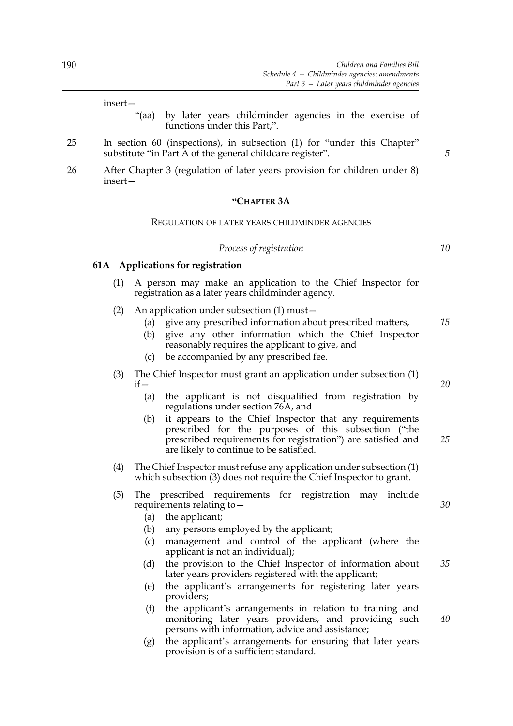#### insert—

"(aa) by later years childminder agencies in the exercise of functions under this Part,".

- 25 In section 60 (inspections), in subsection (1) for "under this Chapter" substitute "in Part A of the general childcare register".
- 26 After Chapter 3 (regulation of later years provision for children under 8) insert—

#### **"CHAPTER 3A**

#### REGULATION OF LATER YEARS CHILDMINDER AGENCIES

#### *Process of registration*

## **61A Applications for registration**

- (1) A person may make an application to the Chief Inspector for registration as a later years childminder agency.
- (2) An application under subsection (1) must—
	- (a) give any prescribed information about prescribed matters, *15*
	- (b) give any other information which the Chief Inspector reasonably requires the applicant to give, and
	- (c) be accompanied by any prescribed fee.
- (3) The Chief Inspector must grant an application under subsection (1)  $if$ 
	- (a) the applicant is not disqualified from registration by regulations under section 76A, and
	- (b) it appears to the Chief Inspector that any requirements prescribed for the purposes of this subsection ("the prescribed requirements for registration") are satisfied and are likely to continue to be satisfied. *25*
- (4) The Chief Inspector must refuse any application under subsection (1) which subsection (3) does not require the Chief Inspector to grant.
- (5) The prescribed requirements for registration may include requirements relating to—
	- (a) the applicant;
	- (b) any persons employed by the applicant;
	- (c) management and control of the applicant (where the applicant is not an individual);
	- (d) the provision to the Chief Inspector of information about later years providers registered with the applicant; *35*
	- (e) the applicant's arrangements for registering later years providers;
	- (f) the applicant's arrangements in relation to training and monitoring later years providers, and providing such persons with information, advice and assistance;
	- (g) the applicant's arrangements for ensuring that later years provision is of a sufficient standard.

*20*

*5*

*10*

- 
- 

*30*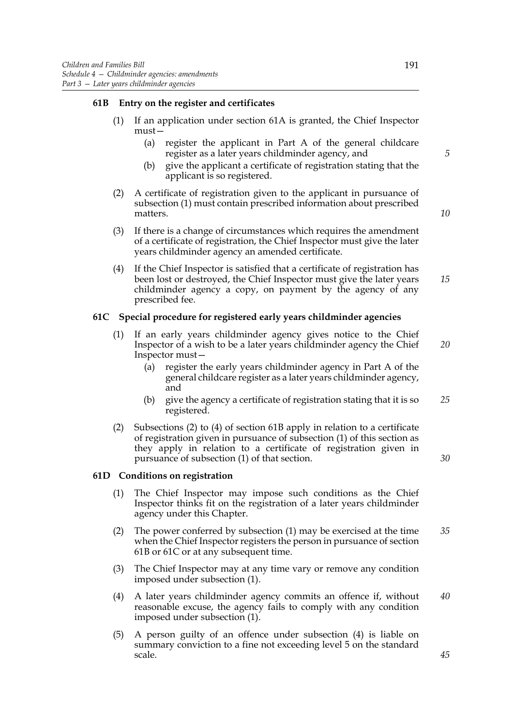## **61B Entry on the register and certificates**

- (1) If an application under section 61A is granted, the Chief Inspector must—
	- (a) register the applicant in Part A of the general childcare register as a later years childminder agency, and
	- (b) give the applicant a certificate of registration stating that the applicant is so registered.
- (2) A certificate of registration given to the applicant in pursuance of subsection (1) must contain prescribed information about prescribed matters.
- (3) If there is a change of circumstances which requires the amendment of a certificate of registration, the Chief Inspector must give the later years childminder agency an amended certificate.
- (4) If the Chief Inspector is satisfied that a certificate of registration has been lost or destroyed, the Chief Inspector must give the later years childminder agency a copy, on payment by the agency of any prescribed fee. *15*

## **61C Special procedure for registered early years childminder agencies**

- (1) If an early years childminder agency gives notice to the Chief Inspector of a wish to be a later years childminder agency the Chief Inspector must—
	- (a) register the early years childminder agency in Part A of the general childcare register as a later years childminder agency, and
	- (b) give the agency a certificate of registration stating that it is so registered. *25*
- (2) Subsections (2) to (4) of section 61B apply in relation to a certificate of registration given in pursuance of subsection (1) of this section as they apply in relation to a certificate of registration given in pursuance of subsection (1) of that section.

## **61D Conditions on registration**

- (1) The Chief Inspector may impose such conditions as the Chief Inspector thinks fit on the registration of a later years childminder agency under this Chapter.
- (2) The power conferred by subsection (1) may be exercised at the time when the Chief Inspector registers the person in pursuance of section 61B or 61C or at any subsequent time. *35*
- (3) The Chief Inspector may at any time vary or remove any condition imposed under subsection (1).
- (4) A later years childminder agency commits an offence if, without reasonable excuse, the agency fails to comply with any condition imposed under subsection (1). *40*
- (5) A person guilty of an offence under subsection (4) is liable on summary conviction to a fine not exceeding level 5 on the standard scale.

*30*

*20*

*5*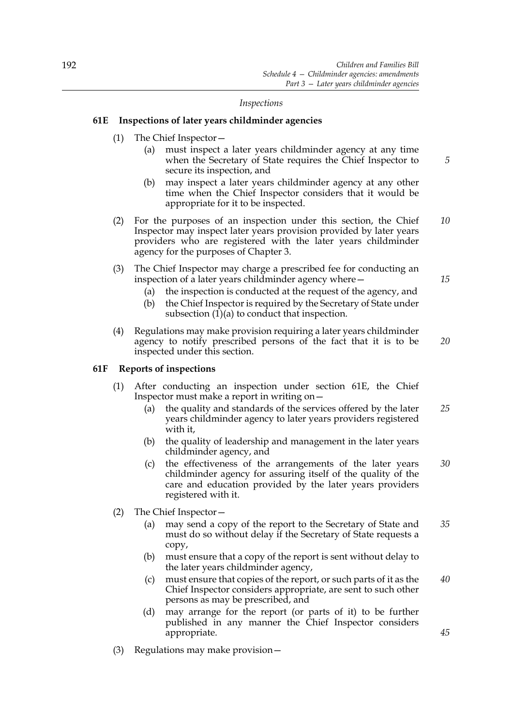#### *Inspections*

## **61E Inspections of later years childminder agencies**

- (1) The Chief Inspector—
	- (a) must inspect a later years childminder agency at any time when the Secretary of State requires the Chief Inspector to secure its inspection, and
	- (b) may inspect a later years childminder agency at any other time when the Chief Inspector considers that it would be appropriate for it to be inspected.
- (2) For the purposes of an inspection under this section, the Chief Inspector may inspect later years provision provided by later years providers who are registered with the later years childminder agency for the purposes of Chapter 3. *10*
- (3) The Chief Inspector may charge a prescribed fee for conducting an inspection of a later years childminder agency where—
	- (a) the inspection is conducted at the request of the agency, and
	- (b) the Chief Inspector is required by the Secretary of State under subsection (1)(a) to conduct that inspection.
- (4) Regulations may make provision requiring a later years childminder agency to notify prescribed persons of the fact that it is to be inspected under this section.

#### **61F Reports of inspections**

- (1) After conducting an inspection under section 61E, the Chief Inspector must make a report in writing on—
	- (a) the quality and standards of the services offered by the later years childminder agency to later years providers registered with it, *25*
	- (b) the quality of leadership and management in the later years childminder agency, and
	- (c) the effectiveness of the arrangements of the later years childminder agency for assuring itself of the quality of the care and education provided by the later years providers registered with it. *30*
- (2) The Chief Inspector—
	- (a) may send a copy of the report to the Secretary of State and must do so without delay if the Secretary of State requests a copy, *35*
	- (b) must ensure that a copy of the report is sent without delay to the later years childminder agency,
	- (c) must ensure that copies of the report, or such parts of it as the Chief Inspector considers appropriate, are sent to such other persons as may be prescribed, and *40*
	- (d) may arrange for the report (or parts of it) to be further published in any manner the Chief Inspector considers appropriate.
- (3) Regulations may make provision—

*15*

*20*

*45*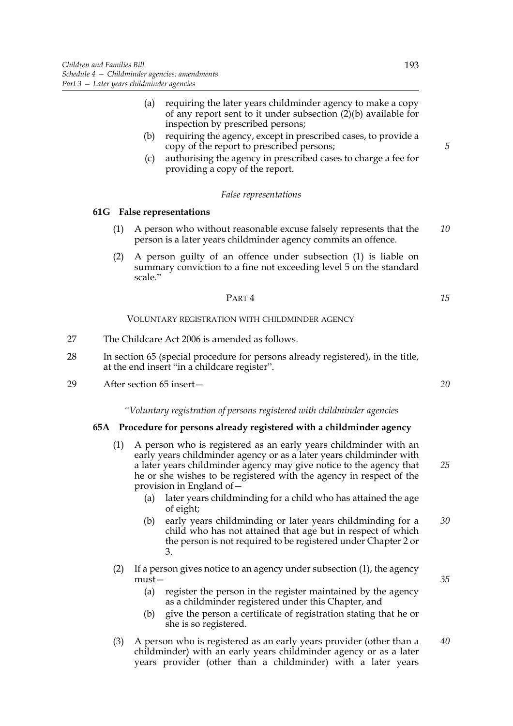- (a) requiring the later years childminder agency to make a copy of any report sent to it under subsection (2)(b) available for inspection by prescribed persons;
- (b) requiring the agency, except in prescribed cases, to provide a copy of the report to prescribed persons;
- (c) authorising the agency in prescribed cases to charge a fee for providing a copy of the report.

#### *False representations*

## **61G False representations**

- (1) A person who without reasonable excuse falsely represents that the person is a later years childminder agency commits an offence. *10*
- (2) A person guilty of an offence under subsection (1) is liable on summary conviction to a fine not exceeding level 5 on the standard scale."

PART 4

#### VOLUNTARY REGISTRATION WITH CHILDMINDER AGENCY

- 27 The Childcare Act 2006 is amended as follows.
- 28 In section 65 (special procedure for persons already registered), in the title, at the end insert "in a childcare register".
- 29 After section 65 insert—

*"Voluntary registration of persons registered with childminder agencies*

# **65A Procedure for persons already registered with a childminder agency**

- (1) A person who is registered as an early years childminder with an early years childminder agency or as a later years childminder with a later years childminder agency may give notice to the agency that he or she wishes to be registered with the agency in respect of the provision in England of—
	- (a) later years childminding for a child who has attained the age of eight;
	- (b) early years childminding or later years childminding for a child who has not attained that age but in respect of which the person is not required to be registered under Chapter 2 or 3. *30*
- (2) If a person gives notice to an agency under subsection (1), the agency must—
	- (a) register the person in the register maintained by the agency as a childminder registered under this Chapter, and
	- (b) give the person a certificate of registration stating that he or she is so registered.
- (3) A person who is registered as an early years provider (other than a childminder) with an early years childminder agency or as a later years provider (other than a childminder) with a later years *40*

*15*

*5*

*20*

*25*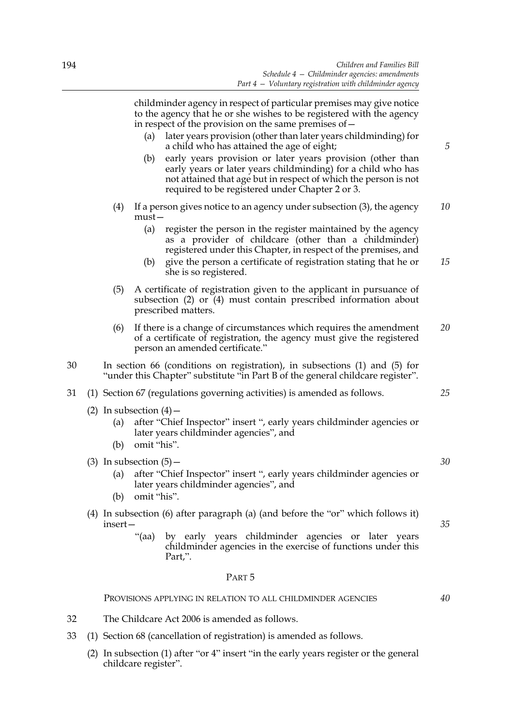childminder agency in respect of particular premises may give notice to the agency that he or she wishes to be registered with the agency in respect of the provision on the same premises of— (a) later years provision (other than later years childminding) for a child who has attained the age of eight; (b) early years provision or later years provision (other than early years or later years childminding) for a child who has not attained that age but in respect of which the person is not required to be registered under Chapter 2 or 3. (4) If a person gives notice to an agency under subsection (3), the agency must— (a) register the person in the register maintained by the agency as a provider of childcare (other than a childminder) registered under this Chapter, in respect of the premises, and (b) give the person a certificate of registration stating that he or she is so registered. (5) A certificate of registration given to the applicant in pursuance of subsection (2) or (4) must contain prescribed information about prescribed matters. (6) If there is a change of circumstances which requires the amendment of a certificate of registration, the agency must give the registered person an amended certificate." 30 In section 66 (conditions on registration), in subsections (1) and (5) for "under this Chapter" substitute "in Part B of the general childcare register". 31 (1) Section 67 (regulations governing activities) is amended as follows. (2) In subsection  $(4)$  – (a) after "Chief Inspector" insert ", early years childminder agencies or later years childminder agencies", and (b) omit "his". (3) In subsection  $(5)$  -(a) after "Chief Inspector" insert ", early years childminder agencies or later years childminder agencies", and (b) omit "his". (4) In subsection (6) after paragraph (a) (and before the "or" which follows it) insert— "(aa) by early years childminder agencies or later years childminder agencies in the exercise of functions under this Part,". PART 5 *10 15 20 35*

PROVISIONS APPLYING IN RELATION TO ALL CHILDMINDER AGENCIES

- 32 The Childcare Act 2006 is amended as follows.
- 33 (1) Section 68 (cancellation of registration) is amended as follows.
	- (2) In subsection (1) after "or 4" insert "in the early years register or the general childcare register".

*5*

- *25*
- *30*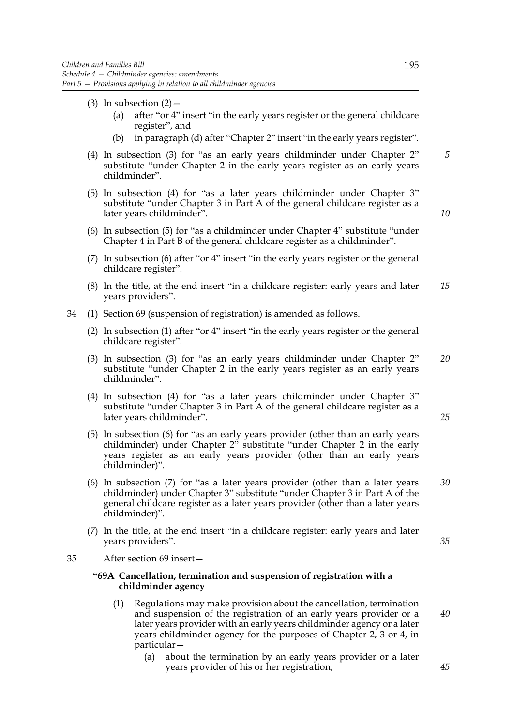- (3) In subsection  $(2)$ 
	- (a) after "or 4" insert "in the early years register or the general childcare register", and
	- (b) in paragraph (d) after "Chapter 2" insert "in the early years register".
- (4) In subsection (3) for "as an early years childminder under Chapter 2" substitute "under Chapter 2 in the early years register as an early years childminder".
- (5) In subsection (4) for "as a later years childminder under Chapter 3" substitute "under Chapter 3 in Part A of the general childcare register as a later years childminder".
- (6) In subsection (5) for "as a childminder under Chapter 4" substitute "under Chapter 4 in Part B of the general childcare register as a childminder".
- (7) In subsection (6) after "or 4" insert "in the early years register or the general childcare register".
- (8) In the title, at the end insert "in a childcare register: early years and later years providers". *15*
- 34 (1) Section 69 (suspension of registration) is amended as follows.
	- (2) In subsection (1) after "or 4" insert "in the early years register or the general childcare register".
	- (3) In subsection (3) for "as an early years childminder under Chapter 2" substitute "under Chapter 2 in the early years register as an early years childminder". *20*
	- (4) In subsection (4) for "as a later years childminder under Chapter 3" substitute "under Chapter 3 in Part A of the general childcare register as a later years childminder".
	- (5) In subsection (6) for "as an early years provider (other than an early years childminder) under Chapter 2" substitute "under Chapter 2 in the early years register as an early years provider (other than an early years childminder)".
	- (6) In subsection (7) for "as a later years provider (other than a later years childminder) under Chapter 3" substitute "under Chapter 3 in Part A of the general childcare register as a later years provider (other than a later years childminder)". *30*
	- (7) In the title, at the end insert "in a childcare register: early years and later years providers".
- 35 After section 69 insert—

## **"69A Cancellation, termination and suspension of registration with a childminder agency**

- (1) Regulations may make provision about the cancellation, termination and suspension of the registration of an early years provider or a later years provider with an early years childminder agency or a later years childminder agency for the purposes of Chapter 2, 3 or 4, in particular—
	- (a) about the termination by an early years provider or a later years provider of his or her registration;

*5*

*10*

*35*

*25*

*45*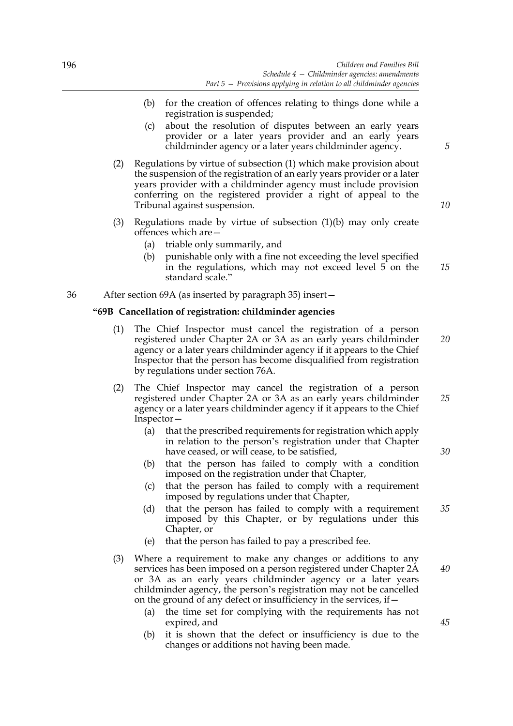- (b) for the creation of offences relating to things done while a registration is suspended;
- (c) about the resolution of disputes between an early years provider or a later years provider and an early years childminder agency or a later years childminder agency.
- (2) Regulations by virtue of subsection (1) which make provision about the suspension of the registration of an early years provider or a later years provider with a childminder agency must include provision conferring on the registered provider a right of appeal to the Tribunal against suspension.
- *10*

*5*

- (3) Regulations made by virtue of subsection (1)(b) may only create offences which are—
	- (a) triable only summarily, and
	- (b) punishable only with a fine not exceeding the level specified in the regulations, which may not exceed level 5 on the standard scale." *15*
- 36 After section 69A (as inserted by paragraph 35) insert—

#### **"69B Cancellation of registration: childminder agencies**

- (1) The Chief Inspector must cancel the registration of a person registered under Chapter 2A or 3A as an early years childminder agency or a later years childminder agency if it appears to the Chief Inspector that the person has become disqualified from registration by regulations under section 76A. *20*
- (2) The Chief Inspector may cancel the registration of a person registered under Chapter 2A or 3A as an early years childminder agency or a later years childminder agency if it appears to the Chief Inspector— *25*
	- (a) that the prescribed requirements for registration which apply in relation to the person's registration under that Chapter have ceased, or will cease, to be satisfied,
	- (b) that the person has failed to comply with a condition imposed on the registration under that Chapter,
	- (c) that the person has failed to comply with a requirement imposed by regulations under that Chapter,
	- (d) that the person has failed to comply with a requirement imposed by this Chapter, or by regulations under this Chapter, or *35*
	- (e) that the person has failed to pay a prescribed fee.
- (3) Where a requirement to make any changes or additions to any services has been imposed on a person registered under Chapter 2A or 3A as an early years childminder agency or a later years childminder agency, the person's registration may not be cancelled on the ground of any defect or insufficiency in the services, if—
	- (a) the time set for complying with the requirements has not expired, and
	- (b) it is shown that the defect or insufficiency is due to the changes or additions not having been made.

*30*

*45*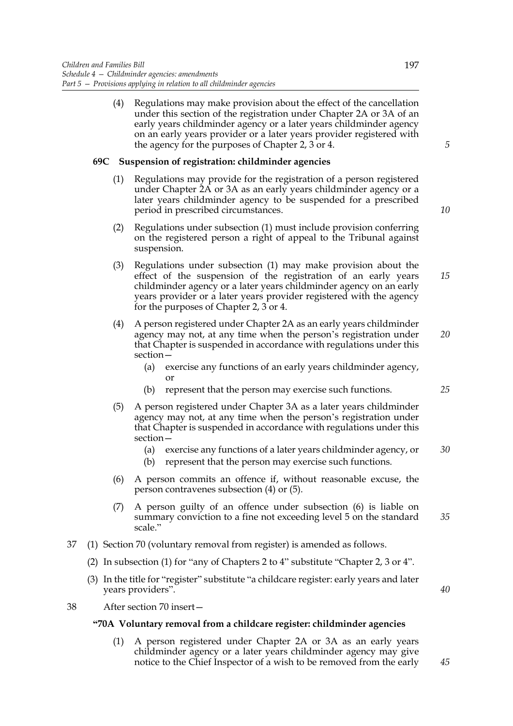(4) Regulations may make provision about the effect of the cancellation under this section of the registration under Chapter 2A or 3A of an early years childminder agency or a later years childminder agency on an early years provider or a later years provider registered with the agency for the purposes of Chapter 2, 3 or 4.

# **69C Suspension of registration: childminder agencies**

- (1) Regulations may provide for the registration of a person registered under Chapter 2A or 3A as an early years childminder agency or a later years childminder agency to be suspended for a prescribed period in prescribed circumstances.
- (2) Regulations under subsection (1) must include provision conferring on the registered person a right of appeal to the Tribunal against suspension.
- (3) Regulations under subsection (1) may make provision about the effect of the suspension of the registration of an early years childminder agency or a later years childminder agency on an early years provider or a later years provider registered with the agency for the purposes of Chapter 2, 3 or 4. *15*
- (4) A person registered under Chapter 2A as an early years childminder agency may not, at any time when the person's registration under that Chapter is suspended in accordance with regulations under this section—
	- (a) exercise any functions of an early years childminder agency, or
	- (b) represent that the person may exercise such functions.
- (5) A person registered under Chapter 3A as a later years childminder agency may not, at any time when the person's registration under that Chapter is suspended in accordance with regulations under this section—
	- (a) exercise any functions of a later years childminder agency, or *30*
	- (b) represent that the person may exercise such functions.
- (6) A person commits an offence if, without reasonable excuse, the person contravenes subsection (4) or (5).
- (7) A person guilty of an offence under subsection (6) is liable on summary conviction to a fine not exceeding level 5 on the standard scale." *35*
- 37 (1) Section 70 (voluntary removal from register) is amended as follows.
	- (2) In subsection (1) for "any of Chapters 2 to 4" substitute "Chapter 2, 3 or 4".
	- (3) In the title for "register" substitute "a childcare register: early years and later years providers".

38 After section 70 insert—

## **"70A Voluntary removal from a childcare register: childminder agencies**

(1) A person registered under Chapter 2A or 3A as an early years childminder agency or a later years childminder agency may give notice to the Chief Inspector of a wish to be removed from the early *5*

*10*

*25*

*20*

*40*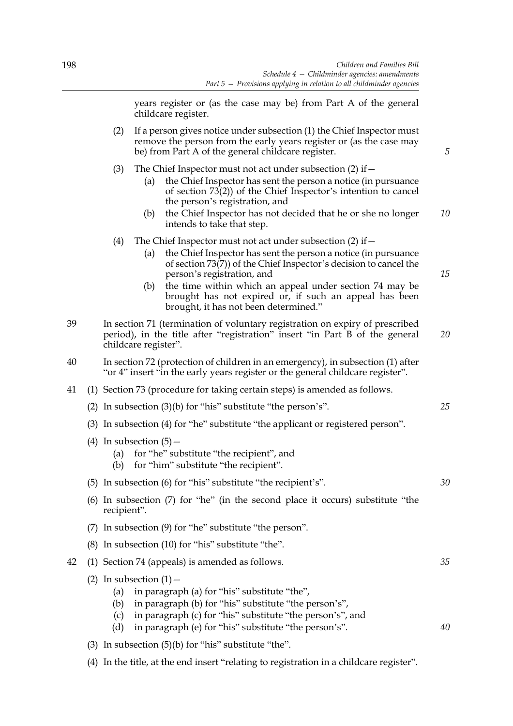years register or (as the case may be) from Part A of the general childcare register. (2) If a person gives notice under subsection (1) the Chief Inspector must remove the person from the early years register or (as the case may be) from Part A of the general childcare register. (3) The Chief Inspector must not act under subsection  $(2)$  if  $$ the Chief Inspector has sent the person a notice (in pursuance of section 73(2)) of the Chief Inspector's intention to cancel the person's registration, and (b) the Chief Inspector has not decided that he or she no longer intends to take that step. (4) The Chief Inspector must not act under subsection (2) if— (a) the Chief Inspector has sent the person a notice (in pursuance of section 73(7)) of the Chief Inspector's decision to cancel the person's registration, and (b) the time within which an appeal under section 74 may be brought has not expired or, if such an appeal has been brought, it has not been determined." 39 In section 71 (termination of voluntary registration on expiry of prescribed period), in the title after "registration" insert "in Part B of the general childcare register". 40 In section 72 (protection of children in an emergency), in subsection (1) after "or 4" insert "in the early years register or the general childcare register". 41 (1) Section 73 (procedure for taking certain steps) is amended as follows. (2) In subsection (3)(b) for "his" substitute "the person's". (3) In subsection (4) for "he" substitute "the applicant or registered person". (4) In subsection  $(5)$  -(a) for "he" substitute "the recipient", and (b) for "him" substitute "the recipient". (5) In subsection (6) for "his" substitute "the recipient's". (6) In subsection (7) for "he" (in the second place it occurs) substitute "the recipient". (7) In subsection (9) for "he" substitute "the person". (8) In subsection (10) for "his" substitute "the". 42 (1) Section 74 (appeals) is amended as follows. (2) In subsection  $(1)$  – (a) in paragraph (a) for "his" substitute "the", (b) in paragraph (b) for "his" substitute "the person's", (c) in paragraph (c) for "his" substitute "the person's", and (d) in paragraph (e) for "his" substitute "the person's". *5 10 15 20 25 30 35 40*

- (3) In subsection (5)(b) for "his" substitute "the".
- (4) In the title, at the end insert "relating to registration in a childcare register".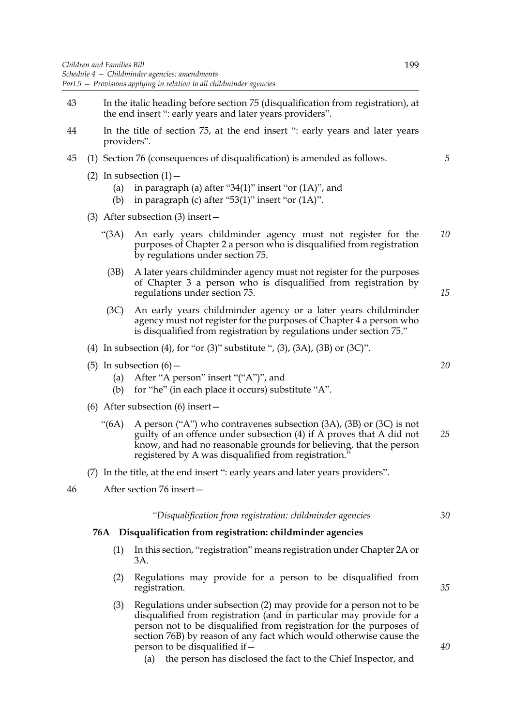- 43 In the italic heading before section 75 (disqualification from registration), at the end insert ": early years and later years providers".
- 44 In the title of section 75, at the end insert ": early years and later years providers".
- 45 (1) Section 76 (consequences of disqualification) is amended as follows.
	- (2) In subsection  $(1)$ 
		- (a) in paragraph (a) after " $34(1)$ " insert "or  $(1A)$ ", and
		- (b) in paragraph (c) after "53(1)" insert "or  $(1A)$ ".
	- (3) After subsection (3) insert—
		- "(3A) An early years childminder agency must not register for the purposes of Chapter 2 a person who is disqualified from registration by regulations under section 75. *10*
			- (3B) A later years childminder agency must not register for the purposes of Chapter 3 a person who is disqualified from registration by regulations under section 75.
		- (3C) An early years childminder agency or a later years childminder agency must not register for the purposes of Chapter 4 a person who is disqualified from registration by regulations under section 75."
	- (4) In subsection (4), for "or (3)" substitute ", (3), (3A), (3B) or (3C)".
	- (5) In subsection  $(6)$  -
		- (a) After "A person" insert "("A")", and
		- (b) for "he" (in each place it occurs) substitute "A".
	- (6) After subsection (6) insert—
		- "(6A) A person ("A") who contravenes subsection  $(3A)$ ,  $(3B)$  or  $(3C)$  is not guilty of an offence under subsection (4) if A proves that A did not know, and had no reasonable grounds for believing, that the person registered by A was disqualified from registration.' *25*
	- (7) In the title, at the end insert ": early years and later years providers".
- 46 After section 76 insert—

#### *"Disqualification from registration: childminder agencies*

# **76A Disqualification from registration: childminder agencies**

- (1) In this section, "registration" means registration under Chapter 2A or 3A.
- (2) Regulations may provide for a person to be disqualified from registration.
- (3) Regulations under subsection (2) may provide for a person not to be disqualified from registration (and in particular may provide for a person not to be disqualified from registration for the purposes of section 76B) by reason of any fact which would otherwise cause the person to be disqualified if—
	- (a) the person has disclosed the fact to the Chief Inspector, and

*5*

*15*

*20*

*40*

*35*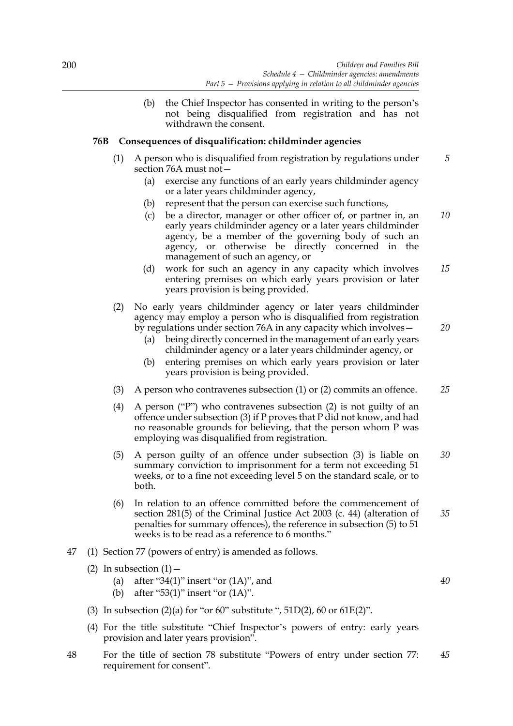(b) the Chief Inspector has consented in writing to the person's not being disqualified from registration and has not withdrawn the consent.

## **76B Consequences of disqualification: childminder agencies**

- (1) A person who is disqualified from registration by regulations under section 76A must not— *5*
	- (a) exercise any functions of an early years childminder agency or a later years childminder agency,
	- (b) represent that the person can exercise such functions,
	- (c) be a director, manager or other officer of, or partner in, an early years childminder agency or a later years childminder agency, be a member of the governing body of such an agency, or otherwise be directly concerned in the management of such an agency, or *10*
	- (d) work for such an agency in any capacity which involves entering premises on which early years provision or later years provision is being provided. *15*
- (2) No early years childminder agency or later years childminder agency may employ a person who is disqualified from registration by regulations under section 76A in any capacity which involves—
	- (a) being directly concerned in the management of an early years childminder agency or a later years childminder agency, or
	- (b) entering premises on which early years provision or later years provision is being provided.
- (3) A person who contravenes subsection (1) or (2) commits an offence. *25*
- (4) A person ("P") who contravenes subsection (2) is not guilty of an offence under subsection (3) if P proves that P did not know, and had no reasonable grounds for believing, that the person whom P was employing was disqualified from registration.
- (5) A person guilty of an offence under subsection (3) is liable on summary conviction to imprisonment for a term not exceeding 51 weeks, or to a fine not exceeding level 5 on the standard scale, or to both. *30*
- (6) In relation to an offence committed before the commencement of section 281(5) of the Criminal Justice Act 2003 (c. 44) (alteration of penalties for summary offences), the reference in subsection (5) to 51 weeks is to be read as a reference to 6 months."
- 47 (1) Section 77 (powers of entry) is amended as follows.
	- (2) In subsection  $(1)$ 
		- (a) after " $34(1)$ " insert "or  $(1A)$ ", and
		- (b) after "53(1)" insert "or (1A)".
	- (3) In subsection (2)(a) for "or  $60$ " substitute ",  $51D(2)$ ,  $60$  or  $61E(2)$ ".
	- (4) For the title substitute "Chief Inspector's powers of entry: early years provision and later years provision".
- 48 For the title of section 78 substitute "Powers of entry under section 77: requirement for consent". *45*

*40*

*20*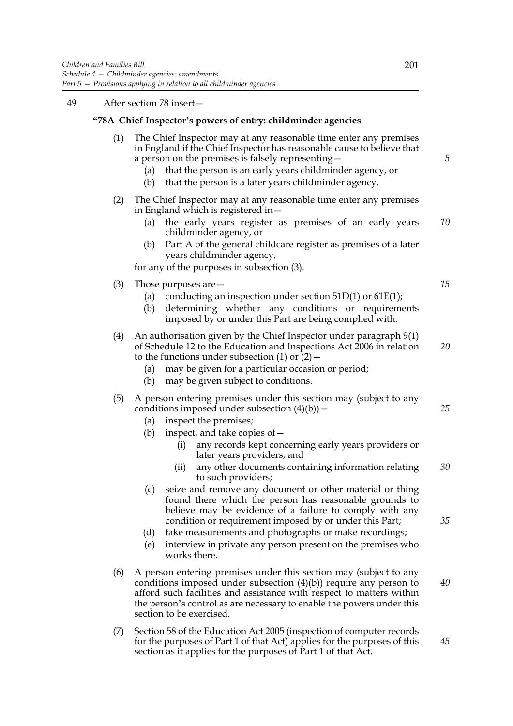#### 49 After section 78 insert—

#### **"78A Chief Inspector's powers of entry: childminder agencies**

- (1) The Chief Inspector may at any reasonable time enter any premises in England if the Chief Inspector has reasonable cause to believe that a person on the premises is falsely representing—
	- (a) that the person is an early years childminder agency, or
	- (b) that the person is a later years childminder agency.
- (2) The Chief Inspector may at any reasonable time enter any premises in England which is registered in—
	- (a) the early years register as premises of an early years childminder agency, or *10*
	- (b) Part A of the general childcare register as premises of a later years childminder agency,

for any of the purposes in subsection (3).

- (3) Those purposes are—
	- (a) conducting an inspection under section  $51D(1)$  or  $61E(1)$ ;
	- (b) determining whether any conditions or requirements imposed by or under this Part are being complied with.
- (4) An authorisation given by the Chief Inspector under paragraph 9(1) of Schedule 12 to the Education and Inspections Act 2006 in relation to the functions under subsection  $(1)$  or  $(2)$  – *20*
	- (a) may be given for a particular occasion or period;
	- (b) may be given subject to conditions.
- (5) A person entering premises under this section may (subject to any conditions imposed under subsection  $(4)(b)$  –
	- (a) inspect the premises;
	- (b) inspect, and take copies of—
		- (i) any records kept concerning early years providers or later years providers, and
		- (ii) any other documents containing information relating to such providers; *30*
	- (c) seize and remove any document or other material or thing found there which the person has reasonable grounds to believe may be evidence of a failure to comply with any condition or requirement imposed by or under this Part;
	- (d) take measurements and photographs or make recordings;
	- (e) interview in private any person present on the premises who works there.
- (6) A person entering premises under this section may (subject to any conditions imposed under subsection (4)(b)) require any person to afford such facilities and assistance with respect to matters within the person's control as are necessary to enable the powers under this section to be exercised.
- (7) Section 58 of the Education Act 2005 (inspection of computer records for the purposes of Part 1 of that Act) applies for the purposes of this section as it applies for the purposes of Part 1 of that Act.

*5*

*15*

*25*

*35*

*40*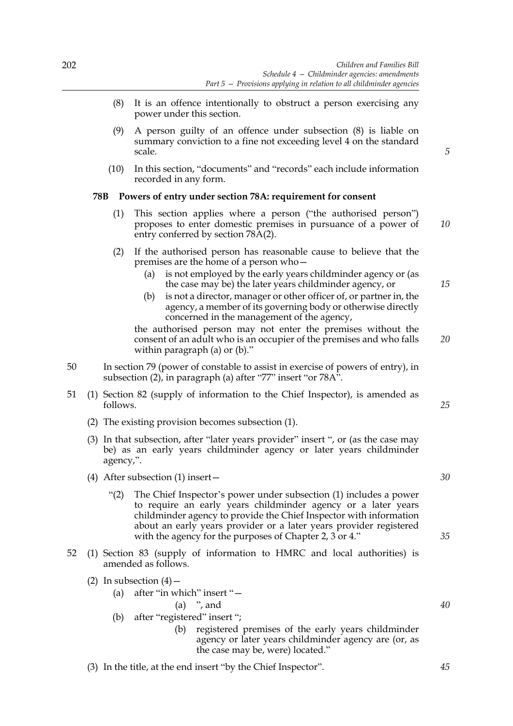- (8) It is an offence intentionally to obstruct a person exercising any power under this section.
- (9) A person guilty of an offence under subsection (8) is liable on summary conviction to a fine not exceeding level 4 on the standard scale.
- (10) In this section, "documents" and "records" each include information recorded in any form.

#### **78B Powers of entry under section 78A: requirement for consent**

- (1) This section applies where a person ("the authorised person") proposes to enter domestic premises in pursuance of a power of entry conferred by section 78A(2).
- (2) If the authorised person has reasonable cause to believe that the premises are the home of a person who—
	- (a) is not employed by the early years childminder agency or (as the case may be) the later years childminder agency, or
	- (b) is not a director, manager or other officer of, or partner in, the agency, a member of its governing body or otherwise directly concerned in the management of the agency,

the authorised person may not enter the premises without the consent of an adult who is an occupier of the premises and who falls within paragraph (a) or (b)."

- 50 In section 79 (power of constable to assist in exercise of powers of entry), in subsection (2), in paragraph (a) after "77" insert "or 78A".
- 51 (1) Section 82 (supply of information to the Chief Inspector), is amended as follows.
	- (2) The existing provision becomes subsection (1).
	- (3) In that subsection, after "later years provider" insert ", or (as the case may be) as an early years childminder agency or later years childminder agency,".
	- (4) After subsection (1) insert—
		- "(2) The Chief Inspector's power under subsection (1) includes a power to require an early years childminder agency or a later years childminder agency to provide the Chief Inspector with information about an early years provider or a later years provider registered with the agency for the purposes of Chapter 2, 3 or 4."
- 52 (1) Section 83 (supply of information to HMRC and local authorities) is amended as follows.
	- (2) In subsection  $(4)$ 
		- (a) after "in which" insert "—

(a) 
$$
\cdot
$$
, and

- (b) after "registered" insert ";
	- (b) registered premises of the early years childminder agency or later years childminder agency are (or, as the case may be, were) located."
- (3) In the title, at the end insert "by the Chief Inspector".

*30*

*35*

*40*

*45*

*15*

*5*

*10*

*25*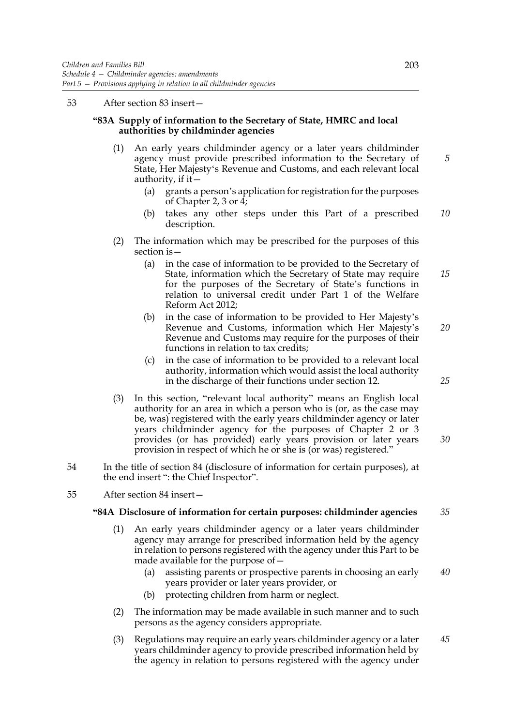#### 53 After section 83 insert—

## **"83A Supply of information to the Secretary of State, HMRC and local authorities by childminder agencies**

- (1) An early years childminder agency or a later years childminder agency must provide prescribed information to the Secretary of State, Her Majesty's Revenue and Customs, and each relevant local authority, if it—
	- (a) grants a person's application for registration for the purposes of Chapter 2, 3 or 4;
	- (b) takes any other steps under this Part of a prescribed description. *10*
- (2) The information which may be prescribed for the purposes of this section is—
	- (a) in the case of information to be provided to the Secretary of State, information which the Secretary of State may require for the purposes of the Secretary of State's functions in relation to universal credit under Part 1 of the Welfare Reform Act 2012; *15*
	- (b) in the case of information to be provided to Her Majesty's Revenue and Customs, information which Her Majesty's Revenue and Customs may require for the purposes of their functions in relation to tax credits; *20*
	- (c) in the case of information to be provided to a relevant local authority, information which would assist the local authority in the discharge of their functions under section 12.
- (3) In this section, "relevant local authority" means an English local authority for an area in which a person who is (or, as the case may be, was) registered with the early years childminder agency or later years childminder agency for the purposes of Chapter 2 or 3 provides (or has provided) early years provision or later years provision in respect of which he or she is (or was) registered."
- 54 In the title of section 84 (disclosure of information for certain purposes), at the end insert ": the Chief Inspector".
- 55 After section 84 insert—

#### **"84A Disclosure of information for certain purposes: childminder agencies** *35*

- (1) An early years childminder agency or a later years childminder agency may arrange for prescribed information held by the agency in relation to persons registered with the agency under this Part to be made available for the purpose of—
	- (a) assisting parents or prospective parents in choosing an early years provider or later years provider, or *40*
	- (b) protecting children from harm or neglect.
- (2) The information may be made available in such manner and to such persons as the agency considers appropriate.
- (3) Regulations may require an early years childminder agency or a later years childminder agency to provide prescribed information held by the agency in relation to persons registered with the agency under *45*

*5*

*25*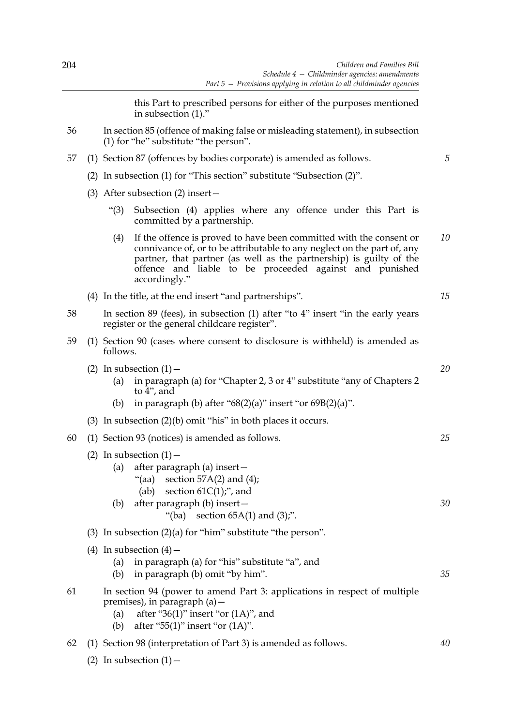*5*

*15*

*20*

*25*

*30*

*35*

*40*

this Part to prescribed persons for either of the purposes mentioned in subsection (1)."

- 56 In section 85 (offence of making false or misleading statement), in subsection (1) for "he" substitute "the person".
- 57 (1) Section 87 (offences by bodies corporate) is amended as follows.
	- (2) In subsection (1) for "This section" substitute "Subsection (2)".
	- (3) After subsection (2) insert—
		- "(3) Subsection (4) applies where any offence under this Part is committed by a partnership.
		- (4) If the offence is proved to have been committed with the consent or connivance of, or to be attributable to any neglect on the part of, any partner, that partner (as well as the partnership) is guilty of the offence and liable to be proceeded against and punished accordingly." *10*

(4) In the title, at the end insert "and partnerships".

- 58 In section 89 (fees), in subsection (1) after "to 4" insert "in the early years register or the general childcare register".
- 59 (1) Section 90 (cases where consent to disclosure is withheld) is amended as follows.

(2) In subsection  $(1)$  -

- (a) in paragraph (a) for "Chapter 2, 3 or 4" substitute "any of Chapters 2 to  $4$ ", and
- (b) in paragraph (b) after " $68(2)(a)$ " insert "or  $69B(2)(a)$ ".

(3) In subsection (2)(b) omit "his" in both places it occurs.

- 60 (1) Section 93 (notices) is amended as follows.
	- (2) In subsection  $(1)$ 
		- (a) after paragraph (a) insert—
			- "(aa) section  $57A(2)$  and  $(4)$ ;
			- (ab) section  $61C(1)$ ;", and
		- (b) after paragraph (b) insert— "(ba) section  $65A(1)$  and  $(3)$ ;".
	- (3) In subsection (2)(a) for "him" substitute "the person".
	- (4) In subsection  $(4)$ 
		- (a) in paragraph (a) for "his" substitute "a", and
		- (b) in paragraph (b) omit "by him".
- 61 In section 94 (power to amend Part 3: applications in respect of multiple premises), in paragraph (a)—
	- (a) after " $36(1)$ " insert "or  $(1A)$ ", and
	- (b) after "55(1)" insert "or (1A)".
- 62 (1) Section 98 (interpretation of Part 3) is amended as follows.
	- (2) In subsection  $(1)$  -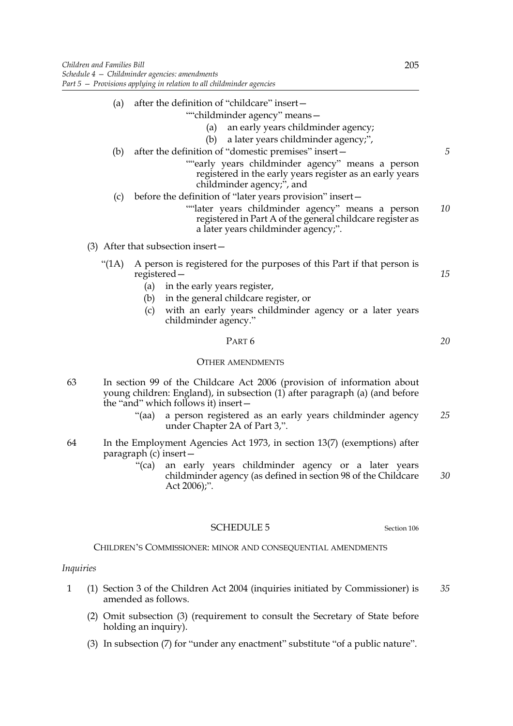- (a) after the definition of "childcare" insert— ""childminder agency" means— (a) an early years childminder agency; (b) a later years childminder agency;", (b) after the definition of "domestic premises" insert— ""early years childminder agency" means a person registered in the early years register as an early years childminder agency;", and (c) before the definition of "later years provision" insert— ""later years childminder agency" means a person registered in Part A of the general childcare register as a later years childminder agency;". (3) After that subsection insert— "(1A) A person is registered for the purposes of this Part if that person is registered— (a) in the early years register, (b) in the general childcare register, or (c) with an early years childminder agency or a later years childminder agency." PART 6 OTHER AMENDMENTS 63 In section 99 of the Childcare Act 2006 (provision of information about young children: England), in subsection (1) after paragraph (a) (and before the "and" which follows it) insert— "(aa) a person registered as an early years childminder agency under Chapter 2A of Part 3,". *5 10 15 20 25*
- 64 In the Employment Agencies Act 1973, in section 13(7) (exemptions) after paragraph (c) insert—
	- "(ca) an early years childminder agency or a later years childminder agency (as defined in section 98 of the Childcare Act 2006);". *30*

# SCHEDULE 5 Section 106

CHILDREN'S COMMISSIONER: MINOR AND CONSEQUENTIAL AMENDMENTS

## *Inquiries*

- 1 (1) Section 3 of the Children Act 2004 (inquiries initiated by Commissioner) is amended as follows.
	- (2) Omit subsection (3) (requirement to consult the Secretary of State before holding an inquiry).
	- (3) In subsection (7) for "under any enactment" substitute "of a public nature".
- - *35*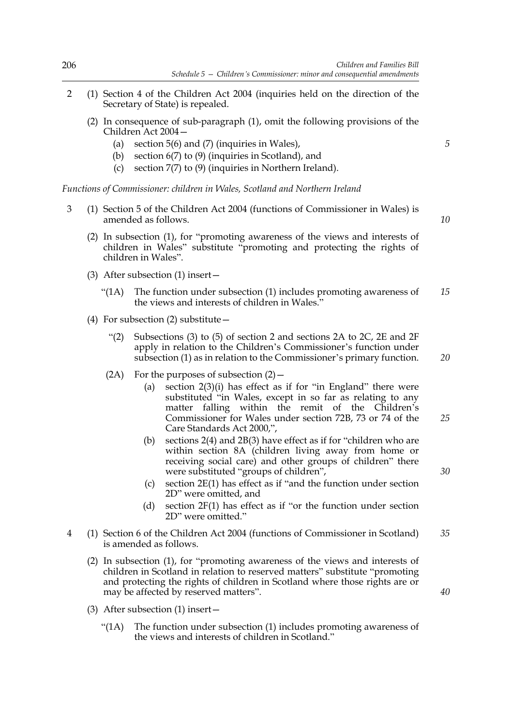- 2 (1) Section 4 of the Children Act 2004 (inquiries held on the direction of the Secretary of State) is repealed.
	- (2) In consequence of sub-paragraph (1), omit the following provisions of the Children Act 2004—
		- (a) section 5(6) and (7) (inquiries in Wales),
		- (b) section 6(7) to (9) (inquiries in Scotland), and
		- (c) section 7(7) to (9) (inquiries in Northern Ireland).

*Functions of Commissioner: children in Wales, Scotland and Northern Ireland*

3 (1) Section 5 of the Children Act 2004 (functions of Commissioner in Wales) is amended as follows.

*10*

*20*

*30*

*5*

- (2) In subsection (1), for "promoting awareness of the views and interests of children in Wales" substitute "promoting and protecting the rights of children in Wales".
- (3) After subsection (1) insert—
	- "(1A) The function under subsection (1) includes promoting awareness of the views and interests of children in Wales." *15*
- (4) For subsection (2) substitute—
	- "(2) Subsections (3) to (5) of section 2 and sections 2A to  $2C$ ,  $2E$  and  $2F$ apply in relation to the Children's Commissioner's function under subsection (1) as in relation to the Commissioner's primary function.
	- (2A) For the purposes of subsection  $(2)$ 
		- (a) section  $2(3)(i)$  has effect as if for "in England" there were substituted "in Wales, except in so far as relating to any matter falling within the remit of the Children's Commissioner for Wales under section 72B, 73 or 74 of the Care Standards Act 2000,", *25*
		- (b) sections 2(4) and 2B(3) have effect as if for "children who are within section 8A (children living away from home or receiving social care) and other groups of children" there were substituted "groups of children",
		- (c) section 2E(1) has effect as if "and the function under section 2D" were omitted, and
		- (d) section 2F(1) has effect as if "or the function under section 2D" were omitted."
- 4 (1) Section 6 of the Children Act 2004 (functions of Commissioner in Scotland) is amended as follows. *35*
	- (2) In subsection (1), for "promoting awareness of the views and interests of children in Scotland in relation to reserved matters" substitute "promoting and protecting the rights of children in Scotland where those rights are or may be affected by reserved matters".
	- (3) After subsection (1) insert—
		- "(1A) The function under subsection (1) includes promoting awareness of the views and interests of children in Scotland."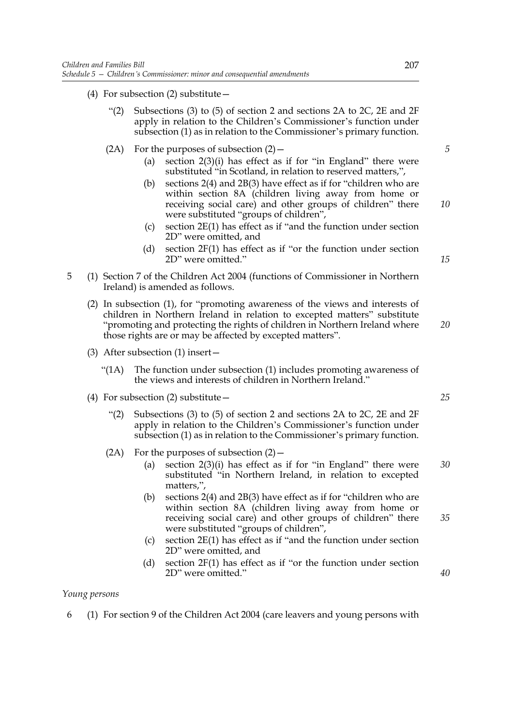- (4) For subsection (2) substitute—
	- "(2) Subsections (3) to (5) of section 2 and sections 2A to 2C, 2E and 2F apply in relation to the Children's Commissioner's function under subsection (1) as in relation to the Commissioner's primary function.
	- (2A) For the purposes of subsection  $(2)$ 
		- (a) section  $2(3)(i)$  has effect as if for "in England" there were substituted "in Scotland, in relation to reserved matters,",
		- (b) sections 2(4) and 2B(3) have effect as if for "children who are within section 8A (children living away from home or receiving social care) and other groups of children" there were substituted "groups of children",
		- (c) section 2E(1) has effect as if "and the function under section 2D" were omitted, and
		- (d) section 2F(1) has effect as if "or the function under section 2D" were omitted."
- 5 (1) Section 7 of the Children Act 2004 (functions of Commissioner in Northern Ireland) is amended as follows.
	- (2) In subsection (1), for "promoting awareness of the views and interests of children in Northern Ireland in relation to excepted matters" substitute "promoting and protecting the rights of children in Northern Ireland where those rights are or may be affected by excepted matters". *20*
	- (3) After subsection (1) insert—
		- "(1A) The function under subsection (1) includes promoting awareness of the views and interests of children in Northern Ireland."
	- (4) For subsection (2) substitute—
		- "(2) Subsections (3) to (5) of section 2 and sections 2A to 2C, 2E and 2F apply in relation to the Children's Commissioner's function under subsection (1) as in relation to the Commissioner's primary function.
		- (2A) For the purposes of subsection  $(2)$ 
			- (a) section  $2(3)(i)$  has effect as if for "in England" there were substituted "in Northern Ireland, in relation to excepted matters,", *30*
			- (b) sections 2(4) and 2B(3) have effect as if for "children who are within section 8A (children living away from home or receiving social care) and other groups of children" there were substituted "groups of children",
			- (c) section 2E(1) has effect as if "and the function under section 2D" were omitted, and
			- (d) section 2F(1) has effect as if "or the function under section 2D" were omitted."

*Young persons*

6 (1) For section 9 of the Children Act 2004 (care leavers and young persons with

*5*

*10*

*15*

*25*

*40*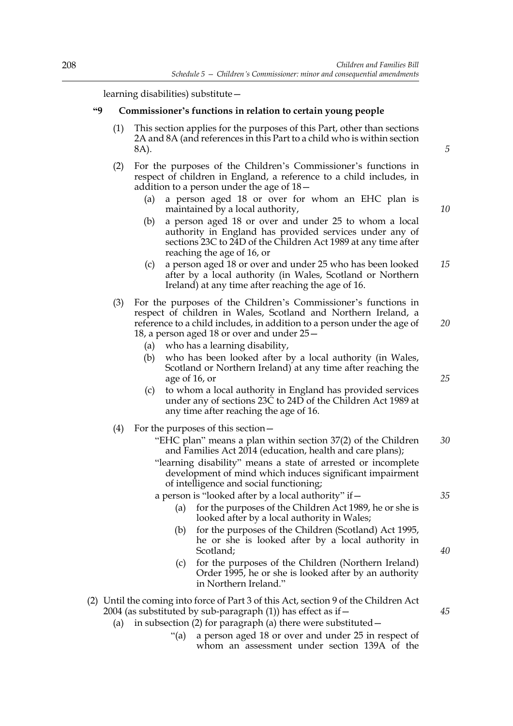learning disabilities) substitute—

# **"9 Commissioner's functions in relation to certain young people**

- (1) This section applies for the purposes of this Part, other than sections 2A and 8A (and references in this Part to a child who is within section 8A).
- (2) For the purposes of the Children's Commissioner's functions in respect of children in England, a reference to a child includes, in addition to a person under the age of 18—
	- (a) a person aged 18 or over for whom an EHC plan is maintained by a local authority,
	- (b) a person aged 18 or over and under 25 to whom a local authority in England has provided services under any of sections 23C to 24D of the Children Act 1989 at any time after reaching the age of 16, or
	- (c) a person aged 18 or over and under 25 who has been looked after by a local authority (in Wales, Scotland or Northern Ireland) at any time after reaching the age of 16. *15*
- (3) For the purposes of the Children's Commissioner's functions in respect of children in Wales, Scotland and Northern Ireland, a reference to a child includes, in addition to a person under the age of 18, a person aged 18 or over and under 25—
	- (a) who has a learning disability,
	- (b) who has been looked after by a local authority (in Wales, Scotland or Northern Ireland) at any time after reaching the age of 16, or
	- (c) to whom a local authority in England has provided services under any of sections 23C to 24D of the Children Act 1989 at any time after reaching the age of 16.
- (4) For the purposes of this section—
	- "EHC plan" means a plan within section 37(2) of the Children and Families Act 2014 (education, health and care plans); *30*
	- "learning disability" means a state of arrested or incomplete development of mind which induces significant impairment of intelligence and social functioning;
	- a person is "looked after by a local authority" if—
		- (a) for the purposes of the Children Act 1989, he or she is looked after by a local authority in Wales;
		- (b) for the purposes of the Children (Scotland) Act 1995, he or she is looked after by a local authority in Scotland;
		- (c) for the purposes of the Children (Northern Ireland) Order 1995, he or she is looked after by an authority in Northern Ireland."
- (2) Until the coming into force of Part 3 of this Act, section 9 of the Children Act 2004 (as substituted by sub-paragraph  $(1)$ ) has effect as if  $-$ 
	- (a) in subsection (2) for paragraph (a) there were substituted  $-$ 
		- "(a) a person aged 18 or over and under 25 in respect of whom an assessment under section 139A of the

*10*

*5*

*20*

*25*

*35*

*40*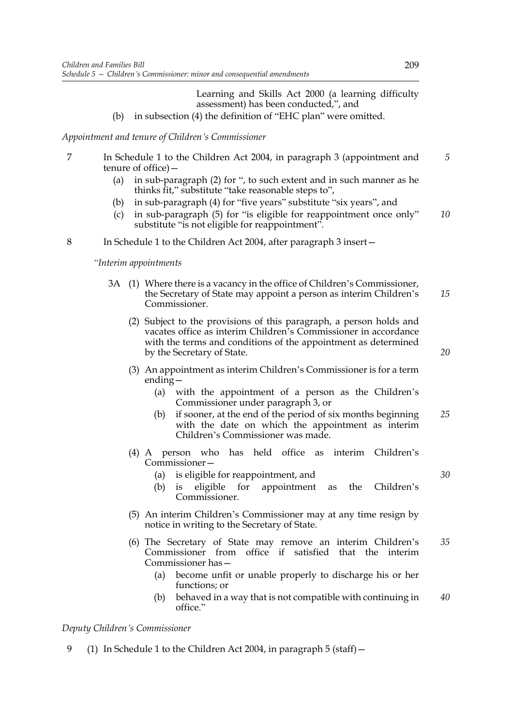Learning and Skills Act 2000 (a learning difficulty assessment) has been conducted,", and

(b) in subsection (4) the definition of "EHC plan" were omitted.

## *Appointment and tenure of Children's Commissioner*

- 7 In Schedule 1 to the Children Act 2004, in paragraph 3 (appointment and tenure of office)— *5*
	- (a) in sub-paragraph (2) for ", to such extent and in such manner as he thinks fit," substitute "take reasonable steps to",
	- (b) in sub-paragraph (4) for "five years" substitute "six years", and
	- (c) in sub-paragraph (5) for "is eligible for reappointment once only" substitute "is not eligible for reappointment". *10*

# 8 In Schedule 1 to the Children Act 2004, after paragraph 3 insert—

*"Interim appointments*

- 3A (1) Where there is a vacancy in the office of Children's Commissioner, the Secretary of State may appoint a person as interim Children's Commissioner. *15*
	- (2) Subject to the provisions of this paragraph, a person holds and vacates office as interim Children's Commissioner in accordance with the terms and conditions of the appointment as determined by the Secretary of State.
	- (3) An appointment as interim Children's Commissioner is for a term ending—
		- (a) with the appointment of a person as the Children's Commissioner under paragraph 3, or
		- (b) if sooner, at the end of the period of six months beginning with the date on which the appointment as interim Children's Commissioner was made. *25*
	- (4) A person who has held office as interim Children's Commissioner—
		- (a) is eligible for reappointment, and
		- (b) is eligible for appointment as the Children's Commissioner.
	- (5) An interim Children's Commissioner may at any time resign by notice in writing to the Secretary of State.
	- (6) The Secretary of State may remove an interim Children's Commissioner from office if satisfied that the interim Commissioner has— *35*
		- (a) become unfit or unable properly to discharge his or her functions; or
		- (b) behaved in a way that is not compatible with continuing in office." *40*

## *Deputy Children's Commissioner*

9 (1) In Schedule 1 to the Children Act 2004, in paragraph 5 (staff)—

*30*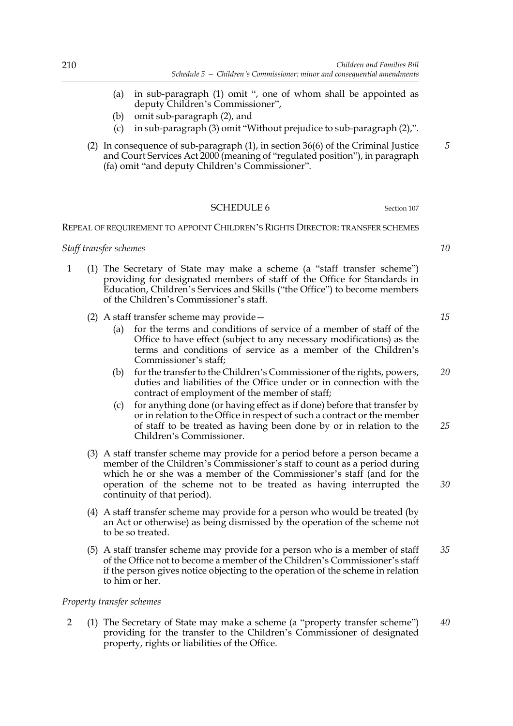- (a) in sub-paragraph (1) omit ", one of whom shall be appointed as deputy Children's Commissioner",
- (b) omit sub-paragraph (2), and
- (c) in sub-paragraph (3) omit "Without prejudice to sub-paragraph (2),".
- (2) In consequence of sub-paragraph (1), in section 36(6) of the Criminal Justice and Court Services Act 2000 (meaning of "regulated position"), in paragraph (fa) omit "and deputy Children's Commissioner".

## SCHEDULE 6 Section 107

REPEAL OF REQUIREMENT TO APPOINT CHILDREN'S RIGHTS DIRECTOR: TRANSFER SCHEMES

*Staff transfer schemes*

- 1 (1) The Secretary of State may make a scheme (a "staff transfer scheme") providing for designated members of staff of the Office for Standards in Education, Children's Services and Skills ("the Office") to become members of the Children's Commissioner's staff.
	- (2) A staff transfer scheme may provide—
		- (a) for the terms and conditions of service of a member of staff of the Office to have effect (subject to any necessary modifications) as the terms and conditions of service as a member of the Children's Commissioner's staff;
		- (b) for the transfer to the Children's Commissioner of the rights, powers, duties and liabilities of the Office under or in connection with the contract of employment of the member of staff; *20*
		- (c) for anything done (or having effect as if done) before that transfer by or in relation to the Office in respect of such a contract or the member of staff to be treated as having been done by or in relation to the Children's Commissioner. *25*
	- (3) A staff transfer scheme may provide for a period before a person became a member of the Children's Commissioner's staff to count as a period during which he or she was a member of the Commissioner's staff (and for the operation of the scheme not to be treated as having interrupted the continuity of that period).
	- (4) A staff transfer scheme may provide for a person who would be treated (by an Act or otherwise) as being dismissed by the operation of the scheme not to be so treated.
	- (5) A staff transfer scheme may provide for a person who is a member of staff of the Office not to become a member of the Children's Commissioner's staff if the person gives notice objecting to the operation of the scheme in relation to him or her. *35*

## *Property transfer schemes*

2 (1) The Secretary of State may make a scheme (a "property transfer scheme") providing for the transfer to the Children's Commissioner of designated property, rights or liabilities of the Office. *40*

*10*

*5*

*15*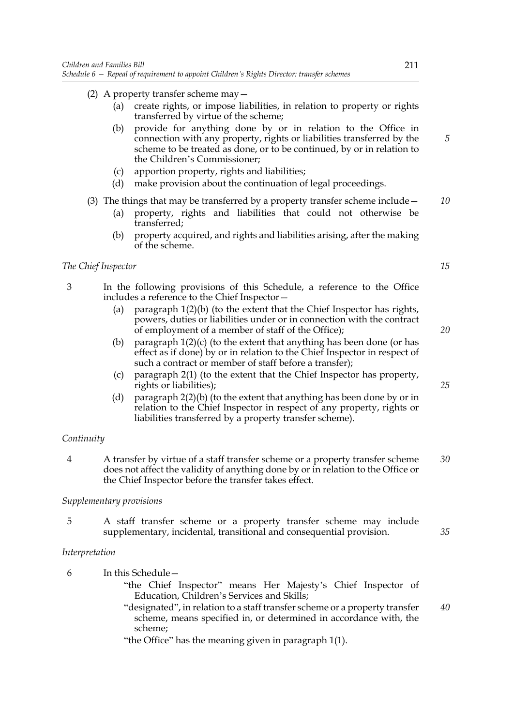- (2) A property transfer scheme may—
	- (a) create rights, or impose liabilities, in relation to property or rights transferred by virtue of the scheme;
	- (b) provide for anything done by or in relation to the Office in connection with any property, rights or liabilities transferred by the scheme to be treated as done, or to be continued, by or in relation to the Children's Commissioner;
	- (c) apportion property, rights and liabilities;
	- (d) make provision about the continuation of legal proceedings.
- (3) The things that may be transferred by a property transfer scheme include— *10*
	- (a) property, rights and liabilities that could not otherwise be transferred;
	- (b) property acquired, and rights and liabilities arising, after the making of the scheme.

#### *The Chief Inspector*

- 3 In the following provisions of this Schedule, a reference to the Office includes a reference to the Chief Inspector—
	- (a) paragraph 1(2)(b) (to the extent that the Chief Inspector has rights, powers, duties or liabilities under or in connection with the contract of employment of a member of staff of the Office);
	- (b) paragraph  $1(2)(c)$  (to the extent that anything has been done (or has effect as if done) by or in relation to the Chief Inspector in respect of such a contract or member of staff before a transfer);
	- (c) paragraph 2(1) (to the extent that the Chief Inspector has property, rights or liabilities);
	- (d) paragraph 2(2)(b) (to the extent that anything has been done by or in relation to the Chief Inspector in respect of any property, rights or liabilities transferred by a property transfer scheme).

# *Continuity*

4 A transfer by virtue of a staff transfer scheme or a property transfer scheme does not affect the validity of anything done by or in relation to the Office or the Chief Inspector before the transfer takes effect. *30*

#### *Supplementary provisions*

5 A staff transfer scheme or a property transfer scheme may include supplementary, incidental, transitional and consequential provision.

#### *Interpretation*

- 6 In this Schedule— "the Chief Inspector" means Her Majesty's Chief Inspector of Education, Children's Services and Skills; "designated", in relation to a staff transfer scheme or a property transfer scheme, means specified in, or determined in accordance with, the
	- scheme;
	- "the Office" has the meaning given in paragraph 1(1).

*5*

*25*

*20*

*15*

*35*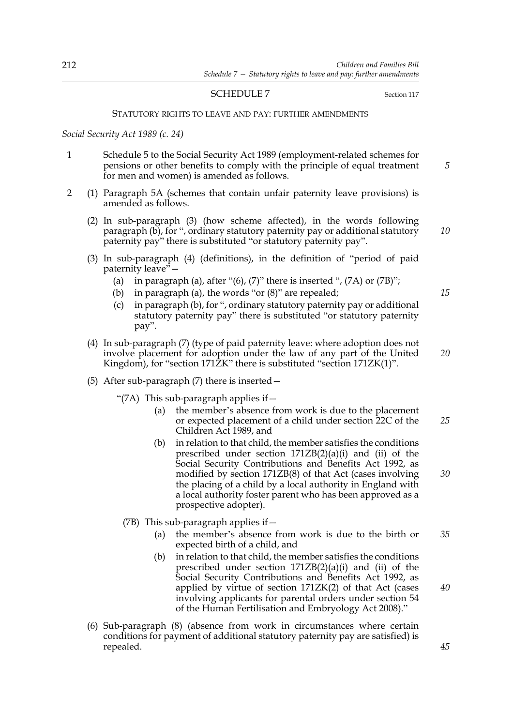#### SCHEDULE 7 Section 117

#### STATUTORY RIGHTS TO LEAVE AND PAY: FURTHER AMENDMENTS

*Social Security Act 1989 (c. 24)*

- 1 Schedule 5 to the Social Security Act 1989 (employment-related schemes for pensions or other benefits to comply with the principle of equal treatment for men and women) is amended as follows.
- 2 (1) Paragraph 5A (schemes that contain unfair paternity leave provisions) is amended as follows.
	- (2) In sub-paragraph (3) (how scheme affected), in the words following paragraph (b), for ", ordinary statutory paternity pay or additional statutory paternity pay" there is substituted "or statutory paternity pay".
	- (3) In sub-paragraph (4) (definitions), in the definition of "period of paid paternity leave"—
		- (a) in paragraph (a), after " $(6)$ ,  $(7)$ " there is inserted ",  $(7A)$  or  $(7B)$ ";
		- (b) in paragraph (a), the words "or (8)" are repealed;
		- (c) in paragraph (b), for ", ordinary statutory paternity pay or additional statutory paternity pay" there is substituted "or statutory paternity pay".
	- (4) In sub-paragraph (7) (type of paid paternity leave: where adoption does not involve placement for adoption under the law of any part of the United Kingdom), for "section 171ZK" there is substituted "section 171ZK(1)".
	- (5) After sub-paragraph (7) there is inserted—
		- "(7A) This sub-paragraph applies if  $-$ 
			- (a) the member's absence from work is due to the placement or expected placement of a child under section 22C of the Children Act 1989, and *25*
			- (b) in relation to that child, the member satisfies the conditions prescribed under section 171ZB(2)(a)(i) and (ii) of the Social Security Contributions and Benefits Act 1992, as modified by section 171ZB(8) of that Act (cases involving the placing of a child by a local authority in England with a local authority foster parent who has been approved as a prospective adopter). *30*
			- (7B) This sub-paragraph applies if—
				- (a) the member's absence from work is due to the birth or expected birth of a child, and *35*
				- (b) in relation to that child, the member satisfies the conditions prescribed under section 171ZB(2)(a)(i) and (ii) of the Social Security Contributions and Benefits Act 1992, as applied by virtue of section 171ZK(2) of that Act (cases involving applicants for parental orders under section 54 of the Human Fertilisation and Embryology Act 2008)."
	- (6) Sub-paragraph (8) (absence from work in circumstances where certain conditions for payment of additional statutory paternity pay are satisfied) is repealed.

*15*

*10*

*5*

*40*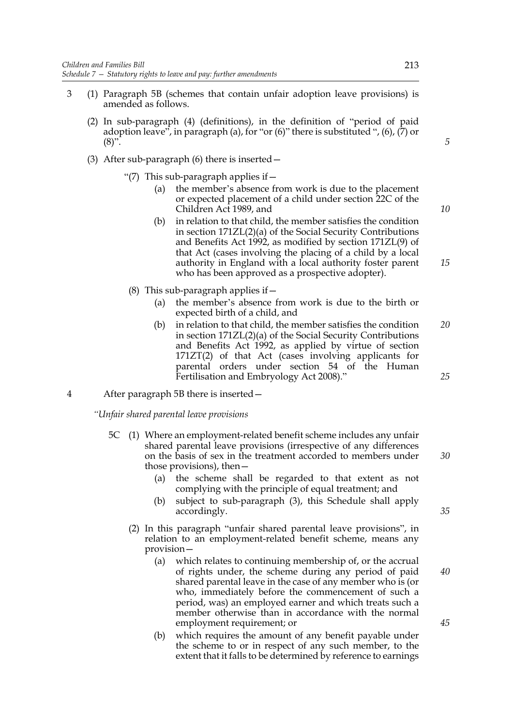- 3 (1) Paragraph 5B (schemes that contain unfair adoption leave provisions) is amended as follows.
	- (2) In sub-paragraph (4) (definitions), in the definition of "period of paid adoption leave", in paragraph (a), for "or  $(6)$ " there is substituted ",  $(6)$ ,  $(7)$  or  $(8)$ ".
	- (3) After sub-paragraph (6) there is inserted—
		- "(7) This sub-paragraph applies if  $-$ 
			- (a) the member's absence from work is due to the placement or expected placement of a child under section 22C of the Children Act 1989, and
			- (b) in relation to that child, the member satisfies the condition in section 171ZL(2)(a) of the Social Security Contributions and Benefits Act 1992, as modified by section 171ZL(9) of that Act (cases involving the placing of a child by a local authority in England with a local authority foster parent who has been approved as a prospective adopter).
		- (8) This sub-paragraph applies if  $-$ 
			- (a) the member's absence from work is due to the birth or expected birth of a child, and
			- (b) in relation to that child, the member satisfies the condition in section 171ZL(2)(a) of the Social Security Contributions and Benefits Act 1992, as applied by virtue of section 171ZT(2) of that Act (cases involving applicants for parental orders under section 54 of the Human Fertilisation and Embryology Act 2008)." *20*
- 4 After paragraph 5B there is inserted—

*"Unfair shared parental leave provisions*

- 5C (1) Where an employment-related benefit scheme includes any unfair shared parental leave provisions (irrespective of any differences on the basis of sex in the treatment accorded to members under those provisions), then—
	- (a) the scheme shall be regarded to that extent as not complying with the principle of equal treatment; and
	- (b) subject to sub-paragraph (3), this Schedule shall apply accordingly.
	- (2) In this paragraph "unfair shared parental leave provisions", in relation to an employment-related benefit scheme, means any provision—
		- (a) which relates to continuing membership of, or the accrual of rights under, the scheme during any period of paid shared parental leave in the case of any member who is (or who, immediately before the commencement of such a period, was) an employed earner and which treats such a member otherwise than in accordance with the normal employment requirement; or
		- (b) which requires the amount of any benefit payable under the scheme to or in respect of any such member, to the extent that it falls to be determined by reference to earnings

*35*

*40*

*10*

*5*

*15*



*30*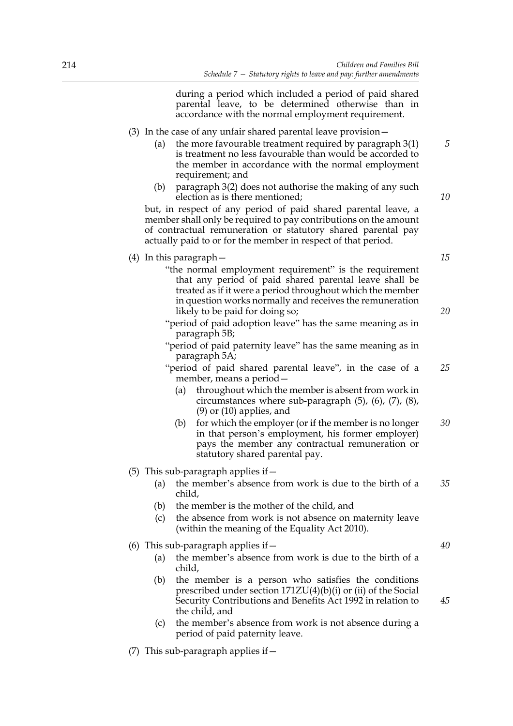during a period which included a period of paid shared parental leave, to be determined otherwise than in accordance with the normal employment requirement.

- (3) In the case of any unfair shared parental leave provision—
	- (a) the more favourable treatment required by paragraph 3(1) is treatment no less favourable than would be accorded to the member in accordance with the normal employment requirement; and
	- (b) paragraph 3(2) does not authorise the making of any such election as is there mentioned;

but, in respect of any period of paid shared parental leave, a member shall only be required to pay contributions on the amount of contractual remuneration or statutory shared parental pay actually paid to or for the member in respect of that period.

(4) In this paragraph—

- "the normal employment requirement" is the requirement that any period of paid shared parental leave shall be treated as if it were a period throughout which the member in question works normally and receives the remuneration likely to be paid for doing so;
- "period of paid adoption leave" has the same meaning as in paragraph 5B;
- "period of paid paternity leave" has the same meaning as in paragraph 5A;
- "period of paid shared parental leave", in the case of a member, means a period— *25*
	- (a) throughout which the member is absent from work in circumstances where sub-paragraph (5), (6), (7), (8),  $(9)$  or  $(10)$  applies, and
	- (b) for which the employer (or if the member is no longer in that person's employment, his former employer) pays the member any contractual remuneration or statutory shared parental pay. *30*
- (5) This sub-paragraph applies if  $-$ 
	- (a) the member's absence from work is due to the birth of a child, *35*
	- (b) the member is the mother of the child, and
	- (c) the absence from work is not absence on maternity leave (within the meaning of the Equality Act 2010).
- (6) This sub-paragraph applies if  $-$ 
	- (a) the member's absence from work is due to the birth of a child,
	- (b) the member is a person who satisfies the conditions prescribed under section 171ZU(4)(b)(i) or (ii) of the Social Security Contributions and Benefits Act 1992 in relation to the child, and
	- (c) the member's absence from work is not absence during a period of paid paternity leave.
- (7) This sub-paragraph applies if  $-$

*15*

*20*

*40*

*45*

*10*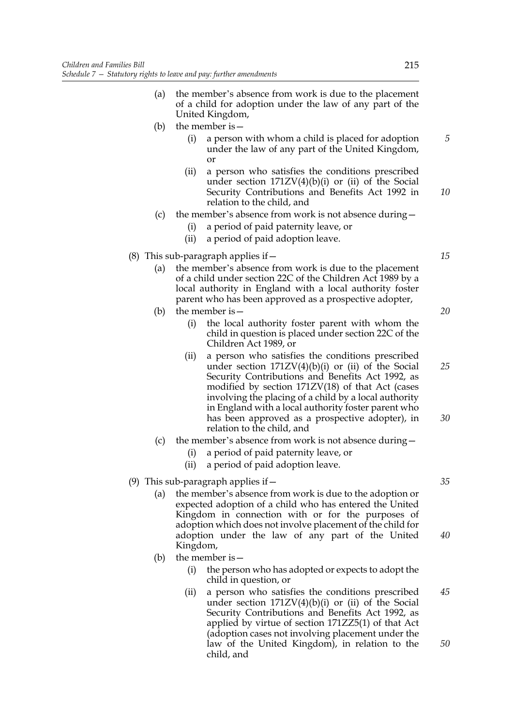- (a) the member's absence from work is due to the placement of a child for adoption under the law of any part of the United Kingdom,
- (b) the member is  $-$ 
	- (i) a person with whom a child is placed for adoption under the law of any part of the United Kingdom, or
	- (ii) a person who satisfies the conditions prescribed under section  $171ZV(4)(b)(i)$  or (ii) of the Social Security Contributions and Benefits Act 1992 in relation to the child, and
- (c) the member's absence from work is not absence during—
	- (i) a period of paid paternity leave, or
	- (ii) a period of paid adoption leave.
- (8) This sub-paragraph applies if  $-$ 
	- (a) the member's absence from work is due to the placement of a child under section 22C of the Children Act 1989 by a local authority in England with a local authority foster parent who has been approved as a prospective adopter,
	- (b) the member is—
		- (i) the local authority foster parent with whom the child in question is placed under section 22C of the Children Act 1989, or
		- (ii) a person who satisfies the conditions prescribed under section  $171ZV(4)(b)(i)$  or (ii) of the Social Security Contributions and Benefits Act 1992, as modified by section 171ZV(18) of that Act (cases involving the placing of a child by a local authority in England with a local authority foster parent who has been approved as a prospective adopter), in relation to the child, and *25 30*
	- (c) the member's absence from work is not absence during—
		- (i) a period of paid paternity leave, or
		- (ii) a period of paid adoption leave.
- (9) This sub-paragraph applies if  $-$ 
	- (a) the member's absence from work is due to the adoption or expected adoption of a child who has entered the United Kingdom in connection with or for the purposes of adoption which does not involve placement of the child for adoption under the law of any part of the United Kingdom,
	- (b) the member is  $-$ 
		- (i) the person who has adopted or expects to adopt the child in question, or
		- (ii) a person who satisfies the conditions prescribed under section  $171ZV(4)(b)(i)$  or (ii) of the Social Security Contributions and Benefits Act 1992, as applied by virtue of section 171ZZ5(1) of that Act (adoption cases not involving placement under the law of the United Kingdom), in relation to the child, and *45 50*

*5*

*10*

*20*

*35*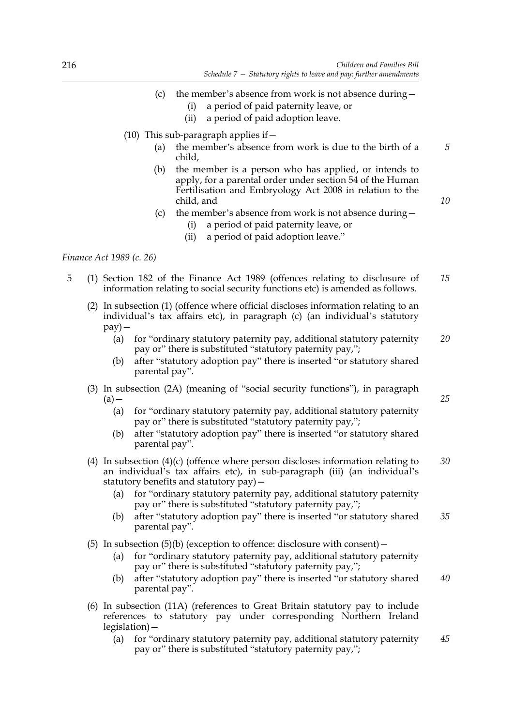- (c) the member's absence from work is not absence during—
	- (i) a period of paid paternity leave, or
	- (ii) a period of paid adoption leave.
- (10) This sub-paragraph applies if  $-$ 
	- (a) the member's absence from work is due to the birth of a child, *5*
	- (b) the member is a person who has applied, or intends to apply, for a parental order under section 54 of the Human Fertilisation and Embryology Act 2008 in relation to the child, and
	- (c) the member's absence from work is not absence during—
		- (i) a period of paid paternity leave, or
		- (ii) a period of paid adoption leave."

*Finance Act 1989 (c. 26)*

- 5 (1) Section 182 of the Finance Act 1989 (offences relating to disclosure of information relating to social security functions etc) is amended as follows. *15*
	- (2) In subsection (1) (offence where official discloses information relating to an individual's tax affairs etc), in paragraph (c) (an individual's statutory  $pay)$ —
		- (a) for "ordinary statutory paternity pay, additional statutory paternity pay or" there is substituted "statutory paternity pay,"; *20*
		- (b) after "statutory adoption pay" there is inserted "or statutory shared parental pay".
	- (3) In subsection (2A) (meaning of "social security functions"), in paragraph  $(a)$  —
		- (a) for "ordinary statutory paternity pay, additional statutory paternity pay or" there is substituted "statutory paternity pay,";
		- (b) after "statutory adoption pay" there is inserted "or statutory shared parental pay".
	- (4) In subsection (4)(c) (offence where person discloses information relating to an individual's tax affairs etc), in sub-paragraph (iii) (an individual's statutory benefits and statutory pay)— *30*
		- (a) for "ordinary statutory paternity pay, additional statutory paternity pay or" there is substituted "statutory paternity pay,";
		- (b) after "statutory adoption pay" there is inserted "or statutory shared parental pay". *35*
	- (5) In subsection  $(5)(b)$  (exception to offence: disclosure with consent)
		- (a) for "ordinary statutory paternity pay, additional statutory paternity pay or" there is substituted "statutory paternity pay,";
		- (b) after "statutory adoption pay" there is inserted "or statutory shared parental pay". *40*
	- (6) In subsection (11A) (references to Great Britain statutory pay to include references to statutory pay under corresponding Northern Ireland legislation)—
		- (a) for "ordinary statutory paternity pay, additional statutory paternity pay or" there is substituted "statutory paternity pay,"; *45*

*10*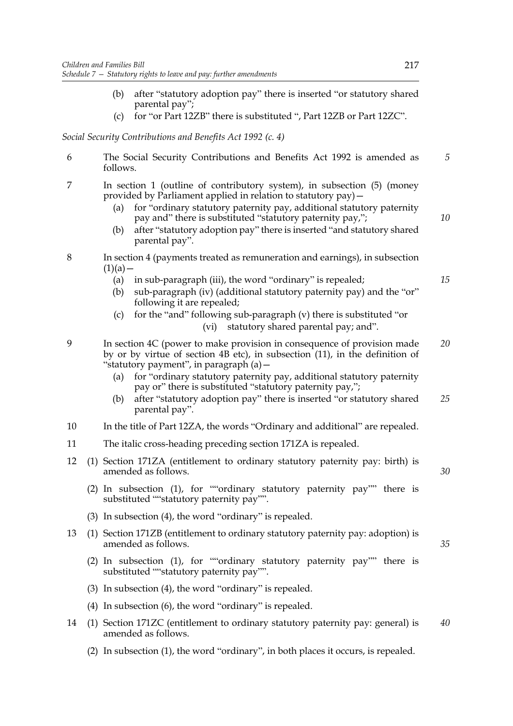- (b) after "statutory adoption pay" there is inserted "or statutory shared parental pay";
- (c) for "or Part 12ZB" there is substituted ", Part 12ZB or Part 12ZC".

## *Social Security Contributions and Benefits Act 1992 (c. 4)*

- 6 The Social Security Contributions and Benefits Act 1992 is amended as follows. *5*
- 7 In section 1 (outline of contributory system), in subsection (5) (money provided by Parliament applied in relation to statutory pay)—
	- (a) for "ordinary statutory paternity pay, additional statutory paternity pay and" there is substituted "statutory paternity pay,";
	- (b) after "statutory adoption pay" there is inserted "and statutory shared parental pay".
- 8 In section 4 (payments treated as remuneration and earnings), in subsection  $(1)(a)$  —
	- (a) in sub-paragraph (iii), the word "ordinary" is repealed;
	- (b) sub-paragraph (iv) (additional statutory paternity pay) and the "or" following it are repealed;
	- (c) for the "and" following sub-paragraph  $(v)$  there is substituted "or (vi) statutory shared parental pay; and".
- 9 In section 4C (power to make provision in consequence of provision made by or by virtue of section 4B etc), in subsection (11), in the definition of "statutory payment", in paragraph  $(a)$  – *20*
	- (a) for "ordinary statutory paternity pay, additional statutory paternity pay or" there is substituted "statutory paternity pay,";
	- (b) after "statutory adoption pay" there is inserted "or statutory shared parental pay". *25*
- 10 In the title of Part 12ZA, the words "Ordinary and additional" are repealed.
- 11 The italic cross-heading preceding section 171ZA is repealed.
- 12 (1) Section 171ZA (entitlement to ordinary statutory paternity pay: birth) is amended as follows.
	- (2) In subsection (1), for ""ordinary statutory paternity pay"" there is substituted ""statutory paternity pay"".
	- (3) In subsection (4), the word "ordinary" is repealed.
- 13 (1) Section 171ZB (entitlement to ordinary statutory paternity pay: adoption) is amended as follows.
	- (2) In subsection (1), for ""ordinary statutory paternity pay"" there is substituted ""statutory paternity pay"".
	- (3) In subsection (4), the word "ordinary" is repealed.
	- (4) In subsection (6), the word "ordinary" is repealed.
- 14 (1) Section 171ZC (entitlement to ordinary statutory paternity pay: general) is amended as follows. *40*
	- (2) In subsection (1), the word "ordinary", in both places it occurs, is repealed.

*10*

*15*

*35*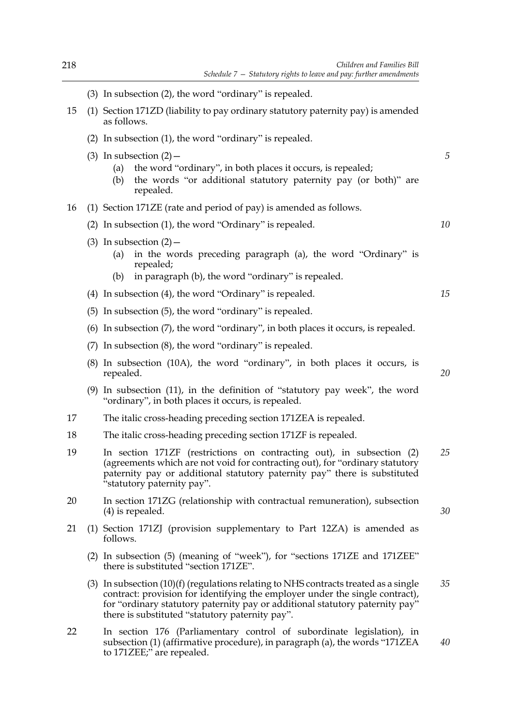- (3) In subsection (2), the word "ordinary" is repealed. 15 (1) Section 171ZD (liability to pay ordinary statutory paternity pay) is amended as follows. (2) In subsection (1), the word "ordinary" is repealed. (3) In subsection  $(2)$  -(a) the word "ordinary", in both places it occurs, is repealed; (b) the words "or additional statutory paternity pay (or both)" are repealed. 16 (1) Section 171ZE (rate and period of pay) is amended as follows. (2) In subsection (1), the word "Ordinary" is repealed. (3) In subsection  $(2)$  -(a) in the words preceding paragraph (a), the word "Ordinary" is repealed; (b) in paragraph (b), the word "ordinary" is repealed. (4) In subsection (4), the word "Ordinary" is repealed. (5) In subsection (5), the word "ordinary" is repealed. (6) In subsection (7), the word "ordinary", in both places it occurs, is repealed. (7) In subsection (8), the word "ordinary" is repealed. (8) In subsection (10A), the word "ordinary", in both places it occurs, is repealed. (9) In subsection (11), in the definition of "statutory pay week", the word "ordinary", in both places it occurs, is repealed. 17 The italic cross-heading preceding section 171ZEA is repealed. 18 The italic cross-heading preceding section 171ZF is repealed. 19 In section 171ZF (restrictions on contracting out), in subsection (2) (agreements which are not void for contracting out), for "ordinary statutory paternity pay or additional statutory paternity pay" there is substituted "statutory paternity pay". 20 In section 171ZG (relationship with contractual remuneration), subsection (4) is repealed. 21 (1) Section 171ZJ (provision supplementary to Part 12ZA) is amended as follows. (2) In subsection (5) (meaning of "week"), for "sections 171ZE and 171ZEE" there is substituted "section 171ZE". (3) In subsection  $(10)(f)$  (regulations relating to NHS contracts treated as a single contract: provision for identifying the employer under the single contract), for "ordinary statutory paternity pay or additional statutory paternity pay" there is substituted "statutory paternity pay". *5 10 15 20 25 30 35*
- 22 In section 176 (Parliamentary control of subordinate legislation), in subsection (1) (affirmative procedure), in paragraph (a), the words "171ZEA to 171ZEE;" are repealed. *40*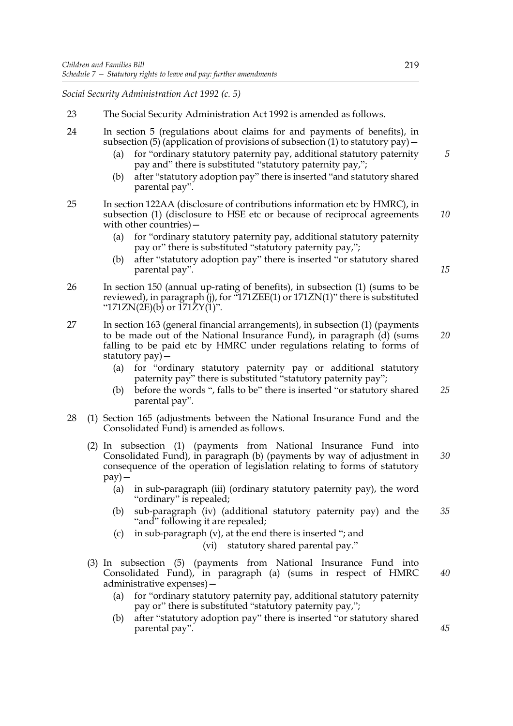*Social Security Administration Act 1992 (c. 5)*

- 23 The Social Security Administration Act 1992 is amended as follows.
- 24 In section 5 (regulations about claims for and payments of benefits), in subsection (5) (application of provisions of subsection (1) to statutory  $pay$ ) –
	- (a) for "ordinary statutory paternity pay, additional statutory paternity pay and" there is substituted "statutory paternity pay,";
	- (b) after "statutory adoption pay" there is inserted "and statutory shared parental pay".
- 25 In section 122AA (disclosure of contributions information etc by HMRC), in subsection (1) (disclosure to HSE etc or because of reciprocal agreements with other countries)—
	- (a) for "ordinary statutory paternity pay, additional statutory paternity pay or" there is substituted "statutory paternity pay,";
	- (b) after "statutory adoption pay" there is inserted "or statutory shared parental pay".
- 26 In section 150 (annual up-rating of benefits), in subsection (1) (sums to be reviewed), in paragraph (j), for "171ZEE(1) or 171ZN(1)" there is substituted " $171ZN(2E)(b)$  or  $171ZY(1)$ ".
- 27 In section 163 (general financial arrangements), in subsection (1) (payments to be made out of the National Insurance Fund), in paragraph (d) (sums falling to be paid etc by HMRC under regulations relating to forms of statutory pay)—
	- (a) for "ordinary statutory paternity pay or additional statutory paternity pay" there is substituted "statutory paternity pay";
	- (b) before the words ", falls to be" there is inserted "or statutory shared parental pay". *25*
- 28 (1) Section 165 (adjustments between the National Insurance Fund and the Consolidated Fund) is amended as follows.
	- (2) In subsection (1) (payments from National Insurance Fund into Consolidated Fund), in paragraph (b) (payments by way of adjustment in consequence of the operation of legislation relating to forms of statutory pay)— *30*
		- (a) in sub-paragraph (iii) (ordinary statutory paternity pay), the word "ordinary" is repealed;
		- (b) sub-paragraph (iv) (additional statutory paternity pay) and the "and" following it are repealed; *35*
		- (c) in sub-paragraph (v), at the end there is inserted "; and

(vi) statutory shared parental pay."

- (3) In subsection (5) (payments from National Insurance Fund into Consolidated Fund), in paragraph (a) (sums in respect of HMRC administrative expenses)—
	- (a) for "ordinary statutory paternity pay, additional statutory paternity pay or" there is substituted "statutory paternity pay,";
	- (b) after "statutory adoption pay" there is inserted "or statutory shared parental pay".

*45*

*40*

*20*

*5*

*10*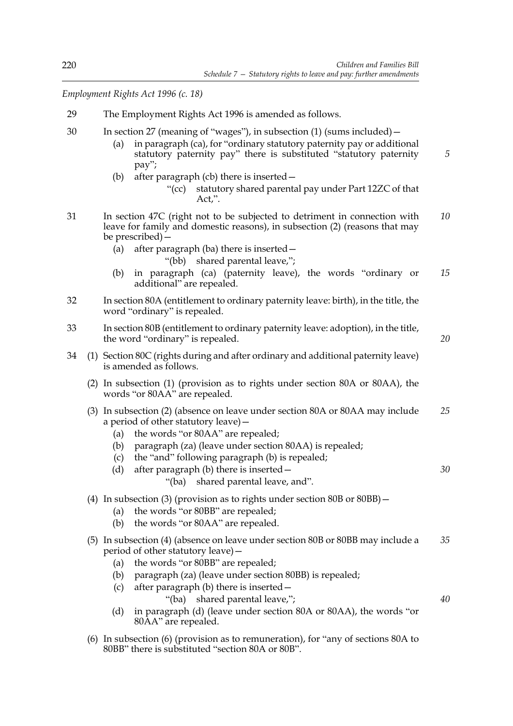*20*

*30*

*40*

*Employment Rights Act 1996 (c. 18)*

- 29 The Employment Rights Act 1996 is amended as follows.
- 30 In section 27 (meaning of "wages"), in subsection (1) (sums included)—
	- (a) in paragraph (ca), for "ordinary statutory paternity pay or additional statutory paternity pay" there is substituted "statutory paternity pay";
	- (b) after paragraph (cb) there is inserted—
		- "(cc) statutory shared parental pay under Part 12ZC of that Act,".
- 31 In section 47C (right not to be subjected to detriment in connection with leave for family and domestic reasons), in subsection (2) (reasons that may be prescribed)— *10*
	- (a) after paragraph (ba) there is inserted—
		- "(bb) shared parental leave,";
	- (b) in paragraph (ca) (paternity leave), the words "ordinary or additional" are repealed. *15*
- 32 In section 80A (entitlement to ordinary paternity leave: birth), in the title, the word "ordinary" is repealed.
- 33 In section 80B (entitlement to ordinary paternity leave: adoption), in the title, the word "ordinary" is repealed.
- 34 (1) Section 80C (rights during and after ordinary and additional paternity leave) is amended as follows.
	- (2) In subsection (1) (provision as to rights under section 80A or 80AA), the words "or 80AA" are repealed.
	- (3) In subsection (2) (absence on leave under section 80A or 80AA may include a period of other statutory leave)— *25*
		- (a) the words "or 80AA" are repealed;
		- (b) paragraph (za) (leave under section 80AA) is repealed;
		- (c) the "and" following paragraph (b) is repealed;
		- (d) after paragraph (b) there is inserted—
			- "(ba) shared parental leave, and".
	- (4) In subsection (3) (provision as to rights under section 80B or 80BB)—
		- (a) the words "or 80BB" are repealed;
		- (b) the words "or 80AA" are repealed.
	- (5) In subsection (4) (absence on leave under section 80B or 80BB may include a period of other statutory leave)— *35*
		- (a) the words "or 80BB" are repealed;
		- (b) paragraph (za) (leave under section 80BB) is repealed;
		- (c) after paragraph (b) there is inserted—
			- "(ba) shared parental leave,";
		- (d) in paragraph (d) (leave under section 80A or 80AA), the words "or 80AA" are repealed.
	- (6) In subsection (6) (provision as to remuneration), for "any of sections 80A to 80BB" there is substituted "section 80A or 80B".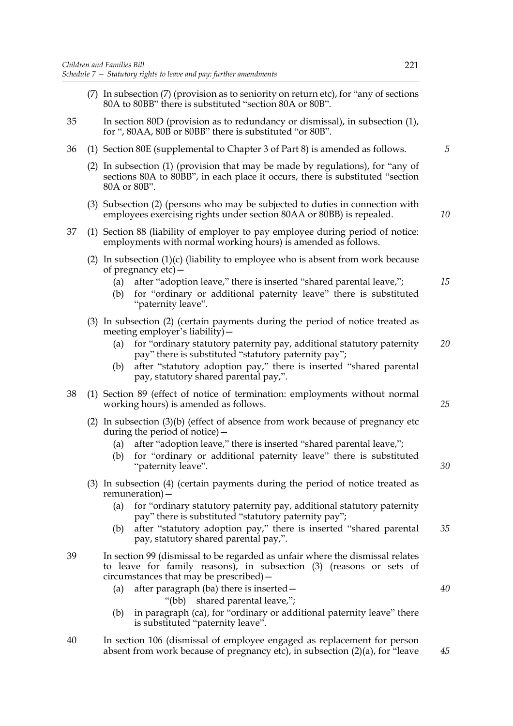- (7) In subsection (7) (provision as to seniority on return etc), for "any of sections 80A to 80BB" there is substituted "section 80A or 80B".
- 35 In section 80D (provision as to redundancy or dismissal), in subsection (1), for ", 80AA, 80B or 80BB" there is substituted "or 80B".
- 36 (1) Section 80E (supplemental to Chapter 3 of Part 8) is amended as follows.
	- (2) In subsection (1) (provision that may be made by regulations), for "any of sections 80A to 80BB", in each place it occurs, there is substituted "section 80A or 80B".
	- (3) Subsection (2) (persons who may be subjected to duties in connection with employees exercising rights under section 80AA or 80BB) is repealed.
- 37 (1) Section 88 (liability of employer to pay employee during period of notice: employments with normal working hours) is amended as follows.
	- (2) In subsection (1)(c) (liability to employee who is absent from work because of pregnancy etc)—
		- (a) after "adoption leave," there is inserted "shared parental leave,"; *15*
		- (b) for "ordinary or additional paternity leave" there is substituted "paternity leave".
	- (3) In subsection (2) (certain payments during the period of notice treated as meeting employer's liability)—
		- (a) for "ordinary statutory paternity pay, additional statutory paternity pay" there is substituted "statutory paternity pay"; *20*
		- (b) after "statutory adoption pay," there is inserted "shared parental pay, statutory shared parental pay,".
- 38 (1) Section 89 (effect of notice of termination: employments without normal working hours) is amended as follows.
	- (2) In subsection (3)(b) (effect of absence from work because of pregnancy etc during the period of notice)—
		- (a) after "adoption leave," there is inserted "shared parental leave,";
		- (b) for "ordinary or additional paternity leave" there is substituted "paternity leave".
	- (3) In subsection (4) (certain payments during the period of notice treated as remuneration)—
		- (a) for "ordinary statutory paternity pay, additional statutory paternity pay" there is substituted "statutory paternity pay";
		- (b) after "statutory adoption pay," there is inserted "shared parental pay, statutory shared parental pay,". *35*
- 39 In section 99 (dismissal to be regarded as unfair where the dismissal relates to leave for family reasons), in subsection (3) (reasons or sets of circumstances that may be prescribed)—
	- (a) after paragraph (ba) there is inserted—
		- "(bb) shared parental leave,";
	- (b) in paragraph (ca), for "ordinary or additional paternity leave" there is substituted "paternity leave".
- 40 In section 106 (dismissal of employee engaged as replacement for person absent from work because of pregnancy etc), in subsection (2)(a), for "leave

*10*

*25*

*30*

*40*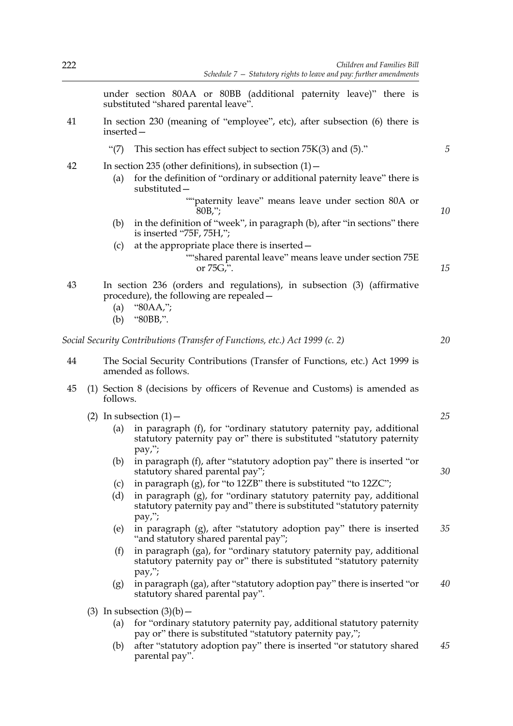under section 80AA or 80BB (additional paternity leave)" there is substituted "shared parental leave".

- 41 In section 230 (meaning of "employee", etc), after subsection (6) there is inserted—
	- "(7) This section has effect subject to section 75K(3) and (5)."
- 42 In section 235 (other definitions), in subsection (1)—
	- (a) for the definition of "ordinary or additional paternity leave" there is substituted—
		- ""paternity leave" means leave under section 80A or  $\left[80B\right]$ :
	- (b) in the definition of "week", in paragraph (b), after "in sections" there is inserted "75F, 75H,";
	- (c) at the appropriate place there is inserted—

""shared parental leave" means leave under section 75E or 75G,".

- 43 In section 236 (orders and regulations), in subsection (3) (affirmative procedure), the following are repealed—
	- (a) "80AA,";
	- (b) "80BB,".

*Social Security Contributions (Transfer of Functions, etc.) Act 1999 (c. 2)*

- 44 The Social Security Contributions (Transfer of Functions, etc.) Act 1999 is amended as follows.
- 45 (1) Section 8 (decisions by officers of Revenue and Customs) is amended as follows.
	- (2) In subsection  $(1)$ 
		- in paragraph (f), for "ordinary statutory paternity pay, additional statutory paternity pay or" there is substituted "statutory paternity pay,";
		- (b) in paragraph (f), after "statutory adoption pay" there is inserted "or statutory shared parental pay";
		- (c) in paragraph (g), for "to 12ZB" there is substituted "to 12ZC";
		- (d) in paragraph (g), for "ordinary statutory paternity pay, additional statutory paternity pay and" there is substituted "statutory paternity pay,";
		- (e) in paragraph (g), after "statutory adoption pay" there is inserted "and statutory shared parental pay"; *35*
		- (f) in paragraph (ga), for "ordinary statutory paternity pay, additional statutory paternity pay or" there is substituted "statutory paternity pay,";
		- (g) in paragraph (ga), after "statutory adoption pay" there is inserted "or statutory shared parental pay". *40*
	- (3) In subsection  $(3)(b)$ 
		- (a) for "ordinary statutory paternity pay, additional statutory paternity pay or" there is substituted "statutory paternity pay,";
		- (b) after "statutory adoption pay" there is inserted "or statutory shared parental pay". *45*

*20*

*25*

*30*

*5*

*10*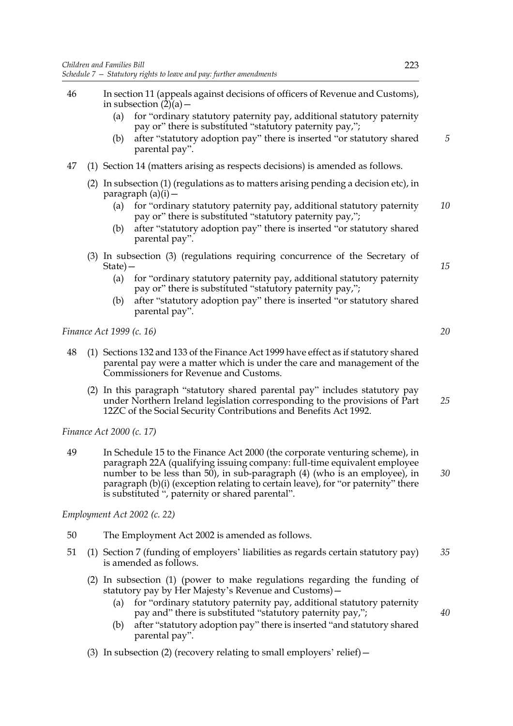- 46 In section 11 (appeals against decisions of officers of Revenue and Customs), in subsection  $(2)(a)$  –
	- (a) for "ordinary statutory paternity pay, additional statutory paternity pay or" there is substituted "statutory paternity pay,";
	- (b) after "statutory adoption pay" there is inserted "or statutory shared parental pay". *5*
- 47 (1) Section 14 (matters arising as respects decisions) is amended as follows.
	- (2) In subsection (1) (regulations as to matters arising pending a decision etc), in paragraph (a)(i)—
		- (a) for "ordinary statutory paternity pay, additional statutory paternity pay or" there is substituted "statutory paternity pay,"; *10*
		- (b) after "statutory adoption pay" there is inserted "or statutory shared parental pay".
	- (3) In subsection (3) (regulations requiring concurrence of the Secretary of State)—
		- (a) for "ordinary statutory paternity pay, additional statutory paternity pay or" there is substituted "statutory paternity pay,";
		- (b) after "statutory adoption pay" there is inserted "or statutory shared parental pay".

*Finance Act 1999 (c. 16)*

- 48 (1) Sections 132 and 133 of the Finance Act 1999 have effect as if statutory shared parental pay were a matter which is under the care and management of the Commissioners for Revenue and Customs.
	- (2) In this paragraph "statutory shared parental pay" includes statutory pay under Northern Ireland legislation corresponding to the provisions of Part 12ZC of the Social Security Contributions and Benefits Act 1992. *25*

*Finance Act 2000 (c. 17)*

49 In Schedule 15 to the Finance Act 2000 (the corporate venturing scheme), in paragraph 22A (qualifying issuing company: full-time equivalent employee number to be less than 50), in sub-paragraph (4) (who is an employee), in paragraph (b)(i) (exception relating to certain leave), for "or paternity" there is substituted ", paternity or shared parental".

*Employment Act 2002 (c. 22)*

- 50 The Employment Act 2002 is amended as follows.
- 51 (1) Section 7 (funding of employers' liabilities as regards certain statutory pay) is amended as follows. *35*
	- (2) In subsection (1) (power to make regulations regarding the funding of statutory pay by Her Majesty's Revenue and Customs)—
		- (a) for "ordinary statutory paternity pay, additional statutory paternity pay and" there is substituted "statutory paternity pay,";
		- (b) after "statutory adoption pay" there is inserted "and statutory shared parental pay".
	- (3) In subsection (2) (recovery relating to small employers' relief)—

*15*

*20*

*30*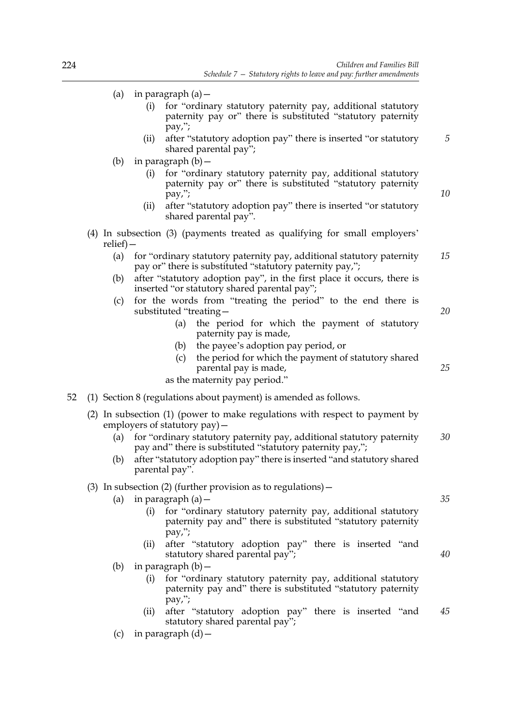- (a) in paragraph  $(a)$  -
	- (i) for "ordinary statutory paternity pay, additional statutory paternity pay or" there is substituted "statutory paternity pay,";
	- (ii) after "statutory adoption pay" there is inserted "or statutory shared parental pay"; *5*
- (b) in paragraph  $(b)$  -
	- (i) for "ordinary statutory paternity pay, additional statutory paternity pay or" there is substituted "statutory paternity pay,";
	- (ii) after "statutory adoption pay" there is inserted "or statutory shared parental pay".
- (4) In subsection (3) (payments treated as qualifying for small employers' relief)—
	- (a) for "ordinary statutory paternity pay, additional statutory paternity pay or" there is substituted "statutory paternity pay,"; *15*
	- (b) after "statutory adoption pay", in the first place it occurs, there is inserted "or statutory shared parental pay";
	- (c) for the words from "treating the period" to the end there is substituted "treating—
		- (a) the period for which the payment of statutory paternity pay is made,
		- (b) the payee's adoption pay period, or
		- (c) the period for which the payment of statutory shared parental pay is made,

as the maternity pay period."

- 52 (1) Section 8 (regulations about payment) is amended as follows.
	- (2) In subsection (1) (power to make regulations with respect to payment by employers of statutory pay)—
		- (a) for "ordinary statutory paternity pay, additional statutory paternity pay and" there is substituted "statutory paternity pay,"; *30*
		- (b) after "statutory adoption pay" there is inserted "and statutory shared parental pay".
	- (3) In subsection (2) (further provision as to regulations)  $-$ 
		- (a) in paragraph  $(a)$ 
			- (i) for "ordinary statutory paternity pay, additional statutory paternity pay and" there is substituted "statutory paternity pay,";
			- (ii) after "statutory adoption pay" there is inserted "and statutory shared parental pay";
		- (b) in paragraph (b)—
			- (i) for "ordinary statutory paternity pay, additional statutory paternity pay and" there is substituted "statutory paternity pay,";
			- (ii) after "statutory adoption pay" there is inserted "and statutory shared parental pay"; *45*
		- (c) in paragraph  $(d)$  –

*35*

*40*

*10*

*20*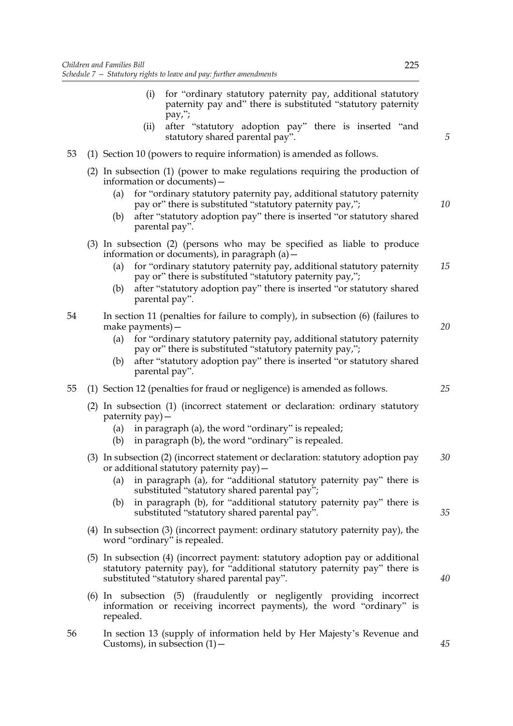- (i) for "ordinary statutory paternity pay, additional statutory paternity pay and" there is substituted "statutory paternity pay,";
- (ii) after "statutory adoption pay" there is inserted "and statutory shared parental pay".
- 53 (1) Section 10 (powers to require information) is amended as follows.
	- (2) In subsection (1) (power to make regulations requiring the production of information or documents)—
		- (a) for "ordinary statutory paternity pay, additional statutory paternity pay or" there is substituted "statutory paternity pay,";
		- (b) after "statutory adoption pay" there is inserted "or statutory shared parental pay".
	- (3) In subsection (2) (persons who may be specified as liable to produce information or documents), in paragraph (a)—
		- (a) for "ordinary statutory paternity pay, additional statutory paternity pay or" there is substituted "statutory paternity pay,"; *15*
		- (b) after "statutory adoption pay" there is inserted "or statutory shared parental pay".
- 54 In section 11 (penalties for failure to comply), in subsection (6) (failures to make payments)—
	- (a) for "ordinary statutory paternity pay, additional statutory paternity pay or" there is substituted "statutory paternity pay,";
	- (b) after "statutory adoption pay" there is inserted "or statutory shared parental pay".
- 55 (1) Section 12 (penalties for fraud or negligence) is amended as follows.
	- (2) In subsection (1) (incorrect statement or declaration: ordinary statutory paternity pay)—
		- (a) in paragraph (a), the word "ordinary" is repealed;
		- (b) in paragraph (b), the word "ordinary" is repealed.
	- (3) In subsection (2) (incorrect statement or declaration: statutory adoption pay or additional statutory paternity pay)— *30*
		- (a) in paragraph (a), for "additional statutory paternity pay" there is substituted "statutory shared parental pay";
		- (b) in paragraph (b), for "additional statutory paternity pay" there is substituted "statutory shared parental pay".
	- (4) In subsection (3) (incorrect payment: ordinary statutory paternity pay), the word "ordinary" is repealed.
	- (5) In subsection (4) (incorrect payment: statutory adoption pay or additional statutory paternity pay), for "additional statutory paternity pay" there is substituted "statutory shared parental pay".
	- (6) In subsection (5) (fraudulently or negligently providing incorrect information or receiving incorrect payments), the word "ordinary" is repealed.
- 56 In section 13 (supply of information held by Her Majesty's Revenue and Customs), in subsection  $(1)$  –

*10*

*25*

*20*

*40*

*45*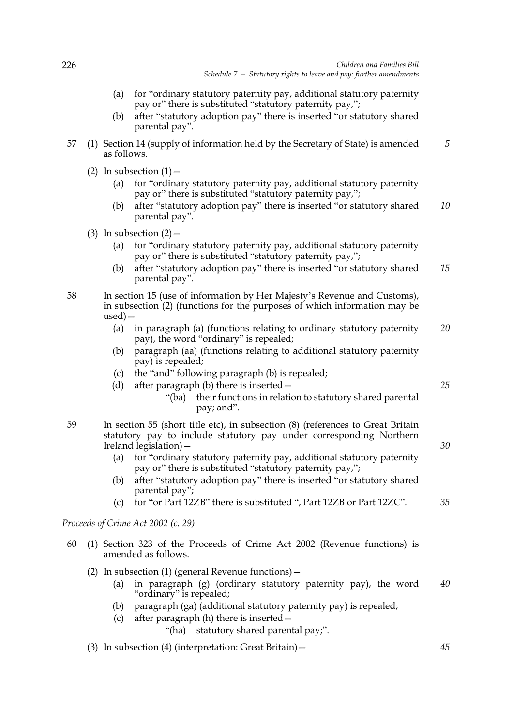- (a) for "ordinary statutory paternity pay, additional statutory paternity pay or" there is substituted "statutory paternity pay,";
- (b) after "statutory adoption pay" there is inserted "or statutory shared parental pay".
- 57 (1) Section 14 (supply of information held by the Secretary of State) is amended as follows. *5*
	- (2) In subsection  $(1)$ 
		- (a) for "ordinary statutory paternity pay, additional statutory paternity pay or" there is substituted "statutory paternity pay,";
		- (b) after "statutory adoption pay" there is inserted "or statutory shared parental pay". *10*

# (3) In subsection  $(2)$  –

- (a) for "ordinary statutory paternity pay, additional statutory paternity pay or" there is substituted "statutory paternity pay,";
- (b) after "statutory adoption pay" there is inserted "or statutory shared parental pay". *15*
- 58 In section 15 (use of information by Her Majesty's Revenue and Customs), in subsection (2) (functions for the purposes of which information may be used)—
	- (a) in paragraph (a) (functions relating to ordinary statutory paternity pay), the word "ordinary" is repealed; *20*
	- (b) paragraph (aa) (functions relating to additional statutory paternity pay) is repealed;
	- (c) the "and" following paragraph (b) is repealed;
	- (d) after paragraph (b) there is inserted—
		- "(ba) their functions in relation to statutory shared parental pay; and".
- 59 In section 55 (short title etc), in subsection (8) (references to Great Britain statutory pay to include statutory pay under corresponding Northern Ireland legislation)—
	- (a) for "ordinary statutory paternity pay, additional statutory paternity pay or" there is substituted "statutory paternity pay,";
	- (b) after "statutory adoption pay" there is inserted "or statutory shared parental pay";
	- (c) for "or Part 12ZB" there is substituted ", Part 12ZB or Part 12ZC".

## *Proceeds of Crime Act 2002 (c. 29)*

- 60 (1) Section 323 of the Proceeds of Crime Act 2002 (Revenue functions) is amended as follows.
	- (2) In subsection (1) (general Revenue functions)—
		- (a) in paragraph (g) (ordinary statutory paternity pay), the word "ordinary" is repealed; *40*
		- (b) paragraph (ga) (additional statutory paternity pay) is repealed;
		- (c) after paragraph (h) there is inserted—

"(ha) statutory shared parental pay;".

(3) In subsection (4) (interpretation: Great Britain)—

*25*

*35*

*45*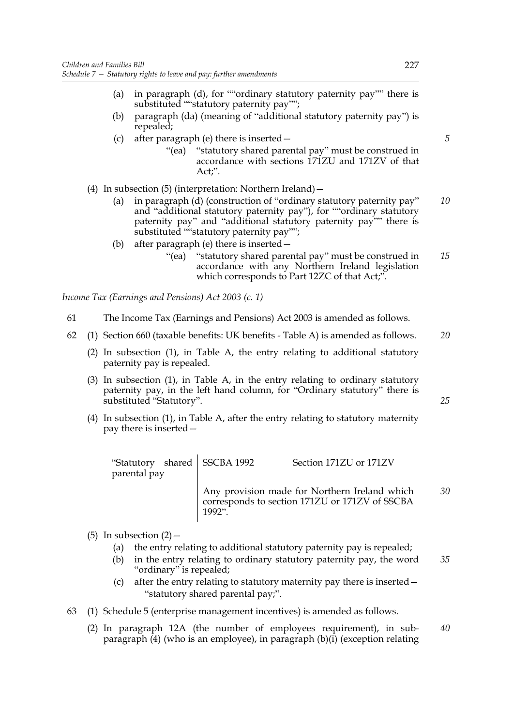- (a) in paragraph (d), for ""ordinary statutory paternity pay"" there is substituted ""statutory paternity pay"";
- (b) paragraph (da) (meaning of "additional statutory paternity pay") is repealed;
- (c) after paragraph (e) there is inserted—
	- "(ea) "statutory shared parental pay" must be construed in accordance with sections 171ZU and 171ZV of that Act;".
- (4) In subsection (5) (interpretation: Northern Ireland)—
	- (a) in paragraph (d) (construction of "ordinary statutory paternity pay" and "additional statutory paternity pay"), for ""ordinary statutory paternity pay" and "additional statutory paternity pay"" there is substituted ""statutory paternity pay""; *10*
	- (b) after paragraph (e) there is inserted—
		- "(ea) "statutory shared parental pay" must be construed in accordance with any Northern Ireland legislation which corresponds to Part 12ZC of that Act;". *15*

*Income Tax (Earnings and Pensions) Act 2003 (c. 1)*

- 61 The Income Tax (Earnings and Pensions) Act 2003 is amended as follows.
- 62 (1) Section 660 (taxable benefits: UK benefits Table A) is amended as follows. *20*
	- (2) In subsection (1), in Table A, the entry relating to additional statutory paternity pay is repealed.
	- (3) In subsection (1), in Table A, in the entry relating to ordinary statutory paternity pay, in the left hand column, for "Ordinary statutory" there is substituted "Statutory".
	- (4) In subsection (1), in Table A, after the entry relating to statutory maternity pay there is inserted—

| "Statutory shared   SSCBA 1992<br>parental pay |                                                                                                           | Section 171ZU or 171ZV |     |
|------------------------------------------------|-----------------------------------------------------------------------------------------------------------|------------------------|-----|
|                                                | Any provision made for Northern Ireland which<br>corresponds to section 171ZU or 171ZV of SSCBA<br>1992". |                        | -30 |

- (5) In subsection  $(2)$ 
	- (a) the entry relating to additional statutory paternity pay is repealed;
	- (b) in the entry relating to ordinary statutory paternity pay, the word "ordinary" is repealed; *35*
	- (c) after the entry relating to statutory maternity pay there is inserted— "statutory shared parental pay;".
- 63 (1) Schedule 5 (enterprise management incentives) is amended as follows.
	- (2) In paragraph 12A (the number of employees requirement), in subparagraph (4) (who is an employee), in paragraph (b)(i) (exception relating *40*

*5*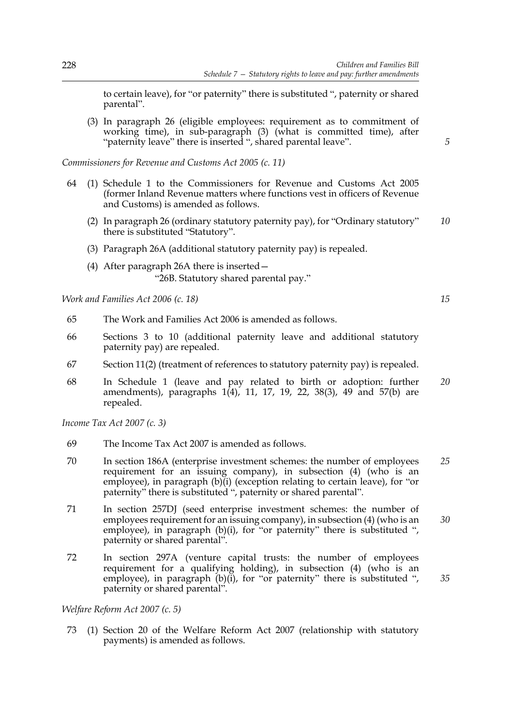to certain leave), for "or paternity" there is substituted ", paternity or shared parental".

(3) In paragraph 26 (eligible employees: requirement as to commitment of working time), in sub-paragraph (3) (what is committed time), after "paternity leave" there is inserted ", shared parental leave".

*Commissioners for Revenue and Customs Act 2005 (c. 11)*

- 64 (1) Schedule 1 to the Commissioners for Revenue and Customs Act 2005 (former Inland Revenue matters where functions vest in officers of Revenue and Customs) is amended as follows.
	- (2) In paragraph 26 (ordinary statutory paternity pay), for "Ordinary statutory" there is substituted "Statutory". *10*
	- (3) Paragraph 26A (additional statutory paternity pay) is repealed.
	- (4) After paragraph 26A there is inserted— "26B. Statutory shared parental pay."

*Work and Families Act 2006 (c. 18)*

- 65 The Work and Families Act 2006 is amended as follows.
- 66 Sections 3 to 10 (additional paternity leave and additional statutory paternity pay) are repealed.
- 67 Section 11(2) (treatment of references to statutory paternity pay) is repealed.
- 68 In Schedule 1 (leave and pay related to birth or adoption: further amendments), paragraphs  $1(4)$ , 11, 17, 19, 22, 38(3), 49 and 57(b) are repealed. *20*

*Income Tax Act 2007 (c. 3)*

- 69 The Income Tax Act 2007 is amended as follows.
- 70 In section 186A (enterprise investment schemes: the number of employees requirement for an issuing company), in subsection (4) (who is an employee), in paragraph (b)(i) (exception relating to certain leave), for "or paternity" there is substituted ", paternity or shared parental". *25*
- 71 In section 257DJ (seed enterprise investment schemes: the number of employees requirement for an issuing company), in subsection (4) (who is an employee), in paragraph (b)(i), for "or paternity" there is substituted ", paternity or shared parental". *30*
- 72 In section 297A (venture capital trusts: the number of employees requirement for a qualifying holding), in subsection (4) (who is an employee), in paragraph (b)(i), for "or paternity" there is substituted ", paternity or shared parental".

*Welfare Reform Act 2007 (c. 5)*

73 (1) Section 20 of the Welfare Reform Act 2007 (relationship with statutory payments) is amended as follows.

*15*

*35*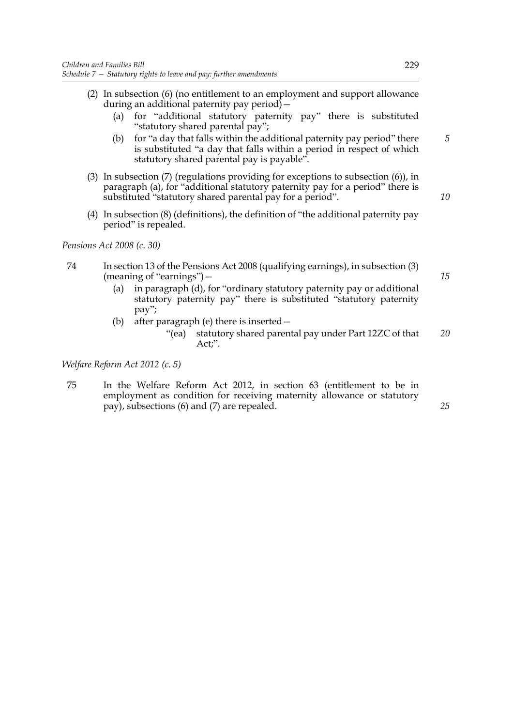- (2) In subsection (6) (no entitlement to an employment and support allowance during an additional paternity pay period $\overline{)}$  –
	- (a) for "additional statutory paternity pay" there is substituted "statutory shared parental pay";
	- (b) for "a day that falls within the additional paternity pay period" there is substituted "a day that falls within a period in respect of which statutory shared parental pay is payable".
- (3) In subsection (7) (regulations providing for exceptions to subsection (6)), in paragraph (a), for "additional statutory paternity pay for a period" there is substituted "statutory shared parental pay for a period".
- (4) In subsection (8) (definitions), the definition of "the additional paternity pay period" is repealed.

*Pensions Act 2008 (c. 30)*

- 74 In section 13 of the Pensions Act 2008 (qualifying earnings), in subsection (3) (meaning of "earnings")—
	- (a) in paragraph (d), for "ordinary statutory paternity pay or additional statutory paternity pay" there is substituted "statutory paternity pay";
	- (b) after paragraph (e) there is inserted—
		- "(ea) statutory shared parental pay under Part 12ZC of that Act;". *20*

*Welfare Reform Act 2012 (c. 5)*

75 In the Welfare Reform Act 2012, in section 63 (entitlement to be in employment as condition for receiving maternity allowance or statutory pay), subsections (6) and (7) are repealed.

*25*

*5*

*10*